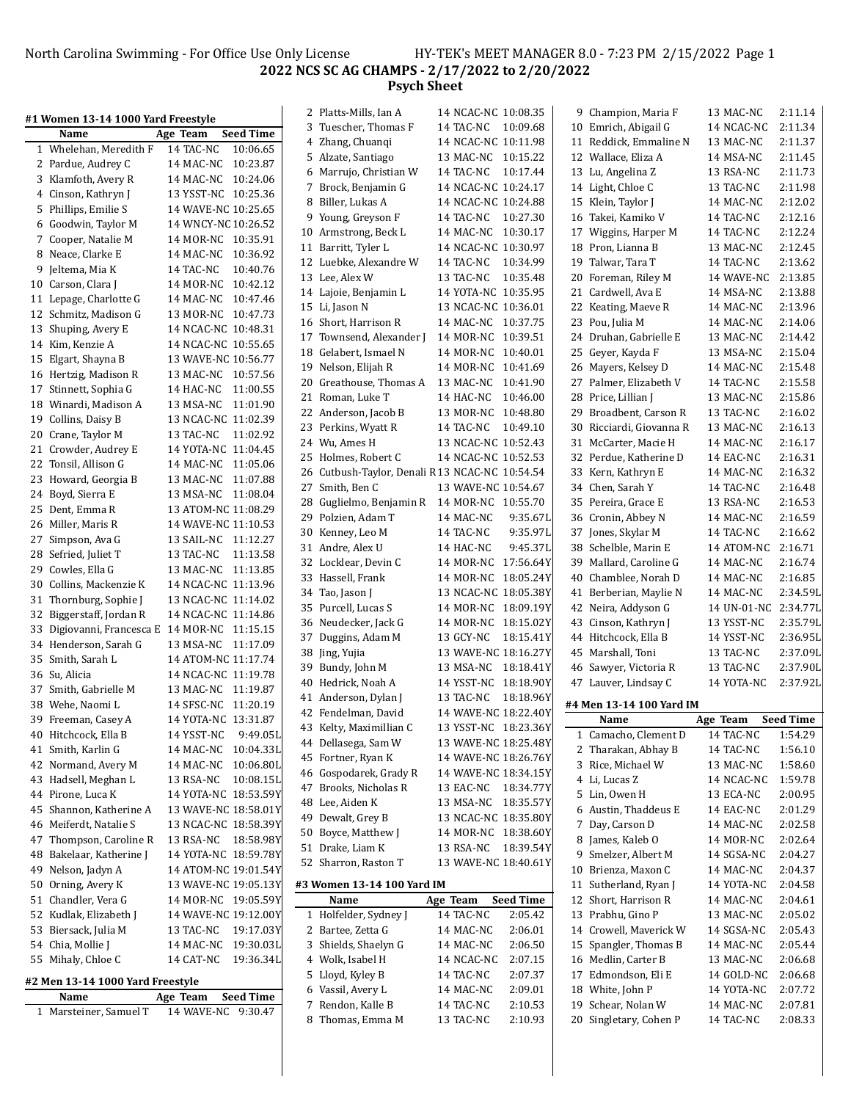North Carolina Swimming - For Office Use Only License HY-TEK's MEET MANAGER 8.0 - 7:23 PM 2/15/2022 Page 1 **NCS SC AG CHAMPS - 2/17/2022 to 2/20/2022 Psych Sheet**

| #1 Women 13-14 1000 Yard Freestyle              |                                 |                  | 2 Platts-Mills, Ian A                           | 14 NCAC-NC 10:08.35  |                  | 9 Champion, Maria F      | 13 MAC-NC            | 2:11.14          |
|-------------------------------------------------|---------------------------------|------------------|-------------------------------------------------|----------------------|------------------|--------------------------|----------------------|------------------|
| Name                                            | Age Team                        | <b>Seed Time</b> | 3 Tuescher, Thomas F                            | 14 TAC-NC 10:09.68   |                  | 10 Emrich, Abigail G     | 14 NCAC-NC           | 2:11.34          |
| 1 Whelehan, Meredith F                          | 14 TAC-NC                       | 10:06.65         | 4 Zhang, Chuanqi                                | 14 NCAC-NC 10:11.98  |                  | 11 Reddick, Emmaline N   | 13 MAC-NC            | 2:11.37          |
| 2 Pardue, Audrey C                              | 14 MAC-NC 10:23.87              |                  | 5 Alzate, Santiago                              | 13 MAC-NC 10:15.22   |                  | 12 Wallace, Eliza A      | 14 MSA-NC            | 2:11.45          |
| 3 Klamfoth, Avery R                             | 14 MAC-NC 10:24.06              |                  | 6 Marrujo, Christian W                          | 14 TAC-NC 10:17.44   |                  | 13 Lu, Angelina Z        | 13 RSA-NC            | 2:11.73          |
| 4 Cinson, Kathryn J                             | 13 YSST-NC 10:25.36             |                  | 7 Brock, Benjamin G                             | 14 NCAC-NC 10:24.17  |                  | 14 Light, Chloe C        | 13 TAC-NC            | 2:11.98          |
| 5 Phillips, Emilie S                            | 14 WAVE-NC 10:25.65             |                  | 8 Biller, Lukas A                               | 14 NCAC-NC 10:24.88  |                  | 15 Klein, Taylor J       | 14 MAC-NC            | 2:12.02          |
| 6 Goodwin, Taylor M                             | 14 WNCY-NC 10:26.52             |                  | 9 Young, Greyson F                              | 14 TAC-NC 10:27.30   |                  | 16 Takei, Kamiko V       | 14 TAC-NC            | 2:12.16          |
|                                                 | 14 MOR-NC 10:35.91              |                  | 10 Armstrong, Beck L                            | 14 MAC-NC 10:30.17   |                  | 17 Wiggins, Harper M     | 14 TAC-NC            | 2:12.24          |
| 7 Cooper, Natalie M<br>8 Neace, Clarke E        | 14 MAC-NC 10:36.92              |                  | 11 Barritt, Tyler L                             | 14 NCAC-NC 10:30.97  |                  | 18 Pron, Lianna B        | 13 MAC-NC            | 2:12.45          |
|                                                 |                                 |                  | 12 Luebke, Alexandre W                          | 14 TAC-NC 10:34.99   |                  | 19 Talwar, Tara T        | 14 TAC-NC            | 2:13.62          |
| 9 Jeltema, Mia K                                | 14 TAC-NC<br>14 MOR-NC 10:42.12 | 10:40.76         | 13 Lee, Alex W                                  | 13 TAC-NC 10:35.48   |                  | 20 Foreman, Riley M      | 14 WAVE-NC           | 2:13.85          |
| 10 Carson, Clara J                              | 14 MAC-NC 10:47.46              |                  | 14 Lajoie, Benjamin L                           | 14 YOTA-NC 10:35.95  |                  | 21 Cardwell, Ava E       | 14 MSA-NC            | 2:13.88          |
| 11 Lepage, Charlotte G<br>12 Schmitz, Madison G | 13 MOR-NC 10:47.73              |                  | 15 Li, Jason N                                  | 13 NCAC-NC 10:36.01  |                  | 22 Keating, Maeve R      | 14 MAC-NC            | 2:13.96          |
|                                                 |                                 |                  | 16 Short, Harrison R                            | 14 MAC-NC 10:37.75   |                  | 23 Pou, Julia M          | 14 MAC-NC            | 2:14.06          |
| 13 Shuping, Avery E                             | 14 NCAC-NC 10:48.31             |                  | 17 Townsend, Alexander J                        | 14 MOR-NC 10:39.51   |                  | 24 Druhan, Gabrielle E   | 13 MAC-NC            | 2:14.42          |
| 14 Kim, Kenzie A                                | 14 NCAC-NC 10:55.65             |                  | 18 Gelabert, Ismael N                           | 14 MOR-NC 10:40.01   |                  | 25 Geyer, Kayda F        | 13 MSA-NC            | 2:15.04          |
| 15 Elgart, Shayna B                             | 13 WAVE-NC 10:56.77             |                  | 19 Nelson, Elijah R                             | 14 MOR-NC 10:41.69   |                  | 26 Mayers, Kelsey D      | 14 MAC-NC            | 2:15.48          |
| 16 Hertzig, Madison R                           | 13 MAC-NC 10:57.56              |                  | 20 Greathouse, Thomas A                         | 13 MAC-NC 10:41.90   |                  | 27 Palmer, Elizabeth V   | 14 TAC-NC            | 2:15.58          |
| 17 Stinnett, Sophia G                           | 14 HAC-NC 11:00.55              |                  | 21 Roman, Luke T                                | 14 HAC-NC 10:46.00   |                  | 28 Price, Lillian J      | 13 MAC-NC            | 2:15.86          |
| 18 Winardi, Madison A                           | 13 MSA-NC 11:01.90              |                  | 22 Anderson, Jacob B                            | 13 MOR-NC 10:48.80   |                  | 29 Broadbent, Carson R   | 13 TAC-NC            | 2:16.02          |
| Collins, Daisy B<br>19                          | 13 NCAC-NC 11:02.39             |                  | 23 Perkins, Wyatt R                             | 14 TAC-NC 10:49.10   |                  | 30 Ricciardi, Giovanna R | 13 MAC-NC            | 2:16.13          |
| Crane, Taylor M<br>20                           | 13 TAC-NC 11:02.92              |                  | 24 Wu, Ames H                                   | 13 NCAC-NC 10:52.43  |                  | 31 McCarter, Macie H     | 14 MAC-NC            | 2:16.17          |
| 21 Crowder, Audrey E                            | 14 YOTA-NC 11:04.45             |                  | 25 Holmes, Robert C                             | 14 NCAC-NC 10:52.53  |                  | 32 Perdue, Katherine D   | 14 EAC-NC            | 2:16.31          |
| 22 Tonsil, Allison G                            | 14 MAC-NC 11:05.06              |                  | 26 Cutbush-Taylor, Denali R 13 NCAC-NC 10:54.54 |                      |                  | 33 Kern, Kathryn E       | 14 MAC-NC            | 2:16.32          |
| 23 Howard, Georgia B                            | 13 MAC-NC 11:07.88              |                  | 27 Smith, Ben C                                 | 13 WAVE-NC 10:54.67  |                  | 34 Chen, Sarah Y         | 14 TAC-NC            | 2:16.48          |
| 24 Boyd, Sierra E                               | 13 MSA-NC 11:08.04              |                  | 28 Guglielmo, Benjamin R                        | 14 MOR-NC 10:55.70   |                  | 35 Pereira, Grace E      | 13 RSA-NC            | 2:16.53          |
| 25 Dent, Emma R                                 | 13 ATOM-NC 11:08.29             |                  | 29 Polzien, Adam T                              | 14 MAC-NC            | 9:35.67L         | 36 Cronin, Abbey N       | 14 MAC-NC            | 2:16.59          |
| 26 Miller, Maris R                              | 14 WAVE-NC 11:10.53             |                  | 30 Kenney, Leo M                                | 14 TAC-NC            | 9:35.97L         | 37 Jones, Skylar M       | 14 TAC-NC            | 2:16.62          |
| 27 Simpson, Ava G                               | 13 SAIL-NC 11:12.27             |                  | 31 Andre, Alex U                                | 14 HAC-NC            | 9:45.37L         | 38 Schelble, Marin E     | 14 ATOM-NC           | 2:16.71          |
| 28 Sefried, Juliet T                            | 13 TAC-NC 11:13.58              |                  | 32 Locklear, Devin C                            | 14 MOR-NC 17:56.64Y  |                  | 39 Mallard, Caroline G   | 14 MAC-NC            | 2:16.74          |
| Cowles, Ella G<br>29                            | 13 MAC-NC 11:13.85              |                  | 33 Hassell, Frank                               | 14 MOR-NC 18:05.24Y  |                  | 40 Chamblee, Norah D     | 14 MAC-NC            | 2:16.85          |
| Collins, Mackenzie K<br>30                      | 14 NCAC-NC 11:13.96             |                  | 34 Tao, Jason J                                 | 13 NCAC-NC 18:05.38Y |                  | 41 Berberian, Maylie N   | 14 MAC-NC            | 2:34.59L         |
| 31 Thornburg, Sophie J                          | 13 NCAC-NC 11:14.02             |                  | 35 Purcell, Lucas S                             | 14 MOR-NC 18:09.19Y  |                  | 42 Neira, Addyson G      | 14 UN-01-NC 2:34.77L |                  |
| 32 Biggerstaff, Jordan R                        | 14 NCAC-NC 11:14.86             |                  | 36 Neudecker, Jack G                            | 14 MOR-NC 18:15.02Y  |                  | 43 Cinson, Kathryn J     | 13 YSST-NC           | 2:35.79L         |
| 33 Digiovanni, Francesca E 14 MOR-NC 11:15.15   |                                 |                  | 37 Duggins, Adam M                              | 13 GCY-NC 18:15.41Y  |                  | 44 Hitchcock, Ella B     | 14 YSST-NC           | 2:36.95L         |
| 34 Henderson, Sarah G                           | 13 MSA-NC 11:17.09              |                  | 38 Jing, Yujia                                  | 13 WAVE-NC 18:16.27Y |                  | 45 Marshall, Toni        | 13 TAC-NC            | 2:37.09L         |
| 35 Smith, Sarah L                               | 14 ATOM-NC 11:17.74             |                  | 39 Bundy, John M                                | 13 MSA-NC 18:18.41Y  |                  | 46 Sawyer, Victoria R    | 13 TAC-NC            | 2:37.90L         |
| 36 Su, Alicia                                   | 14 NCAC-NC 11:19.78             |                  | 40 Hedrick, Noah A                              | 14 YSST-NC 18:18.90Y |                  | 47 Lauver, Lindsay C     | 14 YOTA-NC           | 2:37.92L         |
| 37 Smith, Gabrielle M                           | 13 MAC-NC 11:19.87              |                  | 41 Anderson, Dylan J                            | 13 TAC-NC            | 18:18.96Y        |                          |                      |                  |
| 38 Wehe, Naomi L                                | 14 SFSC-NC 11:20.19             |                  | 42 Fendelman, David                             | 14 WAVE-NC 18:22.40Y |                  | #4 Men 13-14 100 Yard IM |                      |                  |
| 39 Freeman, Casey A                             | 14 YOTA-NC 13:31.87             |                  | 43 Kelty, Maximillian C                         | 13 YSST-NC 18:23.36Y |                  | Name                     | Age Team             | <b>Seed Time</b> |
| 40 Hitchcock, Ella B                            | 14 YSST-NC                      | 9:49.05L         | 44 Dellasega, Sam W                             | 13 WAVE-NC 18:25.48Y |                  | 1 Camacho, Clement D     | 14 TAC-NC            | 1:54.29          |
| 41 Smith, Karlin G                              | 14 MAC-NC 10:04.33L             |                  | 45 Fortner, Ryan K                              | 14 WAVE-NC 18:26.76Y |                  | 2 Tharakan, Abhay B      | 14 TAC-NC            | 1:56.10          |
| 42 Normand, Avery M                             | 14 MAC-NC 10:06.80L             |                  | 46 Gospodarek, Grady R                          | 14 WAVE-NC 18:34.15Y |                  | 3 Rice, Michael W        | 13 MAC-NC            | 1:58.60          |
| 43 Hadsell, Meghan L                            | 13 RSA-NC 10:08.15L             |                  | 47 Brooks, Nicholas R                           | 13 EAC-NC 18:34.77Y  |                  | 4 Li, Lucas Z            | 14 NCAC-NC           | 1:59.78          |
| 44 Pirone, Luca K                               | 14 YOTA-NC 18:53.59Y            |                  | 48 Lee, Aiden K                                 | 13 MSA-NC 18:35.57Y  |                  | 5 Lin, Owen H            | 13 ECA-NC            | 2:00.95          |
| Shannon, Katherine A<br>45                      | 13 WAVE-NC 18:58.01Y            |                  | 49 Dewalt, Grey B                               | 13 NCAC-NC 18:35.80Y |                  | 6 Austin, Thaddeus E     | 14 EAC-NC            | 2:01.29          |
| 46 Meiferdt, Natalie S                          | 13 NCAC-NC 18:58.39Y            |                  | 50 Boyce, Matthew J                             | 14 MOR-NC 18:38.60Y  |                  | 7 Day, Carson D          | 14 MAC-NC            | 2:02.58          |
| 47 Thompson, Caroline R                         | 13 RSA-NC 18:58.98Y             |                  | 51 Drake, Liam K                                | 13 RSA-NC 18:39.54Y  |                  | 8 James, Kaleb O         | 14 MOR-NC            | 2:02.64          |
| 48 Bakelaar, Katherine J                        | 14 YOTA-NC 18:59.78Y            |                  | 52 Sharron, Raston T                            | 13 WAVE-NC 18:40.61Y |                  | 9 Smelzer, Albert M      | 14 SGSA-NC           | 2:04.27          |
| Nelson, Jadyn A<br>49                           | 14 ATOM-NC 19:01.54Y            |                  |                                                 |                      |                  | 10 Brienza, Maxon C      | 14 MAC-NC            | 2:04.37          |
| Orning, Avery K<br>50                           | 13 WAVE-NC 19:05.13Y            |                  | #3 Women 13-14 100 Yard IM                      |                      |                  | 11 Sutherland, Ryan J    | 14 YOTA-NC           | 2:04.58          |
| Chandler, Vera G<br>51                          | 14 MOR-NC 19:05.59Y             |                  | Name                                            | Age Team             | <b>Seed Time</b> | 12 Short, Harrison R     | 14 MAC-NC            | 2:04.61          |
| 52 Kudlak, Elizabeth J                          | 14 WAVE-NC 19:12.00Y            |                  | 1 Holfelder, Sydney J                           | 14 TAC-NC            | 2:05.42          | 13 Prabhu, Gino P        | 13 MAC-NC            | 2:05.02          |
| 53 Biersack, Julia M                            | 13 TAC-NC 19:17.03Y             |                  | 2 Bartee, Zetta G                               | 14 MAC-NC            | 2:06.01          | 14 Crowell, Maverick W   | 14 SGSA-NC           | 2:05.43          |
| 54 Chia, Mollie J                               | 14 MAC-NC 19:30.03L             |                  | 3 Shields, Shaelyn G                            | 14 MAC-NC            | 2:06.50          | 15 Spangler, Thomas B    | 14 MAC-NC            | 2:05.44          |
| 55 Mihaly, Chloe C                              | 14 CAT-NC 19:36.34L             |                  | 4 Wolk, Isabel H                                | 14 NCAC-NC           | 2:07.15          | 16 Medlin, Carter B      | 13 MAC-NC            | 2:06.68          |
| #2 Men 13-14 1000 Yard Freestyle                |                                 |                  | 5 Lloyd, Kyley B                                | 14 TAC-NC            | 2:07.37          | 17 Edmondson, Eli E      | 14 GOLD-NC           | 2:06.68          |
| Name                                            | Age Team                        | <b>Seed Time</b> | 6 Vassil, Avery L                               | 14 MAC-NC            | 2:09.01          | 18 White, John P         | 14 YOTA-NC           | 2:07.72          |
| 1 Marsteiner, Samuel T                          | 14 WAVE-NC 9:30.47              |                  | 7 Rendon, Kalle B                               | 14 TAC-NC            | 2:10.53          | 19 Schear, Nolan W       | 14 MAC-NC            | 2:07.81          |
|                                                 |                                 |                  | 8 Thomas, Emma M                                | 13 TAC-NC            | 2:10.93          | 20 Singletary, Cohen P   | 14 TAC-NC            | 2:08.33          |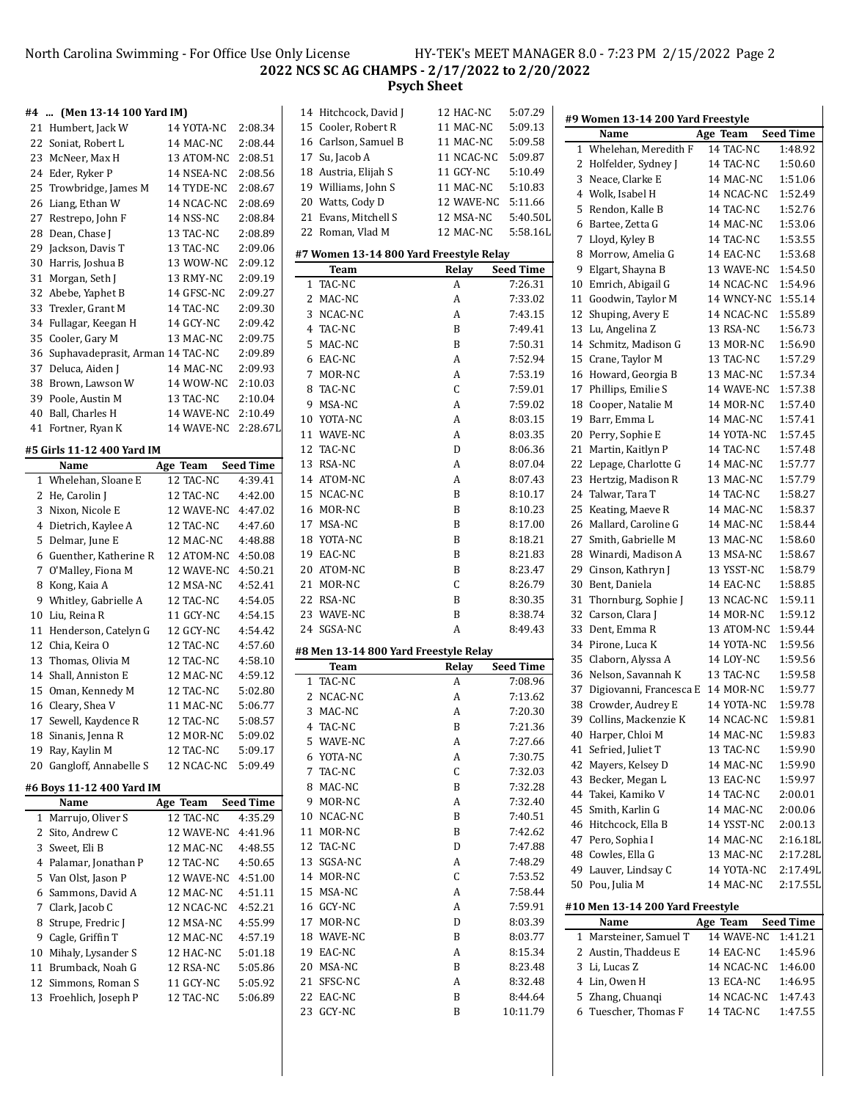### North Carolina Swimming - For Office Use Only License HY-TEK's MEET MANAGER 8.0 - 7:23 PM 2/15/2022 Page 2 **NCS SC AG CHAMPS - 2/17/2022 to 2/20/2022 Psych Sheet**

# **#4 ... (Men 13-14 100 Yard IM)**

| #4 …   | (Men 13-14 100 Yard IM)          |                         |                    |
|--------|----------------------------------|-------------------------|--------------------|
|        | 21 Humbert, Jack W               | 14 YOTA-NC              | 2:08.34            |
|        | 22 Soniat, Robert L              | 14 MAC-NC               | 2:08.44            |
|        | 23 McNeer, Max H                 | 13 ATOM-NC              | 2:08.51            |
|        | 24 Eder, Ryker P                 | 14 NSEA-NC              | 2:08.56            |
| 25     | Trowbridge, James M              | 14 TYDE-NC              | 2:08.67            |
| 26     | Liang, Ethan W                   | 14 NCAC-NC              | 2:08.69            |
|        | 27 Restrepo, John F              | 14 NSS-NC               | 2:08.84            |
| 28     | Dean, Chase J                    | 13 TAC-NC               | 2:08.89            |
| 29     | Jackson, Davis T                 | 13 TAC-NC               | 2:09.06            |
| 30     | Harris, Joshua B                 | 13 WOW-NC               | 2:09.12            |
| 31     | Morgan, Seth J                   | 13 RMY-NC               | 2:09.19            |
| 32     | Abebe, Yaphet B                  | 14 GFSC-NC              | 2:09.27            |
|        | 33 Trexler, Grant M              | 14 TAC-NC               | 2:09.30            |
|        | 34 Fullagar, Keegan H            | 14 GCY-NC               | 2:09.42            |
| 35     | Cooler, Gary M                   | 13 MAC-NC               | 2:09.75            |
| 36     | Suphavadeprasit, Arman 14 TAC-NC |                         | 2:09.89            |
| 37     | Deluca, Aiden J                  | 14 MAC-NC               | 2:09.93            |
| 38     | Brown, Lawson W                  | 14 WOW-NC               | 2:10.03            |
|        | 39 Poole, Austin M               | 13 TAC-NC               | 2:10.04            |
| 40     | Ball, Charles H                  | 14 WAVE-NC              | 2:10.49            |
| 41     | Fortner, Ryan K                  | 14 WAVE-NC              | 2:28.67L           |
|        |                                  |                         |                    |
|        | #5 Girls 11-12 400 Yard IM       |                         |                    |
|        | Name                             | Age Team                | <b>Seed Time</b>   |
|        | 1 Whelehan, Sloane E             | 12 TAC-NC               | 4:39.41            |
| 2      | He, Carolin J                    | 12 TAC-NC               | 4:42.00            |
| 3      | Nixon, Nicole E                  | 12 WAVE-NC              | 4:47.02            |
|        | 4 Dietrich, Kaylee A             | 12 TAC-NC               | 4:47.60            |
| 5      | Delmar, June E                   | 12 MAC-NC               | 4:48.88            |
|        | 6 Guenther, Katherine R          | 12 ATOM-NC              | 4:50.08            |
| 7      | O'Malley, Fiona M                | 12 WAVE-NC              | 4:50.21            |
| 8      | Kong, Kaia A                     | 12 MSA-NC               | 4:52.41            |
| 9      | Whitley, Gabrielle A             | 12 TAC-NC               | 4:54.05            |
| $10\,$ | Liu, Reina R                     | 11 GCY-NC               | 4:54.15            |
| 11     | Henderson, Catelyn G             | 12 GCY-NC               | 4:54.42            |
| 12     | Chia, Keira O                    | 12 TAC-NC               | 4:57.60            |
|        | 13 Thomas, Olivia M              | 12 TAC-NC               | 4:58.10            |
|        | 14 Shall, Anniston E             | 12 MAC-NC               | 4:59.12            |
|        | 15 Oman, Kennedy M               | 12 TAC-NC               | 5:02.80            |
|        | 16 Cleary, Shea V                | 11 MAC-NC               | 5:06.77            |
|        | 17 Sewell, Kaydence R            | 12 TAC-NC               | 5:08.57            |
|        | 18 Sinanis, Jenna R              | 12 MOR-NC               | 5:09.02            |
| 19     | Ray, Kaylin M                    | 12 TAC-NC               | 5:09.17            |
| 20     | Gangloff, Annabelle S            | 12 NCAC-NC              | 5:09.49            |
|        |                                  |                         |                    |
|        | #6 Boys 11-12 400 Yard IM        |                         |                    |
|        | Name<br>Marrujo, Oliver S        | Age Team                | <b>Seed Time</b>   |
| 1<br>2 | Sito, Andrew C                   | 12 TAC-NC<br>12 WAVE-NC | 4:35.29<br>4:41.96 |
| 3      | Sweet, Eli B                     | 12 MAC-NC               | 4:48.55            |
| 4      | Palamar, Jonathan P              | 12 TAC-NC               | 4:50.65            |
|        |                                  |                         |                    |
| 5      | Van Olst, Jason P                | 12 WAVE-NC              | 4:51.00            |
| 6      | Sammons, David A                 | 12 MAC-NC               | 4:51.11            |
| 7      | Clark, Jacob C                   | 12 NCAC-NC              | 4:52.21            |
| 8      | Strupe, Fredric J                | 12 MSA-NC               | 4:55.99            |
| 9      | Cagle, Griffin T                 | 12 MAC-NC               | 4:57.19            |
| 10     | Mihaly, Lysander S               | 12 HAC-NC               | 5:01.18            |
| 11     | Brumback, Noah G                 | 12 RSA-NC               | 5:05.86            |
| 12     | Simmons, Roman S                 | 11 GCY-NC               | 5:05.92            |
| 13     | Froehlich, Joseph P              | 12 TAC-NC               | 5:06.89            |

|    | 14 Hitchcock, David J                   | 12 HAC-NC    | 5:07.29          |  |
|----|-----------------------------------------|--------------|------------------|--|
|    | 15 Cooler, Robert R                     | 11 MAC-NC    | 5:09.13          |  |
|    | 16 Carlson, Samuel B                    | 11 MAC-NC    | 5:09.58          |  |
|    | 17 Su, Jacob A                          | 11 NCAC-NC   | 5:09.87          |  |
|    | 18 Austria, Elijah S                    | 11 GCY-NC    | 5:10.49          |  |
|    | 19 Williams, John S                     | 11 MAC-NC    | 5:10.83          |  |
|    | 20 Watts, Cody D                        | 12 WAVE-NC   | 5:11.66          |  |
|    | 21 Evans, Mitchell S                    | 12 MSA-NC    | 5:40.50L         |  |
|    | 22 Roman, Vlad M                        | 12 MAC-NC    | 5:58.16L         |  |
|    |                                         |              |                  |  |
|    | #7 Women 13-14 800 Yard Freestyle Relay |              | <b>Seed Time</b> |  |
| 1  | Team<br>TAC-NC                          | Relay        | 7:26.31          |  |
|    | 2 MAC-NC                                | A<br>A       | 7:33.02          |  |
|    | 3 NCAC-NC                               | A            | 7:43.15          |  |
|    | 4 TAC-NC                                | B            | 7:49.41          |  |
| 5  | MAC-NC                                  | B            |                  |  |
|    |                                         |              | 7:50.31          |  |
|    | 6 EAC-NC                                | A            | 7:52.94          |  |
|    | 7 MOR-NC                                | A            | 7:53.19          |  |
|    | 8 TAC-NC                                | $\mathsf{C}$ | 7:59.01          |  |
|    | 9 MSA-NC                                | A            | 7:59.02          |  |
|    | 10 YOTA-NC                              | A            | 8:03.15          |  |
|    | 11 WAVE-NC                              | A            | 8:03.35          |  |
|    | 12 TAC-NC                               | D            | 8:06.36          |  |
|    | 13 RSA-NC                               | A            | 8:07.04          |  |
|    | 14 ATOM-NC                              | A            | 8:07.43          |  |
|    | 15 NCAC-NC                              | B            | 8:10.17          |  |
|    | 16 MOR-NC                               | B            | 8:10.23          |  |
|    | 17 MSA-NC                               | B            | 8:17.00          |  |
|    | 18 YOTA-NC                              | B            | 8:18.21          |  |
|    | 19 EAC-NC                               | B            | 8:21.83          |  |
|    | 20 ATOM-NC                              | B            | 8:23.47          |  |
|    | 21 MOR-NC                               | C            | 8:26.79          |  |
|    | 22 RSA-NC                               | B            | 8:30.35          |  |
|    | 23 WAVE-NC                              | B            | 8:38.74          |  |
|    | 24 SGSA-NC                              | A            | 8:49.43          |  |
|    | #8 Men 13-14 800 Yard Freestyle Relay   |              |                  |  |
|    | Team                                    | Relay        | <b>Seed Time</b> |  |
| 1  | TAC-NC                                  | A            | 7:08.96          |  |
| 2  | NCAC-NC                                 | A            | 7:13.62          |  |
| 3  | MAC-NC                                  | A            | 7:20.30          |  |
|    | 4 TAC-NC                                | B            | 7:21.36          |  |
| 5  | WAVE-NC                                 | A            | 7:27.66          |  |
|    | 6 YOTA-NC                               | A            | 7:30.75          |  |
|    | 7 TAC-NC                                | C            | 7:32.03          |  |
|    | 8 MAC-NC                                | B            | 7:32.28          |  |
|    | 9 MOR-NC                                | A            | 7:32.40          |  |
|    | 10 NCAC-NC                              | B            | 7:40.51          |  |
|    | 11 MOR-NC                               | B            | 7:42.62          |  |
|    | 12 TAC-NC                               | D            | 7:47.88          |  |
|    | 13 SGSA-NC                              | A            | 7:48.29          |  |
|    | 14 MOR-NC                               | C            | 7:53.52          |  |
|    | 15 MSA-NC                               | A            | 7:58.44          |  |
|    | 16 GCY-NC                               | A            | 7:59.91          |  |
|    | 17 MOR-NC                               | D            | 8:03.39          |  |
|    | 18 WAVE-NC                              | B            | 8:03.77          |  |
|    | 19 EAC-NC                               | A            |                  |  |
|    |                                         |              | 8:15.34          |  |
|    | 20 MSA-NC                               | B            | 8:23.48          |  |
|    | 21 SFSC-NC                              | A            | 8:32.48          |  |
|    | 22 EAC-NC<br>GCY-NC                     | B<br>B       | 8:44.64          |  |
| 23 |                                         |              | 10:11.79         |  |
|    |                                         |              |                  |  |

|             | #9 Women 13-14 200 Yard Freestyle |            |                  |
|-------------|-----------------------------------|------------|------------------|
|             | Name                              | Age Team   | <b>Seed Time</b> |
| $\mathbf 1$ | Whelehan, Meredith F              | 14 TAC-NC  | 1:48.92          |
| 2           | Holfelder, Sydney J               | 14 TAC-NC  | 1:50.60          |
| 3           | Neace, Clarke E                   | 14 MAC-NC  | 1:51.06          |
| 4           | Wolk, Isabel H                    | 14 NCAC-NC | 1:52.49          |
| 5           | Rendon, Kalle B                   | 14 TAC-NC  | 1:52.76          |
| 6           | Bartee, Zetta G                   | 14 MAC-NC  | 1:53.06          |
| 7           | Lloyd, Kyley B                    | 14 TAC-NC  | 1:53.55          |
| 8           | Morrow, Amelia G                  | 14 EAC-NC  | 1:53.68          |
| 9           | Elgart, Shayna B                  | 13 WAVE-NC | 1:54.50          |
| 10          | Emrich, Abigail G                 | 14 NCAC-NC | 1:54.96          |
| 11          | Goodwin, Taylor M                 | 14 WNCY-NC | 1:55.14          |
| 12          | Shuping, Avery E                  | 14 NCAC-NC | 1:55.89          |
| 13          | Lu, Angelina Z                    | 13 RSA-NC  | 1:56.73          |
|             | 14 Schmitz, Madison G             | 13 MOR-NC  | 1:56.90          |
|             | 15 Crane, Taylor M                | 13 TAC-NC  | 1:57.29          |
|             | 16 Howard, Georgia B              | 13 MAC-NC  | 1:57.34          |
|             | 17 Phillips, Emilie S             | 14 WAVE-NC | 1:57.38          |
|             |                                   | 14 MOR-NC  | 1:57.40          |
| 18          | Cooper, Natalie M                 |            |                  |
| 19          | Barr, Emma L                      | 14 MAC-NC  | 1:57.41          |
| 20          | Perry, Sophie E                   | 14 YOTA-NC | 1:57.45          |
| 21          | Martin, Kaitlyn P                 | 14 TAC-NC  | 1:57.48          |
| 22          | Lepage, Charlotte G               | 14 MAC-NC  | 1:57.77          |
| 23          | Hertzig, Madison R                | 13 MAC-NC  | 1:57.79          |
| 24          | Talwar, Tara T                    | 14 TAC-NC  | 1:58.27          |
| 25          | Keating, Maeve R                  | 14 MAC-NC  | 1:58.37          |
| 26          | Mallard, Caroline G               | 14 MAC-NC  | 1:58.44          |
| 27          | Smith, Gabrielle M                | 13 MAC-NC  | 1:58.60          |
| 28          | Winardi, Madison A                | 13 MSA-NC  | 1:58.67          |
| 29          | Cinson, Kathryn J                 | 13 YSST-NC | 1:58.79          |
| 30          | Bent, Daniela                     | 14 EAC-NC  | 1:58.85          |
| 31          | Thornburg, Sophie J               | 13 NCAC-NC | 1:59.11          |
| 32          | Carson, Clara J                   | 14 MOR-NC  | 1:59.12          |
| 33          | Dent, Emma R                      | 13 ATOM-NC | 1:59.44          |
| 34          | Pirone, Luca K                    | 14 YOTA-NC | 1:59.56          |
| 35          | Claborn, Alyssa A                 | 14 LOY-NC  | 1:59.56          |
| 36          | Nelson, Savannah K                | 13 TAC-NC  | 1:59.58          |
| 37          | Digiovanni, Francesca E           | 14 MOR-NC  | 1:59.77          |
| 38          | Crowder, Audrey E                 | 14 YOTA-NC | 1:59.78          |
| 39          | Collins, Mackenzie K              | 14 NCAC-NC | 1:59.81          |
| 40          | Harper, Chloi M                   | 14 MAC-NC  | 1:59.83          |
| 41          | Sefried, Juliet T                 | 13 TAC-NC  | 1:59.90          |
| 42          | Mayers, Kelsey D                  | 14 MAC-NC  | 1:59.90          |
| 43          | Becker, Megan L                   | 13 EAC-NC  | 1:59.97          |
|             |                                   |            |                  |
| 44          | Takei, Kamiko V                   | 14 TAC-NC  | 2:00.01          |
| 45          | Smith, Karlin G                   | 14 MAC-NC  | 2:00.06          |
| 46          | Hitchcock, Ella B                 | 14 YSST-NC | 2:00.13          |
|             | 47 Pero, Sophia I                 | 14 MAC-NC  | 2:16.18L         |
| 48          | Cowles, Ella G                    | 13 MAC-NC  | 2:17.28L         |
| 49          | Lauver, Lindsay C                 | 14 YOTA-NC | 2:17.49L         |
| 50          | Pou, Julia M                      | 14 MAC-NC  | 2:17.55L         |
|             | #10 Men 13-14 200 Yard Freestyle  |            |                  |
|             | Name                              | Age Team   | <b>Seed Time</b> |
| 1           | Marsteiner, Samuel T              | 14 WAVE-NC | 1:41.21          |
| 2           | Austin, Thaddeus E                | 14 EAC-NC  | 1:45.96          |
| 3           | Li, Lucas Z                       | 14 NCAC-NC | 1:46.00          |
| 4           | Lin, Owen H                       | 13 ECA-NC  | 1:46.95          |
| 5           | Zhang, Chuanqi                    | 14 NCAC-NC | 1:47.43          |
| 6           | Tuescher, Thomas F                | 14 TAC-NC  | 1:47.55          |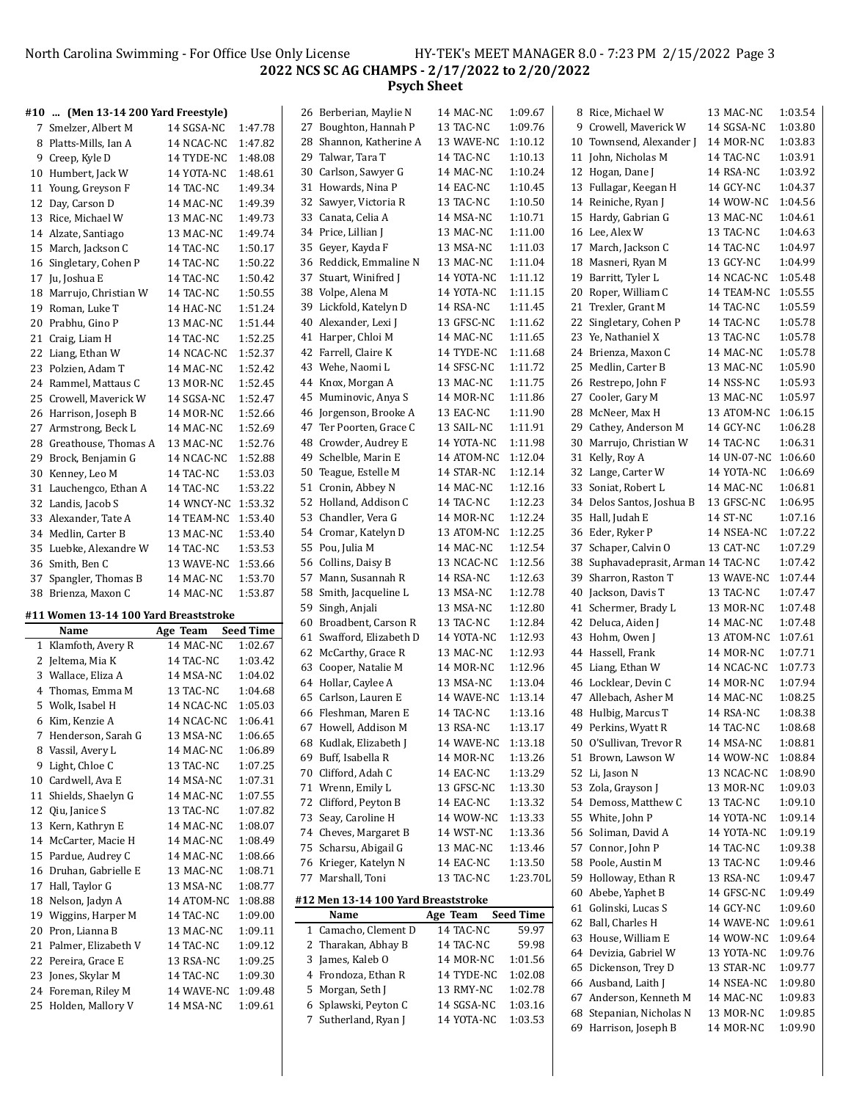North Carolina Swimming - For Office Use Only License HY-TEK's MEET MANAGER 8.0 - 7:23 PM 2/15/2022 Page 3 **NCS SC AG CHAMPS - 2/17/2022 to 2/20/2022 Psych Sheet**

#### **#10 ... (Men 13-14 200 Yard Freestyle)**

| 7  | Smelzer, Albert M    | 14 SGSA-NC | 1:47.78 |
|----|----------------------|------------|---------|
| 8  | Platts-Mills, Ian A  | 14 NCAC-NC | 1:47.82 |
| 9  | Creep, Kyle D        | 14 TYDE-NC | 1:48.08 |
| 10 | Humbert, Jack W      | 14 YOTA-NC | 1:48.61 |
| 11 | Young, Greyson F     | 14 TAC-NC  | 1:49.34 |
| 12 | Day, Carson D        | 14 MAC-NC  | 1:49.39 |
| 13 | Rice, Michael W      | 13 MAC-NC  | 1:49.73 |
| 14 | Alzate, Santiago     | 13 MAC-NC  | 1:49.74 |
| 15 | March, Jackson C     | 14 TAC-NC  | 1:50.17 |
| 16 | Singletary, Cohen P  | 14 TAC-NC  | 1:50.22 |
| 17 | Ju, Joshua E         | 14 TAC-NC  | 1:50.42 |
| 18 | Marrujo, Christian W | 14 TAC-NC  | 1:50.55 |
| 19 | Roman, Luke T        | 14 HAC-NC  | 1:51.24 |
| 20 | Prabhu, Gino P       | 13 MAC-NC  | 1:51.44 |
| 21 | Craig, Liam H        | 14 TAC-NC  | 1:52.25 |
| 22 | Liang, Ethan W       | 14 NCAC-NC | 1:52.37 |
| 23 | Polzien, Adam T      | 14 MAC-NC  | 1:52.42 |
| 24 | Rammel, Mattaus C    | 13 MOR-NC  | 1:52.45 |
| 25 | Crowell, Maverick W  | 14 SGSA-NC | 1:52.47 |
| 26 | Harrison, Joseph B   | 14 MOR-NC  | 1:52.66 |
| 27 | Armstrong, Beck L    | 14 MAC-NC  | 1:52.69 |
| 28 | Greathouse, Thomas A | 13 MAC-NC  | 1:52.76 |
| 29 | Brock, Benjamin G    | 14 NCAC-NC | 1:52.88 |
| 30 | Kenney, Leo M        | 14 TAC-NC  | 1:53.03 |
| 31 | Lauchengco, Ethan A  | 14 TAC-NC  | 1:53.22 |
| 32 | Landis, Jacob S      | 14 WNCY-NC | 1:53.32 |
| 33 | Alexander, Tate A    | 14 TEAM-NC | 1:53.40 |
| 34 | Medlin, Carter B     | 13 MAC-NC  | 1:53.40 |
| 35 | Luebke, Alexandre W  | 14 TAC-NC  | 1:53.53 |
| 36 | Smith, Ben C         | 13 WAVE-NC | 1:53.66 |
| 37 | Spangler, Thomas B   | 14 MAC-NC  | 1:53.70 |
| 38 | Brienza, Maxon C     | 14 MAC-NC  | 1:53.87 |
|    |                      |            |         |

#### **#11 Women 13-14 100 Yard Breaststroke**

|    | Name                | Age Team   | <b>Seed Time</b> |
|----|---------------------|------------|------------------|
| 1  | Klamfoth, Avery R   | 14 MAC-NC  | 1:02.67          |
| 2  | Jeltema, Mia K      | 14 TAC-NC  | 1:03.42          |
|    | 3 Wallace, Eliza A  | 14 MSA-NC  | 1:04.02          |
| 4  | Thomas, Emma M      | 13 TAC-NC  | 1:04.68          |
| 5  | Wolk, Isabel H      | 14 NCAC-NC | 1:05.03          |
| 6  | Kim, Kenzie A       | 14 NCAC-NC | 1:06.41          |
| 7  | Henderson, Sarah G  | 13 MSA-NC  | 1:06.65          |
| 8  | Vassil, Avery L     | 14 MAC-NC  | 1:06.89          |
| 9  | Light, Chloe C      | 13 TAC-NC  | 1:07.25          |
| 10 | Cardwell, Ava E     | 14 MSA-NC  | 1:07.31          |
| 11 | Shields, Shaelyn G  | 14 MAC-NC  | 1:07.55          |
| 12 | Qiu, Janice S       | 13 TAC-NC  | 1:07.82          |
| 13 | Kern, Kathryn E     | 14 MAC-NC  | 1:08.07          |
| 14 | McCarter, Macie H   | 14 MAC-NC  | 1:08.49          |
| 15 | Pardue, Audrey C    | 14 MAC-NC  | 1:08.66          |
| 16 | Druhan, Gabrielle E | 13 MAC-NC  | 1:08.71          |
| 17 | Hall, Taylor G      | 13 MSA-NC  | 1:08.77          |
| 18 | Nelson, Jadyn A     | 14 ATOM-NC | 1:08.88          |
| 19 | Wiggins, Harper M   | 14 TAC-NC  | 1:09.00          |
| 20 | Pron, Lianna B      | 13 MAC-NC  | 1:09.11          |
| 21 | Palmer, Elizabeth V | 14 TAC-NC  | 1:09.12          |
| 22 | Pereira, Grace E    | 13 RSA-NC  | 1:09.25          |
| 23 | Jones, Skylar M     | 14 TAC-NC  | 1:09.30          |
| 24 | Foreman, Riley M    | 14 WAVE-NC | 1:09.48          |
| 25 | Holden, Mallory V   | 14 MSA-NC  | 1:09.61          |

 $\blacksquare$ 

| 27 | Boughton, Hannah P                  | 13 TAC-NC  | 1:09.76          |
|----|-------------------------------------|------------|------------------|
| 28 | Shannon, Katherine A                | 13 WAVE-NC | 1:10.12          |
| 29 | Talwar, Tara T                      | 14 TAC-NC  | 1:10.13          |
| 30 | Carlson, Sawyer G                   | 14 MAC-NC  | 1:10.24          |
| 31 | Howards, Nina P                     | 14 EAC-NC  | 1:10.45          |
| 32 | Sawyer, Victoria R                  | 13 TAC-NC  | 1:10.50          |
| 33 | Canata, Celia A                     | 14 MSA-NC  | 1:10.71          |
| 34 | Price, Lillian J                    | 13 MAC-NC  | 1:11.00          |
| 35 | Geyer, Kayda F                      | 13 MSA-NC  | 1:11.03          |
| 36 | Reddick, Emmaline N                 | 13 MAC-NC  | 1:11.04          |
| 37 | Stuart, Winifred J                  | 14 YOTA-NC | 1:11.12          |
| 38 | Volpe, Alena M                      | 14 YOTA-NC | 1:11.15          |
| 39 | Lickfold, Katelyn D                 | 14 RSA-NC  | 1:11.45          |
| 40 | Alexander, Lexi J                   | 13 GFSC-NC | 1:11.62          |
| 41 | Harper, Chloi M                     | 14 MAC-NC  | 1:11.65          |
| 42 | Farrell, Claire K                   | 14 TYDE-NC | 1:11.68          |
| 43 | Wehe, Naomi L                       | 14 SFSC-NC | 1:11.72          |
|    |                                     |            |                  |
| 44 | Knox, Morgan A                      | 13 MAC-NC  | 1:11.75          |
| 45 | Muminovic, Anya S                   | 14 MOR-NC  | 1:11.86          |
| 46 | Jorgenson, Brooke A                 | 13 EAC-NC  | 1:11.90          |
| 47 | Ter Poorten, Grace C                | 13 SAIL-NC | 1:11.91          |
| 48 | Crowder, Audrey E                   | 14 YOTA-NC | 1:11.98          |
| 49 | Schelble, Marin E                   | 14 ATOM-NC | 1:12.04          |
| 50 | Teague, Estelle M                   | 14 STAR-NC | 1:12.14          |
| 51 | Cronin, Abbey N                     | 14 MAC-NC  | 1:12.16          |
| 52 | Holland, Addison C                  | 14 TAC-NC  | 1:12.23          |
| 53 | Chandler, Vera G                    | 14 MOR-NC  | 1:12.24          |
| 54 | Cromar, Katelyn D                   | 13 ATOM-NC | 1:12.25          |
| 55 | Pou, Julia M                        | 14 MAC-NC  | 1:12.54          |
| 56 | Collins, Daisy B                    | 13 NCAC-NC | 1:12.56          |
| 57 | Mann, Susannah R                    | 14 RSA-NC  | 1:12.63          |
| 58 | Smith, Jacqueline L                 | 13 MSA-NC  | 1:12.78          |
| 59 | Singh, Anjali                       | 13 MSA-NC  | 1:12.80          |
| 60 | Broadbent, Carson R                 | 13 TAC-NC  | 1:12.84          |
| 61 | Swafford, Elizabeth D               | 14 YOTA-NC | 1:12.93          |
| 62 | McCarthy, Grace R                   | 13 MAC-NC  | 1:12.93          |
| 63 | Cooper, Natalie M                   | 14 MOR-NC  | 1:12.96          |
| 64 | Hollar, Caylee A                    | 13 MSA-NC  | 1:13.04          |
| 65 | Carlson, Lauren E                   | 14 WAVE-NC | 1:13.14          |
| 66 | Fleshman, Maren E                   | 14 TAC-NC  | 1:13.16          |
| 67 | Howell, Addison M                   | 13 RSA-NC  | 1:13.17          |
| 68 | Kudlak, Elizabeth J                 | 14 WAVE-NC | 1:13.18          |
| 69 | Buff, Isabella R                    | 14 MOR-NC  | 1:13.26          |
| 70 | Clifford, Adah C                    | 14 EAC-NC  | 1:13.29          |
| 71 | Wrenn, Emily L                      | 13 GFSC-NC | 1:13.30          |
| 72 | Clifford, Peyton B                  | 14 EAC-NC  | 1:13.32          |
| 73 | Seay, Caroline H                    | 14 WOW-NC  | 1:13.33          |
| 74 | Cheves, Margaret B                  | 14 WST-NC  | 1:13.36          |
| 75 | Scharsu, Abigail G                  | 13 MAC-NC  | 1:13.46          |
| 76 | Krieger, Katelyn N                  | 14 EAC-NC  | 1:13.50          |
| 77 | Marshall, Toni                      | 13 TAC-NC  | 1:23.70L         |
|    | #12 Men 13-14 100 Yard Breaststroke |            |                  |
|    | Name                                | Age Team   | <b>Seed Time</b> |
| 1  | Camacho, Clement D                  | 14 TAC-NC  | 59.97            |
| 2  | Tharakan, Abhay B                   | 14 TAC-NC  | 59.98            |
| 3  | James, Kaleb O                      | 14 MOR-NC  | 1:01.56          |
| 4  | Frondoza, Ethan R                   | 14 TYDE-NC | 1:02.08          |
| 5  | Morgan, Seth J                      | 13 RMY-NC  | 1:02.78          |
| 6  | Splawski, Peyton C                  | 14 SGSA-NC | 1:03.16          |
| 7  | Sutherland, Ryan J                  | 14 YOTA-NC | 1:03.53          |

26 Berberian, Maylie N 14 MAC-NC 1:09.67

|    | $\ldots$                         | 1.11 TO 11 C | 1.00.01 |
|----|----------------------------------|--------------|---------|
|    | 9 Crowell, Maverick W            | 14 SGSA-NC   | 1:03.80 |
|    | 10 Townsend, Alexander J         | 14 MOR-NC    | 1:03.83 |
|    | 11 John, Nicholas M              | 14 TAC-NC    | 1:03.91 |
|    | 12 Hogan, Dane J                 | 14 RSA-NC    | 1:03.92 |
|    | 13 Fullagar, Keegan H            | 14 GCY-NC    | 1:04.37 |
|    | 14 Reiniche, Ryan J              | 14 WOW-NC    | 1:04.56 |
|    | 15 Hardy, Gabrian G              | 13 MAC-NC    | 1:04.61 |
|    | 16 Lee, Alex W                   | 13 TAC-NC    | 1:04.63 |
| 17 | March, Jackson C                 | 14 TAC-NC    | 1:04.97 |
| 18 | Masneri, Ryan M                  | 13 GCY-NC    | 1:04.99 |
| 19 | Barritt, Tyler L                 | 14 NCAC-NC   | 1:05.48 |
| 20 | Roper, William C                 | 14 TEAM-NC   | 1:05.55 |
| 21 | Trexler, Grant M                 | 14 TAC-NC    | 1:05.59 |
| 22 | Singletary, Cohen P              | 14 TAC-NC    | 1:05.78 |
| 23 | Ye, Nathaniel X                  | 13 TAC-NC    | 1:05.78 |
| 24 | Brienza, Maxon C                 | 14 MAC-NC    | 1:05.78 |
| 25 | Medlin, Carter B                 | 13 MAC-NC    | 1:05.90 |
| 26 | Restrepo, John F                 | 14 NSS-NC    | 1:05.93 |
| 27 | Cooler, Gary M                   | 13 MAC-NC    | 1:05.97 |
| 28 | McNeer, Max H                    | 13 ATOM-NC   | 1:06.15 |
| 29 | Cathey, Anderson M               | 14 GCY-NC    | 1:06.28 |
| 30 | Marrujo, Christian W             | 14 TAC-NC    | 1:06.31 |
| 31 | Kelly, Roy A                     | 14 UN-07-NC  | 1:06.60 |
| 32 | Lange, Carter W                  | 14 YOTA-NC   | 1:06.69 |
| 33 | Soniat, Robert L                 | 14 MAC-NC    | 1:06.81 |
| 34 | Delos Santos, Joshua B           | 13 GFSC-NC   | 1:06.95 |
| 35 | Hall, Judah E                    | 14 ST-NC     | 1:07.16 |
| 36 | Eder, Ryker P                    | 14 NSEA-NC   | 1:07.22 |
| 37 | Schaper, Calvin O                | 13 CAT-NC    | 1:07.29 |
| 38 | Suphavadeprasit, Arman 14 TAC-NC |              | 1:07.42 |
| 39 | Sharron, Raston T                | 13 WAVE-NC   | 1:07.44 |
| 40 | Jackson, Davis T                 | 13 TAC-NC    | 1:07.47 |
| 41 | Schermer, Brady L                | 13 MOR-NC    | 1:07.48 |
| 42 | Deluca, Aiden J                  | 14 MAC-NC    | 1:07.48 |
| 43 | Hohm, Owen J                     | 13 ATOM-NC   | 1:07.61 |
|    | 44 Hassell, Frank                | 14 MOR-NC    | 1:07.71 |
|    | 45 Liang, Ethan W                | 14 NCAC-NC   | 1:07.73 |
|    | 46 Locklear, Devin C             | 14 MOR-NC    | 1:07.94 |
|    | 47 Allebach, Asher M             | 14 MAC-NC    | 1:08.25 |
| 48 | Hulbig, Marcus T                 | 14 RSA-NC    | 1:08.38 |
| 49 | Perkins, Wyatt R                 | 14 TAC-NC    | 1:08.68 |
| 50 | O'Sullivan, Trevor R             | 14 MSA-NC    | 1:08.81 |
| 51 | Brown, Lawson W                  | 14 WOW-NC    | 1:08.84 |
| 52 | Li, Jason N                      | 13 NCAC-NC   | 1:08.90 |
| 53 | Zola, Grayson J                  | 13 MOR-NC    | 1:09.03 |
| 54 | Demoss, Matthew C                | 13 TAC-NC    | 1:09.10 |
| 55 | White, John P                    | 14 YOTA-NC   | 1:09.14 |
| 56 | Soliman, David A                 | 14 YOTA-NC   | 1:09.19 |
| 57 | Connor, John P                   | 14 TAC-NC    | 1:09.38 |
| 58 | Poole, Austin M                  | 13 TAC-NC    | 1:09.46 |
| 59 | Holloway, Ethan R                | 13 RSA-NC    | 1:09.47 |
| 60 | Abebe, Yaphet B                  | 14 GFSC-NC   | 1:09.49 |
| 61 | Golinski, Lucas S                | 14 GCY-NC    | 1:09.60 |
| 62 | Ball, Charles H                  | 14 WAVE-NC   | 1:09.61 |
| 63 | House, William E                 | 14 WOW-NC    | 1:09.64 |
| 64 | Devizia, Gabriel W               | 13 YOTA-NC   | 1:09.76 |
| 65 | Dickenson, Trey D                | 13 STAR-NC   | 1:09.77 |
| 66 | Ausband, Laith J                 | 14 NSEA-NC   | 1:09.80 |
| 67 | Anderson, Kenneth M              | 14 MAC-NC    | 1:09.83 |
| 68 | Stepanian, Nicholas N            | 13 MOR-NC    | 1:09.85 |
| 69 | Harrison, Joseph B               | 14 MOR-NC    | 1:09.90 |

Rice, Michael W 13 MAC-NC 1:03.54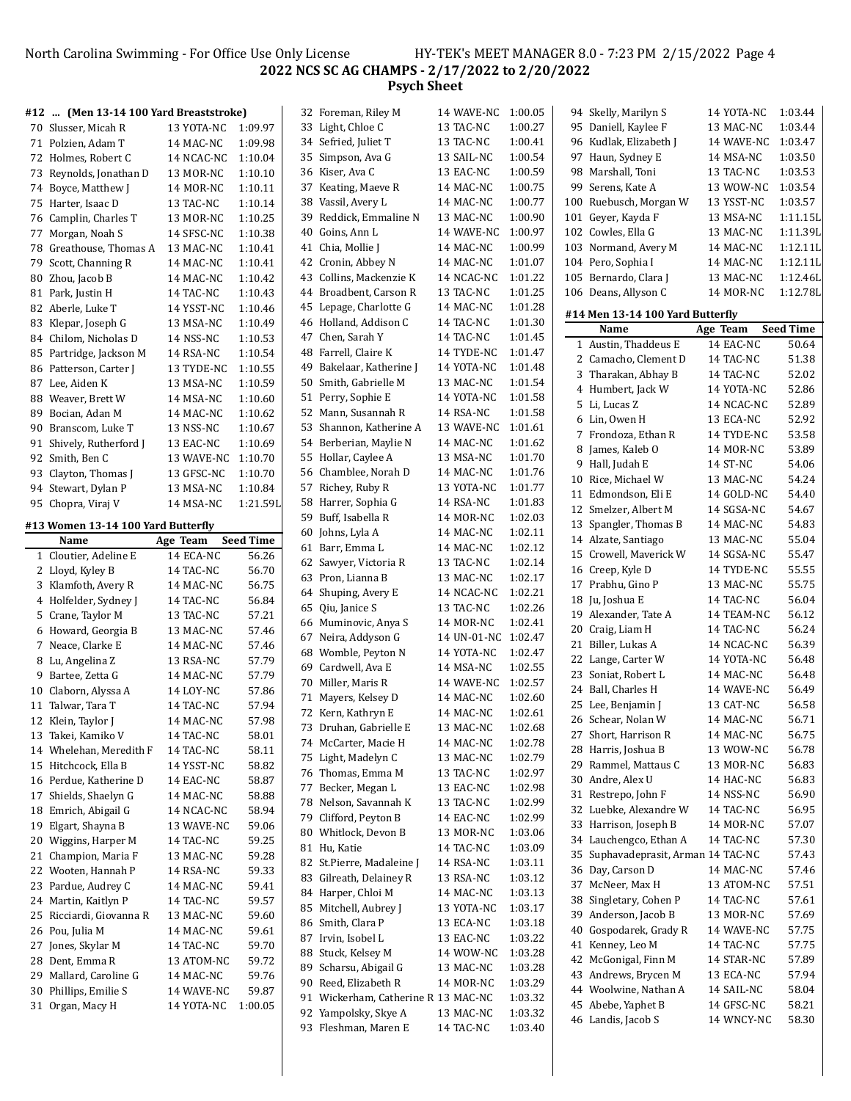North Carolina Swimming - For Office Use Only License HY-TEK's MEET MANAGER 8.0 - 7:23 PM 2/15/2022 Page 4 **2022 NCS SC AG CHAMPS - 2/17/2022 to 2/20/2022 Psych Sheet**

#### **#12 ... (Men 13-14 100 Yard Breaststroke)** 70 Slusser, Micah R 13 YOTA-NC 1:09.97 71 Polzien, Adam T 14 MAC-NC 1:09.98 72 Holmes, Robert C 14 NCAC-NC 1:10.04 73 Reynolds, Jonathan D 13 MOR-NC 1:10.10 74 Boyce, Matthew J 14 MOR-NC 1:10.11 75 Harter, Isaac D 13 TAC-NC 1:10.14 76 Camplin, Charles T 13 MOR-NC 1:10.25 77 Morgan, Noah S 14 SFSC-NC 1:10.38 78 Greathouse, Thomas A 13 MAC-NC 1:10.41 79 Scott, Channing R 14 MAC-NC 1:10.41 80 Zhou, Jacob B 14 MAC-NC 1:10.42 81 Park, Justin H 14 TAC-NC 1:10.43 82 Aberle, Luke T 14 YSST-NC 1:10.46 83 Klepar, Joseph G 13 MSA-NC 1:10.49 84 Chilom, Nicholas D 14 NSS-NC 1:10.53 85 Partridge, Jackson M 14 RSA-NC 1:10.54 86 Patterson, Carter J 13 TYDE-NC 1:10.55 87 Lee, Aiden K 13 MSA-NC 1:10.59 88 Weaver, Brett W 14 MSA-NC 1:10.60 89 Bocian, Adan M 14 MAC-NC 1:10.62 90 Branscom, Luke T 13 NSS-NC 1:10.67 91 Shively, Rutherford J 13 EAC-NC 1:10.69 92 Smith, Ben C 13 WAVE-NC 1:10.70 93 Clayton, Thomas J 13 GFSC-NC 1:10.70 94 Stewart, Dylan P 13 MSA-NC 1:10.84 95 Chopra, Viraj V 14 MSA-NC 1:21.59I **#13 Women 13-14 100 Yard Butterϐly Name Age Team Seed Time** 1 Cloutier, Adeline E 14 ECA-NC 56.26 2 Lloyd, Kyley B 14 TAC-NC 56.70 3 Klamfoth, Avery R 14 MAC-NC 56.75 4 Holfelder, Sydney J 14 TAC-NC 56.84 5 Crane, Taylor M 13 TAC-NC 57.21 6 Howard, Georgia B 13 MAC-NC 57.46 7 Neace, Clarke E 14 MAC-NC 57.46 8 Lu, Angelina Z 13 RSA-NC 57.79 9 Bartee, Zetta G 14 MAC-NC 57.79 10 Claborn, Alyssa A 14 LOY-NC 57.86 11 Talwar, Tara T 14 TAC-NC 57.94 12 Klein, Taylor J 14 MAC-NC 57.98 13 Takei, Kamiko V 14 TAC-NC 58.01 14 Whelehan, Meredith F 14 TAC-NC 58.11 15 Hitchcock, Ella B 14 YSST-NC 58.82 16 Perdue, Katherine D 14 EAC-NC 58.87 17 Shields, Shaelyn G 14 MAC-NC 58.88 18 Emrich, Abigail G 14 NCAC-NC 58.94 19 Elgart, Shayna B 13 WAVE-NC 59.06 20 Wiggins, Harper M 14 TAC-NC 59.25 21 Champion, Maria F 13 MAC-NC 59.28 22 Wooten, Hannah P 14 RSA-NC 59.33 23 Pardue, Audrey C 14 MAC-NC 59.41 24 Martin, Kaitlyn P 14 TAC-NC 59.57 25 Ricciardi, Giovanna R 13 MAC-NC 59.60 26 Pou, Julia M 14 MAC-NC 59.61 27 Jones, Skylar M 14 TAC-NC 59.70 28 Dent, Emma R 13 ATOM-NC 59.72 29 Mallard, Caroline G 14 MAC-NC 59.76 30 Phillips, Emilie S 14 WAVE-NC 59.87 31 Organ, Macy H 14 YOTA-NC 1:00.05 32 Foreman, Riley M 14 WAVE-NC 1:00.05 33 Light, Chloe C 13 TAC-NC 1:00.27 34 Sefried, Juliet T 13 TAC-NC 1:00.41 35 Simpson, Ava G 13 SAIL-NC 1:00.54 36 Kiser, Ava C 13 EAC-NC 1:00.59 37 Keating, Maeve R 14 MAC-NC 1:00.75 38 Vassil, Avery L 14 MAC-NC 1:00.77 39 Reddick, Emmaline N 13 MAC-NC 1:00.90 40 Goins, Ann L 14 WAVE-NC 1:00.97 41 Chia, Mollie J 14 MAC-NC 1:00.99 42 Cronin, Abbey N 14 MAC-NC 1:01.07 43 Collins, Mackenzie K 14 NCAC-NC 1:01.22 44 Broadbent, Carson R 13 TAC-NC 1:01.25 45 Lepage, Charlotte G 14 MAC-NC 1:01.28 46 Holland, Addison C 14 TAC-NC 1:01.30 47 Chen, Sarah Y 14 TAC-NC 1:01.45 48 Farrell, Claire K 14 TYDE-NC 1:01.47 49 Bakelaar, Katherine J 14 YOTA-NC 1:01.48 50 Smith, Gabrielle M 13 MAC-NC 1:01.54 51 Perry, Sophie E 14 YOTA-NC 1:01.58 52 Mann, Susannah R 14 RSA-NC 1:01.58 53 Shannon, Katherine A 13 WAVE-NC 1:01.61 54 Berberian, Maylie N 14 MAC-NC 1:01.62 55 Hollar, Caylee A 13 MSA-NC 1:01.70 56 Chamblee, Norah D 14 MAC-NC 1:01.76 57 Richey, Ruby R 13 YOTA-NC 1:01.77 58 Harrer, Sophia G 14 RSA-NC 1:01.83 59 Buff, Isabella R 14 MOR-NC 1:02.03 60 Johns, Lyla A 14 MAC-NC 1:02.11 61 Barr, Emma L 14 MAC-NC 1:02.12 62 Sawyer, Victoria R 13 TAC-NC 1:02.14 63 Pron, Lianna B 13 MAC-NC 1:02.17 64 Shuping, Avery E 14 NCAC-NC 1:02.21 65 Qiu, Janice S 13 TAC-NC 1:02.26 66 Muminovic, Anya S 14 MOR-NC 1:02.41 67 Neira, Addyson G 14 UN-01-NC 1:02.47 68 Womble, Peyton N 14 YOTA-NC 1:02.47 69 Cardwell, Ava E 14 MSA-NC 1:02.55 70 Miller, Maris R 14 WAVE-NC 1:02.57 71 Mayers, Kelsey D 14 MAC-NC 1:02.60 72 Kern, Kathryn E 14 MAC-NC 1:02.61 73 Druhan, Gabrielle E 13 MAC-NC 1:02.68 74 McCarter, Macie H 14 MAC-NC 1:02.78 75 Light, Madelyn C 13 MAC-NC 1:02.79 76 Thomas, Emma M 13 TAC-NC 1:02.97 77 Becker, Megan L 13 EAC-NC 1:02.98 78 Nelson, Savannah K 13 TAC-NC 1:02.99 79 Clifford, Peyton B 14 EAC-NC 1:02.99 80 Whitlock, Devon B 13 MOR-NC 1:03.06 81 Hu, Katie 14 TAC-NC 1:03.09 82 St.Pierre, Madaleine J 14 RSA-NC 1:03.11 83 Gilreath, Delainey R 13 RSA-NC 1:03.12 84 Harper, Chloi M 14 MAC-NC 1:03.13 85 Mitchell, Aubrey J 13 YOTA-NC 1:03.17 86 Smith, Clara P 13 ECA-NC 1:03.18 87 Irvin, Isobel L 13 EAC-NC 1:03.22 88 Stuck, Kelsey M 14 WOW-NC 1:03.28 89 Scharsu, Abigail G 13 MAC-NC 1:03.28 90 Reed, Elizabeth R 14 MOR-NC 1:03.29 91 Wickerham, Catherine R 13 MAC-NC 1:03.32 92 Yampolsky, Skye A 13 MAC-NC 1:03.32 94 Skelly, Marilyn S 14 YOTA-NC 1:03.44 95 Daniell, Kaylee F 13 MAC-NC 1:03.44 96 Kudlak, Elizabeth J 14 WAVE-NC 1:03.47 97 Haun, Sydney E 14 MSA-NC 1:03.50 98 Marshall, Toni 13 TAC-NC 1:03.53 99 Serens, Kate A 13 WOW-NC 1:03.54 100 Ruebusch, Morgan W 13 YSST-NC 1:03.57 101 Gever, Kayda F 13 MSA-NC 1:11.15L 102 Cowles, Ella G 13 MAC-NC 1:11.39L 103 Normand, Avery M 14 MAC-NC 1:12.11L 104 Pero, Sophia I 14 MAC-NC 1:12.11 105 Bernardo, Clara J 13 MAC-NC 1:12.46 106 Deans, Allyson C 14 MOR-NC 1:12.78 **#14 Men 13-14 100 Yard Butterϐly Name Age Team Seed Time** 1 Austin, Thaddeus E 14 EAC-NC 50.64 2 Camacho, Clement D 14 TAC-NC 51.38 3 Tharakan, Abhay B 14 TAC-NC 52.02 4 Humbert, Jack W 14 YOTA-NC 52.86 5 Li, Lucas Z 14 NCAC-NC 52.89 6 Lin, Owen H 13 ECA-NC 52.92 7 Frondoza, Ethan R 14 TYDE-NC 53.58 8 James, Kaleb O 14 MOR-NC 53.89 9 Hall, Judah E 14 ST-NC 54.06 10 Rice, Michael W 13 MAC-NC 54.24 11 Edmondson, Eli E 14 GOLD-NC 54.40 12 Smelzer, Albert M 14 SGSA-NC 54.67 13 Spangler, Thomas B 14 MAC-NC 54.83 14 Alzate, Santiago 13 MAC-NC 55.04 15 Crowell, Maverick W 14 SGSA-NC 55.47 16 Creep. Kyle D 14 TYDE-NC 55.55 17 Prabhu, Gino P 13 MAC-NC 55.75 18 Ju, Joshua E 14 TAC-NC 56.04 19 Alexander, Tate A 14 TEAM-NC 56.12 20 Craig, Liam H 14 TAC-NC 56.24 21 Biller, Lukas A 14 NCAC-NC 56.39 22 Lange, Carter W 14 YOTA-NC 56.48 23 Soniat, Robert L 14 MAC-NC 56.48 24 Ball, Charles H 14 WAVE-NC 56.49 25 Lee, Benjamin J 13 CAT-NC 56.58 26 Schear, Nolan W 14 MAC-NC 56.71 27 Short, Harrison R 14 MAC-NC 56.75 28 Harris, Joshua B 13 WOW-NC 56.78 29 Rammel, Mattaus C 13 MOR-NC 56.83 30 Andre, Alex U 14 HAC-NC 56.83 31 Restrepo, John F 14 NSS-NC 56.90 32 Luebke, Alexandre W 14 TAC-NC 56.95 33 Harrison, Joseph B 14 MOR-NC 57.07 34 Lauchengco, Ethan A 14 TAC-NC 57.30 35 Suphavadeprasit, Arman 14 TAC-NC 57.43 36 Day, Carson D 14 MAC-NC 57.46 37 McNeer, Max H 13 ATOM-NC 57.51 38 Singletary, Cohen P 14 TAC-NC 57.61 39 Anderson, Jacob B 13 MOR-NC 57.69 40 Gospodarek, Grady R 14 WAVE-NC 57.75 41 Kenney, Leo M 14 TAC-NC 57.75 42 McGonigal, Finn M 14 STAR-NC 57.89 43 Andrews, Brycen M 13 ECA-NC 57.94 44 Woolwine, Nathan A 14 SAIL-NC 58.04 45 Abebe, Yaphet B 14 GFSC-NC 58.21

93 Fleshman, Maren E 14 TAC-NC 1:03.40

46 Landis, Jacob S 14 WNCY-NC 58.30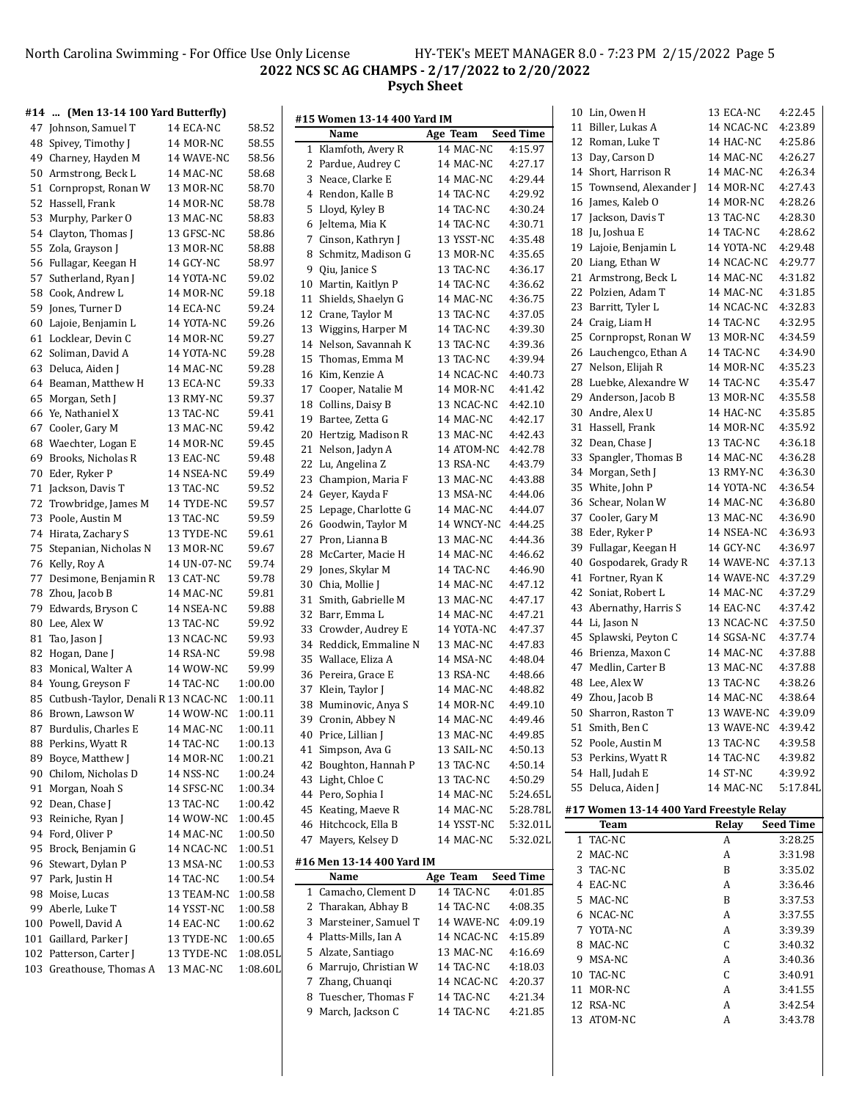#### North Carolina Swimming - For Office Use Only License HY-TEK's MEET MANAGER 8.0 - 7:23 PM 2/15/2022 Page 5 **NCS SC AG CHAMPS - 2/17/2022 to 2/20/2022 Psych Sheet**

| #14 | (Men 13-14 100 Yard Butterfly)         |                    |                |                             |                       |                    | 10 Lin, Owen H                           | 13 ECA-NC          | 4:22.45          |
|-----|----------------------------------------|--------------------|----------------|-----------------------------|-----------------------|--------------------|------------------------------------------|--------------------|------------------|
| 47  | Johnson, Samuel T                      | 14 ECA-NC          | 58.52          | #15 Women 13-14 400 Yard IM |                       | <b>Seed Time</b>   | 11 Biller, Lukas A                       | 14 NCAC-NC         | 4:23.89          |
|     | 48 Spivey, Timothy J                   | 14 MOR-NC          | 58.55          | Name                        | Age Team<br>14 MAC-NC | 4:15.97            | 12 Roman, Luke T                         | 14 HAC-NC          | 4:25.86          |
|     | 49 Charney, Hayden M                   | 14 WAVE-NC         | 58.56          | 1 Klamfoth, Avery R         |                       |                    | 13 Day, Carson D                         | 14 MAC-NC          | 4:26.27          |
| 50  | Armstrong, Beck L                      | 14 MAC-NC          | 58.68          | 2 Pardue, Audrey C          | 14 MAC-NC             | 4:27.17            | 14 Short, Harrison R                     | 14 MAC-NC          | 4:26.34          |
| 51  | Cornpropst, Ronan W                    | 13 MOR-NC          | 58.70          | 3 Neace, Clarke E           | 14 MAC-NC             | 4:29.44            | 15 Townsend, Alexander J                 | 14 MOR-NC          | 4:27.43          |
|     | 52 Hassell, Frank                      | 14 MOR-NC          | 58.78          | 4 Rendon, Kalle B           | 14 TAC-NC             | 4:29.92            | 16 James, Kaleb O                        | 14 MOR-NC          | 4:28.26          |
|     | 53 Murphy, Parker O                    | 13 MAC-NC          | 58.83          | 5 Lloyd, Kyley B            | 14 TAC-NC             | 4:30.24            | 17 Jackson, Davis T                      | 13 TAC-NC          | 4:28.30          |
|     | 54 Clayton, Thomas J                   | 13 GFSC-NC         | 58.86          | 6 Jeltema, Mia K            | 14 TAC-NC             | 4:30.71            | 18 Ju, Joshua E                          | 14 TAC-NC          | 4:28.62          |
|     | 55 Zola, Grayson J                     | 13 MOR-NC          | 58.88          | 7 Cinson, Kathryn J         | 13 YSST-NC            | 4:35.48            | 19 Lajoie, Benjamin L                    | 14 YOTA-NC         | 4:29.48          |
|     | 56 Fullagar, Keegan H                  | 14 GCY-NC          | 58.97          | 8 Schmitz, Madison G        | 13 MOR-NC             | 4:35.65            | 20 Liang, Ethan W                        | 14 NCAC-NC         | 4:29.77          |
| 57  | Sutherland, Ryan J                     | 14 YOTA-NC         | 59.02          | 9 Qiu, Janice S             | 13 TAC-NC             | 4:36.17            | 21 Armstrong, Beck L                     | 14 MAC-NC          | 4:31.82          |
| 58  | Cook, Andrew L                         | 14 MOR-NC          | 59.18          | 10 Martin, Kaitlyn P        | 14 TAC-NC             | 4:36.62            | 22 Polzien, Adam T                       | 14 MAC-NC          | 4:31.85          |
|     | 59 Jones, Turner D                     | 14 ECA-NC          | 59.24          | 11 Shields, Shaelyn G       | 14 MAC-NC             | 4:36.75            | 23 Barritt, Tyler L                      | 14 NCAC-NC         | 4:32.83          |
|     |                                        |                    |                | 12 Crane, Taylor M          | 13 TAC-NC             | 4:37.05            | 24 Craig, Liam H                         | 14 TAC-NC          | 4:32.95          |
|     | 60 Lajoie, Benjamin L                  | 14 YOTA-NC         | 59.26<br>59.27 | 13 Wiggins, Harper M        | 14 TAC-NC             | 4:39.30            | 25 Cornpropst, Ronan W                   | 13 MOR-NC          | 4:34.59          |
|     | 61 Locklear, Devin C                   | 14 MOR-NC          |                | 14 Nelson, Savannah K       | 13 TAC-NC             | 4:39.36            | 26 Lauchengco, Ethan A                   | 14 TAC-NC          | 4:34.90          |
|     | 62 Soliman, David A                    | 14 YOTA-NC         | 59.28          | 15 Thomas, Emma M           | 13 TAC-NC             | 4:39.94            |                                          |                    |                  |
|     | 63 Deluca, Aiden J                     | 14 MAC-NC          | 59.28          | 16 Kim, Kenzie A            | 14 NCAC-NC            | 4:40.73            | 27 Nelson, Elijah R                      | 14 MOR-NC          | 4:35.23          |
|     | 64 Beaman, Matthew H                   | 13 ECA-NC          | 59.33          | 17 Cooper, Natalie M        | 14 MOR-NC             | 4:41.42            | 28 Luebke, Alexandre W                   | 14 TAC-NC          | 4:35.47          |
|     | 65 Morgan, Seth J                      | 13 RMY-NC          | 59.37          | 18 Collins, Daisy B         | 13 NCAC-NC            | 4:42.10            | 29 Anderson, Jacob B                     | 13 MOR-NC          | 4:35.58          |
|     | 66 Ye, Nathaniel X                     | 13 TAC-NC          | 59.41          | 19 Bartee, Zetta G          | 14 MAC-NC             | 4:42.17            | 30 Andre, Alex U                         | 14 HAC-NC          | 4:35.85          |
| 67  | Cooler, Gary M                         | 13 MAC-NC          | 59.42          | 20 Hertzig, Madison R       | 13 MAC-NC             | 4:42.43            | 31 Hassell, Frank                        | 14 MOR-NC          | 4:35.92          |
| 68  | Waechter, Logan E                      | 14 MOR-NC          | 59.45          | 21 Nelson, Jadyn A          | 14 ATOM-NC            | 4:42.78            | 32 Dean, Chase J                         | 13 TAC-NC          | 4:36.18          |
|     | 69 Brooks, Nicholas R                  | 13 EAC-NC          | 59.48          | 22 Lu, Angelina Z           | 13 RSA-NC             | 4:43.79            | 33 Spangler, Thomas B                    | 14 MAC-NC          | 4:36.28          |
|     | 70 Eder, Ryker P                       | 14 NSEA-NC         | 59.49          | 23 Champion, Maria F        | 13 MAC-NC             | 4:43.88            | 34 Morgan, Seth J                        | 13 RMY-NC          | 4:36.30          |
| 71  | Jackson, Davis T                       | 13 TAC-NC          | 59.52          | 24 Geyer, Kayda F           | 13 MSA-NC             | 4:44.06            | 35 White, John P                         | 14 YOTA-NC         | 4:36.54          |
| 72  | Trowbridge, James M                    | 14 TYDE-NC         | 59.57          | 25 Lepage, Charlotte G      | 14 MAC-NC             | 4:44.07            | 36 Schear, Nolan W                       | 14 MAC-NC          | 4:36.80          |
|     | 73 Poole, Austin M                     | 13 TAC-NC          | 59.59          | 26 Goodwin, Taylor M        | 14 WNCY-NC 4:44.25    |                    | 37 Cooler, Gary M                        | 13 MAC-NC          | 4:36.90          |
|     | 74 Hirata, Zachary S                   | 13 TYDE-NC         | 59.61          | 27 Pron, Lianna B           | 13 MAC-NC             | 4:44.36            | 38 Eder, Ryker P                         | 14 NSEA-NC         | 4:36.93          |
|     | 75 Stepanian, Nicholas N               | 13 MOR-NC          | 59.67          | 28 McCarter, Macie H        | 14 MAC-NC             | 4:46.62            | 39 Fullagar, Keegan H                    | 14 GCY-NC          | 4:36.97          |
|     | 76 Kelly, Roy A                        | 14 UN-07-NC        | 59.74          | 29 Jones, Skylar M          | 14 TAC-NC             | 4:46.90            | 40 Gospodarek, Grady R                   | 14 WAVE-NC 4:37.13 |                  |
| 77  | Desimone, Benjamin R                   | 13 CAT-NC          | 59.78          | 30 Chia, Mollie J           | 14 MAC-NC             | 4:47.12            | 41 Fortner, Ryan K                       | 14 WAVE-NC         | 4:37.29          |
| 78  | Zhou, Jacob B                          | 14 MAC-NC          | 59.81          | 31 Smith, Gabrielle M       | 13 MAC-NC             | 4:47.17            | 42 Soniat, Robert L                      | 14 MAC-NC          | 4:37.29          |
|     | 79 Edwards, Bryson C                   | 14 NSEA-NC         | 59.88          | 32 Barr, Emma L             | 14 MAC-NC             | 4:47.21            | 43 Abernathy, Harris S                   | 14 EAC-NC          | 4:37.42          |
|     | 80 Lee, Alex W                         | 13 TAC-NC          | 59.92          | 33 Crowder, Audrey E        | 14 YOTA-NC            | 4:47.37            | 44 Li, Jason N                           | 13 NCAC-NC         | 4:37.50          |
| 81  | Tao, Jason J                           | 13 NCAC-NC         | 59.93          | 34 Reddick, Emmaline N      | 13 MAC-NC             | 4:47.83            | 45 Splawski, Peyton C                    | 14 SGSA-NC         | 4:37.74          |
|     | 82 Hogan, Dane J                       | 14 RSA-NC          | 59.98          | 35 Wallace, Eliza A         | 14 MSA-NC             | 4:48.04            | 46 Brienza, Maxon C                      | 14 MAC-NC          | 4:37.88          |
|     | 83 Monical, Walter A                   | 14 WOW-NC          | 59.99          | 36 Pereira, Grace E         | 13 RSA-NC             | 4:48.66            | 47 Medlin, Carter B                      | 13 MAC-NC          | 4:37.88          |
|     | 84 Young, Greyson F                    | 14 TAC-NC          | 1:00.00        |                             |                       |                    | 48 Lee, Alex W                           | 13 TAC-NC          | 4:38.26          |
|     | 85 Cutbush-Taylor, Denali R 13 NCAC-NC |                    | 1:00.11        | 37 Klein, Taylor J          | 14 MAC-NC             | 4:48.82<br>4:49.10 | 49 Zhou, Jacob B                         | 14 MAC-NC          | 4:38.64          |
|     | 86 Brown, Lawson W                     | 14 WOW-NC          | 1:00.11        | 38 Muminovic, Anya S        | 14 MOR-NC             |                    | 50 Sharron, Raston T                     | 13 WAVE-NC 4:39.09 |                  |
|     | 87 Burdulis, Charles E                 | 14 MAC-NC          | 1:00.11        | 39 Cronin, Abbey N          | 14 MAC-NC             | 4:49.46            | 51 Smith, Ben C                          | 13 WAVE-NC 4:39.42 |                  |
|     | 88 Perkins, Wyatt R                    | 14 TAC-NC          | 1:00.13        | 40 Price, Lillian J         | 13 MAC-NC             | 4:49.85            | 52 Poole, Austin M                       | 13 TAC-NC          | 4:39.58          |
|     | 89 Boyce, Matthew J                    | 14 MOR-NC          | 1:00.21        | 41 Simpson, Ava G           | 13 SAIL-NC            | 4:50.13            | 53 Perkins, Wyatt R                      | 14 TAC-NC          | 4:39.82          |
|     | 90 Chilom, Nicholas D                  | 14 NSS-NC          | 1:00.24        | 42 Boughton, Hannah P       | 13 TAC-NC             | 4:50.14            | 54 Hall, Judah E                         | 14 ST-NC           | 4:39.92          |
|     | 91 Morgan, Noah S                      | 14 SFSC-NC         | 1:00.34        | 43 Light, Chloe C           | 13 TAC-NC             | 4:50.29            | 55 Deluca, Aiden J                       | 14 MAC-NC          | 5:17.84L         |
|     | 92 Dean, Chase J                       | 13 TAC-NC          | 1:00.42        | 44 Pero, Sophia I           | 14 MAC-NC             | 5:24.65L           |                                          |                    |                  |
|     | 93 Reiniche, Ryan J                    | 14 WOW-NC          | 1:00.45        | 45 Keating, Maeve R         | 14 MAC-NC             | 5:28.78L           | #17 Women 13-14 400 Yard Freestyle Relay |                    |                  |
|     | 94 Ford, Oliver P                      | 14 MAC-NC          | 1:00.50        | 46 Hitchcock, Ella B        | 14 YSST-NC            | 5:32.01L           | Team                                     | Relay              | <b>Seed Time</b> |
|     | 95 Brock, Benjamin G                   | 14 NCAC-NC         | 1:00.51        | 47 Mayers, Kelsey D         | 14 MAC-NC             | 5:32.02L           | 1 TAC-NC                                 | A                  | 3:28.25          |
|     | 96 Stewart, Dylan P                    | 13 MSA-NC          | 1:00.53        | #16 Men 13-14 400 Yard IM   |                       |                    | 2 MAC-NC                                 | A                  | 3:31.98          |
|     | 97 Park, Justin H                      | 14 TAC-NC          | 1:00.54        | Name                        | Age Team              | <b>Seed Time</b>   | 3 TAC-NC                                 | B                  | 3:35.02          |
|     |                                        | 13 TEAM-NC 1:00.58 |                | 1 Camacho, Clement D        | 14 TAC-NC             | 4:01.85            | 4 EAC-NC                                 | A                  | 3:36.46          |
|     | 98 Moise, Lucas                        |                    |                | 2 Tharakan, Abhay B         | 14 TAC-NC             | 4:08.35            | 5 MAC-NC                                 | B                  | 3:37.53          |
|     | 99 Aberle, Luke T                      | 14 YSST-NC         | 1:00.58        | 3 Marsteiner, Samuel T      | 14 WAVE-NC            | 4:09.19            | 6 NCAC-NC                                | A                  | 3:37.55          |
| 100 | Powell, David A                        | 14 EAC-NC          | 1:00.62        | 4 Platts-Mills, Ian A       | 14 NCAC-NC            | 4:15.89            | 7 YOTA-NC                                | A                  | 3:39.39          |
| 101 | Gaillard, Parker J                     | 13 TYDE-NC         | 1:00.65        | 5 Alzate, Santiago          | 13 MAC-NC             | 4:16.69            | 8 MAC-NC                                 | С                  | 3:40.32          |
| 102 | Patterson, Carter J                    | 13 TYDE-NC         | 1:08.05L       |                             |                       |                    | 9 MSA-NC                                 | A                  | 3:40.36          |
| 103 | Greathouse, Thomas A                   | 13 MAC-NC          | 1:08.60L       | 6 Marrujo, Christian W      | 14 TAC-NC             | 4:18.03            | 10 TAC-NC                                | С                  | 3:40.91          |
|     |                                        |                    |                | 7 Zhang, Chuanqi            | 14 NCAC-NC            | 4:20.37            | 11 MOR-NC                                | A                  | 3:41.55          |
|     |                                        |                    |                | 8 Tuescher, Thomas F        | 14 TAC-NC             | 4:21.34            | 12 RSA-NC                                | A                  | 3:42.54          |

March, Jackson C 14 TAC-NC 4:21.85

ATOM-NC A 3:43.78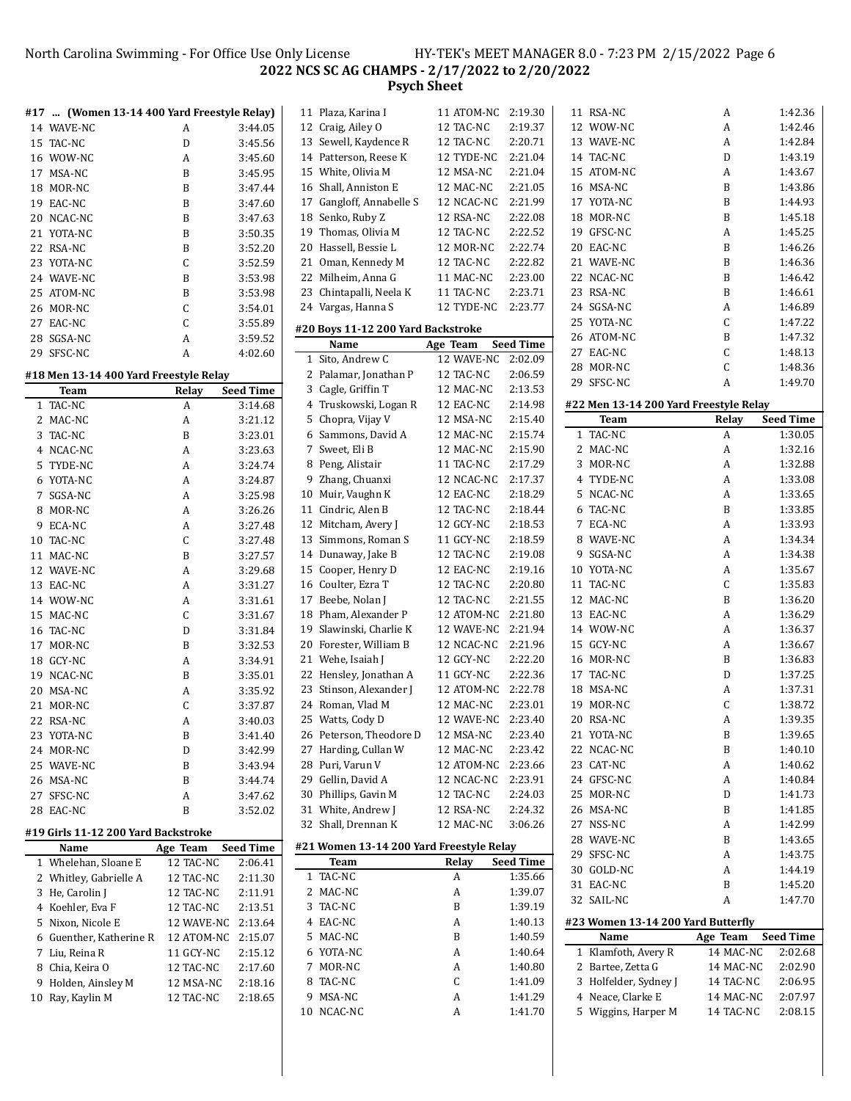North Carolina Swimming - For Office Use Only License HY-TEK's MEET MANAGER 8.0 - 7:23 PM 2/15/2022 Page 6 **NCS SC AG CHAMPS - 2/17/2022 to 2/20/2022**

**Psych Sheet**

|         | #17  (Women 13-14 400 Yard Freestyle Relay) |                        |                    | $11$ Pla  |
|---------|---------------------------------------------|------------------------|--------------------|-----------|
|         | 14 WAVE-NC                                  | A                      | 3:44.05            | 12<br>Cra |
| 15      | TAC-NC                                      | D                      | 3:45.56            | 13<br>Se  |
|         | 16 WOW-NC                                   | A                      | 3:45.60            | 14<br>Pat |
|         | 17 MSA-NC                                   | B                      | 3:45.95            | 15<br>Wl  |
|         | 18 MOR-NC                                   | B                      | 3:47.44            | 16<br>Sh  |
|         | 19 EAC-NC                                   | B                      | 3:47.60            | 17<br>Ga  |
|         | 20 NCAC-NC                                  | B                      | 3:47.63            | 18<br>Sei |
| 21      | YOTA-NC                                     | B                      | 3:50.35            | 19<br>Th  |
|         | 22 RSA-NC                                   | B                      | 3:52.20            | 20<br>Ha  |
|         | 23 YOTA-NC                                  | C                      | 3:52.59            | 21<br>On  |
|         | 24 WAVE-NC                                  | B                      | 3:53.98            | 22<br>Mi  |
|         | 25 ATOM-NC                                  | B                      | 3:53.98            | 23<br>Ch  |
|         | 26 MOR-NC                                   | C                      | 3:54.01            | Va<br>24  |
|         | 27 EAC-NC                                   | $\mathsf C$            | 3:55.89            | #20 Bo    |
|         | 28 SGSA-NC                                  | A                      | 3:59.52            | I         |
|         | 29 SFSC-NC                                  | A                      | 4:02.60            | Sit<br>1  |
|         | #18 Men 13-14 400 Yard Freestyle Relay      |                        |                    | 2<br>Pal  |
|         | Team                                        | Relay                  | <b>Seed Time</b>   | 3<br>Ca   |
| 1       | TAC-NC                                      | A                      | 3:14.68            | 4<br>Tru  |
| 2       | MAC-NC                                      | A                      | 3:21.12            | 5<br>Ch   |
| 3       | TAC-NC                                      | B                      | 3:23.01            | Sai<br>6  |
| 4       | NCAC-NC                                     | A                      | 3:23.63            | 7<br>Sw   |
| 5       | TYDE-NC                                     | A                      | 3:24.74            | 8<br>Pe   |
| 6       | YOTA-NC                                     | A                      | 3:24.87            | 9<br>Zh   |
| 7       | SGSA-NC                                     | A                      | 3:25.98            | 10<br>Mι  |
| 8       | MOR-NC                                      | A                      | 3:26.26            | 11<br>Cir |
| 9       | ECA-NC                                      | А                      | 3:27.48            | 12<br>Mi  |
|         | 10 TAC-NC                                   | C                      | 3:27.48            | Sin<br>13 |
|         | 11 MAC-NC                                   | B                      | 3:27.57            | 14<br>Du  |
|         | 12 WAVE-NC                                  | A                      | 3:29.68            | 15<br>Co  |
|         | 13 EAC-NC                                   | A                      | 3:31.27            | 16<br>Co  |
|         | 14 WOW-NC                                   | А                      | 3:31.61            | 17<br>Be  |
|         | 15 MAC-NC                                   | C                      | 3:31.67            | 18<br>Ph  |
|         | 16 TAC-NC                                   | D                      | 3:31.84            | 19<br>Sla |
| 17      | MOR-NC                                      | B                      | 3:32.53            | 20<br>Fo: |
|         | 18 GCY-NC                                   | А                      | 3:34.91            | 21<br>We  |
|         | 19 NCAC-NC                                  | B                      | 3:35.01            | 22<br>He  |
|         | 20 MSA-NC                                   | A                      | 3:35.92            | 23<br>Sti |
|         | 21 MOR-NC                                   | C                      | 3:37.87            | 24<br>Ro  |
| 22      | RSA-NC                                      | A                      | 3:40.03            | 25<br>Wε  |
| 23      | YOTA-NC                                     | B                      | 3:41.40            | 26<br>Pe  |
| 24      | MOR-NC                                      | D                      | 3:42.99            | 27<br>Ha  |
|         | 25 WAVE-NC                                  | B                      | 3:43.94            | 28<br>Pu  |
| 26      | MSA-NC                                      | B                      | 3:44.74            | 29<br>Ge  |
| 27      | SFSC-NC                                     | A                      | 3:47.62            | 30<br>Ph  |
|         | 28 EAC-NC                                   | B                      | 3:52.02            | 31<br>Wl  |
|         |                                             |                        |                    | 32<br>Sh  |
|         | #19 Girls 11-12 200 Yard Backstroke         |                        |                    |           |
|         | Name<br>1 Whelehan, Sloane E                | Age Team<br>12 TAC-NC  | <b>Seed Time</b>   | #21 Wo    |
|         | 2 Whitley, Gabrielle A                      | 12 TAC-NC              | 2:06.41            | TA<br>1   |
| 3       | He, Carolin J                               | 12 TAC-NC              | 2:11.30<br>2:11.91 | 2<br>M/   |
|         | 4 Koehler, Eva F                            | 12 TAC-NC              | 2:13.51            | 3<br>TA   |
|         | 5 Nixon, Nicole E                           | 12 WAVE-NC             | 2:13.64            | 4<br>EA   |
|         | 6 Guenther, Katherine R                     | 12 ATOM-NC             |                    | 5<br>M    |
| 7       | Liu, Reina R                                | 11 GCY-NC              | 2:15.07            | 6<br>YO   |
|         |                                             |                        | 2:15.12            | 7<br>M(   |
|         | 8 Chia, Keira O                             | 12 TAC-NC              | 2:17.60            | TA<br>8   |
| 9<br>10 | Holden, Ainsley M<br>Ray, Kaylin M          | 12 MSA-NC<br>12 TAC-NC | 2:18.16            | 9<br>МS   |
|         |                                             |                        | 2:18.65            |           |

|         | 11 Plaza, Karina I                       | 11 ATOM-NC | 2:19.30            |  |
|---------|------------------------------------------|------------|--------------------|--|
|         | 12 Craig, Ailey O                        | 12 TAC-NC  | 2:19.37            |  |
|         | 13 Sewell, Kaydence R                    | 12 TAC-NC  | 2:20.71            |  |
|         | 14 Patterson, Reese K                    | 12 TYDE-NC | 2:21.04            |  |
|         | 15 White, Olivia M                       | 12 MSA-NC  | 2:21.04            |  |
|         | 16 Shall, Anniston E                     | 12 MAC-NC  | 2:21.05            |  |
|         | 17 Gangloff, Annabelle S                 | 12 NCAC-NC | 2:21.99            |  |
|         | 18 Senko, Ruby Z                         | 12 RSA-NC  | 2:22.08            |  |
|         | 19 Thomas, Olivia M                      | 12 TAC-NC  | 2:22.52            |  |
|         | 20 Hassell, Bessie L                     | 12 MOR-NC  | 2:22.74            |  |
| 21      | Oman, Kennedy M                          | 12 TAC-NC  | 2:22.82            |  |
| 22      | Milheim, Anna G                          | 11 MAC-NC  | 2:23.00            |  |
|         | 23 Chintapalli, Neela K                  | 11 TAC-NC  | 2:23.71            |  |
|         | 24 Vargas, Hanna S                       | 12 TYDE-NC | 2:23.77            |  |
|         |                                          |            |                    |  |
|         | #20 Boys 11-12 200 Yard Backstroke       |            |                    |  |
|         | Name                                     | Age Team   | Seed Time          |  |
|         | 1 Sito, Andrew C                         | 12 WAVE-NC | 2:02.09            |  |
|         | 2 Palamar, Jonathan P                    | 12 TAC-NC  | 2:06.59            |  |
|         | 3 Cagle, Griffin T                       | 12 MAC-NC  | 2:13.53            |  |
|         | 4 Truskowski, Logan R                    | 12 EAC-NC  | 2:14.98            |  |
| 5       | Chopra, Vijay V                          | 12 MSA-NC  | 2:15.40            |  |
|         | 6 Sammons, David A                       | 12 MAC-NC  | 2:15.74            |  |
| 7       | Sweet, Eli B                             | 12 MAC-NC  | 2:15.90            |  |
| 8       | Peng, Alistair                           | 11 TAC-NC  | 2:17.29            |  |
| 9       | Zhang, Chuanxi                           | 12 NCAC-NC | 2:17.37            |  |
| 10      | Muir, Vaughn K                           | 12 EAC-NC  | 2:18.29            |  |
|         | 11 Cindric, Alen B                       | 12 TAC-NC  | 2:18.44            |  |
|         | 12 Mitcham, Avery J                      | 12 GCY-NC  | 2:18.53            |  |
|         | 13 Simmons, Roman S                      | 11 GCY-NC  | 2:18.59            |  |
|         | 14 Dunaway, Jake B                       | 12 TAC-NC  | 2:19.08            |  |
|         | 15 Cooper, Henry D                       | 12 EAC-NC  | 2:19.16            |  |
|         | 16 Coulter, Ezra T                       | 12 TAC-NC  | 2:20.80            |  |
|         | 17 Beebe, Nolan J                        | 12 TAC-NC  | 2:21.55            |  |
|         | 18 Pham, Alexander P                     | 12 ATOM-NC | 2:21.80            |  |
| 19      | Slawinski, Charlie K                     | 12 WAVE-NC | 2:21.94            |  |
| 20      | Forester, William B                      | 12 NCAC-NC | 2:21.96            |  |
| 21      | Wehe, Isaiah J                           | 12 GCY-NC  | 2:22.20            |  |
|         | 22 Hensley, Jonathan A                   | 11 GCY-NC  | 2:22.36            |  |
|         | 23 Stinson, Alexander J                  | 12 ATOM-NC | 2:22.78            |  |
|         | 24 Roman, Vlad M                         | 12 MAC-NC  | 2:23.01            |  |
|         | 25 Watts. Cody D                         | 12 WAVE-NC | 2:23.40            |  |
| 26      | Peterson, Theodore D                     | 12 MSA-NC  | 2:23.40            |  |
| 27      | Harding, Cullan W                        | 12 MAC-NC  | 2:23.42            |  |
|         | 28 Puri, Varun V                         | 12 ATOM-NC | 2:23.66            |  |
|         | 29 Gellin, David A                       | 12 NCAC-NC | 2:23.91            |  |
| 30      | Phillips, Gavin M                        | 12 TAC-NC  | 2:24.03            |  |
| 31      | White, Andrew J                          | 12 RSA-NC  | 2:24.32            |  |
| 32      | Shall, Drennan K                         | 12 MAC-NC  | 3:06.26            |  |
|         | #21 Women 13-14 200 Yard Freestyle Relay |            |                    |  |
|         | Team                                     | Relay      | <b>Seed Time</b>   |  |
| 1       | TAC-NC                                   | A          | 1:35.66            |  |
| 2       | MAC-NC                                   | A          | 1:39.07            |  |
| 3       | TAC-NC                                   | B          | 1:39.19            |  |
|         |                                          |            |                    |  |
| 4<br>5  | EAC-NC                                   | A          | 1:40.13<br>1:40.59 |  |
| 6       | MAC-NC<br>YOTA-NC                        | B<br>A     | 1:40.64            |  |
| 7       |                                          | A          |                    |  |
|         | MOR-NC<br>TAC-NC                         | C          | 1:40.80<br>1:41.09 |  |
| 8       |                                          |            |                    |  |
| 9<br>10 | MSA-NC<br>NCAC-NC                        | A<br>A     | 1:41.29<br>1:41.70 |  |
|         |                                          |            |                    |  |
|         |                                          |            |                    |  |

| RSA-NC<br>11                           | A         | 1:42.36                     |
|----------------------------------------|-----------|-----------------------------|
| 12<br>WOW-NC                           | A         | 1:42.46                     |
| 13 WAVE-NC                             | A         | 1:42.84                     |
| 14 TAC-NC                              | D         | 1:43.19                     |
| 15 ATOM-NC                             | A         | 1:43.67                     |
| 16 MSA-NC                              | B         | 1:43.86                     |
| 17 YOTA-NC                             | B         | 1:44.93                     |
| 18<br>MOR-NC                           | B         | 1:45.18                     |
| 19 GFSC-NC                             | A         | 1:45.25                     |
| 20<br>EAC-NC                           | B         | 1:46.26                     |
| 21<br>WAVE-NC                          | B         | 1:46.36                     |
| 22<br>NCAC-NC                          | B         | 1:46.42                     |
| 23<br>RSA-NC                           | B         | 1:46.61                     |
| 24 SGSA-NC                             | A         | 1:46.89                     |
| 25<br>YOTA-NC                          | C         | 1:47.22                     |
| 26<br>ATOM-NC                          | B         | 1:47.32                     |
| 27<br>EAC-NC                           | C         | 1:48.13                     |
| 28<br>MOR-NC                           | C         | 1:48.36                     |
| 29<br>SFSC-NC                          | A         | 1:49.70                     |
|                                        |           |                             |
| #22 Men 13-14 200 Yard Freestyle Relay |           |                             |
| Team                                   | Relay     | <b>Seed Time</b><br>1:30.05 |
| TAC-NC<br>1<br>2<br>MAC-NC             | A         |                             |
|                                        | A         | 1:32.16                     |
| 3<br>MOR-NC                            | A         | 1:32.88                     |
| 4 TYDE-NC                              | A         | 1:33.08                     |
| 5<br>NCAC-NC                           | A         | 1:33.65                     |
| TAC-NC<br>6                            | B         | 1:33.85                     |
| 7 ECA-NC                               | A         | 1:33.93                     |
| 8 WAVE-NC                              | A         | 1:34.34                     |
| 9<br>SGSA-NC                           | A         | 1:34.38                     |
| YOTA-NC<br>10                          | A         | 1:35.67                     |
| TAC-NC<br>11                           | C         | 1:35.83                     |
| MAC-NC<br>12                           | B         | 1:36.20                     |
| 13<br>EAC-NC                           | A         | 1:36.29                     |
| 14 WOW-NC                              | A         | 1:36.37                     |
| 15<br>GCY-NC                           | A         | 1:36.67                     |
| 16<br>MOR-NC                           | B         | 1:36.83                     |
| 17 TAC-NC                              | D         | 1:37.25                     |
| 18<br>MSA-NC                           | A         | 1:37.31                     |
| 19<br>MOR-NC                           | C         | 1:38.72                     |
| 20<br>RSA-NC                           | A         | 1:39.35                     |
| YOTA-NC<br>21                          | B         | 1:39.65                     |
| 22<br>NCAC-NC                          | B         | 1:40.10                     |
| 23<br>CAT-NC                           | A         | 1:40.62                     |
| 24 GFSC-NC                             | A         | 1:40.84                     |
| 25<br>MOR-NC                           | D         | 1:41.73                     |
| 26<br>MSA-NC                           | B         | 1:41.85                     |
| 27<br>NSS-NC                           | A         | 1:42.99                     |
| 28<br>WAVE-NC                          | B         | 1:43.65                     |
| SFSC-NC<br>29                          | A         | 1:43.75                     |
| 30 GOLD-NC                             | A         | 1:44.19                     |
| 31<br>EAC-NC                           | B         | 1:45.20                     |
| 32<br>SAIL-NC                          | A         | 1:47.70                     |
| #23 Women 13-14 200 Yard Butterfly     |           |                             |
| Name                                   | Age Team  | <b>Seed Time</b>            |
| Klamfoth, Avery R<br>1                 | 14 MAC-NC | 2:02.68                     |
| 2<br>Bartee, Zetta G                   | 14 MAC-NC | 2:02.90                     |
| 3 Holfelder, Sydney J                  | 14 TAC-NC | 2:06.95                     |
| 4 Neace, Clarke E                      | 14 MAC-NC | 2:07.97                     |
| 5 Wiggins, Harper M                    | 14 TAC-NC | 2:08.15                     |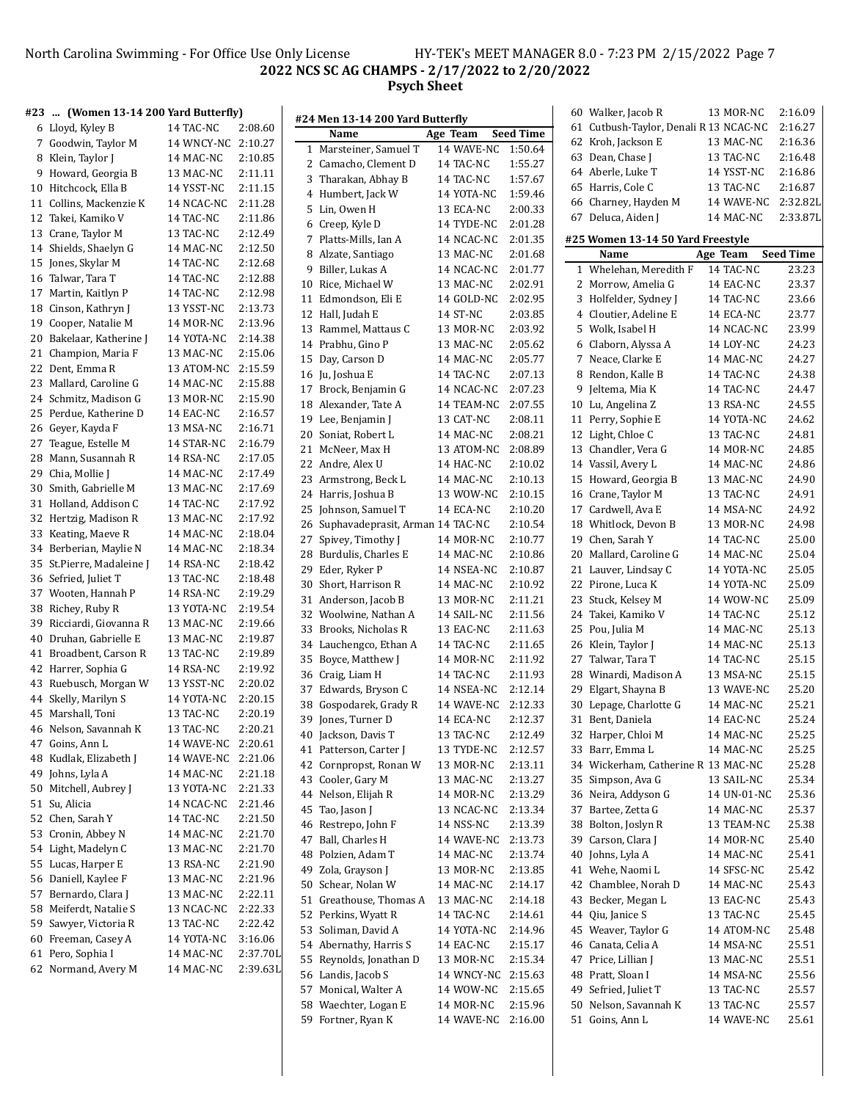#### North Carolina Swimming - For Office Use Only License HY-TEK's MEET MANAGER 8.0 - 7:23 PM 2/15/2022 Page 7 **NCS SC AG CHAMPS - 2/17/2022 to 2/20/2022 Psych Sheet**

|    | #23  (Women 13-14 200 Yard Butterfly) |                    |          |    | #24 Men 13-14 200 Yard Butterfly    |                    |                  | 60 Walker, Jacob R                     | 13 MOR-NC   | 2:16.09          |
|----|---------------------------------------|--------------------|----------|----|-------------------------------------|--------------------|------------------|----------------------------------------|-------------|------------------|
|    | 6 Lloyd, Kyley B                      | 14 TAC-NC          | 2:08.60  |    | Name                                | Age Team           | <b>Seed Time</b> | 61 Cutbush-Taylor, Denali R 13 NCAC-NC |             | 2:16.27          |
|    | 7 Goodwin, Taylor M                   | 14 WNCY-NC 2:10.27 |          |    | 1 Marsteiner, Samuel T              | 14 WAVE-NC         | 1:50.64          | 62 Kroh, Jackson E                     | 13 MAC-NC   | 2:16.36          |
|    | 8 Klein, Taylor J                     | 14 MAC-NC          | 2:10.85  |    | 2 Camacho, Clement D                | 14 TAC-NC          | 1:55.27          | 63 Dean, Chase J                       | 13 TAC-NC   | 2:16.48          |
|    | 9 Howard, Georgia B                   | 13 MAC-NC          | 2:11.11  |    | 3 Tharakan, Abhay B                 | 14 TAC-NC          | 1:57.67          | 64 Aberle, Luke T                      | 14 YSST-NC  | 2:16.86          |
|    | 10 Hitchcock, Ella B                  | 14 YSST-NC         | 2:11.15  |    | 4 Humbert, Jack W                   | 14 YOTA-NC         | 1:59.46          | 65 Harris, Cole C                      | 13 TAC-NC   | 2:16.87          |
| 11 | Collins, Mackenzie K                  | 14 NCAC-NC         | 2:11.28  |    | 5 Lin, Owen H                       | 13 ECA-NC          | 2:00.33          | 66 Charney, Hayden M                   | 14 WAVE-NC  | 2:32.82L         |
|    | 12 Takei, Kamiko V                    | 14 TAC-NC          | 2:11.86  |    | 6 Creep, Kyle D                     | 14 TYDE-NC         | 2:01.28          | 67 Deluca, Aiden J                     | 14 MAC-NC   | 2:33.87L         |
|    | 13 Crane, Taylor M                    | 13 TAC-NC          | 2:12.49  |    | 7 Platts-Mills, Ian A               | 14 NCAC-NC         | 2:01.35          | #25 Women 13-14 50 Yard Freestyle      |             |                  |
|    | 14 Shields, Shaelyn G                 | 14 MAC-NC          | 2:12.50  |    | 8 Alzate, Santiago                  |                    | 2:01.68          | Name                                   | Age Team    | <b>Seed Time</b> |
|    | 15 Jones, Skylar M                    | 14 TAC-NC          | 2:12.68  |    |                                     | 13 MAC-NC          | 2:01.77          | 1 Whelehan, Meredith F                 |             | 23.23            |
|    | 16 Talwar, Tara T                     | 14 TAC-NC          | 2:12.88  |    | 9 Biller, Lukas A                   | 14 NCAC-NC         |                  |                                        | 14 TAC-NC   |                  |
|    | 17 Martin, Kaitlyn P                  | 14 TAC-NC          | 2:12.98  |    | 10 Rice, Michael W                  | 13 MAC-NC          | 2:02.91          | 2 Morrow, Amelia G                     | 14 EAC-NC   | 23.37            |
|    | 18 Cinson, Kathryn J                  | 13 YSST-NC         | 2:13.73  |    | 11 Edmondson, Eli E                 | 14 GOLD-NC         | 2:02.95          | 3 Holfelder, Sydney J                  | 14 TAC-NC   | 23.66<br>23.77   |
|    | 19 Cooper, Natalie M                  | 14 MOR-NC          | 2:13.96  |    | 12 Hall, Judah E                    | 14 ST-NC           | 2:03.85          | 4 Cloutier, Adeline E                  | 14 ECA-NC   |                  |
|    | 20 Bakelaar, Katherine J              | 14 YOTA-NC         | 2:14.38  |    | 13 Rammel, Mattaus C                | 13 MOR-NC          | 2:03.92          | 5 Wolk, Isabel H                       | 14 NCAC-NC  | 23.99            |
| 21 | Champion, Maria F                     | 13 MAC-NC          | 2:15.06  |    | 14 Prabhu, Gino P                   | 13 MAC-NC          | 2:05.62          | 6 Claborn, Alyssa A                    | 14 LOY-NC   | 24.23            |
|    | 22 Dent, Emma R                       | 13 ATOM-NC         | 2:15.59  |    | 15 Day, Carson D                    | 14 MAC-NC          | 2:05.77          | 7 Neace, Clarke E                      | 14 MAC-NC   | 24.27            |
|    | 23 Mallard, Caroline G                | 14 MAC-NC          | 2:15.88  |    | 16 Ju, Joshua E                     | 14 TAC-NC          | 2:07.13          | 8 Rendon, Kalle B                      | 14 TAC-NC   | 24.38            |
|    | 24 Schmitz, Madison G                 | 13 MOR-NC          | 2:15.90  |    | 17 Brock, Benjamin G                | 14 NCAC-NC         | 2:07.23          | 9 Jeltema, Mia K                       | 14 TAC-NC   | 24.47            |
|    | 25 Perdue, Katherine D                | 14 EAC-NC          | 2:16.57  |    | 18 Alexander, Tate A                | 14 TEAM-NC         | 2:07.55          | 10 Lu, Angelina Z                      | 13 RSA-NC   | 24.55            |
|    | 26 Geyer, Kayda F                     | 13 MSA-NC          | 2:16.71  |    | 19 Lee, Benjamin J                  | 13 CAT-NC          | 2:08.11          | 11 Perry, Sophie E                     | 14 YOTA-NC  | 24.62            |
|    | 27 Teague, Estelle M                  | 14 STAR-NC         | 2:16.79  |    | 20 Soniat, Robert L                 | 14 MAC-NC          | 2:08.21          | 12 Light, Chloe C                      | 13 TAC-NC   | 24.81            |
|    | 28 Mann, Susannah R                   | 14 RSA-NC          | 2:17.05  |    | 21 McNeer, Max H                    | 13 ATOM-NC         | 2:08.89          | 13 Chandler, Vera G                    | 14 MOR-NC   | 24.85            |
|    | 29 Chia, Mollie J                     |                    | 2:17.49  |    | 22 Andre, Alex U                    | 14 HAC-NC          | 2:10.02          | 14 Vassil, Avery L                     | 14 MAC-NC   | 24.86            |
|    |                                       | 14 MAC-NC          |          |    | 23 Armstrong, Beck L                | 14 MAC-NC          | 2:10.13          | 15 Howard, Georgia B                   | 13 MAC-NC   | 24.90            |
|    | 30 Smith, Gabrielle M                 | 13 MAC-NC          | 2:17.69  |    | 24 Harris, Joshua B                 | 13 WOW-NC          | 2:10.15          | 16 Crane, Taylor M                     | 13 TAC-NC   | 24.91            |
|    | 31 Holland, Addison C                 | 14 TAC-NC          | 2:17.92  |    | 25 Johnson, Samuel T                | 14 ECA-NC          | 2:10.20          | 17 Cardwell, Ava E                     | 14 MSA-NC   | 24.92            |
|    | 32 Hertzig, Madison R                 | 13 MAC-NC          | 2:17.92  |    | 26 Suphavadeprasit, Arman 14 TAC-NC |                    | 2:10.54          | 18 Whitlock, Devon B                   | 13 MOR-NC   | 24.98            |
|    | 33 Keating, Maeve R                   | 14 MAC-NC          | 2:18.04  |    | 27 Spivey, Timothy J                | 14 MOR-NC          | 2:10.77          | 19 Chen, Sarah Y                       | 14 TAC-NC   | 25.00            |
|    | 34 Berberian, Maylie N                | 14 MAC-NC          | 2:18.34  |    | 28 Burdulis, Charles E              | 14 MAC-NC          | 2:10.86          | 20 Mallard, Caroline G                 | 14 MAC-NC   | 25.04            |
|    | 35 St.Pierre, Madaleine J             | 14 RSA-NC          | 2:18.42  |    | 29 Eder, Ryker P                    | 14 NSEA-NC         | 2:10.87          | 21 Lauver, Lindsay C                   | 14 YOTA-NC  | 25.05            |
|    | 36 Sefried, Juliet T                  | 13 TAC-NC          | 2:18.48  |    | 30 Short, Harrison R                | 14 MAC-NC          | 2:10.92          | 22 Pirone, Luca K                      | 14 YOTA-NC  | 25.09            |
|    | 37 Wooten, Hannah P                   | 14 RSA-NC          | 2:19.29  |    | 31 Anderson, Jacob B                | 13 MOR-NC          | 2:11.21          | 23 Stuck, Kelsey M                     | 14 WOW-NC   | 25.09            |
|    | 38 Richey, Ruby R                     | 13 YOTA-NC         | 2:19.54  |    | 32 Woolwine, Nathan A               | 14 SAIL-NC         | 2:11.56          | 24 Takei, Kamiko V                     | 14 TAC-NC   | 25.12            |
|    | 39 Ricciardi, Giovanna R              | 13 MAC-NC          | 2:19.66  |    | 33 Brooks, Nicholas R               | 13 EAC-NC          | 2:11.63          | 25 Pou, Julia M                        | 14 MAC-NC   | 25.13            |
|    | 40 Druhan, Gabrielle E                | 13 MAC-NC          | 2:19.87  |    | 34 Lauchengco, Ethan A              | 14 TAC-NC          | 2:11.65          | 26 Klein, Taylor J                     | 14 MAC-NC   | 25.13            |
| 41 | Broadbent, Carson R                   | 13 TAC-NC          | 2:19.89  |    | 35 Boyce, Matthew J                 | 14 MOR-NC          | 2:11.92          | 27 Talwar, Tara T                      | 14 TAC-NC   | 25.15            |
|    | 42 Harrer, Sophia G                   | 14 RSA-NC          | 2:19.92  |    | 36 Craig, Liam H                    | 14 TAC-NC          | 2:11.93          | 28 Winardi, Madison A                  | 13 MSA-NC   | 25.15            |
|    | 43 Ruebusch, Morgan W                 | 13 YSST-NC         | 2:20.02  |    | 37 Edwards, Bryson C                | 14 NSEA-NC         | 2:12.14          | 29 Elgart, Shayna B                    | 13 WAVE-NC  | 25.20            |
|    | 44 Skelly, Marilyn S                  | 14 YOTA-NC         | 2:20.15  |    | 38 Gospodarek, Grady R              | 14 WAVE-NC         | 2:12.33          | 30 Lepage, Charlotte G                 | 14 MAC-NC   | 25.21            |
|    | 45 Marshall, Toni                     | 13 TAC-NC          | 2:20.19  | 39 | Jones, Turner D                     | 14 ECA-NC          | 2:12.37          | 31 Bent, Daniela                       | 14 EAC-NC   | 25.24            |
| 46 | Nelson, Savannah K                    | 13 TAC-NC          | 2:20.21  |    | 40 Jackson, Davis T                 | 13 TAC-NC          | 2:12.49          | 32 Harper, Chloi M                     | 14 MAC-NC   | 25.25            |
|    | 47 Goins, Ann L                       | 14 WAVE-NC 2:20.61 |          |    | 41 Patterson, Carter J              | 13 TYDE-NC         | 2:12.57          | 33 Barr, Emma L                        | 14 MAC-NC   | 25.25            |
|    | 48 Kudlak, Elizabeth J                | 14 WAVE-NC 2:21.06 |          |    | 42 Cornpropst, Ronan W              | 13 MOR-NC          | 2:13.11          | 34 Wickerham, Catherine R 13 MAC-NC    |             | 25.28            |
| 49 | Johns, Lyla A                         | 14 MAC-NC          | 2:21.18  |    | 43 Cooler, Gary M                   | 13 MAC-NC          | 2:13.27          | 35 Simpson, Ava G                      | 13 SAIL-NC  | 25.34            |
|    | 50 Mitchell, Aubrey J                 | 13 YOTA-NC         | 2:21.33  |    | 44 Nelson, Elijah R                 | 14 MOR-NC          | 2:13.29          | 36 Neira, Addyson G                    | 14 UN-01-NC | 25.36            |
|    | 51 Su, Alicia                         | 14 NCAC-NC         | 2:21.46  |    | 45 Tao, Jason J                     | 13 NCAC-NC         | 2:13.34          | 37 Bartee, Zetta G                     | 14 MAC-NC   | 25.37            |
|    | 52 Chen, Sarah Y                      | 14 TAC-NC          | 2:21.50  |    | 46 Restrepo, John F                 |                    | 2:13.39          | 38 Bolton, Joslyn R                    | 13 TEAM-NC  | 25.38            |
|    | 53 Cronin, Abbey N                    | 14 MAC-NC          | 2:21.70  |    |                                     | 14 NSS-NC          |                  | 39 Carson, Clara J                     |             |                  |
|    | 54 Light, Madelyn C                   | 13 MAC-NC          | 2:21.70  |    | 47 Ball, Charles H                  | 14 WAVE-NC 2:13.73 |                  |                                        | 14 MOR-NC   | 25.40            |
|    | 55 Lucas, Harper E                    | 13 RSA-NC          | 2:21.90  |    | 48 Polzien, Adam T                  | 14 MAC-NC          | 2:13.74          | 40 Johns, Lyla A                       | 14 MAC-NC   | 25.41            |
|    | 56 Daniell, Kaylee F                  | 13 MAC-NC          | 2:21.96  | 49 | Zola, Grayson J                     | 13 MOR-NC          | 2:13.85          | 41 Wehe, Naomi L                       | 14 SFSC-NC  | 25.42            |
|    | 57 Bernardo, Clara J                  | 13 MAC-NC          | 2:22.11  |    | 50 Schear, Nolan W                  | 14 MAC-NC          | 2:14.17          | 42 Chamblee, Norah D                   | 14 MAC-NC   | 25.43            |
|    | 58 Meiferdt, Natalie S                | 13 NCAC-NC         | 2:22.33  |    | 51 Greathouse, Thomas A             | 13 MAC-NC          | 2:14.18          | 43 Becker, Megan L                     | 13 EAC-NC   | 25.43            |
|    | 59 Sawyer, Victoria R                 | 13 TAC-NC          | 2:22.42  |    | 52 Perkins, Wyatt R                 | 14 TAC-NC          | 2:14.61          | 44 Qiu, Janice S                       | 13 TAC-NC   | 25.45            |
|    | 60 Freeman, Casey A                   | 14 YOTA-NC         | 3:16.06  |    | 53 Soliman, David A                 | 14 YOTA-NC         | 2:14.96          | 45 Weaver, Taylor G                    | 14 ATOM-NC  | 25.48            |
|    | 61 Pero, Sophia I                     | 14 MAC-NC          | 2:37.70L |    | 54 Abernathy, Harris S              | 14 EAC-NC          | 2:15.17          | 46 Canata, Celia A                     | 14 MSA-NC   | 25.51            |
|    | 62 Normand, Avery M                   | 14 MAC-NC          | 2:39.63L |    | 55 Reynolds, Jonathan D             | 13 MOR-NC          | 2:15.34          | 47 Price, Lillian J                    | 13 MAC-NC   | 25.51            |
|    |                                       |                    |          |    | 56 Landis, Jacob S                  | 14 WNCY-NC 2:15.63 |                  | 48 Pratt, Sloan I                      | 14 MSA-NC   | 25.56            |
|    |                                       |                    |          |    | 57 Monical, Walter A                | 14 WOW-NC 2:15.65  |                  | 49 Sefried, Juliet T                   | 13 TAC-NC   | 25.57            |
|    |                                       |                    |          |    | 58 Waechter, Logan E                | 14 MOR-NC          | 2:15.96          | 50 Nelson, Savannah K                  | 13 TAC-NC   | 25.57            |
|    |                                       |                    |          |    | 59 Fortner, Ryan K                  | 14 WAVE-NC 2:16.00 |                  | 51 Goins, Ann L                        | 14 WAVE-NC  | 25.61            |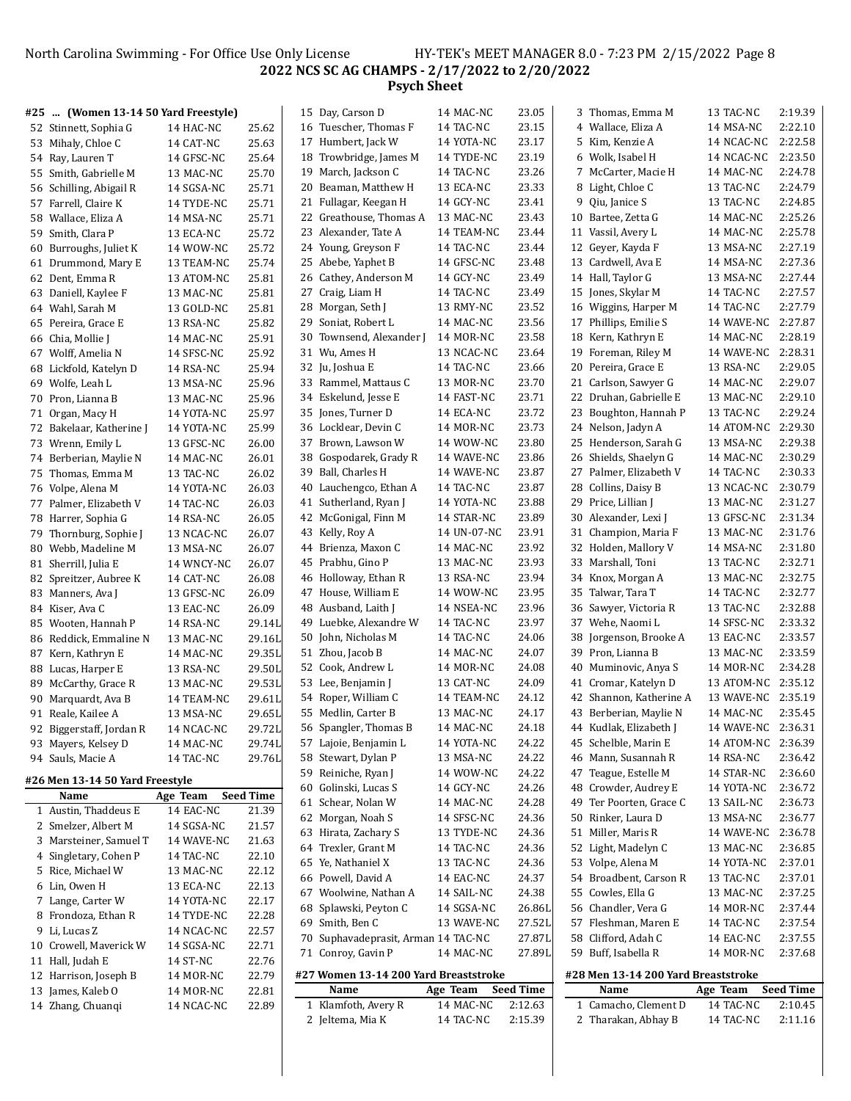North Carolina Swimming - For Office Use Only License HY-TEK's MEET MANAGER 8.0 - 7:23 PM 2/15/2022 Page 8 **NCS SC AG CHAMPS - 2/17/2022 to 2/20/2022 Psych Sheet**

|    | #25  (Women 13-14 50 Yard Freestyle) |                         |                  | 15 Day, Carson D                        | 14 MAC-NC             | 23.05            | 3 Thomas, Emma M                            | 13 TAC-NC             | 2:19.39          |
|----|--------------------------------------|-------------------------|------------------|-----------------------------------------|-----------------------|------------------|---------------------------------------------|-----------------------|------------------|
|    | 52 Stinnett, Sophia G                | 14 HAC-NC               | 25.62            | 16 Tuescher, Thomas F                   | 14 TAC-NC             | 23.15            | 4 Wallace, Eliza A                          | 14 MSA-NC             | 2:22.10          |
|    | 53 Mihaly, Chloe C                   | 14 CAT-NC               | 25.63            | 17 Humbert, Jack W                      | 14 YOTA-NC            | 23.17            | 5 Kim, Kenzie A                             | 14 NCAC-NC            | 2:22.58          |
|    | 54 Ray, Lauren T                     | 14 GFSC-NC              | 25.64            | 18 Trowbridge, James M                  | 14 TYDE-NC            | 23.19            | 6 Wolk, Isabel H                            | 14 NCAC-NC            | 2:23.50          |
| 55 | Smith, Gabrielle M                   | 13 MAC-NC               | 25.70            | 19 March, Jackson C                     | 14 TAC-NC             | 23.26            | 7 McCarter, Macie H                         | 14 MAC-NC             | 2:24.78          |
|    | 56 Schilling, Abigail R              | 14 SGSA-NC              | 25.71            | 20 Beaman, Matthew H                    | 13 ECA-NC             | 23.33            | 8 Light, Chloe C                            | 13 TAC-NC             | 2:24.79          |
|    | 57 Farrell, Claire K                 | 14 TYDE-NC              | 25.71            | 21 Fullagar, Keegan H                   | 14 GCY-NC             | 23.41            | 9 Qiu, Janice S                             | 13 TAC-NC             | 2:24.85          |
| 58 | Wallace, Eliza A                     | 14 MSA-NC               | 25.71            | 22 Greathouse, Thomas A                 | 13 MAC-NC             | 23.43            | 10 Bartee, Zetta G                          | 14 MAC-NC             | 2:25.26          |
| 59 | Smith, Clara P                       | 13 ECA-NC               | 25.72            | 23 Alexander, Tate A                    | 14 TEAM-NC            | 23.44            | 11 Vassil, Avery L                          | 14 MAC-NC             | 2:25.78          |
| 60 | Burroughs, Juliet K                  | 14 WOW-NC               | 25.72            | 24 Young, Greyson F                     | 14 TAC-NC             | 23.44            | 12 Geyer, Kayda F                           | 13 MSA-NC             | 2:27.19          |
|    | 61 Drummond, Mary E                  | 13 TEAM-NC              | 25.74            | 25 Abebe, Yaphet B                      | 14 GFSC-NC            | 23.48            | 13 Cardwell, Ava E                          | 14 MSA-NC             | 2:27.36          |
|    | 62 Dent, Emma R                      | 13 ATOM-NC              | 25.81            | 26 Cathey, Anderson M                   | 14 GCY-NC             | 23.49            | 14 Hall, Taylor G                           | 13 MSA-NC             | 2:27.44          |
| 63 | Daniell, Kaylee F                    | 13 MAC-NC               | 25.81            | 27 Craig, Liam H                        | 14 TAC-NC             | 23.49            | 15 Jones, Skylar M                          | 14 TAC-NC             | 2:27.57          |
|    | 64 Wahl, Sarah M                     | 13 GOLD-NC              | 25.81            | 28 Morgan, Seth J                       | 13 RMY-NC             | 23.52            | 16 Wiggins, Harper M                        | 14 TAC-NC             | 2:27.79          |
|    |                                      | 13 RSA-NC               | 25.82            | 29 Soniat, Robert L                     | 14 MAC-NC             | 23.56            | 17 Phillips, Emilie S                       | 14 WAVE-NC            | 2:27.87          |
| 65 | Pereira, Grace E                     |                         | 25.91            | 30 Townsend, Alexander                  | 14 MOR-NC             | 23.58            | 18 Kern, Kathryn E                          | 14 MAC-NC             | 2:28.19          |
|    | 66 Chia, Mollie J                    | 14 MAC-NC               |                  | 31 Wu, Ames H                           |                       | 23.64            | 19 Foreman, Riley M                         | 14 WAVE-NC            | 2:28.31          |
|    | 67 Wolff, Amelia N                   | 14 SFSC-NC              | 25.92            |                                         | 13 NCAC-NC            | 23.66            |                                             |                       | 2:29.05          |
| 68 | Lickfold, Katelyn D                  | 14 RSA-NC               | 25.94            | 32 Ju, Joshua E<br>33 Rammel, Mattaus C | 14 TAC-NC             | 23.70            | 20 Pereira, Grace E<br>21 Carlson, Sawyer G | 13 RSA-NC             | 2:29.07          |
| 69 | Wolfe, Leah L                        | 13 MSA-NC               | 25.96            |                                         | 13 MOR-NC             |                  |                                             | 14 MAC-NC             | 2:29.10          |
| 70 | Pron, Lianna B                       | 13 MAC-NC               | 25.96            | 34 Eskelund, Jesse E                    | 14 FAST-NC            | 23.71            | 22 Druhan, Gabrielle E                      | 13 MAC-NC             |                  |
|    | 71 Organ, Macy H                     | 14 YOTA-NC              | 25.97            | 35 Jones, Turner D                      | 14 ECA-NC             | 23.72            | 23 Boughton, Hannah P                       | 13 TAC-NC             | 2:29.24          |
|    | 72 Bakelaar, Katherine J             | 14 YOTA-NC              | 25.99            | 36 Locklear, Devin C                    | 14 MOR-NC             | 23.73            | 24 Nelson, Jadyn A                          | 14 ATOM-NC            | 2:29.30          |
| 73 | Wrenn, Emily L                       | 13 GFSC-NC              | 26.00            | 37 Brown, Lawson W                      | 14 WOW-NC             | 23.80            | 25 Henderson, Sarah G                       | 13 MSA-NC             | 2:29.38          |
|    | 74 Berberian, Maylie N               | 14 MAC-NC               | 26.01            | 38 Gospodarek, Grady R                  | 14 WAVE-NC            | 23.86            | 26 Shields, Shaelyn G                       | 14 MAC-NC             | 2:30.29          |
| 75 | Thomas, Emma M                       | 13 TAC-NC               | 26.02            | 39 Ball, Charles H                      | 14 WAVE-NC            | 23.87            | 27 Palmer, Elizabeth V                      | 14 TAC-NC             | 2:30.33          |
|    | 76 Volpe, Alena M                    | 14 YOTA-NC              | 26.03            | 40 Lauchengco, Ethan A                  | 14 TAC-NC             | 23.87            | 28 Collins, Daisy B                         | 13 NCAC-NC            | 2:30.79          |
|    | 77 Palmer, Elizabeth V               | 14 TAC-NC               | 26.03            | 41 Sutherland, Ryan J                   | 14 YOTA-NC            | 23.88            | 29 Price, Lillian J                         | 13 MAC-NC             | 2:31.27          |
|    | 78 Harrer, Sophia G                  | 14 RSA-NC               | 26.05            | 42 McGonigal, Finn M                    | 14 STAR-NC            | 23.89            | 30 Alexander, Lexi J                        | 13 GFSC-NC            | 2:31.34          |
| 79 | Thornburg, Sophie J                  | 13 NCAC-NC              | 26.07            | 43 Kelly, Roy A                         | 14 UN-07-NC           | 23.91            | 31 Champion, Maria F                        | 13 MAC-NC             | 2:31.76          |
| 80 | Webb, Madeline M                     | 13 MSA-NC               | 26.07            | 44 Brienza, Maxon C                     | 14 MAC-NC             | 23.92            | 32 Holden, Mallory V                        | 14 MSA-NC             | 2:31.80          |
|    | 81 Sherrill, Julia E                 | 14 WNCY-NC              | 26.07            | 45 Prabhu, Gino P                       | 13 MAC-NC             | 23.93            | 33 Marshall, Toni                           | 13 TAC-NC             | 2:32.71          |
|    | 82 Spreitzer, Aubree K               | 14 CAT-NC               | 26.08            | 46 Holloway, Ethan R                    | 13 RSA-NC             | 23.94            | 34 Knox, Morgan A                           | 13 MAC-NC             | 2:32.75          |
| 83 | Manners, Ava J                       | 13 GFSC-NC              | 26.09            | 47 House, William E                     | 14 WOW-NC             | 23.95            | 35 Talwar, Tara T                           | 14 TAC-NC             | 2:32.77          |
|    | 84 Kiser, Ava C                      | 13 EAC-NC               | 26.09            | 48 Ausband, Laith J                     | 14 NSEA-NC            | 23.96            | 36 Sawyer, Victoria R                       | 13 TAC-NC             | 2:32.88          |
| 85 | Wooten, Hannah P                     | 14 RSA-NC               | 29.14L           | 49 Luebke, Alexandre W                  | 14 TAC-NC             | 23.97            | 37 Wehe, Naomi L                            | 14 SFSC-NC            | 2:33.32          |
| 86 | Reddick, Emmaline N                  | 13 MAC-NC               | 29.16L           | 50 John, Nicholas M                     | 14 TAC-NC             | 24.06            | 38 Jorgenson, Brooke A                      | 13 EAC-NC             | 2:33.57          |
| 87 | Kern, Kathryn E                      | 14 MAC-NC               | 29.35L           | 51 Zhou, Jacob B                        | 14 MAC-NC             | 24.07            | 39 Pron, Lianna B                           | 13 MAC-NC             | 2:33.59          |
| 88 | Lucas, Harper E                      | 13 RSA-NC               | 29.50L           | 52 Cook, Andrew L                       | 14 MOR-NC             | 24.08            | 40 Muminovic, Anya S                        | 14 MOR-NC             | 2:34.28          |
| 89 | McCarthy, Grace R                    | 13 MAC-NC               | 29.53L           | 53 Lee, Benjamin J                      | 13 CAT-NC             | 24.09            | 41 Cromar, Katelyn D                        | 13 ATOM-NC            | 2:35.12          |
| 90 | Marquardt, Ava B                     | 14 TEAM-NC              | 29.61L           | 54 Roper, William C                     | 14 TEAM-NC            | 24.12            | 42 Shannon, Katherine A                     | 13 WAVE-NC            | 2:35.19          |
|    | 91 Reale, Kailee A                   | 13 MSA-NC               | 29.65L           | 55 Medlin, Carter B                     | 13 MAC-NC             | 24.17            | 43 Berberian, Maylie N                      | 14 MAC-NC             | 2:35.45          |
|    | 92 Biggerstaff, Jordan R             | 14 NCAC-NC              | 29.72L           | 56 Spangler, Thomas B                   | 14 MAC-NC             | 24.18            | 44 Kudlak, Elizabeth J                      | 14 WAVE-NC            | 2:36.31          |
|    | 93 Mayers, Kelsey D                  | 14 MAC-NC               | 29.74L           | 57 Lajoie, Benjamin L                   | 14 YOTA-NC            | 24.22            | 45 Schelble, Marin E                        | 14 ATOM-NC 2:36.39    |                  |
|    | 94 Sauls, Macie A                    | 14 TAC-NC               | 29.76L           | 58 Stewart, Dylan P                     | 13 MSA-NC             | 24.22            | 46 Mann, Susannah R                         | 14 RSA-NC             | 2:36.42          |
|    | #26 Men 13-14 50 Yard Freestyle      |                         |                  | 59 Reiniche, Ryan J                     | 14 WOW-NC             | 24.22            | 47 Teague, Estelle M                        | 14 STAR-NC            | 2:36.60          |
|    | Name                                 | Age Team                | <b>Seed Time</b> | 60 Golinski, Lucas S                    | 14 GCY-NC             | 24.26            | 48 Crowder, Audrey E                        | 14 YOTA-NC            | 2:36.72          |
|    | 1 Austin, Thaddeus E                 | 14 EAC-NC               | 21.39            | 61 Schear, Nolan W                      | 14 MAC-NC             | 24.28            | 49 Ter Poorten, Grace C                     | 13 SAIL-NC            | 2:36.73          |
|    | 2 Smelzer, Albert M                  | 14 SGSA-NC              | 21.57            | 62 Morgan, Noah S                       | 14 SFSC-NC            | 24.36            | 50 Rinker, Laura D                          | 13 MSA-NC             | 2:36.77          |
|    | 3 Marsteiner, Samuel T               |                         | 21.63            | 63 Hirata, Zachary S                    | 13 TYDE-NC            | 24.36            | 51 Miller, Maris R                          | 14 WAVE-NC            | 2:36.78          |
|    | 4 Singletary, Cohen P                | 14 WAVE-NC<br>14 TAC-NC | 22.10            | 64 Trexler, Grant M                     | 14 TAC-NC             | 24.36            | 52 Light, Madelyn C                         | 13 MAC-NC             | 2:36.85          |
|    | 5 Rice, Michael W                    |                         |                  | 65 Ye, Nathaniel X                      | 13 TAC-NC             | 24.36            | 53 Volpe, Alena M                           | 14 YOTA-NC            | 2:37.01          |
|    |                                      | 13 MAC-NC               | 22.12            | 66 Powell, David A                      | 14 EAC-NC             | 24.37            | 54 Broadbent, Carson R                      | 13 TAC-NC             | 2:37.01          |
|    | 6 Lin, Owen H                        | 13 ECA-NC               | 22.13            | 67 Woolwine, Nathan A                   | 14 SAIL-NC            | 24.38            | 55 Cowles, Ella G                           | 13 MAC-NC             | 2:37.25          |
|    | 7 Lange, Carter W                    | 14 YOTA-NC              | 22.17            | 68 Splawski, Peyton C                   | 14 SGSA-NC            | 26.86L           | 56 Chandler, Vera G                         | 14 MOR-NC             | 2:37.44          |
|    | 8 Frondoza, Ethan R                  | 14 TYDE-NC              | 22.28            | 69 Smith, Ben C                         | 13 WAVE-NC            | 27.52L           | 57 Fleshman, Maren E                        | 14 TAC-NC             | 2:37.54          |
|    | 9 Li, Lucas Z                        | 14 NCAC-NC              | 22.57            | 70 Suphavadeprasit, Arman 14 TAC-NC     |                       | 27.87L           | 58 Clifford, Adah C                         | 14 EAC-NC             | 2:37.55          |
|    | 10 Crowell, Maverick W               | 14 SGSA-NC              | 22.71            | 71 Conroy, Gavin P                      | 14 MAC-NC             | 27.89L           | 59 Buff, Isabella R                         | 14 MOR-NC             | 2:37.68          |
|    | 11 Hall, Judah E                     | 14 ST-NC                | 22.76            | #27 Women 13-14 200 Yard Breaststroke   |                       |                  | #28 Men 13-14 200 Yard Breaststroke         |                       |                  |
|    | 12 Harrison, Joseph B                | 14 MOR-NC               | 22.79            | Name                                    |                       | <b>Seed Time</b> | Name                                        |                       | <b>Seed Time</b> |
|    | 13 James, Kaleb O                    | 14 MOR-NC               | 22.81            | 1 Klamfoth, Avery R                     | Age Team<br>14 MAC-NC | 2:12.63          | 1 Camacho, Clement D                        | Age Team<br>14 TAC-NC | 2:10.45          |
|    | 14 Zhang, Chuanqi                    | 14 NCAC-NC              | 22.89            |                                         |                       |                  |                                             |                       |                  |

2 Jeltema, Mia K 14 TAC-NC 2:15.39

2 Tharakan, Abhay B 14 TAC-NC 2:11.16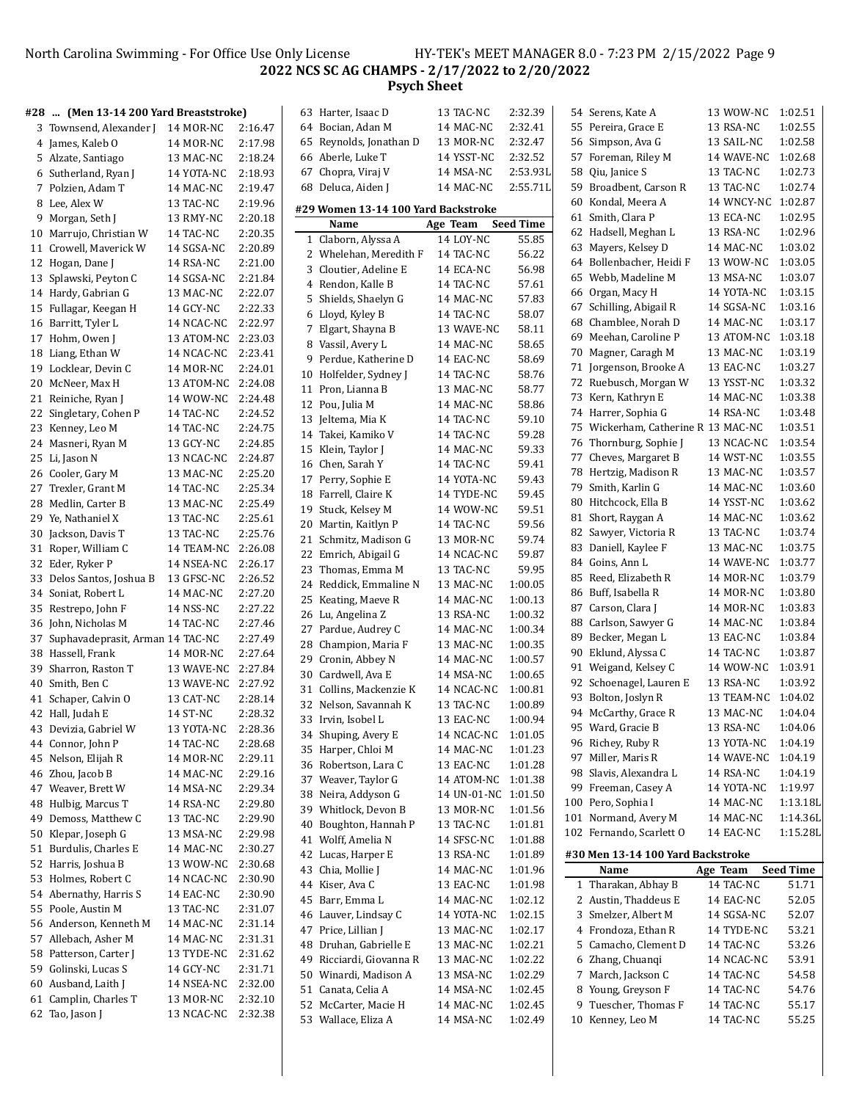# North Carolina Swimming - For Office Use Only License HY-TEK's MEET MANAGER 8.0 - 7:23 PM 2/15/2022 Page 9 **NCS SC AG CHAMPS - 2/17/2022 to 2/20/2022 Psych Sheet**

| #28  (Men 13-14 200 Yard Breaststroke) |                    |         |    | 63 Harter, Isaac D                       | 13 TAC-NC           | 2:32.39          | 54 Serens, Kate A                   | 13 WOW-NC  | 1:02.51          |
|----------------------------------------|--------------------|---------|----|------------------------------------------|---------------------|------------------|-------------------------------------|------------|------------------|
| 3 Townsend, Alexander J 14 MOR-NC      |                    | 2:16.47 |    | 64 Bocian, Adan M                        | 14 MAC-NC           | 2:32.41          | 55 Pereira, Grace E                 | 13 RSA-NC  | 1:02.55          |
| 4 James, Kaleb O                       | 14 MOR-NC          | 2:17.98 |    | 65 Reynolds, Jonathan D                  | 13 MOR-NC           | 2:32.47          | 56 Simpson, Ava G                   | 13 SAIL-NC | 1:02.58          |
| 5 Alzate, Santiago                     | 13 MAC-NC          | 2:18.24 |    | 66 Aberle, Luke T                        | 14 YSST-NC          | 2:32.52          | 57 Foreman, Riley M                 | 14 WAVE-NC | 1:02.68          |
| 6 Sutherland, Ryan J                   | 14 YOTA-NC         | 2:18.93 |    | 67 Chopra, Viraj V                       | 14 MSA-NC           | 2:53.93L         | 58 Qiu, Janice S                    | 13 TAC-NC  | 1:02.73          |
| 7 Polzien, Adam T                      | 14 MAC-NC          | 2:19.47 |    | 68 Deluca, Aiden J                       | 14 MAC-NC           | 2:55.71L         | 59 Broadbent, Carson R              | 13 TAC-NC  | 1:02.74          |
| 8 Lee, Alex W                          | 13 TAC-NC          | 2:19.96 |    |                                          |                     |                  | 60 Kondal, Meera A                  | 14 WNCY-NC | 1:02.87          |
| 9 Morgan, Seth J                       | 13 RMY-NC          | 2:20.18 |    | #29 Women 13-14 100 Yard Backstroke      |                     |                  | 61 Smith, Clara P                   | 13 ECA-NC  | 1:02.95          |
| 10 Marrujo, Christian W                | 14 TAC-NC          | 2:20.35 |    | Name                                     | Age Team            | <b>Seed Time</b> | 62 Hadsell, Meghan L                | 13 RSA-NC  | 1:02.96          |
| 11 Crowell, Maverick W                 | 14 SGSA-NC         | 2:20.89 |    | 1 Claborn, Alyssa A                      | 14 LOY-NC           | 55.85            | 63 Mayers, Kelsey D                 | 14 MAC-NC  | 1:03.02          |
| 12 Hogan, Dane J                       | 14 RSA-NC          | 2:21.00 |    | 2 Whelehan, Meredith F                   | 14 TAC-NC           | 56.22            | 64 Bollenbacher, Heidi F            | 13 WOW-NC  | 1:03.05          |
|                                        |                    |         |    | 3 Cloutier, Adeline E                    | 14 ECA-NC           | 56.98            | 65 Webb, Madeline M                 | 13 MSA-NC  | 1:03.07          |
| 13 Splawski, Peyton C                  | 14 SGSA-NC         | 2:21.84 |    | 4 Rendon, Kalle B                        | 14 TAC-NC           | 57.61            |                                     |            |                  |
| 14 Hardy, Gabrian G                    | 13 MAC-NC          | 2:22.07 |    | 5 Shields, Shaelyn G                     | 14 MAC-NC           | 57.83            | 66 Organ, Macy H                    | 14 YOTA-NC | 1:03.15          |
| 15 Fullagar, Keegan H                  | 14 GCY-NC          | 2:22.33 |    | 6 Lloyd, Kyley B                         | 14 TAC-NC           | 58.07            | 67 Schilling, Abigail R             | 14 SGSA-NC | 1:03.16          |
| 16 Barritt, Tyler L                    | 14 NCAC-NC         | 2:22.97 |    | 7 Elgart, Shayna B                       | 13 WAVE-NC          | 58.11            | 68 Chamblee, Norah D                | 14 MAC-NC  | 1:03.17          |
| 17 Hohm, Owen J                        | 13 ATOM-NC 2:23.03 |         |    | 8 Vassil, Avery L                        | 14 MAC-NC           | 58.65            | 69 Meehan, Caroline P               | 13 ATOM-NC | 1:03.18          |
| 18 Liang, Ethan W                      | 14 NCAC-NC         | 2:23.41 |    | 9 Perdue, Katherine D                    | 14 EAC-NC           | 58.69            | 70 Magner, Caragh M                 | 13 MAC-NC  | 1:03.19          |
| 19 Locklear, Devin C                   | 14 MOR-NC          | 2:24.01 |    | 10 Holfelder, Sydney J                   | 14 TAC-NC           | 58.76            | 71 Jorgenson, Brooke A              | 13 EAC-NC  | 1:03.27          |
| 20 McNeer, Max H                       | 13 ATOM-NC 2:24.08 |         |    | 11 Pron, Lianna B                        | 13 MAC-NC           | 58.77            | 72 Ruebusch, Morgan W               | 13 YSST-NC | 1:03.32          |
| 21 Reiniche, Ryan J                    | 14 WOW-NC          | 2:24.48 |    | 12 Pou, Julia M                          | 14 MAC-NC           | 58.86            | 73 Kern, Kathryn E                  | 14 MAC-NC  | 1:03.38          |
| 22 Singletary, Cohen P                 | 14 TAC-NC          | 2:24.52 |    | 13 Jeltema, Mia K                        | 14 TAC-NC           | 59.10            | 74 Harrer, Sophia G                 | 14 RSA-NC  | 1:03.48          |
| 23 Kenney, Leo M                       | 14 TAC-NC          | 2:24.75 |    |                                          | 14 TAC-NC           | 59.28            | 75 Wickerham, Catherine R 13 MAC-NC |            | 1:03.51          |
| 24 Masneri, Ryan M                     | 13 GCY-NC          | 2:24.85 |    | 14 Takei, Kamiko V<br>15 Klein, Taylor J |                     |                  | 76 Thornburg, Sophie J              | 13 NCAC-NC | 1:03.54          |
| 25 Li, Jason N                         | 13 NCAC-NC         | 2:24.87 |    |                                          | 14 MAC-NC           | 59.33            | 77 Cheves, Margaret B               | 14 WST-NC  | 1:03.55          |
| 26 Cooler, Gary M                      | 13 MAC-NC          | 2:25.20 |    | 16 Chen, Sarah Y                         | 14 TAC-NC           | 59.41            | 78 Hertzig, Madison R               | 13 MAC-NC  | 1:03.57          |
| 27 Trexler, Grant M                    | 14 TAC-NC          | 2:25.34 |    | 17 Perry, Sophie E                       | 14 YOTA-NC          | 59.43            | 79 Smith, Karlin G                  | 14 MAC-NC  | 1:03.60          |
| 28 Medlin, Carter B                    | 13 MAC-NC          | 2:25.49 |    | 18 Farrell, Claire K                     | 14 TYDE-NC          | 59.45            | 80 Hitchcock, Ella B                | 14 YSST-NC | 1:03.62          |
| 29 Ye, Nathaniel X                     | 13 TAC-NC          | 2:25.61 |    | 19 Stuck, Kelsey M                       | 14 WOW-NC           | 59.51            | 81 Short, Raygan A                  | 14 MAC-NC  | 1:03.62          |
| 30 Jackson, Davis T                    | 13 TAC-NC          | 2:25.76 |    | 20 Martin, Kaitlyn P                     | 14 TAC-NC           | 59.56            | 82 Sawyer, Victoria R               | 13 TAC-NC  | 1:03.74          |
| 31 Roper, William C                    | 14 TEAM-NC         | 2:26.08 |    | 21 Schmitz, Madison G                    | 13 MOR-NC           | 59.74            | 83 Daniell, Kaylee F                | 13 MAC-NC  | 1:03.75          |
| 32 Eder, Ryker P                       |                    | 2:26.17 |    | 22 Emrich, Abigail G                     | 14 NCAC-NC          | 59.87            | 84 Goins, Ann L                     | 14 WAVE-NC | 1:03.77          |
|                                        | 14 NSEA-NC         |         |    | 23 Thomas, Emma M                        | 13 TAC-NC           | 59.95            | 85 Reed, Elizabeth R                | 14 MOR-NC  | 1:03.79          |
| 33 Delos Santos, Joshua B              | 13 GFSC-NC         | 2:26.52 |    | 24 Reddick, Emmaline N                   | 13 MAC-NC           | 1:00.05          |                                     |            | 1:03.80          |
| 34 Soniat, Robert L                    | 14 MAC-NC          | 2:27.20 |    | 25 Keating, Maeve R                      | 14 MAC-NC           | 1:00.13          | 86 Buff, Isabella R                 | 14 MOR-NC  |                  |
| 35 Restrepo, John F                    | 14 NSS-NC          | 2:27.22 |    | 26 Lu, Angelina Z                        | 13 RSA-NC           | 1:00.32          | 87 Carson, Clara J                  | 14 MOR-NC  | 1:03.83          |
| 36 John, Nicholas M                    | 14 TAC-NC          | 2:27.46 |    | 27 Pardue, Audrey C                      | 14 MAC-NC           | 1:00.34          | 88 Carlson, Sawyer G                | 14 MAC-NC  | 1:03.84          |
| 37 Suphavadeprasit, Arman 14 TAC-NC    |                    | 2:27.49 | 28 | Champion, Maria F                        | 13 MAC-NC           | 1:00.35          | 89 Becker, Megan L                  | 13 EAC-NC  | 1:03.84          |
| 38 Hassell, Frank                      | 14 MOR-NC          | 2:27.64 |    | 29 Cronin, Abbey N                       | 14 MAC-NC           | 1:00.57          | 90 Eklund, Alyssa C                 | 14 TAC-NC  | 1:03.87          |
| 39 Sharron, Raston T                   | 13 WAVE-NC 2:27.84 |         |    | 30 Cardwell, Ava E                       | 14 MSA-NC           | 1:00.65          | 91 Weigand, Kelsey C                | 14 WOW-NC  | 1:03.91          |
| 40 Smith, Ben C                        | 13 WAVE-NC 2:27.92 |         |    | 31 Collins, Mackenzie K                  | 14 NCAC-NC          | 1:00.81          | 92 Schoenagel, Lauren E             | 13 RSA-NC  | 1:03.92          |
| 41 Schaper, Calvin O                   | 13 CAT-NC          | 2:28.14 |    | 32 Nelson, Savannah K                    | 13 TAC-NC           | 1:00.89          | 93 Bolton, Joslyn R                 | 13 TEAM-NC | 1:04.02          |
| 42 Hall, Judah E                       | 14 ST-NC           | 2:28.32 |    | 33 Irvin, Isobel L                       | 13 EAC-NC           | 1:00.94          | 94 McCarthy, Grace R                | 13 MAC-NC  | 1:04.04          |
| 43 Devizia, Gabriel W                  | 13 YOTA-NC         | 2:28.36 |    | 34 Shuping, Avery E                      | 14 NCAC-NC          | 1:01.05          | 95 Ward, Gracie B                   | 13 RSA-NC  | 1:04.06          |
| 44 Connor, John P                      | 14 TAC-NC          | 2:28.68 |    | 35 Harper, Chloi M                       | 14 MAC-NC           | 1:01.23          | 96 Richey, Ruby R                   | 13 YOTA-NC | 1:04.19          |
| 45 Nelson, Elijah R                    | 14 MOR-NC          | 2:29.11 |    | 36 Robertson, Lara C                     | 13 EAC-NC           | 1:01.28          | 97 Miller, Maris R                  | 14 WAVE-NC | 1:04.19          |
| 46 Zhou, Jacob B                       | 14 MAC-NC          | 2:29.16 |    | 37 Weaver, Taylor G                      | 14 ATOM-NC 1:01.38  |                  | 98 Slavis, Alexandra L              | 14 RSA-NC  | 1:04.19          |
| 47 Weaver, Brett W                     | 14 MSA-NC          | 2:29.34 |    | 38 Neira, Addyson G                      | 14 UN-01-NC 1:01.50 |                  | 99 Freeman, Casey A                 | 14 YOTA-NC | 1:19.97          |
| 48 Hulbig, Marcus T                    | 14 RSA-NC          | 2:29.80 |    |                                          |                     |                  | 100 Pero, Sophia I                  | 14 MAC-NC  | 1:13.18L         |
| 49 Demoss, Matthew C                   | 13 TAC-NC          | 2:29.90 |    | 39 Whitlock, Devon B                     | 13 MOR-NC           | 1:01.56          | 101 Normand, Avery M                | 14 MAC-NC  | 1:14.36L         |
| 50 Klepar, Joseph G                    | 13 MSA-NC          | 2:29.98 |    | 40 Boughton, Hannah P                    | 13 TAC-NC           | 1:01.81          | 102 Fernando, Scarlett O            | 14 EAC-NC  | 1:15.28L         |
| 51 Burdulis, Charles E                 | 14 MAC-NC          | 2:30.27 |    | 41 Wolff, Amelia N                       | 14 SFSC-NC          | 1:01.88          |                                     |            |                  |
| 52 Harris, Joshua B                    | 13 WOW-NC          | 2:30.68 |    | 42 Lucas, Harper E                       | 13 RSA-NC           | 1:01.89          | #30 Men 13-14 100 Yard Backstroke   |            |                  |
| 53 Holmes, Robert C                    | 14 NCAC-NC         | 2:30.90 |    | 43 Chia, Mollie J                        | 14 MAC-NC           | 1:01.96          | Name                                | Age Team   | <b>Seed Time</b> |
| 54 Abernathy, Harris S                 | 14 EAC-NC          | 2:30.90 |    | 44 Kiser, Ava C                          | 13 EAC-NC           | 1:01.98          | 1 Tharakan, Abhay B                 | 14 TAC-NC  | 51.71            |
| 55 Poole, Austin M                     | 13 TAC-NC          | 2:31.07 |    | 45 Barr, Emma L                          | 14 MAC-NC           | 1:02.12          | 2 Austin, Thaddeus E                | 14 EAC-NC  | 52.05            |
|                                        |                    |         |    | 46 Lauver, Lindsay C                     | 14 YOTA-NC          | 1:02.15          | 3 Smelzer, Albert M                 | 14 SGSA-NC | 52.07            |
| 56 Anderson, Kenneth M                 | 14 MAC-NC          | 2:31.14 |    | 47 Price, Lillian J                      | 13 MAC-NC           | 1:02.17          | 4 Frondoza, Ethan R                 | 14 TYDE-NC | 53.21            |
| 57 Allebach, Asher M                   | 14 MAC-NC          | 2:31.31 |    | 48 Druhan, Gabrielle E                   | 13 MAC-NC           | 1:02.21          | 5 Camacho, Clement D                | 14 TAC-NC  | 53.26            |
| 58 Patterson, Carter J                 | 13 TYDE-NC         | 2:31.62 |    | 49 Ricciardi, Giovanna R                 | 13 MAC-NC           | 1:02.22          | 6 Zhang, Chuanqi                    | 14 NCAC-NC | 53.91            |
| 59 Golinski, Lucas S                   | 14 GCY-NC          | 2:31.71 |    | 50 Winardi, Madison A                    | 13 MSA-NC           | 1:02.29          | 7 March, Jackson C                  | 14 TAC-NC  | 54.58            |
| 60 Ausband, Laith J                    | 14 NSEA-NC         | 2:32.00 |    | 51 Canata, Celia A                       | 14 MSA-NC           | 1:02.45          | 8 Young, Greyson F                  | 14 TAC-NC  | 54.76            |
| 61 Camplin, Charles T                  | 13 MOR-NC          | 2:32.10 |    | 52 McCarter, Macie H                     | 14 MAC-NC           | 1:02.45          | 9 Tuescher, Thomas F                | 14 TAC-NC  | 55.17            |
| 62 Tao, Jason J                        | 13 NCAC-NC 2:32.38 |         |    | 53 Wallace, Eliza A                      | 14 MSA-NC           | 1:02.49          | 10 Kenney, Leo M                    | 14 TAC-NC  | 55.25            |
|                                        |                    |         |    |                                          |                     |                  |                                     |            |                  |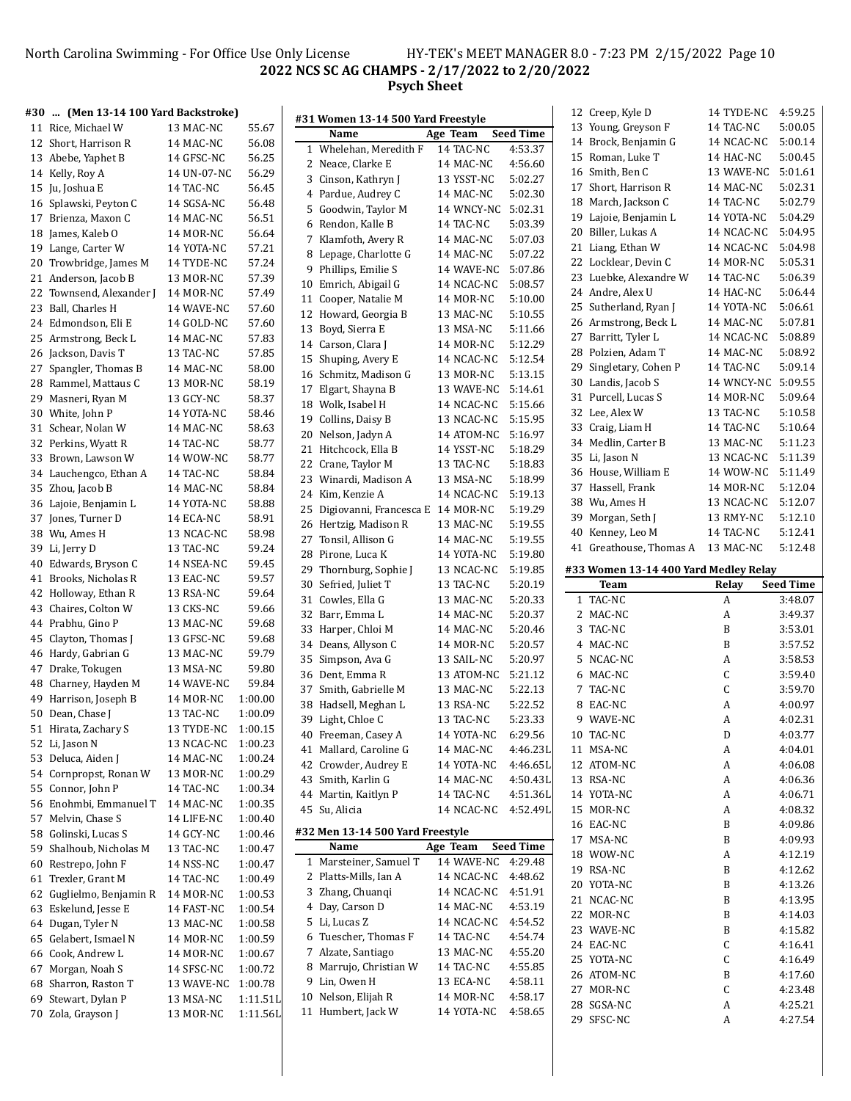### North Carolina Swimming - For Office Use Only License HY-TEK's MEET MANAGER 8.0 - 7:23 PM 2/15/2022 Page 10 **NCS SC AG CHAMPS - 2/17/2022 to 2/20/2022 Psych Sheet**

|    | #30  (Men 13-14 100 Yard Backstroke) |             |          | #31 Women 13-14 500 Yard Freestyle   |                    |                             | 12 Creep, Kyle D                      | 14 TYDE-NC | 4:59.25          |
|----|--------------------------------------|-------------|----------|--------------------------------------|--------------------|-----------------------------|---------------------------------------|------------|------------------|
|    | 11 Rice, Michael W                   | 13 MAC-NC   | 55.67    | Name                                 |                    |                             | 13 Young, Greyson F                   | 14 TAC-NC  | 5:00.05          |
|    | 12 Short, Harrison R                 | 14 MAC-NC   | 56.08    | 1 Whelehan, Meredith F               | Age Team           | <b>Seed Time</b><br>4:53.37 | 14 Brock, Benjamin G                  | 14 NCAC-NC | 5:00.14          |
|    | 13 Abebe, Yaphet B                   | 14 GFSC-NC  | 56.25    |                                      | 14 TAC-NC          |                             | 15 Roman, Luke T                      | 14 HAC-NC  | 5:00.45          |
|    | 14 Kelly, Roy A                      | 14 UN-07-NC | 56.29    | 2 Neace, Clarke E                    | 14 MAC-NC          | 4:56.60                     | 16 Smith, Ben C                       | 13 WAVE-NC | 5:01.61          |
|    | 15 Ju, Joshua E                      | 14 TAC-NC   | 56.45    | 3 Cinson, Kathryn J                  | 13 YSST-NC         | 5:02.27                     | 17 Short, Harrison R                  | 14 MAC-NC  | 5:02.31          |
|    | 16 Splawski, Peyton C                | 14 SGSA-NC  | 56.48    | 4 Pardue, Audrey C                   | 14 MAC-NC          | 5:02.30                     | 18 March, Jackson C                   | 14 TAC-NC  | 5:02.79          |
|    | 17 Brienza, Maxon C                  | 14 MAC-NC   | 56.51    | 5 Goodwin, Taylor M                  | 14 WNCY-NC 5:02.31 |                             | 19 Lajoie, Benjamin L                 | 14 YOTA-NC | 5:04.29          |
| 18 | James, Kaleb O                       | 14 MOR-NC   | 56.64    | 6 Rendon, Kalle B                    | 14 TAC-NC          | 5:03.39                     | 20 Biller, Lukas A                    | 14 NCAC-NC | 5:04.95          |
| 19 | Lange, Carter W                      | 14 YOTA-NC  | 57.21    | 7 Klamfoth, Avery R                  | 14 MAC-NC          | 5:07.03                     | 21 Liang, Ethan W                     | 14 NCAC-NC | 5:04.98          |
| 20 | Trowbridge, James M                  | 14 TYDE-NC  | 57.24    | 8 Lepage, Charlotte G                | 14 MAC-NC          | 5:07.22                     | 22 Locklear, Devin C                  | 14 MOR-NC  | 5:05.31          |
|    | 21 Anderson, Jacob B                 | 13 MOR-NC   | 57.39    | 9 Phillips, Emilie S                 | 14 WAVE-NC         | 5:07.86                     | 23 Luebke, Alexandre W                | 14 TAC-NC  | 5:06.39          |
|    | 22 Townsend, Alexander J             | 14 MOR-NC   | 57.49    | 10 Emrich, Abigail G                 | 14 NCAC-NC         | 5:08.57                     | 24 Andre, Alex U                      | 14 HAC-NC  | 5:06.44          |
|    | 23 Ball, Charles H                   | 14 WAVE-NC  | 57.60    | 11 Cooper, Natalie M                 | 14 MOR-NC          | 5:10.00                     | 25 Sutherland, Ryan J                 | 14 YOTA-NC | 5:06.61          |
|    | 24 Edmondson, Eli E                  | 14 GOLD-NC  | 57.60    | 12 Howard, Georgia B                 | 13 MAC-NC          | 5:10.55                     | 26 Armstrong, Beck L                  | 14 MAC-NC  | 5:07.81          |
| 25 | Armstrong, Beck L                    | 14 MAC-NC   | 57.83    | 13 Boyd, Sierra E                    | 13 MSA-NC          | 5:11.66                     | 27 Barritt, Tyler L                   | 14 NCAC-NC | 5:08.89          |
|    | 26 Jackson, Davis T                  | 13 TAC-NC   | 57.85    | 14 Carson, Clara J                   | 14 MOR-NC          | 5:12.29                     | 28 Polzien, Adam T                    | 14 MAC-NC  | 5:08.92          |
|    | 27 Spangler, Thomas B                | 14 MAC-NC   | 58.00    | 15 Shuping, Avery E                  | 14 NCAC-NC         | 5:12.54                     | 29 Singletary, Cohen P                | 14 TAC-NC  | 5:09.14          |
|    |                                      |             |          | 16 Schmitz, Madison G                | 13 MOR-NC          | 5:13.15                     | 30 Landis, Jacob S                    | 14 WNCY-NC | 5:09.55          |
|    | 28 Rammel, Mattaus C                 | 13 MOR-NC   | 58.19    | 17 Elgart, Shayna B                  | 13 WAVE-NC 5:14.61 |                             | 31 Purcell, Lucas S                   | 14 MOR-NC  | 5:09.64          |
| 29 | Masneri, Ryan M                      | 13 GCY-NC   | 58.37    | 18 Wolk, Isabel H                    | 14 NCAC-NC         | 5:15.66                     |                                       |            | 5:10.58          |
| 30 | White, John P                        | 14 YOTA-NC  | 58.46    | 19 Collins, Daisy B                  | 13 NCAC-NC         | 5:15.95                     | 32 Lee, Alex W                        | 13 TAC-NC  |                  |
|    | 31 Schear, Nolan W                   | 14 MAC-NC   | 58.63    | 20 Nelson, Jadyn A                   | 14 ATOM-NC 5:16.97 |                             | 33 Craig, Liam H                      | 14 TAC-NC  | 5:10.64          |
|    | 32 Perkins, Wyatt R                  | 14 TAC-NC   | 58.77    | 21 Hitchcock, Ella B                 | 14 YSST-NC         | 5:18.29                     | 34 Medlin, Carter B                   | 13 MAC-NC  | 5:11.23          |
|    | 33 Brown, Lawson W                   | 14 WOW-NC   | 58.77    | 22 Crane, Taylor M                   | 13 TAC-NC          | 5:18.83                     | 35 Li, Jason N                        | 13 NCAC-NC | 5:11.39          |
| 34 | Lauchengco, Ethan A                  | 14 TAC-NC   | 58.84    | 23 Winardi, Madison A                | 13 MSA-NC          | 5:18.99                     | 36 House, William E                   | 14 WOW-NC  | 5:11.49          |
|    | 35 Zhou, Jacob B                     | 14 MAC-NC   | 58.84    | 24 Kim, Kenzie A                     | 14 NCAC-NC         | 5:19.13                     | 37 Hassell, Frank                     | 14 MOR-NC  | 5:12.04          |
|    | 36 Lajoie, Benjamin L                | 14 YOTA-NC  | 58.88    | 25 Digiovanni, Francesca E 14 MOR-NC |                    | 5:19.29                     | 38 Wu, Ames H                         | 13 NCAC-NC | 5:12.07          |
|    | 37 Jones, Turner D                   | 14 ECA-NC   | 58.91    | 26 Hertzig, Madison R                | 13 MAC-NC          | 5:19.55                     | 39 Morgan, Seth J                     | 13 RMY-NC  | 5:12.10          |
|    | 38 Wu, Ames H                        | 13 NCAC-NC  | 58.98    | 27 Tonsil, Allison G                 | 14 MAC-NC          | 5:19.55                     | 40 Kenney, Leo M                      | 14 TAC-NC  | 5:12.41          |
|    | 39 Li, Jerry D                       | 13 TAC-NC   | 59.24    | 28 Pirone, Luca K                    | 14 YOTA-NC         | 5:19.80                     | 41 Greathouse, Thomas A               | 13 MAC-NC  | 5:12.48          |
|    |                                      |             |          |                                      |                    |                             |                                       |            |                  |
| 40 | Edwards, Bryson C                    | 14 NSEA-NC  | 59.45    |                                      |                    |                             |                                       |            |                  |
|    | 41 Brooks, Nicholas R                | 13 EAC-NC   | 59.57    | 29 Thornburg, Sophie J               | 13 NCAC-NC         | 5:19.85                     | #33 Women 13-14 400 Yard Medley Relay |            |                  |
|    | 42 Holloway, Ethan R                 | 13 RSA-NC   | 59.64    | 30 Sefried, Juliet T                 | 13 TAC-NC          | 5:20.19                     | Team                                  | Relay      | <b>Seed Time</b> |
|    | 43 Chaires, Colton W                 | 13 CKS-NC   | 59.66    | 31 Cowles, Ella G                    | 13 MAC-NC          | 5:20.33                     | 1 TAC-NC                              | A          | 3:48.07          |
|    | 44 Prabhu, Gino P                    | 13 MAC-NC   | 59.68    | 32 Barr, Emma L                      | 14 MAC-NC          | 5:20.37                     | 2 MAC-NC                              | А          | 3:49.37          |
|    | 45 Clayton, Thomas J                 | 13 GFSC-NC  | 59.68    | 33 Harper, Chloi M                   | 14 MAC-NC          | 5:20.46                     | 3 TAC-NC                              | B          | 3:53.01          |
|    | 46 Hardy, Gabrian G                  | 13 MAC-NC   | 59.79    | 34 Deans, Allyson C                  | 14 MOR-NC          | 5:20.57                     | 4 MAC-NC                              | B          | 3:57.52          |
|    | 47 Drake, Tokugen                    | 13 MSA-NC   | 59.80    | 35 Simpson, Ava G                    | 13 SAIL-NC         | 5:20.97                     | 5 NCAC-NC                             | A          | 3:58.53          |
|    | 48 Charney, Hayden M                 | 14 WAVE-NC  | 59.84    | 36 Dent, Emma R                      | 13 ATOM-NC         | 5:21.12                     | 6 MAC-NC                              | C          | 3:59.40          |
|    | 49 Harrison, Joseph B                | 14 MOR-NC   | 1:00.00  | 37 Smith, Gabrielle M                | 13 MAC-NC          | 5:22.13                     | 7 TAC-NC                              | C          | 3:59.70          |
|    | 50 Dean, Chase J                     | 13 TAC-NC   | 1:00.09  | 38 Hadsell, Meghan L                 | 13 RSA-NC          | 5:22.52                     | 8 EAC-NC                              | A          | 4:00.97          |
|    |                                      | 13 TYDE-NC  | 1:00.15  | 39 Light, Chloe C                    | 13 TAC-NC          | 5:23.33                     | 9 WAVE-NC                             | A          | 4:02.31          |
|    | 51 Hirata, Zachary S                 |             |          | 40 Freeman, Casey A                  | 14 YOTA-NC         | 6:29.56                     | 10 TAC-NC                             | D          | 4:03.77          |
|    | 52 Li, Jason N                       | 13 NCAC-NC  | 1:00.23  | 41 Mallard, Caroline G               | 14 MAC-NC          | 4:46.23L                    | 11 MSA-NC                             | A          | 4:04.01          |
|    | 53 Deluca, Aiden J                   | 14 MAC-NC   | 1:00.24  | 42 Crowder, Audrey E                 | 14 YOTA-NC         | 4:46.65L                    | 12 ATOM-NC                            | A          | 4:06.08          |
|    | 54 Cornpropst, Ronan W               | 13 MOR-NC   | 1:00.29  | 43 Smith, Karlin G                   | 14 MAC-NC          | 4:50.43L                    | 13 RSA-NC                             | A          | 4:06.36          |
| 55 | Connor, John P                       | 14 TAC-NC   | 1:00.34  | 44 Martin, Kaitlyn P                 | 14 TAC-NC          | 4:51.36L                    | 14 YOTA-NC                            | A          | 4:06.71          |
|    | 56 Enohmbi, Emmanuel T               | 14 MAC-NC   | 1:00.35  | 45 Su, Alicia                        | 14 NCAC-NC         | 4:52.49L                    | 15 MOR-NC                             | A          | 4:08.32          |
|    | 57 Melvin, Chase S                   | 14 LIFE-NC  | 1:00.40  |                                      |                    |                             | 16 EAC-NC                             | B          | 4:09.86          |
|    | 58 Golinski, Lucas S                 | 14 GCY-NC   | 1:00.46  | #32 Men 13-14 500 Yard Freestyle     |                    |                             | 17 MSA-NC                             | B          | 4:09.93          |
| 59 | Shalhoub, Nicholas M                 | 13 TAC-NC   | 1:00.47  | Name                                 | Age Team           | <b>Seed Time</b>            | 18 WOW-NC                             | A          | 4:12.19          |
| 60 | Restrepo, John F                     | 14 NSS-NC   | 1:00.47  | 1 Marsteiner, Samuel T               | 14 WAVE-NC 4:29.48 |                             | 19 RSA-NC                             | B          | 4:12.62          |
|    | 61 Trexler, Grant M                  | 14 TAC-NC   | 1:00.49  | 2 Platts-Mills, Ian A                | 14 NCAC-NC         | 4:48.62                     | 20 YOTA-NC                            | B          | 4:13.26          |
|    | 62 Guglielmo, Benjamin R             | 14 MOR-NC   | 1:00.53  | 3 Zhang, Chuanqi                     | 14 NCAC-NC         | 4:51.91                     | 21 NCAC-NC                            | B          | 4:13.95          |
|    | 63 Eskelund, Jesse E                 | 14 FAST-NC  | 1:00.54  | 4 Day, Carson D                      | 14 MAC-NC          | 4:53.19                     | 22 MOR-NC                             | B          | 4:14.03          |
|    | 64 Dugan, Tyler N                    | 13 MAC-NC   | 1:00.58  | 5 Li, Lucas Z                        | 14 NCAC-NC         | 4:54.52                     | 23 WAVE-NC                            | B          | 4:15.82          |
| 65 | Gelabert, Ismael N                   | 14 MOR-NC   | 1:00.59  | 6 Tuescher, Thomas F                 | 14 TAC-NC          | 4:54.74                     | 24 EAC-NC                             | C          | 4:16.41          |
| 66 | Cook, Andrew L                       | 14 MOR-NC   | 1:00.67  | 7 Alzate, Santiago                   | 13 MAC-NC          | 4:55.20                     | 25 YOTA-NC                            | C          | 4:16.49          |
|    | 67 Morgan, Noah S                    | 14 SFSC-NC  | 1:00.72  | 8 Marrujo, Christian W               | 14 TAC-NC          | 4:55.85                     | 26 ATOM-NC                            | B          | 4:17.60          |
|    | 68 Sharron, Raston T                 | 13 WAVE-NC  | 1:00.78  | 9 Lin, Owen H                        | 13 ECA-NC          | 4:58.11                     | 27 MOR-NC                             | C          | 4:23.48          |
| 69 | Stewart, Dylan P                     | 13 MSA-NC   | 1:11.51L | 10 Nelson, Elijah R                  | 14 MOR-NC          | 4:58.17                     | 28 SGSA-NC                            | A          | 4:25.21          |
|    | 70 Zola, Grayson J                   | 13 MOR-NC   | 1:11.56L | 11 Humbert, Jack W                   | 14 YOTA-NC         | 4:58.65                     | 29 SFSC-NC                            | A          | 4:27.54          |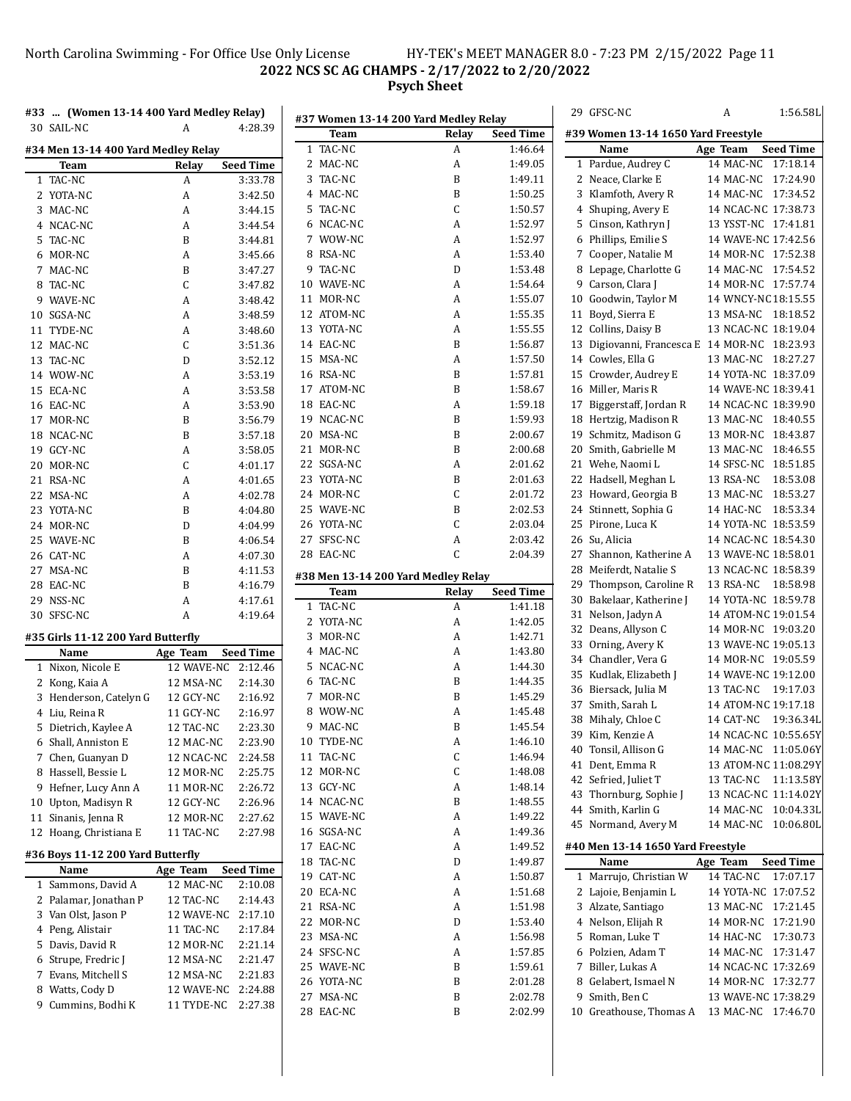# North Carolina Swimming - For Office Use Only License HY-TEK's MEET MANAGER 8.0 - 7:23 PM 2/15/2022 Page 11 **NCS SC AG CHAMPS - 2/17/2022 to 2/20/2022 Psych Sheet**

| #33  (Women 13-14 400 Yard Medley Relay) |                    |                  | #37 Women 13-14 200 Yard Medley Relay |              |                  |    | 29 GFSC-NC                                    | A                    | 1:56.58L         |
|------------------------------------------|--------------------|------------------|---------------------------------------|--------------|------------------|----|-----------------------------------------------|----------------------|------------------|
| 30 SAIL-NC                               | A                  | 4:28.39          | Team                                  | Relay        | <b>Seed Time</b> |    | #39 Women 13-14 1650 Yard Freestyle           |                      |                  |
| #34 Men 13-14 400 Yard Medley Relay      |                    |                  | 1 TAC-NC                              | A            | 1:46.64          |    | Name                                          | Age Team             | <b>Seed Time</b> |
| Team                                     | Relay              | <b>Seed Time</b> | 2 MAC-NC                              | A            | 1:49.05          |    | 1 Pardue, Audrey C                            | 14 MAC-NC 17:18.14   |                  |
| 1 TAC-NC                                 | A                  | 3:33.78          | 3 TAC-NC                              | B            | 1:49.11          |    | 2 Neace, Clarke E                             | 14 MAC-NC 17:24.90   |                  |
| 2 YOTA-NC                                | A                  | 3:42.50          | 4 MAC-NC                              | B            | 1:50.25          |    | 3 Klamfoth, Avery R                           | 14 MAC-NC 17:34.52   |                  |
| 3 MAC-NC                                 | A                  | 3:44.15          | 5 TAC-NC                              | $\mathsf C$  | 1:50.57          |    | 4 Shuping, Avery E                            | 14 NCAC-NC 17:38.73  |                  |
| 4 NCAC-NC                                | А                  | 3:44.54          | 6 NCAC-NC                             | A            | 1:52.97          |    | 5 Cinson, Kathryn J                           | 13 YSST-NC 17:41.81  |                  |
| 5 TAC-NC                                 | B                  | 3:44.81          | 7 WOW-NC                              | A            | 1:52.97          |    | 6 Phillips, Emilie S                          | 14 WAVE-NC 17:42.56  |                  |
| 6 MOR-NC                                 | A                  | 3:45.66          | 8 RSA-NC                              | A            | 1:53.40          |    | 7 Cooper, Natalie M                           | 14 MOR-NC 17:52.38   |                  |
| 7 MAC-NC                                 | B                  | 3:47.27          | 9 TAC-NC                              | D            | 1:53.48          |    | 8 Lepage, Charlotte G                         | 14 MAC-NC 17:54.52   |                  |
| 8 TAC-NC                                 | C                  | 3:47.82          | 10 WAVE-NC                            | A            | 1:54.64          |    | 9 Carson, Clara J                             | 14 MOR-NC 17:57.74   |                  |
| 9 WAVE-NC                                | А                  | 3:48.42          | 11 MOR-NC                             | A            | 1:55.07          |    | 10 Goodwin, Taylor M                          | 14 WNCY-NC 18:15.55  |                  |
| 10 SGSA-NC                               | А                  | 3:48.59          | 12 ATOM-NC                            | A            | 1:55.35          |    | 11 Boyd, Sierra E                             | 13 MSA-NC 18:18.52   |                  |
| 11 TYDE-NC                               | A                  | 3:48.60          | 13 YOTA-NC                            | A            | 1:55.55          |    | 12 Collins, Daisy B                           | 13 NCAC-NC 18:19.04  |                  |
| 12 MAC-NC                                | C                  | 3:51.36          | 14 EAC-NC                             | B            | 1:56.87          |    | 13 Digiovanni, Francesca E 14 MOR-NC 18:23.93 |                      |                  |
| 13 TAC-NC                                | D                  | 3:52.12          | 15 MSA-NC                             | A            | 1:57.50          |    | 14 Cowles, Ella G                             | 13 MAC-NC 18:27.27   |                  |
| 14 WOW-NC                                | А                  | 3:53.19          | 16 RSA-NC                             | B            | 1:57.81          |    | 15 Crowder, Audrey E                          | 14 YOTA-NC 18:37.09  |                  |
| 15 ECA-NC                                | A                  | 3:53.58          | 17 ATOM-NC                            | B            | 1:58.67          |    | 16 Miller, Maris R                            | 14 WAVE-NC 18:39.41  |                  |
| 16 EAC-NC                                | A                  | 3:53.90          | 18 EAC-NC                             | A            | 1:59.18          |    | 17 Biggerstaff, Jordan R                      | 14 NCAC-NC 18:39.90  |                  |
| 17 MOR-NC                                | B                  | 3:56.79          | 19 NCAC-NC                            | B            | 1:59.93          |    | 18 Hertzig, Madison R                         | 13 MAC-NC 18:40.55   |                  |
| 18 NCAC-NC                               | B                  | 3:57.18          | 20 MSA-NC                             | B            | 2:00.67          |    | 19 Schmitz, Madison G                         | 13 MOR-NC 18:43.87   |                  |
| 19 GCY-NC                                | А                  | 3:58.05          | 21 MOR-NC                             | B            | 2:00.68          |    | 20 Smith, Gabrielle M                         | 13 MAC-NC 18:46.55   |                  |
| 20 MOR-NC                                | C                  | 4:01.17          | 22 SGSA-NC                            | A            | 2:01.62          |    | 21 Wehe, Naomi L                              | 14 SFSC-NC 18:51.85  |                  |
| 21 RSA-NC                                | А                  | 4:01.65          | 23 YOTA-NC                            | B            | 2:01.63          |    | 22 Hadsell, Meghan L                          | 13 RSA-NC 18:53.08   |                  |
| 22 MSA-NC                                | A                  | 4:02.78          | 24 MOR-NC                             | C            | 2:01.72          |    | 23 Howard, Georgia B                          | 13 MAC-NC 18:53.27   |                  |
| 23 YOTA-NC                               | B                  | 4:04.80          | 25 WAVE-NC                            | B            | 2:02.53          |    | 24 Stinnett, Sophia G                         | 14 HAC-NC 18:53.34   |                  |
| 24 MOR-NC                                | D                  | 4:04.99          | 26 YOTA-NC                            | C            | 2:03.04          |    | 25 Pirone, Luca K                             | 14 YOTA-NC 18:53.59  |                  |
| 25 WAVE-NC                               | B                  | 4:06.54          | 27 SFSC-NC                            | A            | 2:03.42          |    | 26 Su, Alicia                                 | 14 NCAC-NC 18:54.30  |                  |
| 26 CAT-NC                                | A                  | 4:07.30          | 28 EAC-NC                             | $\mathsf{C}$ | 2:04.39          |    | 27 Shannon, Katherine A                       | 13 WAVE-NC 18:58.01  |                  |
| 27 MSA-NC                                | B                  | 4:11.53          | #38 Men 13-14 200 Yard Medley Relay   |              |                  |    | 28 Meiferdt, Natalie S                        | 13 NCAC-NC 18:58.39  |                  |
| 28 EAC-NC                                | B                  | 4:16.79          | <b>Team</b>                           | Relay        | <b>Seed Time</b> | 29 | Thompson, Caroline R                          | 13 RSA-NC 18:58.98   |                  |
| 29 NSS-NC                                | А                  | 4:17.61          | 1 TAC-NC                              | A            | 1:41.18          |    | 30 Bakelaar, Katherine J                      | 14 YOTA-NC 18:59.78  |                  |
| 30 SFSC-NC                               | A                  | 4:19.64          | 2 YOTA-NC                             | A            | 1:42.05          |    | 31 Nelson, Jadyn A                            | 14 ATOM-NC 19:01.54  |                  |
| #35 Girls 11-12 200 Yard Butterfly       |                    |                  | 3 MOR-NC                              | A            | 1:42.71          |    | 32 Deans, Allyson C                           | 14 MOR-NC 19:03.20   |                  |
| Name                                     | Age Team           | <b>Seed Time</b> | 4 MAC-NC                              | A            | 1:43.80          |    | 33 Orning, Avery K                            | 13 WAVE-NC 19:05.13  |                  |
| 1 Nixon, Nicole E                        | 12 WAVE-NC 2:12.46 |                  | 5 NCAC-NC                             | A            | 1:44.30          |    | 34 Chandler, Vera G                           | 14 MOR-NC 19:05.59   |                  |
| 2 Kong, Kaia A                           | 12 MSA-NC          | 2:14.30          | 6 TAC-NC                              | B            | 1:44.35          |    | 35 Kudlak, Elizabeth J                        | 14 WAVE-NC 19:12.00  |                  |
| 3 Henderson, Catelyn G                   | 12 GCY-NC          | 2:16.92          | 7 MOR-NC                              | B            | 1:45.29          |    | 36 Biersack, Julia M                          | 13 TAC-NC 19:17.03   |                  |
| 4 Liu, Reina R                           | 11 GCY-NC          | 2:16.97          | 8 WOW-NC                              | A            | 1:45.48          |    | 37 Smith, Sarah L                             | 14 ATOM-NC 19:17.18  |                  |
| 5 Dietrich, Kaylee A                     | 12 TAC-NC          | 2:23.30          | 9 MAC-NC                              | B            | 1:45.54          |    | 38 Mihaly, Chloe C                            | 14 CAT-NC 19:36.34L  |                  |
| 6 Shall, Anniston E                      | 12 MAC-NC          | 2:23.90          | 10 TYDE-NC                            | A            | 1:46.10          |    | 39 Kim, Kenzie A                              | 14 NCAC-NC 10:55.65Y |                  |
| 7 Chen, Guanyan D                        | 12 NCAC-NC         | 2:24.58          | 11 TAC-NC                             | С            | 1:46.94          |    | 40 Tonsil, Allison G                          | 14 MAC-NC 11:05.06Y  |                  |
| 8 Hassell, Bessie L                      | 12 MOR-NC          | 2:25.75          | 12 MOR-NC                             | C            | 1:48.08          |    | 41 Dent, Emma R                               | 13 ATOM-NC 11:08.29Y |                  |
| 9 Hefner, Lucy Ann A                     | 11 MOR-NC          | 2:26.72          | 13 GCY-NC                             | A            | 1:48.14          |    | 42 Sefried, Juliet T                          | 13 TAC-NC 11:13.58Y  |                  |
| 10 Upton, Madisyn R                      | 12 GCY-NC          | 2:26.96          | 14 NCAC-NC                            | B            | 1:48.55          |    | 43 Thornburg, Sophie J                        | 13 NCAC-NC 11:14.02Y |                  |
| 11 Sinanis, Jenna R                      | 12 MOR-NC          | 2:27.62          | 15 WAVE-NC                            | A            | 1:49.22          |    | 44 Smith, Karlin G                            | 14 MAC-NC 10:04.33L  |                  |
| 12 Hoang, Christiana E                   | 11 TAC-NC          | 2:27.98          | 16 SGSA-NC                            | A            | 1:49.36          |    | 45 Normand, Avery M                           | 14 MAC-NC 10:06.80L  |                  |
|                                          |                    |                  | 17 EAC-NC                             | A            | 1:49.52          |    | #40 Men 13-14 1650 Yard Freestyle             |                      |                  |
| #36 Boys 11-12 200 Yard Butterfly        |                    |                  | 18 TAC-NC                             | D            | 1:49.87          |    | Name                                          | Age Team             | <b>Seed Time</b> |
| Name                                     | Age Team           | <b>Seed Time</b> | 19 CAT-NC                             | A            | 1:50.87          |    | 1 Marrujo, Christian W                        | 14 TAC-NC 17:07.17   |                  |
| 1 Sammons, David A                       | 12 MAC-NC          | 2:10.08          | 20 ECA-NC                             | A            | 1:51.68          |    | 2 Lajoie, Benjamin L                          | 14 YOTA-NC 17:07.52  |                  |
| 2 Palamar, Jonathan P                    | 12 TAC-NC          | 2:14.43          | 21 RSA-NC                             | A            | 1:51.98          |    | 3 Alzate, Santiago                            | 13 MAC-NC 17:21.45   |                  |
| 3 Van Olst, Jason P                      | 12 WAVE-NC 2:17.10 |                  | 22 MOR-NC                             | D            | 1:53.40          |    | 4 Nelson, Elijah R                            | 14 MOR-NC 17:21.90   |                  |
| 4 Peng, Alistair                         | 11 TAC-NC          | 2:17.84          | 23 MSA-NC                             | A            | 1:56.98          |    | 5 Roman, Luke T                               | 14 HAC-NC 17:30.73   |                  |
| 5 Davis, David R                         | 12 MOR-NC          | 2:21.14          | 24 SFSC-NC                            | A            | 1:57.85          |    | 6 Polzien, Adam T                             | 14 MAC-NC 17:31.47   |                  |
| 6 Strupe, Fredric J                      | 12 MSA-NC          | 2:21.47          | 25 WAVE-NC                            | B            | 1:59.61          |    | 7 Biller, Lukas A                             | 14 NCAC-NC 17:32.69  |                  |
| 7 Evans, Mitchell S                      | 12 MSA-NC          | 2:21.83          | 26 YOTA-NC                            | B            | 2:01.28          |    | 8 Gelabert, Ismael N                          | 14 MOR-NC 17:32.77   |                  |
| 8 Watts, Cody D                          | 12 WAVE-NC 2:24.88 |                  | 27 MSA-NC                             | B            | 2:02.78          |    | 9 Smith, Ben C                                | 13 WAVE-NC 17:38.29  |                  |
| 9 Cummins, Bodhi K                       | 11 TYDE-NC 2:27.38 |                  | 28 EAC-NC                             | B            | 2:02.99          |    | 10 Greathouse, Thomas A                       | 13 MAC-NC 17:46.70   |                  |
|                                          |                    |                  |                                       |              |                  |    |                                               |                      |                  |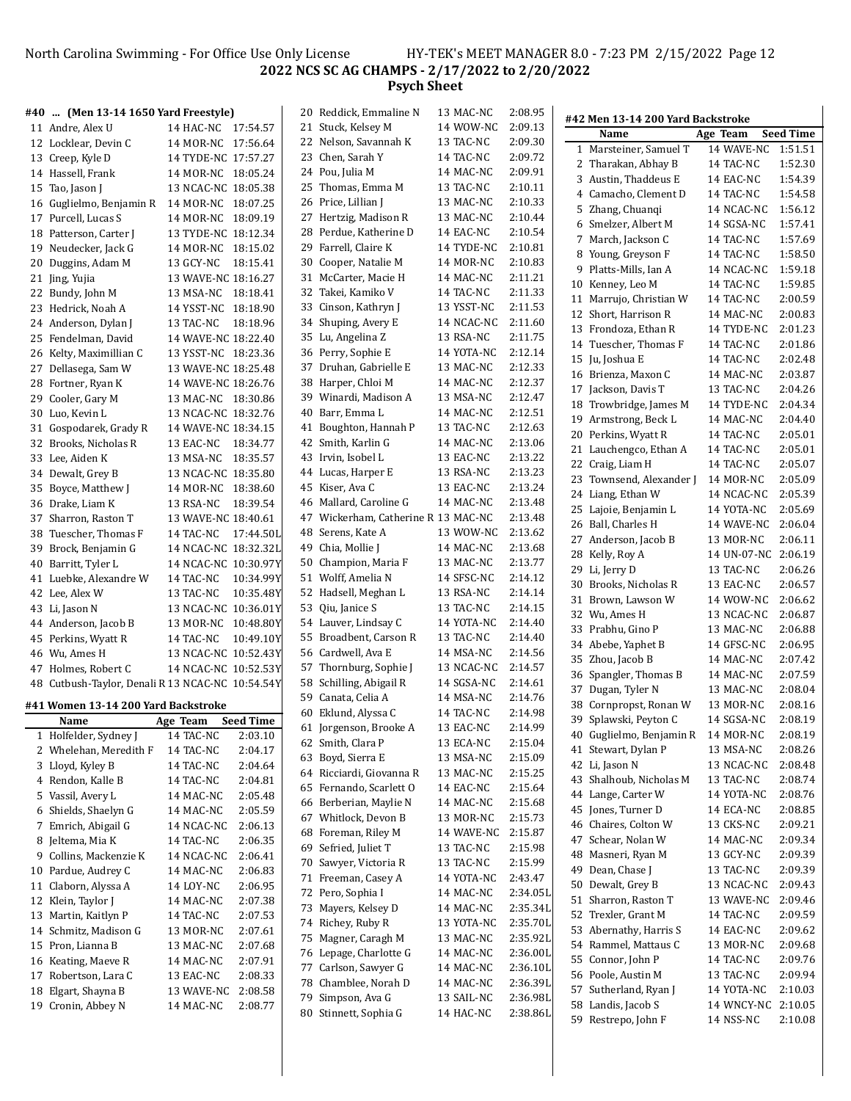#### North Carolina Swimming - For Office Use Only License HY-TEK's MEET MANAGER 8.0 - 7:23 PM 2/15/2022 Page 12 **NCS SC AG CHAMPS - 2/17/2022 to 2/20/2022 Psych Sheet**

### **#40 ... (Men 13-14 1650 Yard Freestyle)**

|    | $\cdots$ ( $\cdots$ $\cdots$        |                     |           |
|----|-------------------------------------|---------------------|-----------|
|    | 11 Andre, Alex U                    | 14 HAC-NC           | 17:54.57  |
| 12 | Locklear, Devin C                   | 14 MOR-NC           | 17:56.64  |
| 13 | Creep, Kyle D                       | 14 TYDE-NC          | 17:57.27  |
| 14 | Hassell, Frank                      | 14 MOR-NC           | 18:05.24  |
| 15 | Tao, Jason J                        | 13 NCAC-NC          | 18:05.38  |
| 16 | Guglielmo, Benjamin R               | 14 MOR-NC           | 18:07.25  |
| 17 | Purcell, Lucas S                    | 14 MOR-NC           | 18:09.19  |
| 18 | Patterson, Carter J                 | 13 TYDE-NC          | 18:12.34  |
| 19 | Neudecker, Jack G                   | 14 MOR-NC           | 18:15.02  |
| 20 | Duggins, Adam M                     | 13 GCY-NC           | 18:15.41  |
| 21 | Jing, Yujia                         | 13 WAVE-NC 18:16.27 |           |
| 22 | Bundy, John M                       | 13 MSA-NC           | 18:18.41  |
| 23 | Hedrick, Noah A                     | 14 YSST-NC          | 18:18.90  |
| 24 | Anderson, Dylan J                   | 13 TAC-NC           | 18:18.96  |
| 25 | Fendelman, David                    | 14 WAVE-NC 18:22.40 |           |
| 26 | Kelty, Maximillian C                | 13 YSST-NC          | 18:23.36  |
| 27 | Dellasega, Sam W                    | 13 WAVE-NC          | 18:25.48  |
| 28 | Fortner, Ryan K                     | 14 WAVE-NC 18:26.76 |           |
| 29 | Cooler, Gary M                      | 13 MAC-NC           | 18:30.86  |
| 30 | Luo, Kevin L                        | 13 NCAC-NC          | 18:32.76  |
| 31 | Gospodarek, Grady R                 | 14 WAVE-NC 18:34.15 |           |
| 32 | Brooks, Nicholas R                  | 13 EAC-NC           | 18:34.77  |
| 33 | Lee, Aiden K                        | 13 MSA-NC           | 18:35.57  |
| 34 | Dewalt, Grey B                      | 13 NCAC-NC          | 18:35.80  |
| 35 | Boyce, Matthew J                    | 14 MOR-NC           | 18:38.60  |
| 36 | Drake, Liam K                       | 13 RSA-NC           | 18:39.54  |
| 37 | Sharron, Raston T                   | 13 WAVE-NC 18:40.61 |           |
| 38 | Tuescher, Thomas F                  | 14 TAC-NC           | 17:44.50L |
| 39 | Brock, Benjamin G                   | 14 NCAC-NC          | 18:32.32L |
| 40 | Barritt, Tyler L                    | 14 NCAC-NC          | 10:30.97Y |
| 41 | Luebke, Alexandre W                 | 14 TAC-NC           | 10:34.99Y |
| 42 | Lee, Alex W                         | 13 TAC-NC           | 10:35.48Y |
| 43 | Li, Jason N                         | 13 NCAC-NC          | 10:36.01Y |
| 44 | Anderson, Jacob B                   | 13 MOR-NC           | 10:48.80Y |
| 45 | Perkins, Wyatt R                    | 14 TAC-NC           | 10:49.10Y |
| 46 | Wu, Ames H                          | 13 NCAC-NC          | 10:52.43Y |
| 47 | Holmes, Robert C                    | 14 NCAC-NC          | 10:52.53Y |
| 48 | Cutbush-Taylor, Denali R 13 NCAC-NC |                     | 10:54.54Y |

#### **#41 Women 13-14 200 Yard Backstroke**

|              | Name                   | Age Team         | <b>Seed Time</b> |
|--------------|------------------------|------------------|------------------|
| $\mathbf{1}$ | Holfelder, Sydney J    | 14 TAC-NC        | 2:03.10          |
|              | 2 Whelehan, Meredith F | 14 TAC-NC        | 2:04.17          |
| 3            | Lloyd, Kyley B         | 14 TAC-NC        | 2:04.64          |
| 4            | Rendon, Kalle B        | 14 TAC-NC        | 2:04.81          |
|              | 5 Vassil, Avery L      | 14 MAC-NC        | 2:05.48          |
| 6            | Shields, Shaelyn G     | 14 MAC-NC        | 2:05.59          |
| 7            | Emrich, Abigail G      | 14 NCAC-NC       | 2:06.13          |
| 8            | Jeltema, Mia K         | 14 TAC-NC        | 2:06.35          |
| 9            | Collins, Mackenzie K   | 14 NCAC-NC       | 2:06.41          |
| 10           | Pardue, Audrey C       | 14 MAC-NC        | 2:06.83          |
| 11           | Claborn, Alyssa A      | <b>14 LOY-NC</b> | 2:06.95          |
| 12           | Klein, Taylor J        | 14 MAC-NC        | 2:07.38          |
| 13           | Martin, Kaitlyn P      | 14 TAC-NC        | 2:07.53          |
| 14           | Schmitz, Madison G     | 13 MOR-NC        | 2:07.61          |
| 15           | Pron, Lianna B         | 13 MAC-NC        | 2:07.68          |
| 16           | Keating, Maeve R       | 14 MAC-NC        | 2:07.91          |
| 17           | Robertson, Lara C      | 13 EAC-NC        | 2:08.33          |
| 18           | Elgart, Shayna B       | 13 WAVE-NC       | 2:08.58          |
| 19           | Cronin, Abbey N        | 14 MAC-NC        | 2:08.77          |

|    | 20 Reddick, Emmaline N           | 13 MAC-NC  | 2:08.95  |
|----|----------------------------------|------------|----------|
| 21 | Stuck, Kelsey M                  | 14 WOW-NC  | 2:09.13  |
|    | 22 Nelson, Savannah K            | 13 TAC-NC  | 2:09.30  |
|    | 23 Chen, Sarah Y                 | 14 TAC-NC  | 2:09.72  |
|    | 24 Pou, Julia M                  | 14 MAC-NC  | 2:09.91  |
| 25 | Thomas, Emma M                   | 13 TAC-NC  | 2:10.11  |
| 26 | Price, Lillian J                 | 13 MAC-NC  | 2:10.33  |
| 27 | Hertzig, Madison R               | 13 MAC-NC  | 2:10.44  |
| 28 | Perdue, Katherine D              | 14 EAC-NC  | 2:10.54  |
|    |                                  | 14 TYDE-NC | 2:10.81  |
| 29 | Farrell, Claire K                |            |          |
| 30 | Cooper, Natalie M                | 14 MOR-NC  | 2:10.83  |
| 31 | McCarter, Macie H                | 14 MAC-NC  | 2:11.21  |
|    | 32 Takei, Kamiko V               | 14 TAC-NC  | 2:11.33  |
| 33 | Cinson, Kathryn J                | 13 YSST-NC | 2:11.53  |
| 34 | Shuping, Avery E                 | 14 NCAC-NC | 2:11.60  |
| 35 | Lu, Angelina Z                   | 13 RSA-NC  | 2:11.75  |
| 36 | Perry, Sophie E                  | 14 YOTA-NC | 2:12.14  |
| 37 | Druhan, Gabrielle E              | 13 MAC-NC  | 2:12.33  |
| 38 | Harper, Chloi M                  | 14 MAC-NC  | 2:12.37  |
| 39 | Winardi, Madison A               | 13 MSA-NC  | 2:12.47  |
| 40 | Barr, Emma L                     | 14 MAC-NC  | 2:12.51  |
| 41 | Boughton, Hannah P               | 13 TAC-NC  | 2:12.63  |
| 42 | Smith, Karlin G                  | 14 MAC-NC  | 2:13.06  |
| 43 | Irvin, Isobel L                  | 13 EAC-NC  | 2:13.22  |
| 44 | Lucas, Harper E                  | 13 RSA-NC  | 2:13.23  |
| 45 | Kiser, Ava C                     | 13 EAC-NC  | 2:13.24  |
| 46 | Mallard, Caroline G              | 14 MAC-NC  | 2:13.48  |
| 47 | Wickerham, Catherine R 13 MAC-NC |            | 2:13.48  |
|    |                                  |            |          |
| 48 | Serens, Kate A                   | 13 WOW-NC  | 2:13.62  |
| 49 | Chia, Mollie J                   | 14 MAC-NC  | 2:13.68  |
| 50 | Champion, Maria F                | 13 MAC-NC  | 2:13.77  |
| 51 | Wolff, Amelia N                  | 14 SFSC-NC | 2:14.12  |
| 52 | Hadsell, Meghan L                | 13 RSA-NC  | 2:14.14  |
| 53 | Qiu, Janice S                    | 13 TAC-NC  | 2:14.15  |
| 54 | Lauver, Lindsay C                | 14 YOTA-NC | 2:14.40  |
| 55 | Broadbent, Carson R              | 13 TAC-NC  | 2:14.40  |
|    | 56 Cardwell, Ava E               | 14 MSA-NC  | 2:14.56  |
| 57 | Thornburg, Sophie J              | 13 NCAC-NC | 2:14.57  |
| 58 | Schilling, Abigail R             | 14 SGSA-NC | 2:14.61  |
| 59 | Canata, Celia A                  | 14 MSA-NC  | 2:14.76  |
| 60 | Eklund, Alyssa C                 | 14 TAC-NC  | 2:14.98  |
| 61 | Jorgenson, Brooke A              | 13 EAC-NC  | 2:14.99  |
| 62 | Smith, Clara P                   | 13 ECA-NC  | 2:15.04  |
| 63 | Boyd, Sierra E                   | 13 MSA-NC  | 2:15.09  |
| 64 | Ricciardi, Giovanna R            | 13 MAC-NC  | 2:15.25  |
| 65 | Fernando, Scarlett O             | 14 EAC-NC  | 2:15.64  |
| 66 | Berberian, Maylie N              | 14 MAC-NC  | 2:15.68  |
| 67 | Whitlock, Devon B                | 13 MOR-NC  | 2:15.73  |
| 68 | Foreman, Riley M                 | 14 WAVE-NC | 2:15.87  |
| 69 | Sefried, Juliet T                | 13 TAC-NC  | 2:15.98  |
| 70 | Sawyer, Victoria R               | 13 TAC-NC  | 2:15.99  |
| 71 | Freeman, Casey A                 | 14 YOTA-NC | 2:43.47  |
|    |                                  | 14 MAC-NC  |          |
| 72 | Pero, Sophia I                   |            | 2:34.05L |
| 73 | Mayers, Kelsey D                 | 14 MAC-NC  | 2:35.34L |
| 74 | Richey, Ruby R                   | 13 YOTA-NC | 2:35.70L |
| 75 | Magner, Caragh M                 | 13 MAC-NC  | 2:35.92L |
| 76 | Lepage, Charlotte G              | 14 MAC-NC  | 2:36.00L |
| 77 | Carlson, Sawyer G                | 14 MAC-NC  | 2:36.10L |
| 78 | Chamblee, Norah D                | 14 MAC-NC  | 2:36.39L |
| 79 | Simpson, Ava G                   | 13 SAIL-NC | 2:36.98L |
| 80 | Stinnett, Sophia G               | 14 HAC-NC  | 2:38.86L |
|    |                                  |            |          |

|    | #42 Men 13-14 200 Yard Backstroke |          |             |                  |
|----|-----------------------------------|----------|-------------|------------------|
|    | Name                              | Age Team |             | <b>Seed Time</b> |
| 1  | Marsteiner, Samuel T              |          | 14 WAVE-NC  | 1:51.51          |
| 2  | Tharakan, Abhay B                 |          | 14 TAC-NC   | 1:52.30          |
| 3  | Austin, Thaddeus E                |          | 14 EAC-NC   | 1:54.39          |
|    | 4 Camacho, Clement D              |          | 14 TAC-NC   | 1:54.58          |
| 5  | Zhang, Chuanqi                    |          | 14 NCAC-NC  | 1:56.12          |
| 6  | Smelzer, Albert M                 |          | 14 SGSA-NC  | 1:57.41          |
| 7  | March, Jackson C                  |          | 14 TAC-NC   | 1:57.69          |
| 8  | Young, Greyson F                  |          | 14 TAC-NC   | 1:58.50          |
| 9  | Platts-Mills, Ian A               |          | 14 NCAC-NC  | 1:59.18          |
| 10 | Kenney, Leo M                     |          | 14 TAC-NC   | 1:59.85          |
| 11 | Marrujo, Christian W              |          | 14 TAC-NC   | 2:00.59          |
| 12 | Short, Harrison R                 |          | 14 MAC-NC   | 2:00.83          |
| 13 | Frondoza, Ethan R                 |          | 14 TYDE-NC  | 2:01.23          |
|    | 14 Tuescher, Thomas F             |          | 14 TAC-NC   | 2:01.86          |
| 15 | Ju, Joshua E                      |          | 14 TAC-NC   | 2:02.48          |
| 16 | Brienza, Maxon C                  |          | 14 MAC-NC   | 2:03.87          |
| 17 | Jackson, Davis T                  |          | 13 TAC-NC   | 2:04.26          |
| 18 | Trowbridge, James M               |          | 14 TYDE-NC  | 2:04.34          |
| 19 | Armstrong, Beck L                 |          | 14 MAC-NC   | 2:04.40          |
| 20 | Perkins, Wyatt R                  |          | 14 TAC-NC   | 2:05.01          |
| 21 | Lauchengco, Ethan A               |          | 14 TAC-NC   | 2:05.01          |
| 22 | Craig, Liam H                     |          | 14 TAC-NC   | 2:05.07          |
| 23 | Townsend, Alexander J             |          | 14 MOR-NC   | 2:05.09          |
| 24 | Liang, Ethan W                    |          | 14 NCAC-NC  | 2:05.39          |
| 25 | Lajoie, Benjamin L                |          | 14 YOTA-NC  | 2:05.69          |
| 26 | Ball, Charles H                   |          | 14 WAVE-NC  | 2:06.04          |
| 27 | Anderson, Jacob B                 |          | 13 MOR-NC   | 2:06.11          |
| 28 | Kelly, Roy A                      |          | 14 UN-07-NC | 2:06.19          |
| 29 | Li, Jerry D                       |          | 13 TAC-NC   | 2:06.26          |
| 30 | Brooks, Nicholas R                |          | 13 EAC-NC   | 2:06.57          |
| 31 | Brown, Lawson W                   |          | 14 WOW-NC   | 2:06.62          |
| 32 | Wu, Ames H                        |          | 13 NCAC-NC  | 2:06.87          |
| 33 | Prabhu, Gino P                    |          | 13 MAC-NC   | 2:06.88          |
| 34 | Abebe, Yaphet B                   |          | 14 GFSC-NC  | 2:06.95          |
| 35 | Zhou, Jacob B                     |          | 14 MAC-NC   | 2:07.42          |
| 36 | Spangler, Thomas B                |          | 14 MAC-NC   | 2:07.59          |
| 37 | Dugan, Tyler N                    |          | 13 MAC-NC   | 2:08.04          |
| 38 | Cornpropst, Ronan W               |          | 13 MOR-NC   | 2:08.16          |
| 39 | Splawski, Peyton C                |          | 14 SGSA-NC  | 2:08.19          |
|    | 40 Guglielmo, Benjamin R          |          | 14 MOR-NC   | 2:08.19          |
| 41 | Stewart, Dylan P                  |          | 13 MSA-NC   | 2:08.26          |
| 42 | Li, Jason N                       |          | 13 NCAC-NC  | 2:08.48          |
| 43 | Shalhoub, Nicholas M              |          | 13 TAC-NC   | 2:08.74          |
| 44 | Lange, Carter W                   |          | 14 YOTA-NC  | 2:08.76          |
| 45 | Jones, Turner D                   |          | 14 ECA-NC   | 2:08.85          |
| 46 | Chaires, Colton W                 |          | 13 CKS-NC   | 2:09.21          |
| 47 | Schear, Nolan W                   |          | 14 MAC-NC   | 2:09.34          |
| 48 | Masneri, Ryan M                   |          | 13 GCY-NC   | 2:09.39          |
| 49 | Dean, Chase J                     |          | 13 TAC-NC   | 2:09.39          |
| 50 | Dewalt, Grey B                    |          | 13 NCAC-NC  | 2:09.43          |
| 51 | Sharron, Raston T                 |          | 13 WAVE-NC  | 2:09.46          |
| 52 | Trexler, Grant M                  |          | 14 TAC-NC   | 2:09.59          |
| 53 | Abernathy, Harris S               |          | 14 EAC-NC   | 2:09.62          |
| 54 | Rammel, Mattaus C                 |          | 13 MOR-NC   | 2:09.68          |
| 55 | Connor, John P                    |          | 14 TAC-NC   | 2:09.76          |
| 56 | Poole, Austin M                   |          | 13 TAC-NC   | 2:09.94          |
| 57 | Sutherland, Ryan J                |          | 14 YOTA-NC  | 2:10.03          |
| 58 | Landis, Jacob S                   |          | 14 WNCY-NC  | 2:10.05          |
| 59 | Restrepo, John F                  |          | 14 NSS-NC   | 2:10.08          |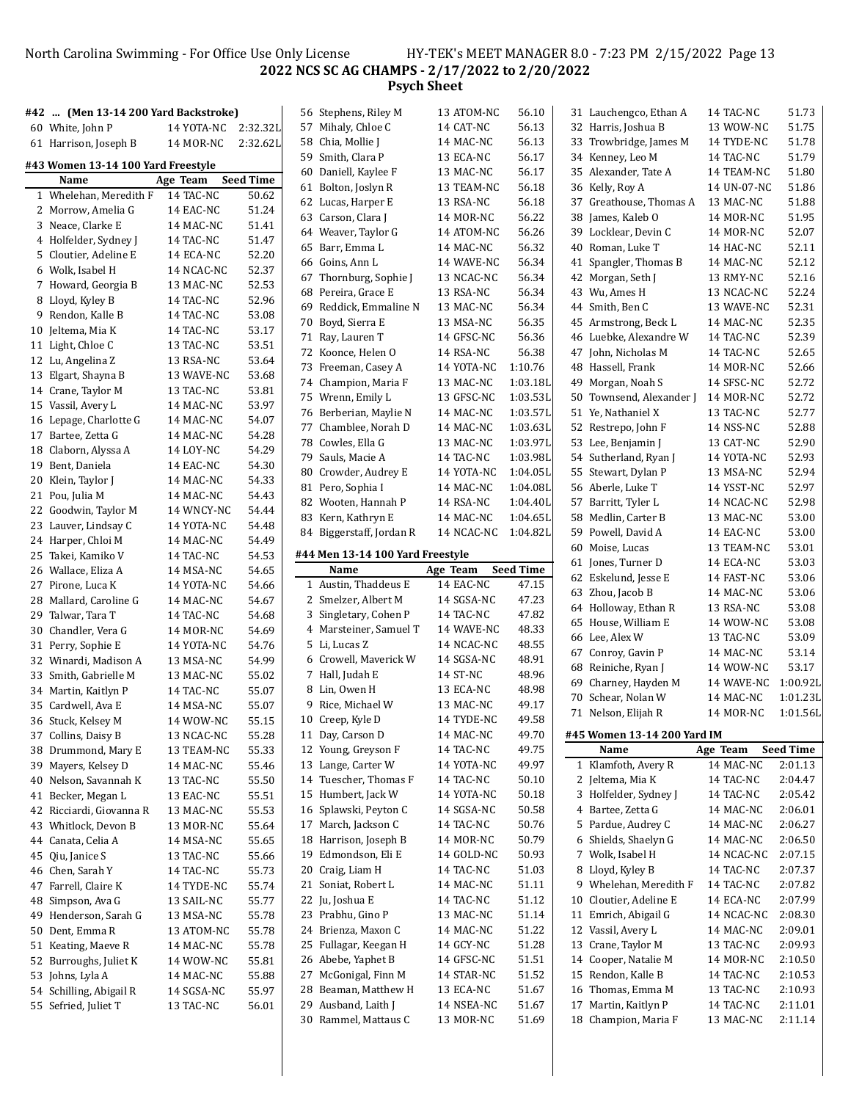### North Carolina Swimming - For Office Use Only License HY-TEK's MEET MANAGER 8.0 - 7:23 PM 2/15/2022 Page 13 **NCS SC AG CHAMPS - 2/17/2022 to 2/20/2022 Psych Sheet**

|    | #42  (Men 13-14 200 Yard Backstroke) |            |                  | 56 Stephens, Riley M             | 13 ATOM-NC | 56.10            | 31 Lauchengco, Ethan A                     | 14 TAC-NC   | 51.73            |
|----|--------------------------------------|------------|------------------|----------------------------------|------------|------------------|--------------------------------------------|-------------|------------------|
|    | 60 White, John P                     | 14 YOTA-NC | 2:32.32L         | 57 Mihaly, Chloe C               | 14 CAT-NC  | 56.13            | 32 Harris, Joshua B                        | 13 WOW-NC   | 51.75            |
|    | 61 Harrison, Joseph B                | 14 MOR-NC  | 2:32.62L         | 58 Chia, Mollie J                | 14 MAC-NC  | 56.13            | 33 Trowbridge, James M                     | 14 TYDE-NC  | 51.78            |
|    |                                      |            |                  | 59 Smith, Clara P                | 13 ECA-NC  | 56.17            | 34 Kenney, Leo M                           | 14 TAC-NC   | 51.79            |
|    | #43 Women 13-14 100 Yard Freestyle   |            |                  | 60 Daniell, Kaylee F             | 13 MAC-NC  | 56.17            | 35 Alexander, Tate A                       | 14 TEAM-NC  | 51.80            |
|    | Name                                 | Age Team   | <b>Seed Time</b> | 61 Bolton, Joslyn R              | 13 TEAM-NC | 56.18            | 36 Kelly, Roy A                            | 14 UN-07-NC | 51.86            |
|    | 1 Whelehan, Meredith F               | 14 TAC-NC  | 50.62            | 62 Lucas, Harper E               | 13 RSA-NC  | 56.18            | 37 Greathouse, Thomas A                    | 13 MAC-NC   | 51.88            |
|    | 2 Morrow, Amelia G                   | 14 EAC-NC  | 51.24            |                                  |            |                  |                                            |             |                  |
|    | 3 Neace, Clarke E                    | 14 MAC-NC  | 51.41            | 63 Carson, Clara J               | 14 MOR-NC  | 56.22            | 38 James, Kaleb O                          | 14 MOR-NC   | 51.95            |
|    | 4 Holfelder, Sydney J                | 14 TAC-NC  | 51.47            | 64 Weaver, Taylor G              | 14 ATOM-NC | 56.26            | 39 Locklear, Devin C                       | 14 MOR-NC   | 52.07            |
|    | 5 Cloutier, Adeline E                | 14 ECA-NC  | 52.20            | 65 Barr, Emma L                  | 14 MAC-NC  | 56.32            | 40 Roman, Luke T                           | 14 HAC-NC   | 52.11            |
|    | 6 Wolk, Isabel H                     | 14 NCAC-NC | 52.37            | 66 Goins, Ann L                  | 14 WAVE-NC | 56.34            | 41 Spangler, Thomas B                      | 14 MAC-NC   | 52.12            |
|    | 7 Howard, Georgia B                  | 13 MAC-NC  | 52.53            | 67 Thornburg, Sophie J           | 13 NCAC-NC | 56.34            | 42 Morgan, Seth J                          | 13 RMY-NC   | 52.16            |
|    | 8 Lloyd, Kyley B                     | 14 TAC-NC  | 52.96            | 68 Pereira, Grace E              | 13 RSA-NC  | 56.34            | 43 Wu, Ames H                              | 13 NCAC-NC  | 52.24            |
|    | 9 Rendon, Kalle B                    | 14 TAC-NC  | 53.08            | 69 Reddick, Emmaline N           | 13 MAC-NC  | 56.34            | 44 Smith, Ben C                            | 13 WAVE-NC  | 52.31            |
|    | 10 Jeltema, Mia K                    | 14 TAC-NC  | 53.17            | 70 Boyd, Sierra E                | 13 MSA-NC  | 56.35            | 45 Armstrong, Beck L                       | 14 MAC-NC   | 52.35            |
|    |                                      |            |                  | 71 Ray, Lauren T                 | 14 GFSC-NC | 56.36            | 46 Luebke, Alexandre W                     | 14 TAC-NC   | 52.39            |
|    | 11 Light, Chloe C                    | 13 TAC-NC  | 53.51            | 72 Koonce, Helen O               | 14 RSA-NC  | 56.38            | 47 John, Nicholas M                        | 14 TAC-NC   | 52.65            |
|    | 12 Lu, Angelina Z                    | 13 RSA-NC  | 53.64            | 73 Freeman, Casey A              | 14 YOTA-NC | 1:10.76          | 48 Hassell, Frank                          | 14 MOR-NC   | 52.66            |
|    | 13 Elgart, Shayna B                  | 13 WAVE-NC | 53.68            | 74 Champion, Maria F             | 13 MAC-NC  | 1:03.18L         | 49 Morgan, Noah S                          | 14 SFSC-NC  | 52.72            |
|    | 14 Crane, Taylor M                   | 13 TAC-NC  | 53.81            | 75 Wrenn, Emily L                | 13 GFSC-NC | 1:03.53L         | 50 Townsend, Alexander J                   | 14 MOR-NC   | 52.72            |
|    | 15 Vassil, Avery L                   | 14 MAC-NC  | 53.97            | 76 Berberian, Maylie N           | 14 MAC-NC  | 1:03.57L         | 51 Ye, Nathaniel X                         | 13 TAC-NC   | 52.77            |
|    | 16 Lepage, Charlotte G               | 14 MAC-NC  | 54.07            | 77 Chamblee, Norah D             | 14 MAC-NC  | 1:03.63L         | 52 Restrepo, John F                        | 14 NSS-NC   | 52.88            |
|    | 17 Bartee, Zetta G                   | 14 MAC-NC  | 54.28            | 78 Cowles, Ella G                | 13 MAC-NC  | 1:03.97L         | 53 Lee, Benjamin J                         | 13 CAT-NC   | 52.90            |
|    | 18 Claborn, Alyssa A                 | 14 LOY-NC  | 54.29            | 79 Sauls, Macie A                | 14 TAC-NC  | 1:03.98L         | 54 Sutherland, Ryan J                      | 14 YOTA-NC  | 52.93            |
|    | 19 Bent, Daniela                     | 14 EAC-NC  | 54.30            | 80 Crowder, Audrey E             | 14 YOTA-NC | 1:04.05L         | 55 Stewart, Dylan P                        | 13 MSA-NC   | 52.94            |
|    | 20 Klein, Taylor J                   | 14 MAC-NC  | 54.33            | 81 Pero, Sophia I                | 14 MAC-NC  | 1:04.08L         | 56 Aberle, Luke T                          | 14 YSST-NC  | 52.97            |
|    | 21 Pou, Julia M                      | 14 MAC-NC  | 54.43            | 82 Wooten, Hannah P              | 14 RSA-NC  | 1:04.40L         | 57 Barritt, Tyler L                        | 14 NCAC-NC  | 52.98            |
|    | 22 Goodwin, Taylor M                 | 14 WNCY-NC | 54.44            | 83 Kern, Kathryn E               | 14 MAC-NC  | 1:04.65L         | 58 Medlin, Carter B                        | 13 MAC-NC   | 53.00            |
|    | 23 Lauver, Lindsay C                 | 14 YOTA-NC | 54.48            | 84 Biggerstaff, Jordan R         | 14 NCAC-NC | 1:04.82L         | 59 Powell, David A                         | 14 EAC-NC   | 53.00            |
|    | 24 Harper, Chloi M                   | 14 MAC-NC  | 54.49            |                                  |            |                  | 60 Moise, Lucas                            | 13 TEAM-NC  | 53.01            |
|    | 25 Takei, Kamiko V                   | 14 TAC-NC  | 54.53            | #44 Men 13-14 100 Yard Freestyle |            |                  |                                            |             | 53.03            |
|    | 26 Wallace, Eliza A                  | 14 MSA-NC  | 54.65            | Name                             | Age Team   | <b>Seed Time</b> | 61 Jones, Turner D<br>62 Eskelund, Jesse E | 14 ECA-NC   | 53.06            |
|    | 27 Pirone, Luca K                    | 14 YOTA-NC | 54.66            | 1 Austin, Thaddeus E             | 14 EAC-NC  | 47.15            | 63 Zhou, Jacob B                           | 14 FAST-NC  | 53.06            |
|    | 28 Mallard, Caroline G               | 14 MAC-NC  | 54.67            | 2 Smelzer, Albert M              | 14 SGSA-NC | 47.23            |                                            | 14 MAC-NC   | 53.08            |
|    | 29 Talwar, Tara T                    | 14 TAC-NC  | 54.68            | 3 Singletary, Cohen P            | 14 TAC-NC  | 47.82            | 64 Holloway, Ethan R                       | 13 RSA-NC   |                  |
|    | 30 Chandler, Vera G                  | 14 MOR-NC  | 54.69            | 4 Marsteiner, Samuel T           | 14 WAVE-NC | 48.33            | 65 House, William E                        | 14 WOW-NC   | 53.08            |
|    | 31 Perry, Sophie E                   | 14 YOTA-NC | 54.76            | 5 Li, Lucas Z                    | 14 NCAC-NC | 48.55            | 66 Lee, Alex W                             | 13 TAC-NC   | 53.09            |
|    | 32 Winardi, Madison A                |            |                  |                                  |            |                  | 67 Conroy, Gavin P                         | 14 MAC-NC   | 53.14            |
|    |                                      |            |                  | 6 Crowell, Maverick W            | 14 SGSA-NC | 48.91            |                                            |             |                  |
|    |                                      | 13 MSA-NC  | 54.99            | 7 Hall, Judah E                  | 14 ST-NC   | 48.96            | 68 Reiniche, Ryan J                        | 14 WOW-NC   | 53.17            |
|    | 33 Smith, Gabrielle M                | 13 MAC-NC  | 55.02            |                                  |            | 48.98            | 69 Charney, Hayden M                       | 14 WAVE-NC  | 1:00.92L         |
|    | 34 Martin, Kaitlyn P                 | 14 TAC-NC  | 55.07            | 8 Lin, Owen H                    | 13 ECA-NC  |                  | 70 Schear, Nolan W                         | 14 MAC-NC   | 1:01.23L         |
|    | 35 Cardwell, Ava E                   | 14 MSA-NC  | 55.07            | 9 Rice, Michael W                | 13 MAC-NC  | 49.17            | 71 Nelson, Elijah R                        | 14 MOR-NC   | 1:01.56L         |
|    | 36 Stuck, Kelsey M                   | 14 WOW-NC  | 55.15            | 10 Creep, Kyle D                 | 14 TYDE-NC | 49.58            |                                            |             |                  |
|    | 37 Collins, Daisy B                  | 13 NCAC-NC | 55.28            | 11 Day, Carson D                 | 14 MAC-NC  | 49.70            | #45 Women 13-14 200 Yard IM                |             |                  |
|    | 38 Drummond, Mary E                  | 13 TEAM-NC | 55.33            | 12 Young, Greyson F              | 14 TAC-NC  | 49.75            | Name                                       | Age Team    | <b>Seed Time</b> |
|    | 39 Mayers, Kelsey D                  | 14 MAC-NC  | 55.46            | 13 Lange, Carter W               | 14 YOTA-NC | 49.97            | 1 Klamfoth, Avery R                        | 14 MAC-NC   | 2:01.13          |
| 40 | Nelson, Savannah K                   | 13 TAC-NC  | 55.50            | 14 Tuescher, Thomas F            | 14 TAC-NC  | 50.10            | 2 Jeltema, Mia K                           | 14 TAC-NC   | 2:04.47          |
| 41 | Becker, Megan L                      | 13 EAC-NC  | 55.51            | 15 Humbert, Jack W               | 14 YOTA-NC | 50.18            | 3 Holfelder, Sydney J                      | 14 TAC-NC   | 2:05.42          |
|    | 42 Ricciardi, Giovanna R             | 13 MAC-NC  | 55.53            | 16 Splawski, Peyton C            | 14 SGSA-NC | 50.58            | 4 Bartee, Zetta G                          | 14 MAC-NC   | 2:06.01          |
|    | 43 Whitlock, Devon B                 | 13 MOR-NC  | 55.64            | 17 March, Jackson C              | 14 TAC-NC  | 50.76            | 5 Pardue, Audrey C                         | 14 MAC-NC   | 2:06.27          |
|    | 44 Canata, Celia A                   | 14 MSA-NC  | 55.65            | 18 Harrison, Joseph B            | 14 MOR-NC  | 50.79            | 6 Shields, Shaelyn G                       | 14 MAC-NC   | 2:06.50          |
|    | 45 Qiu, Janice S                     | 13 TAC-NC  | 55.66            | 19 Edmondson, Eli E              | 14 GOLD-NC | 50.93            | 7 Wolk, Isabel H                           | 14 NCAC-NC  | 2:07.15          |
|    | 46 Chen, Sarah Y                     | 14 TAC-NC  | 55.73            | 20 Craig, Liam H                 | 14 TAC-NC  | 51.03            | 8 Lloyd, Kyley B                           | 14 TAC-NC   | 2:07.37          |
|    | 47 Farrell, Claire K                 | 14 TYDE-NC | 55.74            | 21 Soniat, Robert L              | 14 MAC-NC  | 51.11            | 9 Whelehan, Meredith F                     | 14 TAC-NC   | 2:07.82          |
|    | 48 Simpson, Ava G                    | 13 SAIL-NC | 55.77            | 22 Ju, Joshua E                  | 14 TAC-NC  | 51.12            | 10 Cloutier, Adeline E                     | 14 ECA-NC   | 2:07.99          |
| 49 | Henderson, Sarah G                   | 13 MSA-NC  | 55.78            | 23 Prabhu, Gino P                | 13 MAC-NC  | 51.14            | 11 Emrich, Abigail G                       | 14 NCAC-NC  | 2:08.30          |
|    | 50 Dent, Emma R                      | 13 ATOM-NC | 55.78            | 24 Brienza, Maxon C              | 14 MAC-NC  | 51.22            | 12 Vassil, Avery L                         | 14 MAC-NC   | 2:09.01          |
| 51 | Keating, Maeve R                     | 14 MAC-NC  | 55.78            | 25 Fullagar, Keegan H            | 14 GCY-NC  | 51.28            | 13 Crane, Taylor M                         | 13 TAC-NC   | 2:09.93          |
|    | 52 Burroughs, Juliet K               | 14 WOW-NC  | 55.81            | 26 Abebe, Yaphet B               | 14 GFSC-NC | 51.51            | 14 Cooper, Natalie M                       | 14 MOR-NC   | 2:10.50          |
|    | 53 Johns, Lyla A                     | 14 MAC-NC  | 55.88            | 27 McGonigal, Finn M             | 14 STAR-NC | 51.52            | 15 Rendon, Kalle B                         | 14 TAC-NC   | 2:10.53          |
|    | 54 Schilling, Abigail R              | 14 SGSA-NC | 55.97            | 28 Beaman, Matthew H             | 13 ECA-NC  | 51.67            | 16 Thomas, Emma M                          | 13 TAC-NC   | 2:10.93          |
|    | 55 Sefried, Juliet T                 | 13 TAC-NC  | 56.01            | 29 Ausband, Laith J              | 14 NSEA-NC | 51.67            | 17 Martin, Kaitlyn P                       | 14 TAC-NC   | 2:11.01          |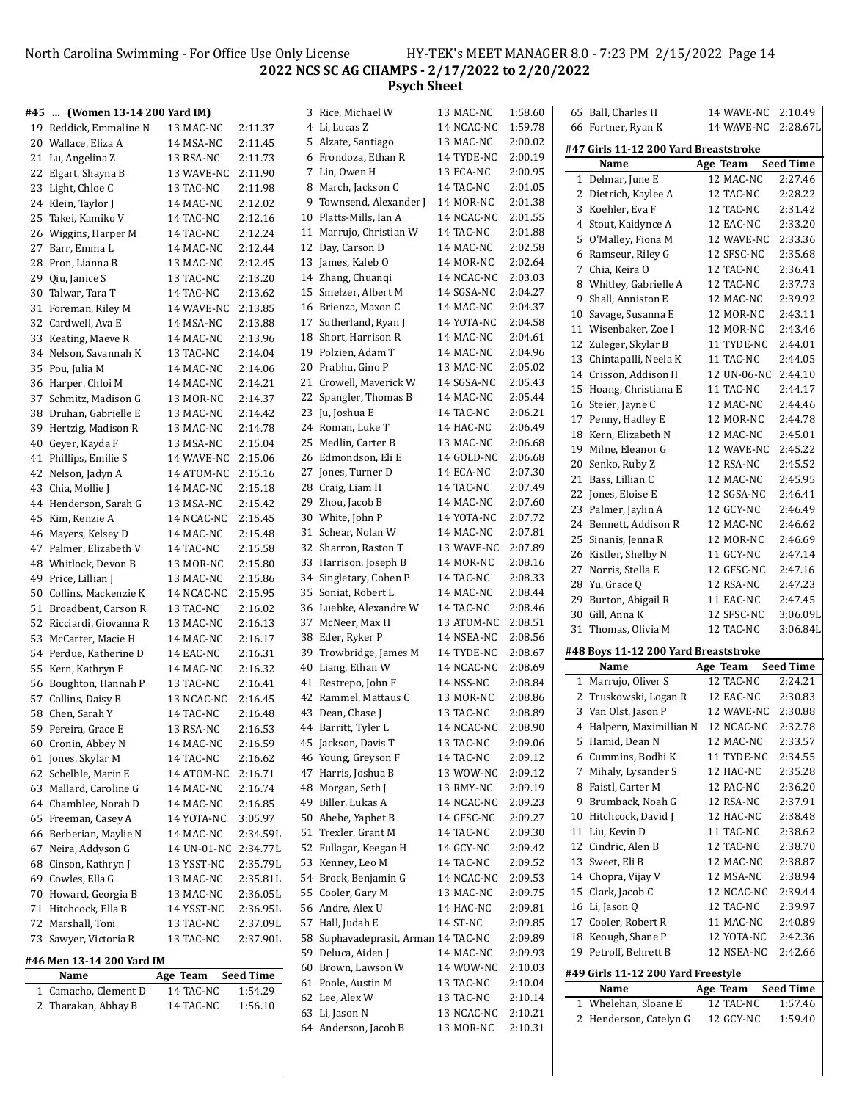# North Carolina Swimming - For Office Use Only License HY-TEK's MEET MANAGER 8.0 - 7:23 PM 2/15/2022 Page 14 **NCS SC AG CHAMPS - 2/17/2022 to 2/20/2022 Psych Sheet**

| #45 | (Women 13-14 200 Yard IM) |                      |                  | 3 Rice, Michael W                                         | 13 MAC-NC              | 1:58.60            | 65 Ball, Charles H                          | 14 WAVE-NC 2:10.49     |                    |
|-----|---------------------------|----------------------|------------------|-----------------------------------------------------------|------------------------|--------------------|---------------------------------------------|------------------------|--------------------|
|     | 19 Reddick, Emmaline N    | 13 MAC-NC            | 2:11.37          | 4 Li, Lucas Z                                             | 14 NCAC-NC             | 1:59.78            | 66 Fortner, Ryan K                          | 14 WAVE-NC 2:28.67L    |                    |
| 20  | Wallace, Eliza A          | 14 MSA-NC            | 2:11.45          | 5 Alzate, Santiago                                        | 13 MAC-NC              | 2:00.02            | #47 Girls 11-12 200 Yard Breaststroke       |                        |                    |
|     | 21 Lu, Angelina Z         | 13 RSA-NC            | 2:11.73          | 6 Frondoza, Ethan R                                       | 14 TYDE-NC             | 2:00.19            | Name                                        |                        | <b>Seed Time</b>   |
|     | 22 Elgart, Shayna B       | 13 WAVE-NC           | 2:11.90          | 7 Lin, Owen H                                             | 13 ECA-NC              | 2:00.95            | 1 Delmar, June E                            | Age Team<br>12 MAC-NC  | 2:27.46            |
|     | 23 Light, Chloe C         | 13 TAC-NC            | 2:11.98          | 8 March, Jackson C                                        | 14 TAC-NC              | 2:01.05            |                                             |                        | 2:28.22            |
|     | 24 Klein, Taylor J        | 14 MAC-NC            | 2:12.02          | 9 Townsend, Alexander J                                   | 14 MOR-NC              | 2:01.38            | 2 Dietrich, Kaylee A                        | 12 TAC-NC              | 2:31.42            |
| 25  | Takei, Kamiko V           | 14 TAC-NC            | 2:12.16          | 10 Platts-Mills, Ian A                                    | 14 NCAC-NC             | 2:01.55            | 3 Koehler, Eva F<br>4 Stout, Kaidynce A     | 12 TAC-NC<br>12 EAC-NC | 2:33.20            |
|     | 26 Wiggins, Harper M      | 14 TAC-NC            | 2:12.24          | 11 Marrujo, Christian W                                   | 14 TAC-NC              | 2:01.88            | 5 O'Malley, Fiona M                         | 12 WAVE-NC             | 2:33.36            |
|     | 27 Barr, Emma L           | 14 MAC-NC            | 2:12.44          | 12 Day, Carson D                                          | 14 MAC-NC              | 2:02.58            | 6 Ramseur, Riley G                          | 12 SFSC-NC             | 2:35.68            |
|     | 28 Pron, Lianna B         | 13 MAC-NC            | 2:12.45          | 13 James, Kaleb O                                         | 14 MOR-NC              | 2:02.64            | 7 Chia, Keira O                             | 12 TAC-NC              | 2:36.41            |
| 29  | Qiu, Janice S             | 13 TAC-NC            | 2:13.20          | 14 Zhang, Chuanqi                                         | 14 NCAC-NC             | 2:03.03            | 8 Whitley, Gabrielle A                      | 12 TAC-NC              | 2:37.73            |
| 30  | Talwar, Tara T            | 14 TAC-NC            | 2:13.62          | 15 Smelzer, Albert M                                      | 14 SGSA-NC             | 2:04.27            | 9 Shall, Anniston E                         | 12 MAC-NC              | 2:39.92            |
|     | 31 Foreman, Riley M       | 14 WAVE-NC           | 2:13.85          | 16 Brienza, Maxon C                                       | 14 MAC-NC              | 2:04.37            | 10 Savage, Susanna E                        | 12 MOR-NC              | 2:43.11            |
|     | 32 Cardwell, Ava E        | 14 MSA-NC            | 2:13.88          | 17 Sutherland, Ryan J                                     | 14 YOTA-NC             | 2:04.58            | 11 Wisenbaker, Zoe I                        | 12 MOR-NC              | 2:43.46            |
|     | 33 Keating, Maeve R       | 14 MAC-NC            | 2:13.96          | 18 Short, Harrison R                                      | 14 MAC-NC              | 2:04.61            | 12 Zuleger, Skylar B                        | 11 TYDE-NC             | 2:44.01            |
|     | 34 Nelson, Savannah K     | 13 TAC-NC            | 2:14.04          | 19 Polzien, Adam T                                        | 14 MAC-NC              | 2:04.96            | 13 Chintapalli, Neela K                     | 11 TAC-NC              | 2:44.05            |
|     | 35 Pou, Julia M           | 14 MAC-NC            | 2:14.06          | 20 Prabhu, Gino P                                         | 13 MAC-NC              | 2:05.02            | 14 Crisson, Addison H                       | 12 UN-06-NC 2:44.10    |                    |
|     | 36 Harper, Chloi M        | 14 MAC-NC            | 2:14.21          | 21 Crowell, Maverick W                                    | 14 SGSA-NC             | 2:05.43            | 15 Hoang, Christiana E                      | 11 TAC-NC              | 2:44.17            |
|     | 37 Schmitz, Madison G     | 13 MOR-NC            | 2:14.37          | 22 Spangler, Thomas B                                     | 14 MAC-NC              | 2:05.44            | 16 Steier, Jayne C                          | 12 MAC-NC              | 2:44.46            |
| 38  | Druhan, Gabrielle E       | 13 MAC-NC            | 2:14.42          | 23 Ju, Joshua E                                           | 14 TAC-NC              | 2:06.21            | 17 Penny, Hadley E                          | 12 MOR-NC              | 2:44.78            |
|     | 39 Hertzig, Madison R     | 13 MAC-NC            | 2:14.78          | 24 Roman, Luke T                                          | 14 HAC-NC              | 2:06.49            | 18 Kern, Elizabeth N                        | 12 MAC-NC              | 2:45.01            |
| 40  | Geyer, Kayda F            | 13 MSA-NC            | 2:15.04          | 25 Medlin, Carter B                                       | 13 MAC-NC              | 2:06.68            | 19 Milne, Eleanor G                         | 12 WAVE-NC             | 2:45.22            |
|     | 41 Phillips, Emilie S     | 14 WAVE-NC           | 2:15.06          | 26 Edmondson, Eli E                                       | 14 GOLD-NC             | 2:06.68            | 20 Senko, Ruby Z                            | 12 RSA-NC              | 2:45.52            |
|     | 42 Nelson, Jadyn A        | 14 ATOM-NC 2:15.16   |                  | 27 Jones, Turner D                                        | 14 ECA-NC              | 2:07.30            | 21 Bass, Lillian C                          | 12 MAC-NC              | 2:45.95            |
|     | 43 Chia, Mollie J         | 14 MAC-NC            | 2:15.18          | 28 Craig, Liam H                                          | 14 TAC-NC              | 2:07.49            | 22 Jones, Eloise E                          | 12 SGSA-NC             | 2:46.41            |
|     | 44 Henderson, Sarah G     | 13 MSA-NC            | 2:15.42          | 29 Zhou, Jacob B                                          | 14 MAC-NC              | 2:07.60            | 23 Palmer, Jaylin A                         | 12 GCY-NC              | 2:46.49            |
|     | 45 Kim, Kenzie A          | 14 NCAC-NC           | 2:15.45          | 30 White, John P                                          | 14 YOTA-NC             | 2:07.72            | 24 Bennett, Addison R                       | 12 MAC-NC              | 2:46.62            |
|     | 46 Mayers, Kelsey D       | 14 MAC-NC            | 2:15.48          | 31 Schear, Nolan W                                        | 14 MAC-NC              | 2:07.81            | 25 Sinanis, Jenna R                         | 12 MOR-NC              | 2:46.69            |
|     | 47 Palmer, Elizabeth V    | 14 TAC-NC            | 2:15.58          | 32 Sharron, Raston T                                      | 13 WAVE-NC             | 2:07.89            | 26 Kistler, Shelby N                        | 11 GCY-NC              | 2:47.14            |
| 48  | Whitlock, Devon B         | 13 MOR-NC            | 2:15.80          | 33 Harrison, Joseph B                                     | 14 MOR-NC              | 2:08.16            | 27 Norris, Stella E                         | 12 GFSC-NC             | 2:47.16            |
| 49  | Price, Lillian J          | 13 MAC-NC            | 2:15.86          | 34 Singletary, Cohen P                                    | 14 TAC-NC              | 2:08.33            | 28 Yu, Grace Q                              | 12 RSA-NC              | 2:47.23            |
| 50  | Collins, Mackenzie K      | 14 NCAC-NC           | 2:15.95          | 35 Soniat, Robert L                                       | 14 MAC-NC              | 2:08.44            | 29 Burton, Abigail R                        | 11 EAC-NC              | 2:47.45            |
|     | 51 Broadbent, Carson R    | 13 TAC-NC            | 2:16.02          | 36 Luebke, Alexandre W                                    | 14 TAC-NC              | 2:08.46            | 30 Gill, Anna K                             | 12 SFSC-NC             | 3:06.09L           |
|     | 52 Ricciardi, Giovanna R  | 13 MAC-NC            | 2:16.13          | 37 McNeer, Max H                                          | 13 ATOM-NC             | 2:08.51            | 31 Thomas, Olivia M                         | 12 TAC-NC              | 3:06.84L           |
|     | 53 McCarter, Macie H      | 14 MAC-NC            | 2:16.17          | 38 Eder, Ryker P                                          | 14 NSEA-NC             | 2:08.56            |                                             |                        |                    |
|     | 54 Perdue, Katherine D    | 14 EAC-NC            | 2:16.31          | 39 Trowbridge, James M                                    | 14 TYDE-NC             | 2:08.67            | #48 Boys 11-12 200 Yard Breaststroke        |                        |                    |
|     | 55 Kern, Kathryn E        | 14 MAC-NC            | 2:16.32          | 40 Liang, Ethan W                                         | 14 NCAC-NC             | 2:08.69            | Name                                        | Age Team               | <b>Seed Time</b>   |
|     | 56 Boughton, Hannah P     | 13 TAC-NC            | 2:16.41          | 41 Restrepo, John F                                       | 14 NSS-NC              | 2:08.84            | 1 Marrujo, Oliver S                         | 12 TAC-NC              | 2:24.21            |
|     | 57 Collins, Daisy B       | 13 NCAC-NC           | 2:16.45          | 42 Rammel, Mattaus C                                      | 13 MOR-NC              | 2:08.86            | 2 Truskowski, Logan R                       | 12 EAC-NC              | 2:30.83            |
|     | 58 Chen, Sarah Y          | 14 TAC-NC            | 2:16.48          | 43 Dean, Chase J                                          | 13 TAC-NC              | 2:08.89            | 3 Van Olst, Jason P                         | 12 WAVE-NC             | 2:30.88            |
|     | 59 Pereira, Grace E       | 13 RSA-NC            | 2:16.53          | 44 Barritt, Tyler L                                       | 14 NCAC-NC             | 2:08.90            | 4 Halpern, Maximillian N 12 NCAC-NC 2:32.78 |                        |                    |
|     | 60 Cronin, Abbey N        | 14 MAC-NC            | 2:16.59          | 45 Jackson, Davis T                                       | 13 TAC-NC              | 2:09.06            | 5 Hamid, Dean N                             | 12 MAC-NC              | 2:33.57            |
|     | 61 Jones, Skylar M        | 14 TAC-NC            | 2:16.62          | 46 Young, Greyson F                                       | 14 TAC-NC              | 2:09.12            | 6 Cummins, Bodhi K                          | 11 TYDE-NC             | 2:34.55            |
|     | 62 Schelble, Marin E      | 14 ATOM-NC           | 2:16.71          | 47 Harris, Joshua B                                       | 13 WOW-NC              | 2:09.12            | 7 Mihaly, Lysander S<br>8 Faistl, Carter M  | 12 HAC-NC              | 2:35.28            |
|     | 63 Mallard, Caroline G    | 14 MAC-NC            | 2:16.74          | 48 Morgan, Seth J                                         | 13 RMY-NC              | 2:09.19            |                                             | 12 PAC-NC<br>12 RSA-NC | 2:36.20            |
|     | 64 Chamblee, Norah D      | 14 MAC-NC            | 2:16.85          | 49 Biller, Lukas A                                        | 14 NCAC-NC             | 2:09.23            | 9 Brumback, Noah G<br>10 Hitchcock, David J |                        | 2:37.91<br>2:38.48 |
|     | 65 Freeman, Casey A       | 14 YOTA-NC           | 3:05.97          | 50 Abebe, Yaphet B                                        | 14 GFSC-NC             | 2:09.27            | 11 Liu, Kevin D                             | 12 HAC-NC<br>11 TAC-NC | 2:38.62            |
|     | 66 Berberian, Maylie N    | 14 MAC-NC            | 2:34.59L         | 51 Trexler, Grant M                                       | 14 TAC-NC              | 2:09.30            | 12 Cindric, Alen B                          | 12 TAC-NC              | 2:38.70            |
|     | 67 Neira, Addyson G       | 14 UN-01-NC 2:34.77L |                  | 52 Fullagar, Keegan H                                     | 14 GCY-NC              | 2:09.42            | 13 Sweet, Eli B                             | 12 MAC-NC              | 2:38.87            |
| 68  | Cinson, Kathryn J         | 13 YSST-NC           | 2:35.79L         | 53 Kenney, Leo M<br>54 Brock, Benjamin G                  | 14 TAC-NC              | 2:09.52<br>2:09.53 | 14 Chopra, Vijay V                          | 12 MSA-NC              | 2:38.94            |
| 69  | Cowles, Ella G            | 13 MAC-NC            | 2:35.81L         | 55 Cooler, Gary M                                         | 14 NCAC-NC             | 2:09.75            | 15 Clark, Jacob C                           | 12 NCAC-NC             | 2:39.44            |
|     | 70 Howard, Georgia B      | 13 MAC-NC            | 2:36.05L         |                                                           | 13 MAC-NC              |                    | 16 Li, Jason Q                              | 12 TAC-NC              | 2:39.97            |
|     | 71 Hitchcock, Ella B      | 14 YSST-NC           | 2:36.95L         | 56 Andre, Alex U<br>57 Hall, Judah E                      | 14 HAC-NC              | 2:09.81<br>2:09.85 | 17 Cooler, Robert R                         | 11 MAC-NC              | 2:40.89            |
|     | 72 Marshall, Toni         | 13 TAC-NC            | 2:37.09L         |                                                           | 14 ST-NC               | 2:09.89            | 18 Keough, Shane P                          | 12 YOTA-NC             | 2:42.36            |
|     | 73 Sawyer, Victoria R     | 13 TAC-NC            | 2:37.90L         | 58 Suphavadeprasit, Arman 14 TAC-NC<br>59 Deluca, Aiden J |                        | 2:09.93            | 19 Petroff, Behrett B                       | 12 NSEA-NC             | 2:42.66            |
|     | #46 Men 13-14 200 Yard IM |                      |                  | 60 Brown, Lawson W                                        | 14 MAC-NC              | 2:10.03            |                                             |                        |                    |
|     | Name                      | Age Team             | <b>Seed Time</b> | 61 Poole, Austin M                                        | 14 WOW-NC<br>13 TAC-NC | 2:10.04            | #49 Girls 11-12 200 Yard Freestyle          |                        |                    |
|     | 1 Camacho, Clement D      | 14 TAC-NC            | 1:54.29          | 62 Lee, Alex W                                            | 13 TAC-NC              | 2:10.14            | Name                                        | Age Team               | <b>Seed Time</b>   |
|     | 2 Tharakan, Abhay B       | 14 TAC-NC            | 1:56.10          | 63 Li, Jason N                                            | 13 NCAC-NC             | 2:10.21            | 1 Whelehan, Sloane E                        | 12 TAC-NC              | 1:57.46            |
|     |                           |                      |                  | 64 Anderson, Jacob B                                      | 13 MOR-NC              | 2:10.31            | 2 Henderson, Catelyn G                      | 12 GCY-NC              | 1:59.40            |
|     |                           |                      |                  |                                                           |                        |                    |                                             |                        |                    |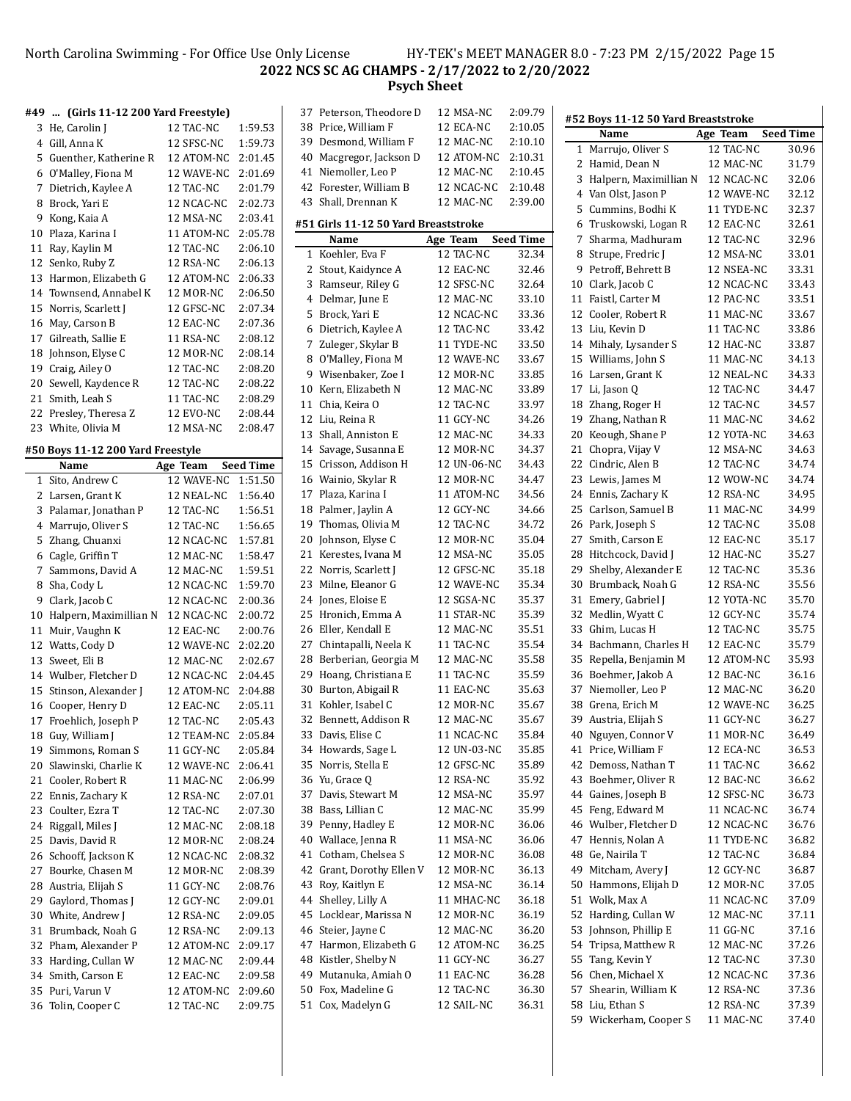#### North Carolina Swimming - For Office Use Only License HY-TEK's MEET MANAGER 8.0 - 7:23 PM 2/15/2022 Page 15 **NCS SC AG CHAMPS - 2/17/2022 to 2/20/2022 Psych Sheet**

### **#49 ... (Girls 11-12 200 Yard Freestyle)**

|    | #49  (Girls 11-12 200 Yard Freestyle) |                  |                  |
|----|---------------------------------------|------------------|------------------|
| 3  | He, Carolin J                         | 12 TAC-NC        | 1:59.53          |
|    | 4 Gill, Anna K                        | 12 SFSC-NC       | 1:59.73          |
|    |                                       |                  |                  |
|    | 5 Guenther, Katherine R               | 12 ATOM-NC       | 2:01.45          |
|    | 6 O'Malley, Fiona M                   | 12 WAVE-NC       | 2:01.69          |
| 7  | Dietrich, Kaylee A                    | 12 TAC-NC        | 2:01.79          |
| 8  | Brock, Yari E                         | 12 NCAC-NC       | 2:02.73          |
| 9  | Kong, Kaia A                          | 12 MSA-NC        | 2:03.41          |
| 10 | Plaza, Karina I                       | 11 ATOM-NC       | 2:05.78          |
| 11 | Ray, Kaylin M                         | 12 TAC-NC        | 2:06.10          |
| 12 | Senko, Ruby Z                         | 12 RSA-NC        | 2:06.13          |
| 13 | Harmon, Elizabeth G                   | 12 ATOM-NC       | 2:06.33          |
|    | 14 Townsend, Annabel K                | 12 MOR-NC        | 2:06.50          |
| 15 | Norris, Scarlett J                    | 12 GFSC-NC       | 2:07.34          |
| 16 | May, Carson B                         | 12 EAC-NC        | 2:07.36          |
|    | 17 Gilreath, Sallie E                 | 11 RSA-NC        | 2:08.12          |
| 18 | Johnson, Elyse C                      | 12 MOR-NC        | 2:08.14          |
|    | 19 Craig, Ailey O                     | 12 TAC-NC        | 2:08.20          |
|    | 20 Sewell, Kaydence R                 | 12 TAC-NC        | 2:08.22          |
|    | 21 Smith, Leah S                      | 11 TAC-NC        | 2:08.29          |
| 22 | Presley, Theresa Z                    | <b>12 EVO-NC</b> | 2:08.44          |
|    | 23 White, Olivia M                    |                  |                  |
|    |                                       | 12 MSA-NC        | 2:08.47          |
|    | #50 Boys 11-12 200 Yard Freestyle     |                  |                  |
|    | Name                                  | Age Team         | <b>Seed Time</b> |
|    | 1 Sito, Andrew C                      | 12 WAVE-NC       | 1:51.50          |
|    | 2 Larsen, Grant K                     | 12 NEAL-NC       | 1:56.40          |
| 3  | Palamar, Jonathan P                   | 12 TAC-NC        | 1:56.51          |
| 4  | Marrujo, Oliver S                     | 12 TAC-NC        | 1:56.65          |
| 5  | Zhang, Chuanxi                        | 12 NCAC-NC       | 1:57.81          |
|    | 6 Cagle, Griffin T                    | 12 MAC-NC        | 1:58.47          |
|    |                                       | 12 MAC-NC        |                  |
|    | 7 Sammons, David A                    |                  | 1:59.51          |
| 8  | Sha, Cody L                           | 12 NCAC-NC       | 1:59.70          |
| 9  | Clark, Jacob C                        | 12 NCAC-NC       | 2:00.36          |
| 10 | Halpern, Maximillian N                | 12 NCAC-NC       | 2:00.72          |
| 11 | Muir, Vaughn K                        | 12 EAC-NC        | 2:00.76          |
|    | 12 Watts, Cody D                      | 12 WAVE-NC       | 2:02.20          |
|    | 13 Sweet, Eli B                       | 12 MAC-NC        | 2:02.67          |
|    | 14 Wulber, Fletcher D                 | 12 NCAC-NC       | 2:04.45          |
| 15 | Stinson, Alexander J                  | 12 ATOM-NC       | 2:04.88          |
|    | 16 Cooper, Henry D                    | 12 EAC-NC        | 2:05.11          |
| 17 | Froehlich, Joseph P                   | 12 TAC-NC        | 2:05.43          |
|    | 18 Guy, William J                     | 12 TEAM-NC       | 2:05.84          |
| 19 | Simmons, Roman S                      | 11 GCY-NC        | 2:05.84          |
| 20 | Slawinski, Charlie K                  | 12 WAVE-NC       | 2:06.41          |
| 21 | Cooler, Robert R                      | 11 MAC-NC        | 2:06.99          |
| 22 | Ennis, Zachary K                      | 12 RSA-NC        | 2:07.01          |
| 23 | Coulter, Ezra T                       | 12 TAC-NC        | 2:07.30          |
| 24 | Riggall, Miles J                      | 12 MAC-NC        | 2:08.18          |
| 25 | Davis, David R                        | 12 MOR-NC        | 2:08.24          |
|    | Schooff, Jackson K                    |                  |                  |
| 26 |                                       | 12 NCAC-NC       | 2:08.32          |
| 27 | Bourke, Chasen M                      | 12 MOR-NC        | 2:08.39          |
| 28 | Austria, Elijah S                     | 11 GCY-NC        | 2:08.76          |
| 29 | Gaylord, Thomas J                     | 12 GCY-NC        | 2:09.01          |
| 30 | White, Andrew J                       | 12 RSA-NC        | 2:09.05          |
| 31 | Brumback, Noah G                      | 12 RSA-NC        | 2:09.13          |
| 32 | Pham, Alexander P                     | 12 ATOM-NC       | 2:09.17          |
| 33 | Harding, Cullan W                     | 12 MAC-NC        | 2:09.44          |
| 34 | Smith, Carson E                       | 12 EAC-NC        | 2:09.58          |
|    |                                       |                  |                  |
| 35 | Puri, Varun V                         | 12 ATOM-NC       | 2:09.60          |

| 37 | Peterson, Theodore D                 | 12 MSA-NC   | 2:09.79          | # |
|----|--------------------------------------|-------------|------------------|---|
|    | 38 Price, William F                  | 12 ECA-NC   | 2:10.05          |   |
|    | 39 Desmond, William F                | 12 MAC-NC   | 2:10.10          |   |
| 40 | Macgregor, Jackson D                 | 12 ATOM-NC  | 2:10.31          |   |
| 41 | Niemoller, Leo P                     | 12 MAC-NC   | 2:10.45          |   |
|    | 42 Forester, William B               | 12 NCAC-NC  | 2:10.48          |   |
| 43 | Shall, Drennan K                     | 12 MAC-NC   | 2:39.00          |   |
|    |                                      |             |                  |   |
|    | #51 Girls 11-12 50 Yard Breaststroke |             |                  |   |
|    | Name                                 | Age Team    | <b>Seed Time</b> |   |
| 1  | Koehler, Eva F                       | 12 TAC-NC   | 32.34            |   |
| 2  | Stout, Kaidynce A                    | 12 EAC-NC   | 32.46            |   |
| 3  | Ramseur, Riley G                     | 12 SFSC-NC  | 32.64            |   |
| 4  | Delmar, June E                       | 12 MAC-NC   | 33.10            |   |
| 5  | Brock, Yari E                        | 12 NCAC-NC  | 33.36            |   |
| 6  | Dietrich, Kaylee A                   | 12 TAC-NC   | 33.42            |   |
| 7  | Zuleger, Skylar B                    | 11 TYDE-NC  | 33.50            |   |
| 8  | O'Malley, Fiona M                    | 12 WAVE-NC  | 33.67            |   |
|    | 9 Wisenbaker, Zoe I                  | 12 MOR-NC   | 33.85            |   |
| 10 | Kern, Elizabeth N                    | 12 MAC-NC   | 33.89            |   |
| 11 | Chia, Keira O                        | 12 TAC-NC   | 33.97            |   |
|    | 12 Liu, Reina R                      | 11 GCY-NC   | 34.26            |   |
|    | 13 Shall, Anniston E                 | 12 MAC-NC   | 34.33            |   |
|    | 14 Savage, Susanna E                 | 12 MOR-NC   | 34.37            |   |
| 15 | Crisson, Addison H                   | 12 UN-06-NC | 34.43            |   |
|    | 16 Wainio, Skylar R                  | 12 MOR-NC   | 34.47            |   |
|    | 17 Plaza, Karina I                   | 11 ATOM-NC  | 34.56            |   |
| 18 | Palmer, Jaylin A                     | 12 GCY-NC   | 34.66            |   |
|    | 19 Thomas, Olivia M                  | 12 TAC-NC   | 34.72            |   |
| 20 | Johnson, Elyse C                     | 12 MOR-NC   | 35.04            |   |
| 21 | Kerestes, Ivana M                    | 12 MSA-NC   | 35.05            |   |
|    | 22 Norris, Scarlett J                | 12 GFSC-NC  | 35.18            |   |
| 23 | Milne, Eleanor G                     | 12 WAVE-NC  | 35.34            |   |
| 24 | Jones, Eloise E                      | 12 SGSA-NC  | 35.37            |   |
| 25 | Hronich, Emma A                      | 11 STAR-NC  | 35.39            |   |
|    | 26 Eller, Kendall E                  | 12 MAC-NC   | 35.51            |   |
|    | 27 Chintapalli, Neela K              | 11 TAC-NC   | 35.54            |   |
| 28 | Berberian, Georgia M                 | 12 MAC-NC   | 35.58            |   |
|    | 29 Hoang, Christiana E               | 11 TAC-NC   | 35.59            |   |
| 30 | Burton, Abigail R                    | 11 EAC-NC   | 35.63            |   |
| 31 | Kohler, Isabel C                     | 12 MOR-NC   | 35.67            |   |
| 32 | Bennett, Addison R                   | 12 MAC-NC   | 35.67            |   |
| 33 | Davis, Elise C                       | 11 NCAC-NC  | 35.84            |   |
| 34 | Howards, Sage L                      | 12 UN-03-NC | 35.85            |   |
| 35 | Norris, Stella E                     | 12 GFSC-NC  | 35.89            |   |
| 36 | Yu, Grace Q                          | 12 RSA-NC   | 35.92            |   |
| 37 | Davis, Stewart M                     | 12 MSA-NC   | 35.97            |   |
| 38 | Bass, Lillian C                      | 12 MAC-NC   | 35.99            |   |
| 39 | Penny, Hadley E                      | 12 MOR-NC   | 36.06            |   |
| 40 | Wallace, Jenna R                     | 11 MSA-NC   | 36.06            |   |
| 41 | Cotham, Chelsea S                    | 12 MOR-NC   | 36.08            |   |
| 42 | Grant, Dorothy Ellen V               | 12 MOR-NC   | 36.13            |   |
| 43 | Roy, Kaitlyn E                       | 12 MSA-NC   | 36.14            |   |
| 44 | Shelley, Lilly A                     | 11 MHAC-NC  | 36.18            |   |
| 45 | Locklear, Marissa N                  | 12 MOR-NC   | 36.19            |   |
| 46 | Steier, Jayne C                      | 12 MAC-NC   | 36.20            |   |
| 47 | Harmon, Elizabeth G                  | 12 ATOM-NC  | 36.25            |   |
| 48 | Kistler, Shelby N                    | 11 GCY-NC   | 36.27            |   |
| 49 | Mutanuka, Amiah O                    | 11 EAC-NC   | 36.28            |   |
| 50 | Fox, Madeline G                      | 12 TAC-NC   | 36.30            |   |
| 51 | Cox, Madelyn G                       | 12 SAIL-NC  | 36.31            |   |
|    |                                      |             |                  |   |

|    | #52 Boys 11-12 50 Yard Breaststroke |            |                  |
|----|-------------------------------------|------------|------------------|
|    | Name                                | Age Team   | <b>Seed Time</b> |
| 1  | Marrujo, Oliver S                   | 12 TAC-NC  | 30.96            |
| 2  | Hamid, Dean N                       | 12 MAC-NC  | 31.79            |
| 3  | Halpern, Maximillian N              | 12 NCAC-NC | 32.06            |
| 4  | Van Olst, Jason P                   | 12 WAVE-NC | 32.12            |
| 5  | Cummins, Bodhi K                    | 11 TYDE-NC | 32.37            |
| 6  | Truskowski, Logan R                 | 12 EAC-NC  | 32.61            |
| 7  | Sharma, Madhuram                    | 12 TAC-NC  | 32.96            |
|    |                                     | 12 MSA-NC  |                  |
| 8  | Strupe, Fredric J                   |            | 33.01            |
| 9  | Petroff, Behrett B                  | 12 NSEA-NC | 33.31            |
| 10 | Clark, Jacob C                      | 12 NCAC-NC | 33.43            |
| 11 | Faistl, Carter M                    | 12 PAC-NC  | 33.51            |
| 12 | Cooler, Robert R                    | 11 MAC-NC  | 33.67            |
| 13 | Liu, Kevin D                        | 11 TAC-NC  | 33.86            |
| 14 | Mihaly, Lysander S                  | 12 HAC-NC  | 33.87            |
| 15 | Williams, John S                    | 11 MAC-NC  | 34.13            |
| 16 | Larsen, Grant K                     | 12 NEAL-NC | 34.33            |
| 17 | Li, Jason Q                         | 12 TAC-NC  | 34.47            |
| 18 | Zhang, Roger H                      | 12 TAC-NC  | 34.57            |
| 19 | Zhang, Nathan R                     | 11 MAC-NC  | 34.62            |
| 20 | Keough, Shane P                     | 12 YOTA-NC | 34.63            |
| 21 | Chopra, Vijay V                     | 12 MSA-NC  | 34.63            |
| 22 | Cindric, Alen B                     | 12 TAC-NC  | 34.74            |
| 23 | Lewis, James M                      | 12 WOW-NC  | 34.74            |
| 24 | Ennis, Zachary K                    | 12 RSA-NC  | 34.95            |
| 25 | Carlson, Samuel B                   | 11 MAC-NC  | 34.99            |
| 26 | Park, Joseph S                      | 12 TAC-NC  | 35.08            |
| 27 | Smith, Carson E                     | 12 EAC-NC  | 35.17            |
| 28 | Hitchcock, David J                  | 12 HAC-NC  | 35.27            |
|    |                                     | 12 TAC-NC  | 35.36            |
| 29 | Shelby, Alexander E                 |            |                  |
| 30 | Brumback, Noah G                    | 12 RSA-NC  | 35.56            |
| 31 | Emery, Gabriel J                    | 12 YOTA-NC | 35.70            |
| 32 | Medlin, Wyatt C                     | 12 GCY-NC  | 35.74            |
| 33 | Ghim, Lucas H                       | 12 TAC-NC  | 35.75            |
| 34 | Bachmann, Charles H                 | 12 EAC-NC  | 35.79            |
| 35 | Repella, Benjamin M                 | 12 ATOM-NC | 35.93            |
| 36 | Boehmer, Jakob A                    | 12 BAC-NC  | 36.16            |
| 37 | Niemoller, Leo P                    | 12 MAC-NC  | 36.20            |
| 38 | Grena, Erich M                      | 12 WAVE-NC | 36.25            |
|    | 39 Austria, Elijah S                | 11 GCY-NC  | 36.27            |
|    | 40 Nguyen, Connor V                 | 11 MOR-NC  | 36.49            |
|    | 41 Price, William F                 | 12 ECA-NC  | 36.53            |
| 42 | Demoss, Nathan T                    | 11 TAC-NC  | 36.62            |
| 43 | Boehmer, Oliver R                   | 12 BAC-NC  | 36.62            |
|    | 44 Gaines, Joseph B                 | 12 SFSC-NC | 36.73            |
| 45 | Feng, Edward M                      | 11 NCAC-NC | 36.74            |
| 46 | Wulber, Fletcher D                  | 12 NCAC-NC | 36.76            |
| 47 | Hennis, Nolan A                     | 11 TYDE-NC | 36.82            |
| 48 | Ge, Nairila T                       | 12 TAC-NC  | 36.84            |
| 49 | Mitcham, Avery J                    | 12 GCY-NC  | 36.87            |
| 50 | Hammons, Elijah D                   | 12 MOR-NC  | 37.05            |
| 51 | Wolk, Max A                         | 11 NCAC-NC | 37.09            |
| 52 | Harding, Cullan W                   | 12 MAC-NC  | 37.11            |
| 53 | Johnson, Phillip E                  | 11 GG-NC   | 37.16            |
| 54 | Tripsa, Matthew R                   | 12 MAC-NC  | 37.26            |
| 55 | Tang, Kevin Y                       | 12 TAC-NC  |                  |
|    |                                     |            | 37.30            |
| 56 | Chen, Michael X                     | 12 NCAC-NC | 37.36            |
| 57 | Shearin, William K                  | 12 RSA-NC  | 37.36            |
| 58 | Liu, Ethan S                        | 12 RSA-NC  | 37.39            |
| 59 | Wickerham, Cooper S                 | 11 MAC-NC  | 37.40            |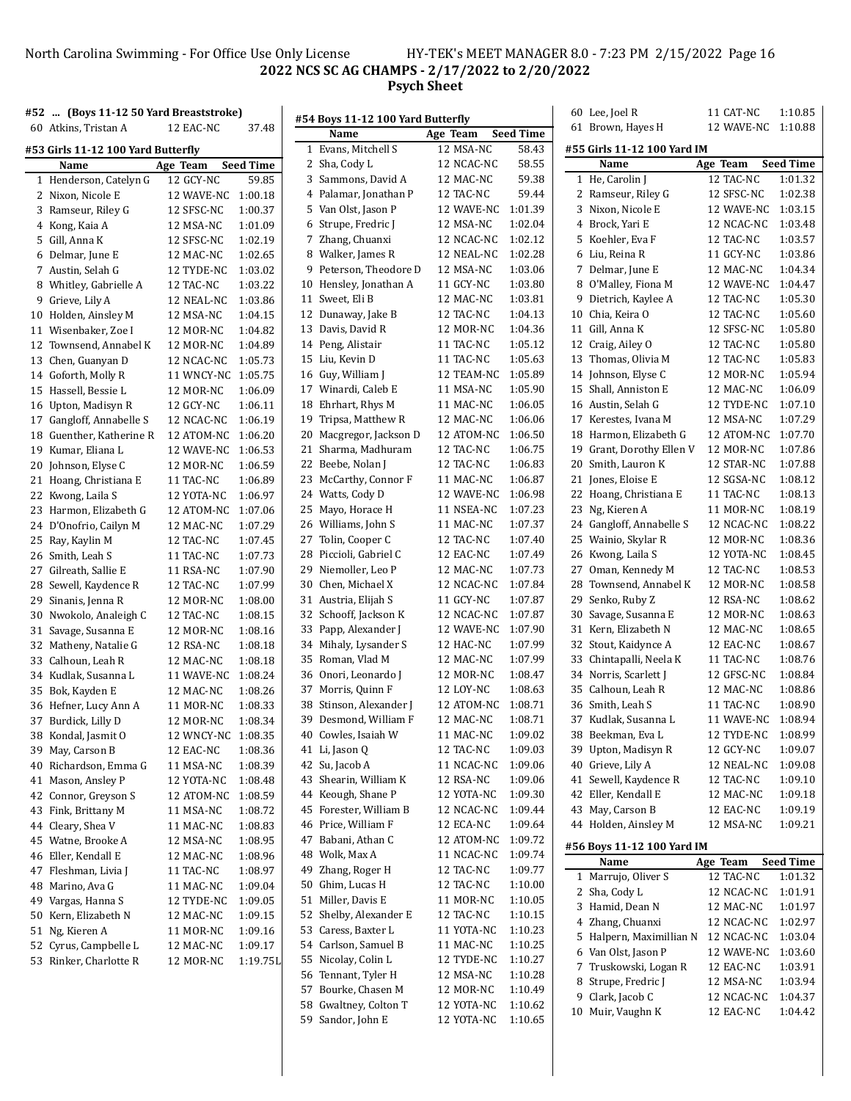### North Carolina Swimming - For Office Use Only License HY-TEK's MEET MANAGER 8.0 - 7:23 PM 2/15/2022 Page 16 **NCS SC AG CHAMPS - 2/17/2022 to 2/20/2022 Psych Sheet**

| #52  (Boys 11-12 50 Yard Breaststroke) |                    |                  |    |                                   |                    |                  | 60 Lee, Joel R              | 11 CAT-NC          | 1:10.85          |
|----------------------------------------|--------------------|------------------|----|-----------------------------------|--------------------|------------------|-----------------------------|--------------------|------------------|
| 60 Atkins, Tristan A                   | 12 EAC-NC          | 37.48            |    | #54 Boys 11-12 100 Yard Butterfly |                    |                  | 61 Brown, Hayes H           | 12 WAVE-NC 1:10.88 |                  |
|                                        |                    |                  |    | Name                              | Age Team           | <b>Seed Time</b> |                             |                    |                  |
| #53 Girls 11-12 100 Yard Butterfly     |                    |                  |    | 1 Evans, Mitchell S               | 12 MSA-NC          | 58.43            | #55 Girls 11-12 100 Yard IM |                    |                  |
| Name                                   | Age Team           | <b>Seed Time</b> |    | 2 Sha, Cody L                     | 12 NCAC-NC         | 58.55            | Name                        | Age Team           | <b>Seed Time</b> |
| 1 Henderson, Catelyn G                 | 12 GCY-NC          | 59.85            |    | 3 Sammons, David A                | 12 MAC-NC          | 59.38            | 1 He, Carolin J             | 12 TAC-NC          | 1:01.32          |
| 2 Nixon, Nicole E                      | 12 WAVE-NC 1:00.18 |                  |    | 4 Palamar, Jonathan P             | 12 TAC-NC          | 59.44            | 2 Ramseur, Riley G          | 12 SFSC-NC         | 1:02.38          |
| 3 Ramseur, Riley G                     | 12 SFSC-NC         | 1:00.37          |    | 5 Van Olst, Jason P               | 12 WAVE-NC         | 1:01.39          | 3 Nixon, Nicole E           | 12 WAVE-NC         | 1:03.15          |
| 4 Kong, Kaia A                         | 12 MSA-NC          | 1:01.09          |    | 6 Strupe, Fredric J               | 12 MSA-NC          | 1:02.04          | 4 Brock, Yari E             | 12 NCAC-NC         | 1:03.48          |
| 5 Gill, Anna K                         | 12 SFSC-NC         | 1:02.19          |    | 7 Zhang, Chuanxi                  | 12 NCAC-NC         | 1:02.12          | 5 Koehler, Eva F            | 12 TAC-NC          | 1:03.57          |
| 6 Delmar, June E                       | 12 MAC-NC          | 1:02.65          |    | 8 Walker, James R                 | 12 NEAL-NC         | 1:02.28          | 6 Liu, Reina R              | 11 GCY-NC          | 1:03.86          |
| 7 Austin, Selah G                      | 12 TYDE-NC         | 1:03.02          |    | 9 Peterson, Theodore D            | 12 MSA-NC          | 1:03.06          | 7 Delmar, June E            | 12 MAC-NC          | 1:04.34          |
| 8 Whitley, Gabrielle A                 | 12 TAC-NC          | 1:03.22          |    | 10 Hensley, Jonathan A            | 11 GCY-NC          | 1:03.80          | 8 O'Malley, Fiona M         | 12 WAVE-NC         | 1:04.47          |
| 9 Grieve, Lily A                       | 12 NEAL-NC         | 1:03.86          |    | 11 Sweet, Eli B                   | 12 MAC-NC          | 1:03.81          | 9 Dietrich, Kaylee A        | 12 TAC-NC          | 1:05.30          |
| 10 Holden, Ainsley M                   | 12 MSA-NC          | 1:04.15          |    | 12 Dunaway, Jake B                | 12 TAC-NC          | 1:04.13          | 10 Chia, Keira O            | 12 TAC-NC          | 1:05.60          |
| 11 Wisenbaker, Zoe I                   | 12 MOR-NC          | 1:04.82          |    | 13 Davis, David R                 | 12 MOR-NC          | 1:04.36          | 11 Gill, Anna K             | 12 SFSC-NC         | 1:05.80          |
| 12 Townsend, Annabel K                 | 12 MOR-NC          | 1:04.89          |    | 14 Peng, Alistair                 | 11 TAC-NC          | 1:05.12          | 12 Craig, Ailey O           | 12 TAC-NC          | 1:05.80          |
| 13 Chen, Guanyan D                     | 12 NCAC-NC         | 1:05.73          |    | 15 Liu, Kevin D                   | 11 TAC-NC          | 1:05.63          | 13 Thomas, Olivia M         | 12 TAC-NC          | 1:05.83          |
|                                        | 11 WNCY-NC 1:05.75 |                  |    | 16 Guy, William J                 | 12 TEAM-NC         | 1:05.89          | 14 Johnson, Elyse C         | 12 MOR-NC          | 1:05.94          |
| 14 Goforth, Molly R                    |                    |                  |    | 17 Winardi, Caleb E               | 11 MSA-NC          | 1:05.90          | 15 Shall, Anniston E        | 12 MAC-NC          | 1:06.09          |
| 15 Hassell, Bessie L                   | 12 MOR-NC          | 1:06.09          |    |                                   |                    |                  |                             |                    |                  |
| 16 Upton, Madisyn R                    | 12 GCY-NC          | 1:06.11          |    | 18 Ehrhart, Rhys M                | 11 MAC-NC          | 1:06.05          | 16 Austin, Selah G          | 12 TYDE-NC         | 1:07.10          |
| 17 Gangloff, Annabelle S               | 12 NCAC-NC         | 1:06.19          |    | 19 Tripsa, Matthew R              | 12 MAC-NC          | 1:06.06          | 17 Kerestes, Ivana M        | 12 MSA-NC          | 1:07.29          |
| 18 Guenther, Katherine R               | 12 ATOM-NC 1:06.20 |                  |    | 20 Macgregor, Jackson D           | 12 ATOM-NC         | 1:06.50          | 18 Harmon, Elizabeth G      | 12 ATOM-NC         | 1:07.70          |
| 19 Kumar, Eliana L                     | 12 WAVE-NC         | 1:06.53          |    | 21 Sharma, Madhuram               | 12 TAC-NC          | 1:06.75          | 19 Grant, Dorothy Ellen V   | 12 MOR-NC          | 1:07.86          |
| 20 Johnson, Elyse C                    | 12 MOR-NC          | 1:06.59          |    | 22 Beebe, Nolan J                 | 12 TAC-NC          | 1:06.83          | 20 Smith, Lauron K          | 12 STAR-NC         | 1:07.88          |
| 21 Hoang, Christiana E                 | 11 TAC-NC          | 1:06.89          |    | 23 McCarthy, Connor F             | 11 MAC-NC          | 1:06.87          | 21 Jones, Eloise E          | 12 SGSA-NC         | 1:08.12          |
| 22 Kwong, Laila S                      | 12 YOTA-NC         | 1:06.97          |    | 24 Watts, Cody D                  | 12 WAVE-NC         | 1:06.98          | 22 Hoang, Christiana E      | 11 TAC-NC          | 1:08.13          |
| 23 Harmon, Elizabeth G                 | 12 ATOM-NC         | 1:07.06          |    | 25 Mayo, Horace H                 | 11 NSEA-NC         | 1:07.23          | 23 Ng, Kieren A             | 11 MOR-NC          | 1:08.19          |
| 24 D'Onofrio, Cailyn M                 | 12 MAC-NC          | 1:07.29          |    | 26 Williams, John S               | 11 MAC-NC          | 1:07.37          | 24 Gangloff, Annabelle S    | 12 NCAC-NC         | 1:08.22          |
| 25 Ray, Kaylin M                       | 12 TAC-NC          | 1:07.45          |    | 27 Tolin, Cooper C                | 12 TAC-NC          | 1:07.40          | 25 Wainio, Skylar R         | 12 MOR-NC          | 1:08.36          |
| 26 Smith, Leah S                       | 11 TAC-NC          | 1:07.73          |    | 28 Piccioli, Gabriel C            | 12 EAC-NC          | 1:07.49          | 26 Kwong, Laila S           | 12 YOTA-NC         | 1:08.45          |
| 27 Gilreath, Sallie E                  | 11 RSA-NC          | 1:07.90          |    | 29 Niemoller, Leo P               | 12 MAC-NC          | 1:07.73          | 27 Oman, Kennedy M          | 12 TAC-NC          | 1:08.53          |
| 28 Sewell, Kaydence R                  | 12 TAC-NC          | 1:07.99          | 30 | Chen, Michael X                   | 12 NCAC-NC         | 1:07.84          | 28 Townsend, Annabel K      | 12 MOR-NC          | 1:08.58          |
| 29 Sinanis, Jenna R                    | 12 MOR-NC          | 1:08.00          |    | 31 Austria, Elijah S              | 11 GCY-NC          | 1:07.87          | 29 Senko, Ruby Z            | 12 RSA-NC          | 1:08.62          |
| 30 Nwokolo, Analeigh C                 | 12 TAC-NC          | 1:08.15          |    | 32 Schooff, Jackson K             | 12 NCAC-NC         | 1:07.87          | 30 Savage, Susanna E        | 12 MOR-NC          | 1:08.63          |
| 31 Savage, Susanna E                   | 12 MOR-NC          | 1:08.16          |    | 33 Papp, Alexander J              | 12 WAVE-NC 1:07.90 |                  | 31 Kern, Elizabeth N        | 12 MAC-NC          | 1:08.65          |
| 32 Matheny, Natalie G                  | 12 RSA-NC          | 1:08.18          |    | 34 Mihaly, Lysander S             | 12 HAC-NC          | 1:07.99          | 32 Stout, Kaidynce A        | 12 EAC-NC          | 1:08.67          |
| 33 Calhoun, Leah R                     | 12 MAC-NC          | 1:08.18          |    | 35 Roman, Vlad M                  | 12 MAC-NC          | 1:07.99          | 33 Chintapalli, Neela K     | 11 TAC-NC          | 1:08.76          |
| 34 Kudlak, Susanna L                   | 11 WAVE-NC         | 1:08.24          |    | 36 Onori, Leonardo J              | 12 MOR-NC          | 1:08.47          | 34 Norris, Scarlett J       | 12 GFSC-NC         | 1:08.84          |
| 35 Bok, Kayden E                       | 12 MAC-NC          | 1:08.26          |    | 37 Morris, Quinn F                | 12 LOY-NC          | 1:08.63          | 35 Calhoun, Leah R          | 12 MAC-NC          | 1:08.86          |
| 36 Hefner, Lucy Ann A                  | 11 MOR-NC          | 1:08.33          |    | 38 Stinson, Alexander J           | 12 ATOM-NC         | 1:08.71          | 36 Smith, Leah S            | 11 TAC-NC          | 1:08.90          |
| 37 Burdick, Lilly D                    | 12 MOR-NC          | 1:08.34          |    | 39 Desmond, William F             | 12 MAC-NC          | 1:08.71          | 37 Kudlak, Susanna L        | 11 WAVE-NC         | 1:08.94          |
| 38 Kondal, Jasmit O                    | 12 WNCY-NC 1:08.35 |                  |    | 40 Cowles, Isaiah W               | 11 MAC-NC          | 1:09.02          | 38 Beekman, Eva L           | 12 TYDE-NC         | 1:08.99          |
| 39 May, Carson B                       | 12 EAC-NC          | 1:08.36          |    | 41 Li, Jason Q                    | 12 TAC-NC          | 1:09.03          | 39 Upton, Madisyn R         | 12 GCY-NC          | 1:09.07          |
| 40 Richardson, Emma G                  | 11 MSA-NC          | 1:08.39          |    | 42 Su, Jacob A                    | 11 NCAC-NC         | 1:09.06          | 40 Grieve, Lily A           | 12 NEAL-NC         | 1:09.08          |
| 41 Mason, Ansley P                     | 12 YOTA-NC         | 1:08.48          |    | 43 Shearin, William K             | 12 RSA-NC          | 1:09.06          | 41 Sewell, Kaydence R       | 12 TAC-NC          | 1:09.10          |
| 42 Connor, Greyson S                   | 12 ATOM-NC 1:08.59 |                  |    | 44 Keough, Shane P                | 12 YOTA-NC         | 1:09.30          | 42 Eller, Kendall E         | 12 MAC-NC          | 1:09.18          |
| 43 Fink, Brittany M                    | 11 MSA-NC          | 1:08.72          |    | 45 Forester, William B            | 12 NCAC-NC         | 1:09.44          | 43 May, Carson B            | 12 EAC-NC          | 1:09.19          |
| 44 Cleary, Shea V                      |                    | 1:08.83          |    | 46 Price, William F               | 12 ECA-NC          | 1:09.64          | 44 Holden, Ainsley M        | 12 MSA-NC          | 1:09.21          |
|                                        | 11 MAC-NC          |                  |    | 47 Babani, Athan C                | 12 ATOM-NC 1:09.72 |                  |                             |                    |                  |
| 45 Watne, Brooke A                     | 12 MSA-NC          | 1:08.95          |    |                                   |                    |                  | #56 Boys 11-12 100 Yard IM  |                    |                  |
| 46 Eller, Kendall E                    | 12 MAC-NC          | 1:08.96          |    | 48 Wolk, Max A                    | 11 NCAC-NC         | 1:09.74          | Name                        | Age Team           | <b>Seed Time</b> |
| 47 Fleshman, Livia J                   | 11 TAC-NC          | 1:08.97          |    | 49 Zhang, Roger H                 | 12 TAC-NC          | 1:09.77          | 1 Marrujo, Oliver S         | 12 TAC-NC          | 1:01.32          |
| 48 Marino, Ava G                       | 11 MAC-NC          | 1:09.04          |    | 50 Ghim, Lucas H                  | 12 TAC-NC          | 1:10.00          | 2 Sha, Cody L               | 12 NCAC-NC         | 1:01.91          |
| 49 Vargas, Hanna S                     | 12 TYDE-NC         | 1:09.05          |    | 51 Miller, Davis E                | 11 MOR-NC          | 1:10.05          | 3 Hamid, Dean N             | 12 MAC-NC          | 1:01.97          |
| 50 Kern, Elizabeth N                   | 12 MAC-NC          | 1:09.15          |    | 52 Shelby, Alexander E            | 12 TAC-NC          | 1:10.15          | 4 Zhang, Chuanxi            | 12 NCAC-NC         | 1:02.97          |
| 51 Ng, Kieren A                        | 11 MOR-NC          | 1:09.16          |    | 53 Caress, Baxter L               | 11 YOTA-NC         | 1:10.23          | 5 Halpern, Maximillian N    | 12 NCAC-NC         | 1:03.04          |
| 52 Cyrus, Campbelle L                  | 12 MAC-NC          | 1:09.17          |    | 54 Carlson, Samuel B              | 11 MAC-NC          | 1:10.25          | 6 Van Olst, Jason P         | 12 WAVE-NC 1:03.60 |                  |
| 53 Rinker, Charlotte R                 | 12 MOR-NC          | 1:19.75L         |    | 55 Nicolay, Colin L               | 12 TYDE-NC         | 1:10.27          | 7 Truskowski, Logan R       | 12 EAC-NC          | 1:03.91          |
|                                        |                    |                  |    | 56 Tennant, Tyler H               | 12 MSA-NC          | 1:10.28          | 8 Strupe, Fredric J         | 12 MSA-NC          | 1:03.94          |
|                                        |                    |                  |    | 57 Bourke, Chasen M               | 12 MOR-NC          | 1:10.49          | 9 Clark, Jacob C            | 12 NCAC-NC         | 1:04.37          |
|                                        |                    |                  |    | 58 Gwaltney, Colton T             | 12 YOTA-NC         | 1:10.62          | 10 Muir, Vaughn K           | 12 EAC-NC          | 1:04.42          |
|                                        |                    |                  |    | 59 Sandor, John E                 | 12 YOTA-NC 1:10.65 |                  |                             |                    |                  |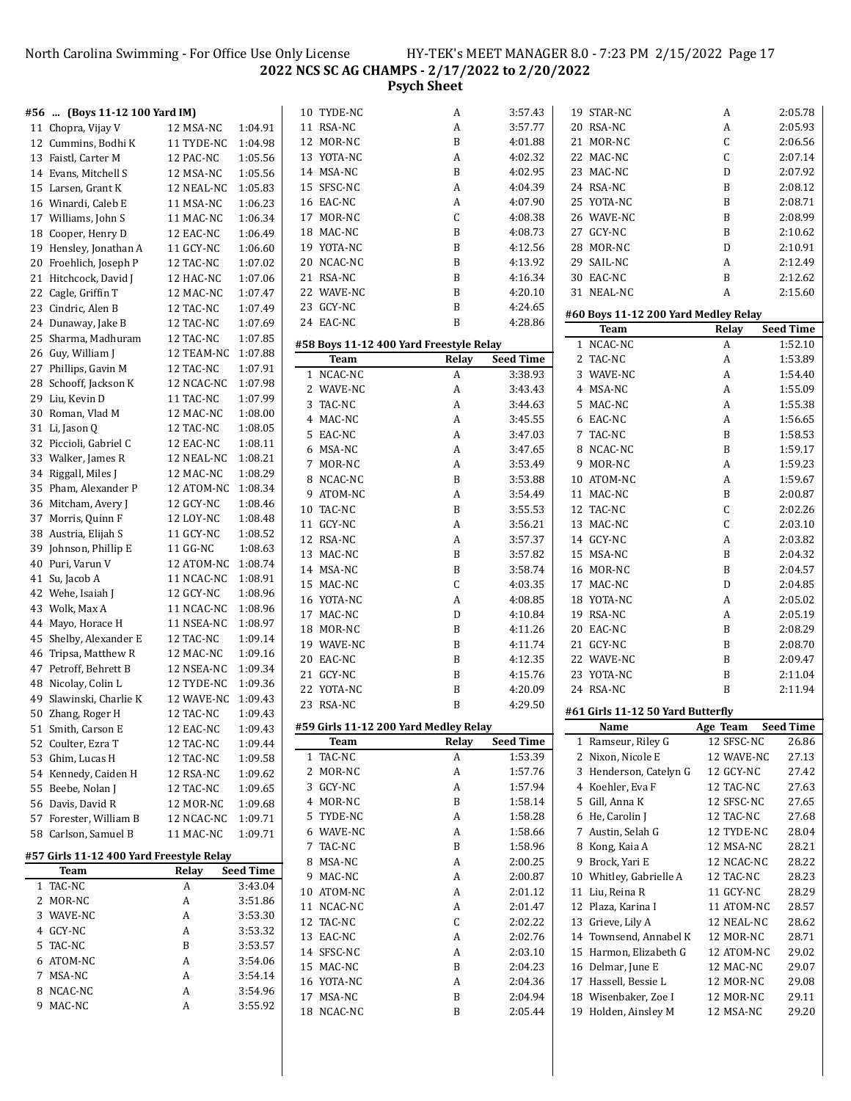North Carolina Swimming - For Office Use Only License HY-TEK's MEET MANAGER 8.0 - 7:23 PM 2/15/2022 Page 17 **NCS SC AG CHAMPS - 2/17/2022 to 2/20/2022**

**Psych Sheet**

| #56 | (Boys 11-12 100 Yard IM)                 |                    |                  | 10 TYDE-NC  | A                                       | 3:57.43          | 19 STAR-NC                           | A            | 2:05.78          |
|-----|------------------------------------------|--------------------|------------------|-------------|-----------------------------------------|------------------|--------------------------------------|--------------|------------------|
|     | 11 Chopra, Vijay V                       | 12 MSA-NC          | 1:04.91          | 11 RSA-NC   | A                                       | 3:57.77          | 20 RSA-NC                            | A            | 2:05.93          |
|     | 12 Cummins, Bodhi K                      | 11 TYDE-NC         | 1:04.98          | 12 MOR-NC   | B                                       | 4:01.88          | 21 MOR-NC                            | С            | 2:06.56          |
|     | 13 Faistl, Carter M                      | 12 PAC-NC          | 1:05.56          | 13 YOTA-NC  | A                                       | 4:02.32          | 22 MAC-NC                            | C            | 2:07.14          |
|     | 14 Evans, Mitchell S                     | 12 MSA-NC          | 1:05.56          | 14 MSA-NC   | B                                       | 4:02.95          | 23 MAC-NC                            | D            | 2:07.92          |
|     | 15 Larsen, Grant K                       | 12 NEAL-NC         | 1:05.83          | 15 SFSC-NC  | A                                       | 4:04.39          | 24 RSA-NC                            | B            | 2:08.12          |
|     | 16 Winardi, Caleb E                      | 11 MSA-NC          | 1:06.23          | 16 EAC-NC   | A                                       | 4:07.90          | 25 YOTA-NC                           | B            | 2:08.71          |
|     | 17 Williams, John S                      | 11 MAC-NC          | 1:06.34          | 17 MOR-NC   | C                                       | 4:08.38          | 26 WAVE-NC                           | B            | 2:08.99          |
|     | 18 Cooper, Henry D                       | 12 EAC-NC          | 1:06.49          | 18 MAC-NC   | B                                       | 4:08.73          | 27 GCY-NC                            | B            | 2:10.62          |
|     | 19 Hensley, Jonathan A                   | 11 GCY-NC          | 1:06.60          | 19 YOTA-NC  | B                                       | 4:12.56          | 28 MOR-NC                            | D            | 2:10.91          |
| 20  | Froehlich, Joseph P                      | 12 TAC-NC          | 1:07.02          | 20 NCAC-NC  | $\, {\bf B}$                            | 4:13.92          | 29 SAIL-NC                           | A            | 2:12.49          |
|     | 21 Hitchcock, David J                    | 12 HAC-NC          | 1:07.06          | 21 RSA-NC   | B                                       | 4:16.34          | 30 EAC-NC                            | B            | 2:12.62          |
|     | 22 Cagle, Griffin T                      | 12 MAC-NC          | 1:07.47          | 22 WAVE-NC  | B                                       | 4:20.10          | 31 NEAL-NC                           | A            | 2:15.60          |
|     | 23 Cindric, Alen B                       | 12 TAC-NC          | 1:07.49          | 23 GCY-NC   | $\, {\bf B}$                            | 4:24.65          |                                      |              |                  |
|     | 24 Dunaway, Jake B                       | 12 TAC-NC          | 1:07.69          | 24 EAC-NC   | B                                       | 4:28.86          | #60 Boys 11-12 200 Yard Medley Relay |              |                  |
|     | 25 Sharma, Madhuram                      | 12 TAC-NC          | 1:07.85          |             |                                         |                  | Team                                 | Relay        | <b>Seed Time</b> |
|     |                                          | 12 TEAM-NC 1:07.88 |                  |             | #58 Boys 11-12 400 Yard Freestyle Relay |                  | 1 NCAC-NC                            | A            | 1:52.10          |
|     | 26 Guy, William J                        |                    |                  | Team        | Relay                                   | <b>Seed Time</b> | 2 TAC-NC                             | A            | 1:53.89          |
|     | 27 Phillips, Gavin M                     | 12 TAC-NC          | 1:07.91          | 1 NCAC-NC   | A                                       | 3:38.93          | 3 WAVE-NC                            | A            | 1:54.40          |
|     | 28 Schooff, Jackson K                    | 12 NCAC-NC         | 1:07.98          | 2 WAVE-NC   | A                                       | 3:43.43          | 4 MSA-NC                             | A            | 1:55.09          |
|     | 29 Liu, Kevin D                          | 11 TAC-NC          | 1:07.99          | 3 TAC-NC    | A                                       | 3:44.63          | 5 MAC-NC                             | A            | 1:55.38          |
| 30  | Roman, Vlad M                            | 12 MAC-NC          | 1:08.00          | 4 MAC-NC    | A                                       | 3:45.55          | 6 EAC-NC                             | A            | 1:56.65          |
|     | 31 Li, Jason Q                           | 12 TAC-NC          | 1:08.05          | 5 EAC-NC    | A                                       | 3:47.03          | 7 TAC-NC                             | B            | 1:58.53          |
|     | 32 Piccioli, Gabriel C                   | 12 EAC-NC          | 1:08.11          | 6 MSA-NC    | A                                       | 3:47.65          | 8 NCAC-NC                            | B            | 1:59.17          |
|     | 33 Walker, James R                       | 12 NEAL-NC         | 1:08.21          | 7 MOR-NC    | A                                       | 3:53.49          | 9 MOR-NC                             | A            | 1:59.23          |
|     | 34 Riggall, Miles J                      | 12 MAC-NC          | 1:08.29          | 8 NCAC-NC   | B                                       | 3:53.88          | 10 ATOM-NC                           | A            | 1:59.67          |
|     | 35 Pham, Alexander P                     | 12 ATOM-NC 1:08.34 |                  | 9 ATOM-NC   | A                                       | 3:54.49          | 11 MAC-NC                            | B            | 2:00.87          |
|     | 36 Mitcham, Avery J                      | 12 GCY-NC          | 1:08.46          | 10 TAC-NC   | B                                       | 3:55.53          | 12 TAC-NC                            | C            | 2:02.26          |
|     | 37 Morris, Quinn F                       | 12 LOY-NC          | 1:08.48          | 11 GCY-NC   | A                                       | 3:56.21          | 13 MAC-NC                            | C            | 2:03.10          |
|     | 38 Austria, Elijah S                     | 11 GCY-NC          | 1:08.52          | 12 RSA-NC   | A                                       | 3:57.37          | 14 GCY-NC                            | A            | 2:03.82          |
| 39  | Johnson, Phillip E                       | 11 GG-NC           | 1:08.63          | 13 MAC-NC   | B                                       | 3:57.82          | 15 MSA-NC                            | B            | 2:04.32          |
| 40  | Puri, Varun V                            | 12 ATOM-NC 1:08.74 |                  | 14 MSA-NC   | B                                       | 3:58.74          | 16 MOR-NC                            | B            | 2:04.57          |
|     | 41 Su, Jacob A                           | 11 NCAC-NC         | 1:08.91          | 15 MAC-NC   | C                                       | 4:03.35          | 17 MAC-NC                            | D            | 2:04.85          |
|     | 42 Wehe, Isaiah J                        | 12 GCY-NC          | 1:08.96          |             |                                         |                  |                                      |              |                  |
|     | 43 Wolk, Max A                           | 11 NCAC-NC         | 1:08.96          | 16 YOTA-NC  | A                                       | 4:08.85          | 18 YOTA-NC                           | A            | 2:05.02          |
|     | 44 Mayo, Horace H                        | 11 NSEA-NC         | 1:08.97          | 17 MAC-NC   | D                                       | 4:10.84          | 19 RSA-NC                            | A            | 2:05.19          |
|     | 45 Shelby, Alexander E                   | 12 TAC-NC          | 1:09.14          | 18 MOR-NC   | B                                       | 4:11.26          | 20 EAC-NC                            | B            | 2:08.29          |
| 46  | Tripsa, Matthew R                        | 12 MAC-NC          | 1:09.16          | 19 WAVE-NC  | B                                       | 4:11.74          | 21 GCY-NC                            | B            | 2:08.70          |
|     | 47 Petroff, Behrett B                    | 12 NSEA-NC         | 1:09.34          | 20 EAC-NC   | $\, {\bf B}$                            | 4:12.35          | 22 WAVE-NC                           | B            | 2:09.47          |
|     | 48 Nicolay, Colin L                      | 12 TYDE-NC         | 1:09.36          | 21 GCY-NC   | B                                       | 4:15.76          | 23 YOTA-NC                           | B            | 2:11.04          |
| 49  | Slawinski, Charlie K                     | 12 WAVE-NC 1:09.43 |                  | 22 YOTA-NC  | B                                       | 4:20.09          | 24 RSA-NC                            | $\, {\bf B}$ | 2:11.94          |
|     | 50 Zhang, Roger H                        | 12 TAC-NC          | 1:09.43          | 23 RSA-NC   | B                                       | 4:29.50          | #61 Girls 11-12 50 Yard Butterfly    |              |                  |
|     | 51 Smith, Carson E                       | 12 EAC-NC          | 1:09.43          |             | #59 Girls 11-12 200 Yard Medley Relay   |                  | Name                                 | Age Team     | <b>Seed Time</b> |
|     | 52 Coulter, Ezra T                       | 12 TAC-NC          | 1:09.44          | <b>Team</b> | Relay                                   | <b>Seed Time</b> | 1 Ramseur, Riley G                   | 12 SFSC-NC   | 26.86            |
|     | 53 Ghim, Lucas H                         | 12 TAC-NC          | 1:09.58          | 1 TAC-NC    | A                                       | 1:53.39          | 2 Nixon, Nicole E                    | 12 WAVE-NC   | 27.13            |
|     | 54 Kennedy, Caiden H                     | 12 RSA-NC          | 1:09.62          | 2 MOR-NC    | A                                       | 1:57.76          | 3 Henderson, Catelyn G               | 12 GCY-NC    | 27.42            |
| 55  | Beebe, Nolan J                           | 12 TAC-NC          | 1:09.65          | 3 GCY-NC    | A                                       | 1:57.94          | 4 Koehler, Eva F                     | 12 TAC-NC    | 27.63            |
|     | 56 Davis, David R                        |                    |                  | 4 MOR-NC    | B                                       | 1:58.14          | 5 Gill, Anna K                       | 12 SFSC-NC   | 27.65            |
|     |                                          | 12 MOR-NC          | 1:09.68          | 5 TYDE-NC   | A                                       | 1:58.28          | 6 He, Carolin J                      | 12 TAC-NC    | 27.68            |
|     | 57 Forester, William B                   | 12 NCAC-NC         | 1:09.71          | 6 WAVE-NC   | A                                       | 1:58.66          | 7 Austin, Selah G                    | 12 TYDE-NC   | 28.04            |
|     | 58 Carlson, Samuel B                     | 11 MAC-NC          | 1:09.71          | 7 TAC-NC    | B                                       | 1:58.96          | 8 Kong, Kaia A                       | 12 MSA-NC    | 28.21            |
|     | #57 Girls 11-12 400 Yard Freestyle Relay |                    |                  | 8 MSA-NC    |                                         | 2:00.25          | 9 Brock, Yari E                      | 12 NCAC-NC   | 28.22            |
|     | Team                                     | Relay              | <b>Seed Time</b> |             | A                                       |                  |                                      |              |                  |
|     | 1 TAC-NC                                 | A                  | 3:43.04          | 9 MAC-NC    | A                                       | 2:00.87          | 10 Whitley, Gabrielle A              | 12 TAC-NC    | 28.23            |
|     | 2 MOR-NC                                 | A                  | 3:51.86          | 10 ATOM-NC  | A                                       | 2:01.12          | 11 Liu, Reina R                      | 11 GCY-NC    | 28.29            |
|     | 3 WAVE-NC                                | A                  | 3:53.30          | 11 NCAC-NC  | A                                       | 2:01.47          | 12 Plaza, Karina I                   | 11 ATOM-NC   | 28.57            |
|     | 4 GCY-NC                                 | A                  | 3:53.32          | 12 TAC-NC   | C                                       | 2:02.22          | 13 Grieve, Lily A                    | 12 NEAL-NC   | 28.62            |
|     | 5 TAC-NC                                 | B                  | 3:53.57          | 13 EAC-NC   | A                                       | 2:02.76          | 14 Townsend, Annabel K               | 12 MOR-NC    | 28.71            |
|     | 6 ATOM-NC                                | A                  | 3:54.06          | 14 SFSC-NC  | A                                       | 2:03.10          | 15 Harmon, Elizabeth G               | 12 ATOM-NC   | 29.02            |
|     | 7 MSA-NC                                 | A                  | 3:54.14          | 15 MAC-NC   | B                                       | 2:04.23          | 16 Delmar, June E                    | 12 MAC-NC    | 29.07            |
|     | 8 NCAC-NC                                | A                  | 3:54.96          | 16 YOTA-NC  | A                                       | 2:04.36          | 17 Hassell, Bessie L                 | 12 MOR-NC    | 29.08            |
|     | 9 MAC-NC                                 | A                  | 3:55.92          | 17 MSA-NC   | B                                       | 2:04.94          | 18 Wisenbaker, Zoe I                 | 12 MOR-NC    | 29.11            |
|     |                                          |                    |                  | 18 NCAC-NC  | B                                       | 2:05.44          | 19 Holden, Ainsley M                 | 12 MSA-NC    | 29.20            |
|     |                                          |                    |                  |             |                                         |                  |                                      |              |                  |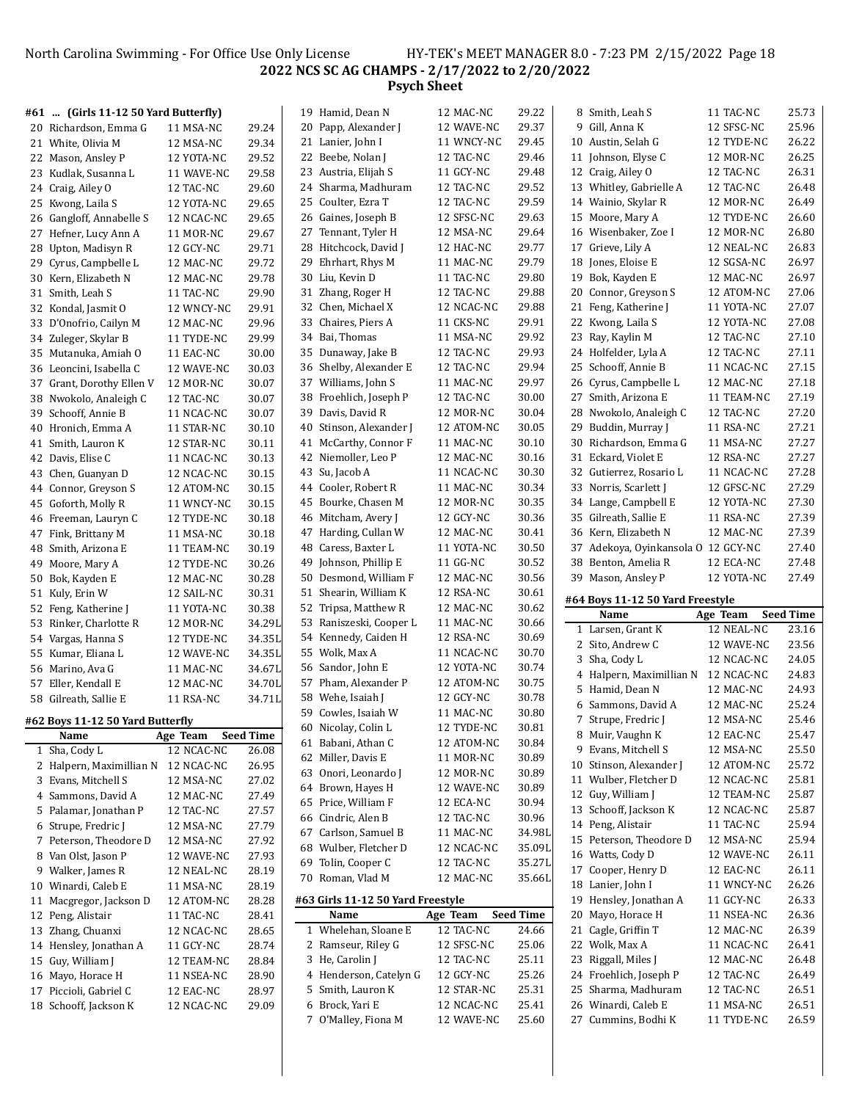North Carolina Swimming - For Office Use Only License HY-TEK's MEET MANAGER 8.0 - 7:23 PM 2/15/2022 Page 18 **NCS SC AG CHAMPS - 2/17/2022 to 2/20/2022 Psych Sheet**

|    | #61  (Girls 11-12 50 Yard Butterfly) |            |                  | 19 Hamid, Dean N                          | 12 MAC-NC                | 29.22            | 8 Smith, Leah S                            | 11 TAC-NC               | 25.73            |
|----|--------------------------------------|------------|------------------|-------------------------------------------|--------------------------|------------------|--------------------------------------------|-------------------------|------------------|
|    | 20 Richardson, Emma G                | 11 MSA-NC  | 29.24            | 20 Papp, Alexander J                      | 12 WAVE-NC               | 29.37            | 9 Gill, Anna K                             | 12 SFSC-NC              | 25.96            |
|    | 21 White, Olivia M                   | 12 MSA-NC  | 29.34            | 21 Lanier, John I                         | 11 WNCY-NC               | 29.45            | 10 Austin, Selah G                         | 12 TYDE-NC              | 26.22            |
|    | 22 Mason, Ansley P                   | 12 YOTA-NC | 29.52            | 22 Beebe, Nolan J                         | 12 TAC-NC                | 29.46            | 11 Johnson, Elyse C                        | 12 MOR-NC               | 26.25            |
|    | 23 Kudlak, Susanna L                 | 11 WAVE-NC | 29.58            | 23 Austria, Elijah S                      | 11 GCY-NC                | 29.48            | 12 Craig, Ailey O                          | 12 TAC-NC               | 26.31            |
|    | 24 Craig, Ailey O                    | 12 TAC-NC  | 29.60            | 24 Sharma, Madhuram                       | 12 TAC-NC                | 29.52            | 13 Whitley, Gabrielle A                    | 12 TAC-NC               | 26.48            |
|    | 25 Kwong, Laila S                    | 12 YOTA-NC | 29.65            | 25 Coulter, Ezra T                        | 12 TAC-NC                | 29.59            | 14 Wainio, Skylar R                        | 12 MOR-NC               | 26.49            |
|    | 26 Gangloff, Annabelle S             | 12 NCAC-NC | 29.65            | 26 Gaines, Joseph B                       | 12 SFSC-NC               | 29.63            | 15 Moore, Mary A                           | 12 TYDE-NC              | 26.60            |
|    | 27 Hefner, Lucy Ann A                | 11 MOR-NC  | 29.67            | 27 Tennant, Tyler H                       | 12 MSA-NC                | 29.64            | 16 Wisenbaker, Zoe I                       | 12 MOR-NC               | 26.80            |
|    | 28 Upton, Madisyn R                  | 12 GCY-NC  | 29.71            | 28 Hitchcock, David J                     | 12 HAC-NC                | 29.77            | 17 Grieve, Lily A                          | 12 NEAL-NC              | 26.83            |
|    | 29 Cyrus, Campbelle L                | 12 MAC-NC  | 29.72            | 29 Ehrhart, Rhys M                        | 11 MAC-NC                | 29.79            | 18 Jones, Eloise E                         | 12 SGSA-NC              | 26.97            |
|    | 30 Kern, Elizabeth N                 | 12 MAC-NC  | 29.78            | 30 Liu, Kevin D                           | 11 TAC-NC                | 29.80            | 19 Bok, Kayden E                           | 12 MAC-NC               | 26.97            |
|    | 31 Smith, Leah S                     | 11 TAC-NC  | 29.90            | 31 Zhang, Roger H                         | 12 TAC-NC                | 29.88            | 20 Connor, Greyson S                       | 12 ATOM-NC              | 27.06            |
|    | 32 Kondal, Jasmit O                  | 12 WNCY-NC | 29.91            | 32 Chen, Michael X                        | 12 NCAC-NC               | 29.88            | 21 Feng, Katherine J                       | 11 YOTA-NC              | 27.07            |
|    | 33 D'Onofrio, Cailyn M               | 12 MAC-NC  | 29.96            | 33 Chaires, Piers A                       | 11 CKS-NC                | 29.91            | 22 Kwong, Laila S                          | 12 YOTA-NC              | 27.08            |
|    | 34 Zuleger, Skylar B                 | 11 TYDE-NC | 29.99            | 34 Bai, Thomas                            | 11 MSA-NC                | 29.92            | 23 Ray, Kaylin M                           | 12 TAC-NC               | 27.10            |
|    | 35 Mutanuka, Amiah O                 | 11 EAC-NC  | 30.00            | 35 Dunaway, Jake B                        | 12 TAC-NC                | 29.93            | 24 Holfelder, Lyla A                       | 12 TAC-NC               | 27.11            |
|    | 36 Leoncini, Isabella C              | 12 WAVE-NC | 30.03            | 36 Shelby, Alexander E                    | 12 TAC-NC                | 29.94            | 25 Schooff, Annie B                        | 11 NCAC-NC              | 27.15            |
|    | 37 Grant, Dorothy Ellen V            | 12 MOR-NC  | 30.07            | 37 Williams, John S                       | 11 MAC-NC                | 29.97            | 26 Cyrus, Campbelle L                      | 12 MAC-NC               | 27.18            |
|    | 38 Nwokolo, Analeigh C               | 12 TAC-NC  | 30.07            | 38 Froehlich, Joseph P                    | 12 TAC-NC                | 30.00            | 27 Smith, Arizona E                        | 11 TEAM-NC              | 27.19            |
|    | 39 Schooff, Annie B                  | 11 NCAC-NC | 30.07            | 39 Davis, David R                         | 12 MOR-NC                | 30.04            | 28 Nwokolo, Analeigh C                     | 12 TAC-NC               | 27.20            |
|    | 40 Hronich, Emma A                   | 11 STAR-NC | 30.10            | 40 Stinson, Alexander J                   | 12 ATOM-NC               | 30.05            | 29 Buddin, Murray J                        | 11 RSA-NC               | 27.21            |
|    | 41 Smith, Lauron K                   | 12 STAR-NC | 30.11            | 41 McCarthy, Connor F                     | 11 MAC-NC                | 30.10            | 30 Richardson, Emma G                      | 11 MSA-NC               | 27.27            |
|    | 42 Davis, Elise C                    | 11 NCAC-NC | 30.13            | 42 Niemoller, Leo P                       | 12 MAC-NC                | 30.16            | 31 Eckard, Violet E                        | 12 RSA-NC               | 27.27            |
|    | 43 Chen, Guanyan D                   | 12 NCAC-NC | 30.15            | 43 Su, Jacob A                            | 11 NCAC-NC               | 30.30            | 32 Gutierrez, Rosario L                    | 11 NCAC-NC              | 27.28            |
| 44 | Connor, Greyson S                    | 12 ATOM-NC | 30.15            | 44 Cooler, Robert R                       | 11 MAC-NC                | 30.34            | 33 Norris, Scarlett J                      | 12 GFSC-NC              | 27.29            |
|    | 45 Goforth, Molly R                  | 11 WNCY-NC | 30.15            | 45 Bourke, Chasen M                       | 12 MOR-NC                | 30.35            | 34 Lange, Campbell E                       | 12 YOTA-NC              | 27.30            |
|    | 46 Freeman, Lauryn C                 | 12 TYDE-NC | 30.18            | 46 Mitcham, Avery J                       | 12 GCY-NC                | 30.36            | 35 Gilreath, Sallie E                      | 11 RSA-NC               | 27.39            |
|    | 47 Fink, Brittany M                  | 11 MSA-NC  | 30.18            | 47 Harding, Cullan W                      | 12 MAC-NC                | 30.41            | 36 Kern, Elizabeth N                       | 12 MAC-NC               | 27.39            |
| 48 | Smith, Arizona E                     | 11 TEAM-NC | 30.19            | 48 Caress, Baxter L                       | 11 YOTA-NC               | 30.50            | 37 Adekoya, Oyinkansola O 12 GCY-NC        |                         | 27.40            |
| 49 | Moore, Mary A                        | 12 TYDE-NC | 30.26            | 49 Johnson, Phillip E                     | 11 GG-NC                 | 30.52            | 38 Benton, Amelia R                        | 12 ECA-NC               | 27.48            |
|    | 50 Bok, Kayden E                     | 12 MAC-NC  | 30.28            | 50 Desmond, William F                     | 12 MAC-NC                | 30.56            | 39 Mason, Ansley P                         | 12 YOTA-NC              | 27.49            |
|    |                                      |            |                  |                                           |                          |                  |                                            |                         |                  |
|    |                                      |            |                  |                                           |                          |                  |                                            |                         |                  |
|    | 51 Kuly, Erin W                      | 12 SAIL-NC | 30.31            | 51 Shearin, William K                     | 12 RSA-NC                | 30.61            | #64 Boys 11-12 50 Yard Freestyle           |                         |                  |
|    | 52 Feng, Katherine J                 | 11 YOTA-NC | 30.38            | 52 Tripsa, Matthew R                      | 12 MAC-NC                | 30.62            | Name                                       | Age Team                | <b>Seed Time</b> |
| 53 | Rinker, Charlotte R                  | 12 MOR-NC  | 34.29L           | 53 Raniszeski, Cooper L                   | 11 MAC-NC                | 30.66            | 1 Larsen, Grant K                          | 12 NEAL-NC              | 23.16            |
| 54 | Vargas, Hanna S                      | 12 TYDE-NC | 34.35L           | 54 Kennedy, Caiden H                      | 12 RSA-NC<br>11 NCAC-NC  | 30.69            | 2 Sito, Andrew C                           | 12 WAVE-NC              | 23.56            |
|    | 55 Kumar, Eliana L                   | 12 WAVE-NC | 34.35L           | 55 Wolk, Max A<br>56 Sandor, John E       | 12 YOTA-NC               | 30.70            | 3 Sha, Cody L                              | 12 NCAC-NC              | 24.05            |
|    | 56 Marino, Ava G                     | 11 MAC-NC  | 34.67L           |                                           |                          | 30.74            | 4 Halpern, Maximillian N                   | 12 NCAC-NC              | 24.83            |
|    | 57 Eller, Kendall E                  | 12 MAC-NC  | 34.70L           | 57 Pham, Alexander P                      | 12 ATOM-NC<br>12 GCY-NC  | 30.75            | 5 Hamid, Dean N                            | 12 MAC-NC               | 24.93            |
|    | 58 Gilreath, Sallie E                | 11 RSA-NC  | 34.71L           | 58 Wehe, Isaiah J                         | 11 MAC-NC                | 30.78            | 6 Sammons, David A                         | 12 MAC-NC               | 25.24            |
|    | #62 Boys 11-12 50 Yard Butterfly     |            |                  | 59 Cowles, Isaiah W                       |                          | 30.80            | 7 Strupe, Fredric J                        | 12 MSA-NC               | 25.46            |
|    | Name                                 | Age Team   | <b>Seed Time</b> | 60 Nicolay, Colin L<br>61 Babani, Athan C | 12 TYDE-NC<br>12 ATOM-NC | 30.81<br>30.84   | 8 Muir, Vaughn K                           | 12 EAC-NC               | 25.47            |
|    | 1 Sha, Cody L                        | 12 NCAC-NC | 26.08            | 62 Miller, Davis E                        | 11 MOR-NC                | 30.89            | 9 Evans, Mitchell S                        | 12 MSA-NC               | 25.50            |
|    | 2 Halpern, Maximillian N 12 NCAC-NC  |            | 26.95            | 63 Onori, Leonardo J                      | 12 MOR-NC                |                  | 10 Stinson, Alexander J                    | 12 ATOM-NC              | 25.72            |
|    | 3 Evans, Mitchell S                  | 12 MSA-NC  | 27.02            | 64 Brown, Hayes H                         | 12 WAVE-NC               | 30.89            | 11 Wulber, Fletcher D                      | 12 NCAC-NC              | 25.81            |
|    | 4 Sammons, David A                   | 12 MAC-NC  | 27.49            | 65 Price, William F                       | 12 ECA-NC                | 30.89<br>30.94   | 12 Guy, William J                          | 12 TEAM-NC              | 25.87            |
|    | 5 Palamar, Jonathan P                | 12 TAC-NC  | 27.57            | 66 Cindric, Alen B                        | 12 TAC-NC                | 30.96            | 13 Schooff, Jackson K                      | 12 NCAC-NC              | 25.87            |
|    | 6 Strupe, Fredric J                  | 12 MSA-NC  | 27.79            | 67 Carlson, Samuel B                      | 11 MAC-NC                | 34.98L           | 14 Peng, Alistair                          | 11 TAC-NC               | 25.94            |
|    | 7 Peterson, Theodore D               | 12 MSA-NC  | 27.92            | 68 Wulber, Fletcher D                     | 12 NCAC-NC               |                  | 15 Peterson, Theodore D                    | 12 MSA-NC               | 25.94            |
|    | 8 Van Olst, Jason P                  | 12 WAVE-NC | 27.93            |                                           | 12 TAC-NC                | 35.09L<br>35.27L | 16 Watts, Cody D                           | 12 WAVE-NC              | 26.11            |
|    | 9 Walker, James R                    | 12 NEAL-NC | 28.19            | 69 Tolin, Cooper C<br>70 Roman, Vlad M    | 12 MAC-NC                | 35.66L           | 17 Cooper, Henry D                         | 12 EAC-NC               | 26.11            |
|    | 10 Winardi, Caleb E                  | 11 MSA-NC  | 28.19            |                                           |                          |                  | 18 Lanier, John I                          | 11 WNCY-NC              | 26.26            |
| 11 | Macgregor, Jackson D                 | 12 ATOM-NC | 28.28            | #63 Girls 11-12 50 Yard Freestyle         |                          |                  | 19 Hensley, Jonathan A                     | 11 GCY-NC               | 26.33            |
| 12 | Peng, Alistair                       | 11 TAC-NC  | 28.41            | Name                                      | Age Team                 | <b>Seed Time</b> | 20 Mayo, Horace H                          | 11 NSEA-NC              | 26.36            |
| 13 | Zhang, Chuanxi                       | 12 NCAC-NC | 28.65            | 1 Whelehan, Sloane E                      | 12 TAC-NC                | 24.66            | 21 Cagle, Griffin T                        | 12 MAC-NC               | 26.39            |
|    | 14 Hensley, Jonathan A               | 11 GCY-NC  | 28.74            | 2 Ramseur, Riley G                        | 12 SFSC-NC               | 25.06            | 22 Wolk, Max A                             | 11 NCAC-NC              | 26.41            |
|    | 15 Guy, William J                    | 12 TEAM-NC | 28.84            | 3 He, Carolin J                           | 12 TAC-NC                | 25.11            | 23 Riggall, Miles J                        | 12 MAC-NC               | 26.48            |
|    | 16 Mayo, Horace H                    | 11 NSEA-NC | 28.90            | 4 Henderson, Catelyn G                    | 12 GCY-NC                | 25.26            | 24 Froehlich, Joseph P                     | 12 TAC-NC               | 26.49            |
|    | 17 Piccioli, Gabriel C               | 12 EAC-NC  | 28.97            | 5 Smith, Lauron K                         | 12 STAR-NC               | 25.31            | 25 Sharma, Madhuram                        | 12 TAC-NC               | 26.51            |
|    | 18 Schooff, Jackson K                | 12 NCAC-NC | 29.09            | 6 Brock, Yari E<br>7 O'Malley, Fiona M    | 12 NCAC-NC<br>12 WAVE-NC | 25.41<br>25.60   | 26 Winardi, Caleb E<br>27 Cummins, Bodhi K | 11 MSA-NC<br>11 TYDE-NC | 26.51<br>26.59   |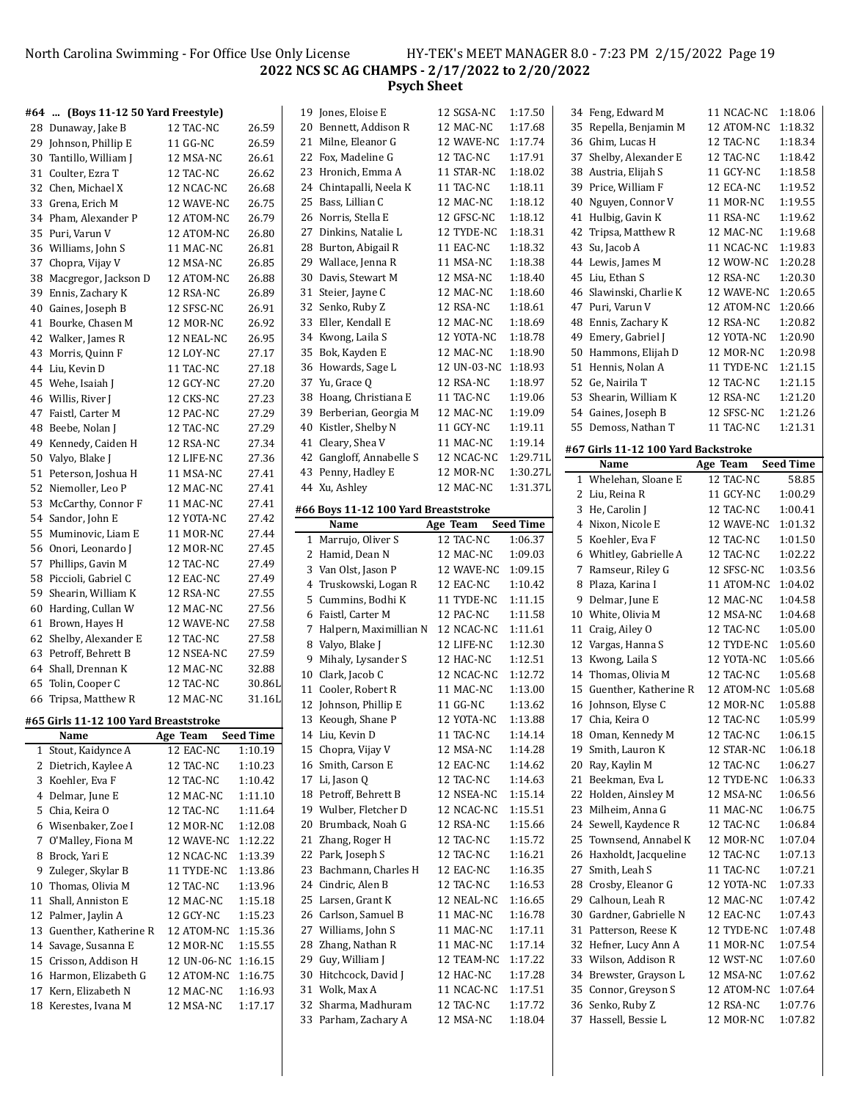North Carolina Swimming - For Office Use Only License HY-TEK's MEET MANAGER 8.0 - 7:23 PM 2/15/2022 Page 19 **NCS SC AG CHAMPS - 2/17/2022 to 2/20/2022 Psych Sheet**

| #64  (Boys 11-12 50 Yard Freestyle)   |                     |           | 19 Jones, Eloise E                   | 12 SGSA-NC          | 1:17.50          | 34 Feng, Edward M                   | 11 NCAC-NC | 1:18.06            |
|---------------------------------------|---------------------|-----------|--------------------------------------|---------------------|------------------|-------------------------------------|------------|--------------------|
| 28 Dunaway, Jake B                    | 12 TAC-NC           | 26.59     | 20 Bennett, Addison R                | 12 MAC-NC           | 1:17.68          | 35 Repella, Benjamin M              | 12 ATOM-NC | 1:18.32            |
| 29 Johnson, Phillip E                 | 11 GG-NC            | 26.59     | 21 Milne, Eleanor G                  | 12 WAVE-NC 1:17.74  |                  | 36 Ghim, Lucas H                    | 12 TAC-NC  | 1:18.34            |
| 30 Tantillo, William J                | 12 MSA-NC           | 26.61     | 22 Fox, Madeline G                   | 12 TAC-NC           | 1:17.91          | 37 Shelby, Alexander E              | 12 TAC-NC  | 1:18.42            |
| 31 Coulter, Ezra T                    | 12 TAC-NC           | 26.62     | 23 Hronich, Emma A                   | 11 STAR-NC          | 1:18.02          | 38 Austria, Elijah S                | 11 GCY-NC  | 1:18.58            |
| 32 Chen, Michael X                    | 12 NCAC-NC          | 26.68     | 24 Chintapalli, Neela K              | 11 TAC-NC           | 1:18.11          | 39 Price, William F                 | 12 ECA-NC  | 1:19.52            |
| 33 Grena, Erich M                     | 12 WAVE-NC          | 26.75     | 25 Bass, Lillian C                   | 12 MAC-NC           | 1:18.12          | 40 Nguyen, Connor V                 | 11 MOR-NC  | 1:19.55            |
| 34 Pham, Alexander P                  | 12 ATOM-NC          | 26.79     | 26 Norris, Stella E                  | 12 GFSC-NC          | 1:18.12          | 41 Hulbig, Gavin K                  | 11 RSA-NC  | 1:19.62            |
| 35 Puri, Varun V                      | 12 ATOM-NC          | 26.80     | 27 Dinkins, Natalie L                | 12 TYDE-NC          | 1:18.31          | 42 Tripsa, Matthew R                | 12 MAC-NC  | 1:19.68            |
| 36 Williams, John S                   | 11 MAC-NC           | 26.81     | 28 Burton, Abigail R                 | 11 EAC-NC           | 1:18.32          | 43 Su, Jacob A                      | 11 NCAC-NC | 1:19.83            |
| 37 Chopra, Vijay V                    | 12 MSA-NC           | 26.85     | 29 Wallace, Jenna R                  | 11 MSA-NC           | 1:18.38          | 44 Lewis, James M                   | 12 WOW-NC  | 1:20.28            |
| 38 Macgregor, Jackson D               | 12 ATOM-NC          | 26.88     | 30 Davis, Stewart M                  | 12 MSA-NC           | 1:18.40          | 45 Liu, Ethan S                     | 12 RSA-NC  | 1:20.30            |
|                                       |                     | 26.89     | 31 Steier, Jayne C                   | 12 MAC-NC           | 1:18.60          | 46 Slawinski, Charlie K             | 12 WAVE-NC | 1:20.65            |
| 39 Ennis, Zachary K                   | 12 RSA-NC           |           | 32 Senko, Ruby Z                     | 12 RSA-NC           | 1:18.61          | 47 Puri, Varun V                    | 12 ATOM-NC | 1:20.66            |
| 40 Gaines, Joseph B                   | 12 SFSC-NC          | 26.91     |                                      |                     | 1:18.69          |                                     |            | 1:20.82            |
| 41 Bourke, Chasen M                   | 12 MOR-NC           | 26.92     | 33 Eller, Kendall E                  | 12 MAC-NC           |                  | 48 Ennis, Zachary K                 | 12 RSA-NC  |                    |
| 42 Walker, James R                    | 12 NEAL-NC          | 26.95     | 34 Kwong, Laila S                    | 12 YOTA-NC          | 1:18.78          | 49 Emery, Gabriel J                 | 12 YOTA-NC | 1:20.90            |
| 43 Morris, Quinn F                    | 12 LOY-NC           | 27.17     | 35 Bok, Kayden E                     | 12 MAC-NC           | 1:18.90          | 50 Hammons, Elijah D                | 12 MOR-NC  | 1:20.98            |
| 44 Liu, Kevin D                       | 11 TAC-NC           | 27.18     | 36 Howards, Sage L                   | 12 UN-03-NC 1:18.93 |                  | 51 Hennis, Nolan A                  | 11 TYDE-NC | 1:21.15            |
| 45 Wehe, Isaiah J                     | 12 GCY-NC           | 27.20     | 37 Yu, Grace Q                       | 12 RSA-NC           | 1:18.97          | 52 Ge, Nairila T                    | 12 TAC-NC  | 1:21.15            |
| 46 Willis, River J                    | 12 CKS-NC           | 27.23     | 38 Hoang, Christiana E               | 11 TAC-NC           | 1:19.06          | 53 Shearin, William K               | 12 RSA-NC  | 1:21.20            |
| 47 Faistl, Carter M                   | 12 PAC-NC           | 27.29     | 39 Berberian, Georgia M              | 12 MAC-NC           | 1:19.09          | 54 Gaines, Joseph B                 | 12 SFSC-NC | 1:21.26            |
| 48 Beebe, Nolan J                     | 12 TAC-NC           | 27.29     | 40 Kistler, Shelby N                 | 11 GCY-NC           | 1:19.11          | 55 Demoss, Nathan T                 | 11 TAC-NC  | 1:21.31            |
| 49 Kennedy, Caiden H                  | 12 RSA-NC           | 27.34     | 41 Cleary, Shea V                    | 11 MAC-NC           | 1:19.14          | #67 Girls 11-12 100 Yard Backstroke |            |                    |
| 50 Valyo, Blake J                     | 12 LIFE-NC          | 27.36     | 42 Gangloff, Annabelle S             | 12 NCAC-NC          | 1:29.71L         | Name                                | Age Team   | <b>Seed Time</b>   |
| 51 Peterson, Joshua H                 | 11 MSA-NC           | 27.41     | 43 Penny, Hadley E                   | 12 MOR-NC           | 1:30.27L         | 1 Whelehan, Sloane E                | 12 TAC-NC  | 58.85              |
| 52 Niemoller, Leo P                   | 12 MAC-NC           | 27.41     | 44 Xu, Ashley                        | 12 MAC-NC           | 1:31.37L         | 2 Liu, Reina R                      | 11 GCY-NC  | 1:00.29            |
| 53 McCarthy, Connor F                 | 11 MAC-NC           | 27.41     | #66 Boys 11-12 100 Yard Breaststroke |                     |                  | 3 He, Carolin J                     | 12 TAC-NC  | 1:00.41            |
| 54 Sandor, John E                     | 12 YOTA-NC          | 27.42     | Name                                 | Age Team            | <b>Seed Time</b> | 4 Nixon, Nicole E                   | 12 WAVE-NC | 1:01.32            |
| 55 Muminovic, Liam E                  | 11 MOR-NC           | 27.44     | 1 Marrujo, Oliver S                  | 12 TAC-NC           | 1:06.37          | 5 Koehler, Eva F                    | 12 TAC-NC  | 1:01.50            |
| 56 Onori, Leonardo J                  | 12 MOR-NC           | 27.45     | 2 Hamid, Dean N                      | 12 MAC-NC           | 1:09.03          | 6 Whitley, Gabrielle A              | 12 TAC-NC  | 1:02.22            |
| 57 Phillips, Gavin M                  | 12 TAC-NC           | 27.49     |                                      |                     | 1:09.15          |                                     |            | 1:03.56            |
| 58 Piccioli, Gabriel C                | 12 EAC-NC           | 27.49     | 3 Van Olst, Jason P                  | 12 WAVE-NC          |                  | 7 Ramseur, Riley G                  | 12 SFSC-NC |                    |
| 59 Shearin, William K                 | 12 RSA-NC           | 27.55     | 4 Truskowski, Logan R                | 12 EAC-NC           | 1:10.42          | 8 Plaza, Karina I                   | 11 ATOM-NC | 1:04.02<br>1:04.58 |
| 60 Harding, Cullan W                  | 12 MAC-NC           | 27.56     | 5 Cummins, Bodhi K                   | 11 TYDE-NC          | 1:11.15          | 9 Delmar, June E                    | 12 MAC-NC  |                    |
| 61 Brown, Hayes H                     | 12 WAVE-NC          | 27.58     | 6 Faistl, Carter M                   | 12 PAC-NC           | 1:11.58          | 10 White, Olivia M                  | 12 MSA-NC  | 1:04.68            |
| 62 Shelby, Alexander E                | 12 TAC-NC           | 27.58     | 7 Halpern, Maximillian N             | 12 NCAC-NC          | 1:11.61          | 11 Craig, Ailey O                   | 12 TAC-NC  | 1:05.00            |
| 63 Petroff, Behrett B                 | 12 NSEA-NC          | 27.59     | 8 Valyo, Blake J                     | 12 LIFE-NC          | 1:12.30          | 12 Vargas, Hanna S                  | 12 TYDE-NC | 1:05.60            |
| 64 Shall, Drennan K                   | 12 MAC-NC           | 32.88     | 9 Mihaly, Lysander S                 | 12 HAC-NC           | 1:12.51          | 13 Kwong, Laila S                   | 12 YOTA-NC | 1:05.66            |
| 65 Tolin, Cooper C                    | 12 TAC-NC           | 30.86L    | 10 Clark, Jacob C                    | 12 NCAC-NC          | 1:12.72          | 14 Thomas, Olivia M                 | 12 TAC-NC  | 1:05.68            |
| 66 Tripsa, Matthew R                  | 12 MAC-NC           | 31.16L    | 11 Cooler, Robert R                  | 11 MAC-NC           | 1:13.00          | 15 Guenther, Katherine R            | 12 ATOM-NC | 1:05.68            |
|                                       |                     |           | 12 Johnson, Phillip E                | 11 GG-NC            | 1:13.62          | 16 Johnson, Elyse C                 | 12 MOR-NC  | 1:05.88            |
| #65 Girls 11-12 100 Yard Breaststroke |                     |           | 13 Keough, Shane P                   | 12 YOTA-NC          | 1:13.88          | 17 Chia, Keira O                    | 12 TAC-NC  | 1:05.99            |
| Name                                  | Age Team            | Seed Time | 14 Liu, Kevin D                      | 11 TAC-NC           | 1:14.14          | 18 Oman, Kennedy M                  | 12 TAC-NC  | 1:06.15            |
| 1 Stout, Kaidynce A                   | 12 EAC-NC           | 1:10.19   | 15 Chopra, Vijay V                   | 12 MSA-NC           | 1:14.28          | 19 Smith, Lauron K                  | 12 STAR-NC | 1:06.18            |
| 2 Dietrich, Kaylee A                  | 12 TAC-NC           | 1:10.23   | 16 Smith, Carson E                   | 12 EAC-NC           | 1:14.62          | 20 Ray, Kaylin M                    | 12 TAC-NC  | 1:06.27            |
| 3 Koehler, Eva F                      | 12 TAC-NC           | 1:10.42   | 17 Li, Jason Q                       | 12 TAC-NC           | 1:14.63          | 21 Beekman, Eva L                   | 12 TYDE-NC | 1:06.33            |
| 4 Delmar, June E                      | 12 MAC-NC           | 1:11.10   | 18 Petroff, Behrett B                | 12 NSEA-NC          | 1:15.14          | 22 Holden, Ainsley M                | 12 MSA-NC  | 1:06.56            |
| 5 Chia, Keira O                       | 12 TAC-NC           | 1:11.64   | 19 Wulber, Fletcher D                | 12 NCAC-NC          | 1:15.51          | 23 Milheim, Anna G                  | 11 MAC-NC  | 1:06.75            |
| 6 Wisenbaker, Zoe I                   | 12 MOR-NC           | 1:12.08   | 20 Brumback, Noah G                  | 12 RSA-NC           | 1:15.66          | 24 Sewell, Kaydence R               | 12 TAC-NC  | 1:06.84            |
| 7 O'Malley, Fiona M                   | 12 WAVE-NC 1:12.22  |           | 21 Zhang, Roger H                    | 12 TAC-NC           | 1:15.72          | 25 Townsend, Annabel K              | 12 MOR-NC  | 1:07.04            |
| 8 Brock, Yari E                       | 12 NCAC-NC 1:13.39  |           | 22 Park, Joseph S                    | 12 TAC-NC           | 1:16.21          | 26 Haxholdt, Jacqueline             | 12 TAC-NC  | 1:07.13            |
| 9 Zuleger, Skylar B                   | 11 TYDE-NC          | 1:13.86   | 23 Bachmann, Charles H               | 12 EAC-NC           | 1:16.35          | 27 Smith, Leah S                    | 11 TAC-NC  | 1:07.21            |
| 10 Thomas, Olivia M                   | 12 TAC-NC           | 1:13.96   | 24 Cindric, Alen B                   | 12 TAC-NC           | 1:16.53          | 28 Crosby, Eleanor G                | 12 YOTA-NC | 1:07.33            |
| 11 Shall, Anniston E                  | 12 MAC-NC           | 1:15.18   | 25 Larsen, Grant K                   | 12 NEAL-NC          | 1:16.65          | 29 Calhoun, Leah R                  | 12 MAC-NC  | 1:07.42            |
| 12 Palmer, Jaylin A                   | 12 GCY-NC           | 1:15.23   | 26 Carlson, Samuel B                 | 11 MAC-NC           | 1:16.78          | 30 Gardner, Gabrielle N             | 12 EAC-NC  | 1:07.43            |
| 13 Guenther, Katherine R              | 12 ATOM-NC 1:15.36  |           | 27 Williams, John S                  | 11 MAC-NC           | 1:17.11          | 31 Patterson, Reese K               | 12 TYDE-NC | 1:07.48            |
| 14 Savage, Susanna E                  | 12 MOR-NC           | 1:15.55   | 28 Zhang, Nathan R                   | 11 MAC-NC           | 1:17.14          | 32 Hefner, Lucy Ann A               | 11 MOR-NC  | 1:07.54            |
| 15 Crisson, Addison H                 | 12 UN-06-NC 1:16.15 |           | 29 Guy, William J                    | 12 TEAM-NC 1:17.22  |                  | 33 Wilson, Addison R                | 12 WST-NC  | 1:07.60            |
| 16 Harmon, Elizabeth G                | 12 ATOM-NC 1:16.75  |           | 30 Hitchcock, David J                | 12 HAC-NC           | 1:17.28          | 34 Brewster, Grayson L              | 12 MSA-NC  | 1:07.62            |
| 17 Kern, Elizabeth N                  | 12 MAC-NC           | 1:16.93   | 31 Wolk, Max A                       | 11 NCAC-NC          | 1:17.51          | 35 Connor, Greyson S                | 12 ATOM-NC | 1:07.64            |
| 18 Kerestes, Ivana M                  | 12 MSA-NC           | 1:17.17   | 32 Sharma, Madhuram                  | 12 TAC-NC           | 1:17.72          | 36 Senko, Ruby Z                    | 12 RSA-NC  | 1:07.76            |
|                                       |                     |           |                                      |                     |                  |                                     |            |                    |

Parham, Zachary A 12 MSA-NC 1:18.04

Hassell, Bessie L 12 MOR-NC 1:07.82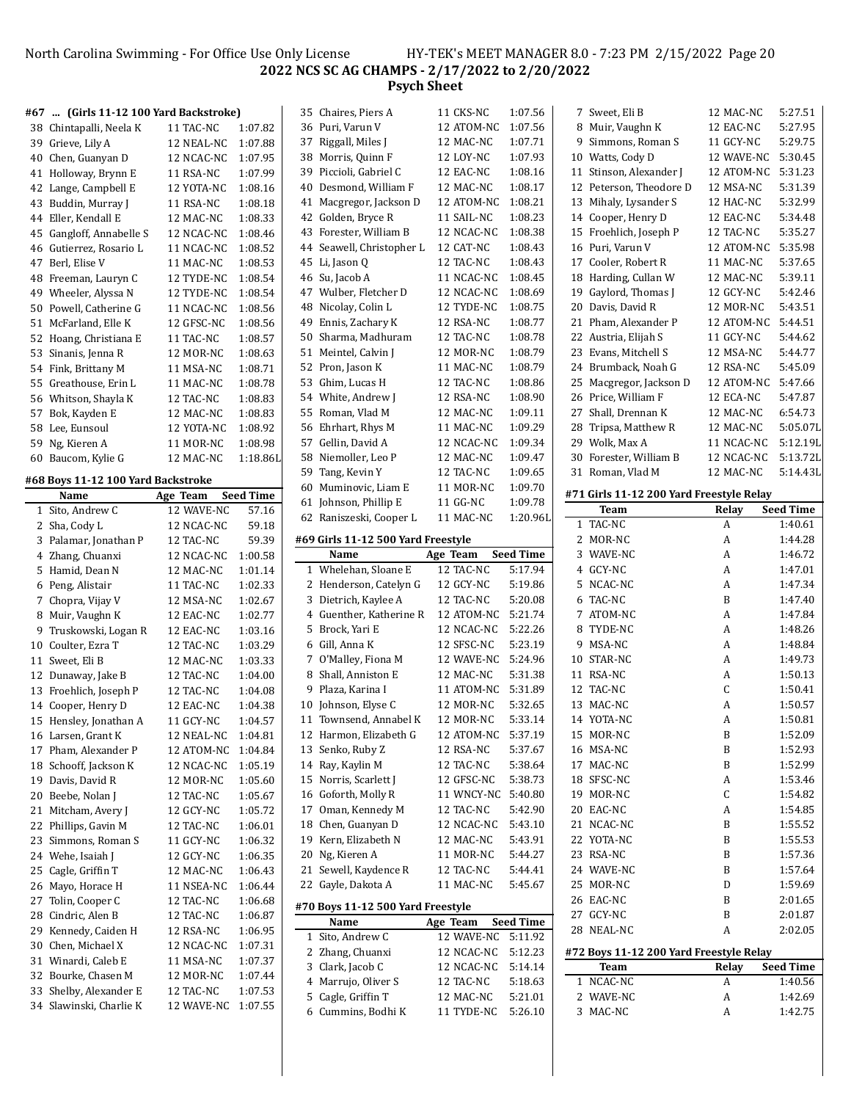# North Carolina Swimming - For Office Use Only License HY-TEK's MEET MANAGER 8.0 - 7:23 PM 2/15/2022 Page 20 **NCS SC AG CHAMPS - 2/17/2022 to 2/20/2022 Psych Sheet**

|    | #67  (Girls 11-12 100 Yard Backstroke)     |                    |                  |    | 35 Chaires, Piers A                | 11 CKS-NC          | 1:07.56          | 7 Sweet, Eli B                           | 12 MAC-NC  | 5:27.51          |
|----|--------------------------------------------|--------------------|------------------|----|------------------------------------|--------------------|------------------|------------------------------------------|------------|------------------|
|    | 38 Chintapalli, Neela K                    | 11 TAC-NC          | 1:07.82          |    | 36 Puri, Varun V                   | 12 ATOM-NC         | 1:07.56          | 8 Muir, Vaughn K                         | 12 EAC-NC  | 5:27.95          |
|    | 39 Grieve, Lily A                          | 12 NEAL-NC         | 1:07.88          |    | 37 Riggall, Miles J                | 12 MAC-NC          | 1:07.71          | 9 Simmons, Roman S                       | 11 GCY-NC  | 5:29.75          |
|    | 40 Chen, Guanyan D                         | 12 NCAC-NC         | 1:07.95          |    | 38 Morris, Quinn F                 | 12 LOY-NC          | 1:07.93          | 10 Watts, Cody D                         | 12 WAVE-NC | 5:30.45          |
|    | 41 Holloway, Brynn E                       | 11 RSA-NC          | 1:07.99          | 39 | Piccioli, Gabriel C                | 12 EAC-NC          | 1:08.16          | 11 Stinson, Alexander J                  | 12 ATOM-NC | 5:31.23          |
|    | 42 Lange, Campbell E                       | 12 YOTA-NC         | 1:08.16          | 40 | Desmond, William F                 | 12 MAC-NC          | 1:08.17          | 12 Peterson. Theodore D                  | 12 MSA-NC  | 5:31.39          |
|    | 43 Buddin, Murray J                        | 11 RSA-NC          | 1:08.18          |    | 41 Macgregor, Jackson D            | 12 ATOM-NC 1:08.21 |                  | 13 Mihaly, Lysander S                    | 12 HAC-NC  | 5:32.99          |
|    | 44 Eller, Kendall E                        | 12 MAC-NC          | 1:08.33          |    | 42 Golden, Bryce R                 | 11 SAIL-NC         | 1:08.23          | 14 Cooper, Henry D                       | 12 EAC-NC  | 5:34.48          |
|    | 45 Gangloff, Annabelle S                   | 12 NCAC-NC         | 1:08.46          |    | 43 Forester, William B             | 12 NCAC-NC         | 1:08.38          | 15 Froehlich, Joseph P                   | 12 TAC-NC  | 5:35.27          |
|    | 46 Gutierrez, Rosario L                    | 11 NCAC-NC         | 1:08.52          |    | 44 Seawell, Christopher L          | 12 CAT-NC          | 1:08.43          | 16 Puri, Varun V                         | 12 ATOM-NC | 5:35.98          |
|    | 47 Berl, Elise V                           | 11 MAC-NC          | 1:08.53          |    | 45 Li, Jason Q                     | 12 TAC-NC          | 1:08.43          | 17 Cooler, Robert R                      | 11 MAC-NC  | 5:37.65          |
|    | 48 Freeman, Lauryn C                       | 12 TYDE-NC         | 1:08.54          |    | 46 Su, Jacob A                     | 11 NCAC-NC         | 1:08.45          | 18 Harding, Cullan W                     | 12 MAC-NC  | 5:39.11          |
| 49 | Wheeler, Alyssa N                          | 12 TYDE-NC         | 1:08.54          |    | 47 Wulber, Fletcher D              | 12 NCAC-NC         | 1:08.69          | 19 Gaylord, Thomas J                     | 12 GCY-NC  | 5:42.46          |
|    | 50 Powell, Catherine G                     |                    | 1:08.56          |    | 48 Nicolay, Colin L                | 12 TYDE-NC         | 1:08.75          | 20 Davis, David R                        | 12 MOR-NC  | 5:43.51          |
|    |                                            | 11 NCAC-NC         |                  | 49 | Ennis, Zachary K                   | 12 RSA-NC          | 1:08.77          | 21 Pham, Alexander P                     | 12 ATOM-NC | 5:44.51          |
|    | 51 McFarland, Elle K                       | 12 GFSC-NC         | 1:08.56          |    |                                    |                    | 1:08.78          |                                          |            | 5:44.62          |
|    | 52 Hoang, Christiana E                     | 11 TAC-NC          | 1:08.57          |    | 50 Sharma, Madhuram                | 12 TAC-NC          | 1:08.79          | 22 Austria, Elijah S                     | 11 GCY-NC  | 5:44.77          |
|    | 53 Sinanis, Jenna R                        | 12 MOR-NC          | 1:08.63          |    | 51 Meintel, Calvin J               | 12 MOR-NC          |                  | 23 Evans, Mitchell S                     | 12 MSA-NC  |                  |
|    | 54 Fink, Brittany M                        | 11 MSA-NC          | 1:08.71          |    | 52 Pron, Jason K                   | 11 MAC-NC          | 1:08.79          | 24 Brumback, Noah G                      | 12 RSA-NC  | 5:45.09          |
|    | 55 Greathouse, Erin L                      | 11 MAC-NC          | 1:08.78          |    | 53 Ghim, Lucas H                   | 12 TAC-NC          | 1:08.86          | 25 Macgregor, Jackson D                  | 12 ATOM-NC | 5:47.66          |
|    | 56 Whitson, Shayla K                       | 12 TAC-NC          | 1:08.83          |    | 54 White, Andrew J                 | 12 RSA-NC          | 1:08.90          | 26 Price, William F                      | 12 ECA-NC  | 5:47.87          |
|    | 57 Bok, Kayden E                           | 12 MAC-NC          | 1:08.83          |    | 55 Roman, Vlad M                   | 12 MAC-NC          | 1:09.11          | 27 Shall, Drennan K                      | 12 MAC-NC  | 6:54.73          |
|    | 58 Lee, Eunsoul                            | 12 YOTA-NC         | 1:08.92          |    | 56 Ehrhart, Rhys M                 | 11 MAC-NC          | 1:09.29          | 28 Tripsa, Matthew R                     | 12 MAC-NC  | 5:05.07L         |
|    | 59 Ng, Kieren A                            | 11 MOR-NC          | 1:08.98          |    | 57 Gellin, David A                 | 12 NCAC-NC         | 1:09.34          | 29 Wolk, Max A                           | 11 NCAC-NC | 5:12.19L         |
|    | 60 Baucom, Kylie G                         | 12 MAC-NC          | 1:18.86L         |    | 58 Niemoller, Leo P                | 12 MAC-NC          | 1:09.47          | 30 Forester, William B                   | 12 NCAC-NC | 5:13.72L         |
|    | #68 Boys 11-12 100 Yard Backstroke         |                    |                  | 59 | Tang, Kevin Y                      | 12 TAC-NC          | 1:09.65          | 31 Roman, Vlad M                         | 12 MAC-NC  | 5:14.43L         |
|    | Name                                       | Age Team           | <b>Seed Time</b> |    | 60 Muminovic, Liam E               | 11 MOR-NC          | 1:09.70          | #71 Girls 11-12 200 Yard Freestyle Relay |            |                  |
|    | 1 Sito, Andrew C                           | 12 WAVE-NC         | 57.16            |    | 61 Johnson, Phillip E              | 11 GG-NC           | 1:09.78          | Team                                     | Relay      | <b>Seed Time</b> |
|    | 2 Sha, Cody L                              | 12 NCAC-NC         | 59.18            |    | 62 Raniszeski, Cooper L            | 11 MAC-NC          | 1:20.96L         | 1 TAC-NC                                 | A          | 1:40.61          |
|    | 3 Palamar, Jonathan P                      | 12 TAC-NC          | 59.39            |    | #69 Girls 11-12 500 Yard Freestyle |                    |                  | 2 MOR-NC                                 | A          | 1:44.28          |
|    | 4 Zhang, Chuanxi                           | 12 NCAC-NC         | 1:00.58          |    | Name                               | Age Team           | <b>Seed Time</b> | 3 WAVE-NC                                | А          | 1:46.72          |
|    | 5 Hamid, Dean N                            | 12 MAC-NC          | 1:01.14          |    | 1 Whelehan, Sloane E               | 12 TAC-NC          | 5:17.94          | 4 GCY-NC                                 | A          | 1:47.01          |
|    | 6 Peng, Alistair                           | 11 TAC-NC          | 1:02.33          |    | 2 Henderson, Catelyn G             | 12 GCY-NC          | 5:19.86          | 5 NCAC-NC                                | A          | 1:47.34          |
|    | 7 Chopra, Vijay V                          | 12 MSA-NC          | 1:02.67          |    | 3 Dietrich, Kaylee A               | 12 TAC-NC          | 5:20.08          | 6 TAC-NC                                 | B          | 1:47.40          |
|    | 8 Muir, Vaughn K                           | 12 EAC-NC          | 1:02.77          |    | 4 Guenther, Katherine R            | 12 ATOM-NC         | 5:21.74          | 7 ATOM-NC                                | A          | 1:47.84          |
|    | 9 Truskowski, Logan R                      | 12 EAC-NC          | 1:03.16          |    | 5 Brock, Yari E                    | 12 NCAC-NC         | 5:22.26          | 8 TYDE-NC                                | A          | 1:48.26          |
|    | 10 Coulter, Ezra T                         | 12 TAC-NC          | 1:03.29          |    | 6 Gill, Anna K                     | 12 SFSC-NC         | 5:23.19          | 9 MSA-NC                                 | A          | 1:48.84          |
|    | 11 Sweet, Eli B                            | 12 MAC-NC          | 1:03.33          |    | 7 O'Malley, Fiona M                | 12 WAVE-NC         | 5:24.96          | 10 STAR-NC                               | A          | 1:49.73          |
|    | 12 Dunaway, Jake B                         | 12 TAC-NC          | 1:04.00          |    | 8 Shall, Anniston E                | 12 MAC-NC          | 5:31.38          | 11 RSA-NC                                | А          | 1:50.13          |
|    | 13 Froehlich, Joseph P                     | 12 TAC-NC          | 1:04.08          |    | 9 Plaza, Karina I                  | 11 ATOM-NC         | 5:31.89          | 12 TAC-NC                                | C          | 1:50.41          |
|    | 14 Cooper, Henry D                         | 12 EAC-NC          | 1:04.38          |    | 10 Johnson, Elyse C                | 12 MOR-NC          | 5:32.65          | 13 MAC-NC                                | A          | 1:50.57          |
|    | 15 Hensley, Jonathan A                     | 11 GCY-NC          | 1:04.57          |    | 11 Townsend, Annabel K             | 12 MOR-NC          | 5:33.14          | 14 YOTA-NC                               | A          | 1:50.81          |
|    |                                            | 12 NEAL-NC 1:04.81 |                  |    | 12 Harmon, Elizabeth G             | 12 ATOM-NC 5:37.19 |                  | 15 MOR-NC                                | B          | 1:52.09          |
|    | 16 Larsen, Grant K<br>17 Pham, Alexander P | 12 ATOM-NC 1:04.84 |                  |    | 13 Senko, Ruby Z                   | 12 RSA-NC          | 5:37.67          | 16 MSA-NC                                | B          | 1:52.93          |
|    |                                            |                    | 1:05.19          |    | 14 Ray, Kaylin M                   | 12 TAC-NC          | 5:38.64          | 17 MAC-NC                                | B          | 1:52.99          |
|    | 18 Schooff, Jackson K                      | 12 NCAC-NC         |                  |    | 15 Norris, Scarlett J              | 12 GFSC-NC         | 5:38.73          | 18 SFSC-NC                               |            | 1:53.46          |
|    | 19 Davis, David R                          | 12 MOR-NC          | 1:05.60          |    | 16 Goforth, Molly R                | 11 WNCY-NC 5:40.80 |                  | 19 MOR-NC                                | A          | 1:54.82          |
|    | 20 Beebe, Nolan J                          | 12 TAC-NC          | 1:05.67          |    |                                    |                    |                  |                                          | C          |                  |
|    | 21 Mitcham, Avery J                        | 12 GCY-NC          | 1:05.72          |    | 17 Oman, Kennedy M                 | 12 TAC-NC          | 5:42.90          | 20 EAC-NC                                | A          | 1:54.85          |
|    | 22 Phillips, Gavin M                       | 12 TAC-NC          | 1:06.01          |    | 18 Chen, Guanyan D                 | 12 NCAC-NC         | 5:43.10          | 21 NCAC-NC                               | B          | 1:55.52          |
|    | 23 Simmons, Roman S                        | 11 GCY-NC          | 1:06.32          |    | 19 Kern, Elizabeth N               | 12 MAC-NC          | 5:43.91          | 22 YOTA-NC                               | B          | 1:55.53          |
|    | 24 Wehe, Isaiah J                          | 12 GCY-NC          | 1:06.35          |    | 20 Ng, Kieren A                    | 11 MOR-NC          | 5:44.27          | 23 RSA-NC                                | B          | 1:57.36          |
|    | 25 Cagle, Griffin T                        | 12 MAC-NC          | 1:06.43          |    | 21 Sewell, Kaydence R              | 12 TAC-NC          | 5:44.41          | 24 WAVE-NC                               | B          | 1:57.64          |
|    | 26 Mayo, Horace H                          | 11 NSEA-NC         | 1:06.44          |    | 22 Gayle, Dakota A                 | 11 MAC-NC          | 5:45.67          | 25 MOR-NC                                | D          | 1:59.69          |
| 27 | Tolin, Cooper C                            | 12 TAC-NC          | 1:06.68          |    | #70 Boys 11-12 500 Yard Freestyle  |                    |                  | 26 EAC-NC                                | B          | 2:01.65          |
|    | 28 Cindric, Alen B                         | 12 TAC-NC          | 1:06.87          |    | Name                               | Age Team           | <b>Seed Time</b> | 27 GCY-NC                                | B          | 2:01.87          |
|    | 29 Kennedy, Caiden H                       | 12 RSA-NC          | 1:06.95          |    | 1 Sito, Andrew C                   | 12 WAVE-NC 5:11.92 |                  | 28 NEAL-NC                               | A          | 2:02.05          |
|    | 30 Chen, Michael X                         | 12 NCAC-NC         | 1:07.31          |    | 2 Zhang, Chuanxi                   | 12 NCAC-NC 5:12.23 |                  | #72 Boys 11-12 200 Yard Freestyle Relay  |            |                  |
|    | 31 Winardi, Caleb E                        | 11 MSA-NC          | 1:07.37          |    | 3 Clark, Jacob C                   | 12 NCAC-NC         | 5:14.14          | <b>Team</b>                              | Relay      | <b>Seed Time</b> |
|    | 32 Bourke, Chasen M                        | 12 MOR-NC          | 1:07.44          |    | 4 Marrujo, Oliver S                | 12 TAC-NC          | 5:18.63          | 1 NCAC-NC                                | A          | 1:40.56          |
|    | 33 Shelby, Alexander E                     | 12 TAC-NC          | 1:07.53          |    | 5 Cagle, Griffin T                 | 12 MAC-NC          | 5:21.01          | 2 WAVE-NC                                | A          | 1:42.69          |
|    | 34 Slawinski, Charlie K                    | 12 WAVE-NC 1:07.55 |                  |    | 6 Cummins, Bodhi K                 | 11 TYDE-NC 5:26.10 |                  | 3 MAC-NC                                 | A          | 1:42.75          |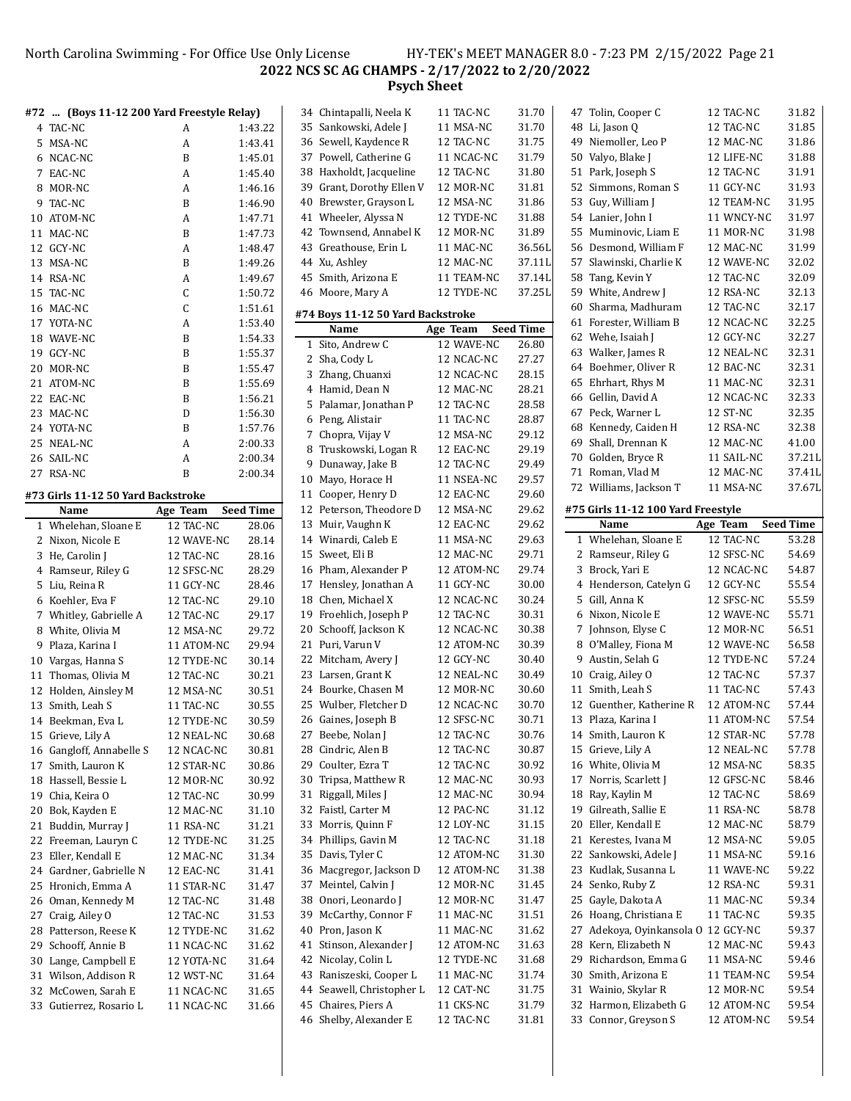### North Carolina Swimming - For Office Use Only License HY-TEK's MEET MANAGER 8.0 - 7:23 PM 2/15/2022 Page 21 **NCS SC AG CHAMPS - 2/17/2022 to 2/20/2022 Psych Sheet**

|    | #72  (Boys 11-12 200 Yard Freestyle Relay) |            |                  | 3.                                 |
|----|--------------------------------------------|------------|------------------|------------------------------------|
|    | 4 TAC-NC                                   | A          | 1:43.22          | 3.                                 |
| 5  | MSA-NC                                     | A          | 1:43.41          | 3                                  |
| 6  | NCAC-NC                                    | B          | 1:45.01          | 3                                  |
| 7  | EAC-NC                                     | A          | 1:45.40          | 3                                  |
| 8  | MOR-NC                                     | A          | 1:46.16          | 3'                                 |
| 9  | TAC-NC                                     | B          | 1:46.90          | 4                                  |
|    | 10 ATOM-NC                                 | A          | 1:47.71          | 4                                  |
|    | 11 MAC-NC                                  | B          | 1:47.73          | $\overline{4}$                     |
| 12 | GCY-NC                                     | A          | 1:48.47          | $\overline{4}$                     |
|    | 13 MSA-NC                                  | B          | 1:49.26          | 4.                                 |
|    | 14 RSA-NC                                  | A          | 1:49.67          | 4                                  |
|    | 15 TAC-NC                                  | C          | 1:50.72          | 4                                  |
|    | 16 MAC-NC                                  | С          | 1:51.61          |                                    |
|    | 17 YOTA-NC                                 | A          | 1:53.40          | #7                                 |
|    | 18 WAVE-NC                                 | B          | 1:54.33          |                                    |
|    | 19 GCY-NC                                  | B          | 1:55.37          |                                    |
|    | 20 MOR-NC                                  | B          | 1:55.47          |                                    |
|    |                                            |            |                  |                                    |
|    | 21 ATOM-NC                                 | B          | 1:55.69          |                                    |
|    | 22 EAC-NC                                  | B          | 1:56.21          |                                    |
|    | 23 MAC-NC                                  | D          | 1:56.30          |                                    |
|    | 24 YOTA-NC                                 | B          | 1:57.76          |                                    |
| 25 | NEAL-NC                                    | A          | 2:00.33          |                                    |
|    | 26 SAIL-NC                                 | A          | 2:00.34          |                                    |
|    | 27 RSA-NC                                  | B          | 2:00.34          | $1\,$                              |
|    | #73 Girls 11-12 50 Yard Backstroke         |            |                  | $\mathbf{1}$                       |
|    | Name                                       | Age Team   | <b>Seed Time</b> | $\mathbf{1}$                       |
|    | 1 Whelehan, Sloane E                       | 12 TAC-NC  | 28.06            | $\mathbf{1}$                       |
| 2  | Nixon, Nicole E                            | 12 WAVE-NC | 28.14            | $1\cdot$                           |
| 3  | He, Carolin J                              | 12 TAC-NC  | 28.16            | $\mathbf{1}$                       |
| 4  | Ramseur, Riley G                           | 12 SFSC-NC | 28.29            | $\mathbf{1}$                       |
| 5  | Liu, Reina R                               | 11 GCY-NC  | 28.46            | $1^{\circ}$                        |
|    | 6 Koehler, Eva F                           | 12 TAC-NC  | 29.10            | $1^{\circ}$                        |
| 7  | Whitley, Gabrielle A                       | 12 TAC-NC  | 29.17            | $1^{\scriptscriptstyle\mathsf{I}}$ |
| 8  | White, Olivia M                            | 12 MSA-NC  | 29.72            | $\overline{2}$                     |
| 9  | Plaza, Karina I                            | 11 ATOM-NC | 29.94            | 2                                  |
|    | 10 Vargas, Hanna S                         | 12 TYDE-NC | 30.14            | $\overline{2}$                     |
| 11 | Thomas, Olivia M                           | 12 TAC-NC  | 30.21            | $\mathbf{2}$                       |
|    | 12 Holden, Ainsley M                       | 12 MSA-NC  | 30.51            | 2.                                 |
|    | 13 Smith, Leah S                           | 11 TAC-NC  | 30.55            | 2.                                 |
|    | 14 Beekman, Eva L                          | 12 TYDE-NC | 30.59            | $\overline{c}$                     |
| 15 | Grieve, Lily A                             | 12 NEAL-NC | 30.68            | $2^{\circ}$                        |
| 16 | Gangloff, Annabelle S                      | 12 NCAC-NC | 30.81            | $\mathbf{2}$                       |
| 17 | Smith, Lauron K                            | 12 STAR-NC | 30.86            | $2^{\circ}$                        |
| 18 | Hassell, Bessie L                          | 12 MOR-NC  | 30.92            | 3                                  |
| 19 | Chia, Keira O                              | 12 TAC-NC  | 30.99            | 3                                  |
| 20 | Bok, Kayden E                              | 12 MAC-NC  | 31.10            | 3.                                 |
| 21 | Buddin, Murray J                           | 11 RSA-NC  | 31.21            | 3.                                 |
| 22 | Freeman, Lauryn C                          | 12 TYDE-NC | 31.25            | 3.                                 |
| 23 | Eller, Kendall E                           | 12 MAC-NC  | 31.34            | 3.                                 |
| 24 | Gardner, Gabrielle N                       | 12 EAC-NC  | 31.41            | 3                                  |
| 25 | Hronich, Emma A                            | 11 STAR-NC | 31.47            | 3                                  |
| 26 | Oman, Kennedy M                            | 12 TAC-NC  | 31.48            | 3:                                 |
| 27 | Craig, Ailey O                             | 12 TAC-NC  | 31.53            | 3'                                 |
| 28 | Patterson, Reese K                         | 12 TYDE-NC | 31.62            | 4                                  |
| 29 | Schooff, Annie B                           | 11 NCAC-NC | 31.62            | 4                                  |
| 30 | Lange, Campbell E                          | 12 YOTA-NC | 31.64            | 4.                                 |
| 31 | Wilson, Addison R                          | 12 WST-NC  | 31.64            | 4                                  |
| 32 | McCowen, Sarah E                           | 11 NCAC-NC | 31.65            | 4.                                 |
|    | 33 Gutierrez, Rosario L                    | 11 NCAC-NC | 31.66            | 4                                  |
|    |                                            |            |                  |                                    |

| 34 Chintapalli, Neela K<br>11 TAC-NC<br>35<br>Sankowski, Adele J<br>11 MSA-NC<br>36 Sewell, Kaydence R<br>12 TAC-NC<br>37 Powell, Catherine G<br>11 NCAC-NC<br>Haxholdt, Jacqueline<br>38<br>12 TAC-NC<br>39 Grant, Dorothy Ellen V<br>12 MOR-NC<br>40<br>Brewster, Grayson L<br>12 MSA-NC<br>41 Wheeler, Alyssa N<br>12 TYDE-NC<br>Townsend, Annabel K<br>42<br>12 MOR-NC<br>Greathouse, Erin L<br>43<br>11 MAC-NC<br>44 Xu, Ashley<br>12 MAC-NC<br>45<br>Smith, Arizona E<br>11 TEAM-NC<br>46<br>Moore, Mary A<br>12 TYDE-NC<br>#74 Boys 11-12 50 Yard Backstroke<br>Name<br>Age Team<br>Sito, Andrew C<br>12 WAVE-NC<br>1<br>Sha, Cody L<br>2<br>12 NCAC-NC<br>3<br>Zhang, Chuanxi<br>12 NCAC-NC<br>Hamid, Dean N<br>4<br>12 MAC-NC<br>12 TAC-NC<br>5<br>Palamar, Jonathan P<br>Peng, Alistair<br>11 TAC-NC<br>6<br>7<br>Chopra, Vijay V<br>12 MSA-NC<br>8<br>Truskowski, Logan R<br>12 EAC-NC<br>9<br>Dunaway, Jake B<br>12 TAC-NC<br>Mayo, Horace H<br>10<br>11 NSEA-NC<br>Cooper, Henry D<br>12 EAC-NC<br>11<br>12 MSA-NC<br>12<br>Peterson, Theodore D<br>13 Muir, Vaughn K<br>12 EAC-NC<br>14 Winardi, Caleb E<br>11 MSA-NC<br>15<br>12 MAC-NC<br>Sweet, Eli B<br>16 Pham, Alexander P<br>12 ATOM-NC<br>11 GCY-NC<br>17<br>Hensley, Jonathan A<br>18 Chen, Michael X<br>12 NCAC-NC<br>19<br>Froehlich, Joseph P<br>12 TAC-NC<br>20<br>Schooff, Jackson K<br>12 NCAC-NC<br>21<br>Puri, Varun V<br>12 ATOM-NC<br>12 GCY-NC<br>22 Mitcham, Avery J<br>23 Larsen, Grant K<br>12 NEAL-NC<br>24<br>Bourke, Chasen M<br>12 MOR-NC<br>12 NCAC-NC<br>25<br>Wulber, Fletcher D<br>26<br>Gaines, Joseph B<br>12 SFSC-NC<br>Beebe, Nolan J<br>12 TAC-NC<br>27<br>Cindric, Alen B<br>28<br>12 TAC-NC<br>Coulter, Ezra T<br>29<br>12 TAC-NC<br>Tripsa, Matthew R<br>30<br>12 MAC-NC<br>Riggall, Miles J<br>31<br>12 MAC-NC<br>32<br>Faistl, Carter M<br>12 PAC-NC<br>Morris, Quinn F<br>33<br>12 LOY-NC<br>Phillips, Gavin M<br>34<br>12 TAC-NC<br>35<br>Davis, Tyler C<br>12 ATOM-NC<br>Macgregor, Jackson D<br>36<br>12 ATOM-NC<br>37<br>Meintel, Calvin J<br>12 MOR-NC<br>38<br>Onori, Leonardo J<br>12 MOR-NC<br>39<br>McCarthy, Connor F<br>11 MAC-NC | 31.70<br>31.70<br>31.75<br>31.79<br>31.80<br>31.81 |   |
|------------------------------------------------------------------------------------------------------------------------------------------------------------------------------------------------------------------------------------------------------------------------------------------------------------------------------------------------------------------------------------------------------------------------------------------------------------------------------------------------------------------------------------------------------------------------------------------------------------------------------------------------------------------------------------------------------------------------------------------------------------------------------------------------------------------------------------------------------------------------------------------------------------------------------------------------------------------------------------------------------------------------------------------------------------------------------------------------------------------------------------------------------------------------------------------------------------------------------------------------------------------------------------------------------------------------------------------------------------------------------------------------------------------------------------------------------------------------------------------------------------------------------------------------------------------------------------------------------------------------------------------------------------------------------------------------------------------------------------------------------------------------------------------------------------------------------------------------------------------------------------------------------------------------------------------------------------------------------------------------------------------------------------------------------------------------------------------------------------------------------------------------------|----------------------------------------------------|---|
|                                                                                                                                                                                                                                                                                                                                                                                                                                                                                                                                                                                                                                                                                                                                                                                                                                                                                                                                                                                                                                                                                                                                                                                                                                                                                                                                                                                                                                                                                                                                                                                                                                                                                                                                                                                                                                                                                                                                                                                                                                                                                                                                                      |                                                    |   |
|                                                                                                                                                                                                                                                                                                                                                                                                                                                                                                                                                                                                                                                                                                                                                                                                                                                                                                                                                                                                                                                                                                                                                                                                                                                                                                                                                                                                                                                                                                                                                                                                                                                                                                                                                                                                                                                                                                                                                                                                                                                                                                                                                      |                                                    |   |
|                                                                                                                                                                                                                                                                                                                                                                                                                                                                                                                                                                                                                                                                                                                                                                                                                                                                                                                                                                                                                                                                                                                                                                                                                                                                                                                                                                                                                                                                                                                                                                                                                                                                                                                                                                                                                                                                                                                                                                                                                                                                                                                                                      |                                                    |   |
|                                                                                                                                                                                                                                                                                                                                                                                                                                                                                                                                                                                                                                                                                                                                                                                                                                                                                                                                                                                                                                                                                                                                                                                                                                                                                                                                                                                                                                                                                                                                                                                                                                                                                                                                                                                                                                                                                                                                                                                                                                                                                                                                                      |                                                    |   |
|                                                                                                                                                                                                                                                                                                                                                                                                                                                                                                                                                                                                                                                                                                                                                                                                                                                                                                                                                                                                                                                                                                                                                                                                                                                                                                                                                                                                                                                                                                                                                                                                                                                                                                                                                                                                                                                                                                                                                                                                                                                                                                                                                      |                                                    |   |
|                                                                                                                                                                                                                                                                                                                                                                                                                                                                                                                                                                                                                                                                                                                                                                                                                                                                                                                                                                                                                                                                                                                                                                                                                                                                                                                                                                                                                                                                                                                                                                                                                                                                                                                                                                                                                                                                                                                                                                                                                                                                                                                                                      |                                                    |   |
|                                                                                                                                                                                                                                                                                                                                                                                                                                                                                                                                                                                                                                                                                                                                                                                                                                                                                                                                                                                                                                                                                                                                                                                                                                                                                                                                                                                                                                                                                                                                                                                                                                                                                                                                                                                                                                                                                                                                                                                                                                                                                                                                                      |                                                    |   |
|                                                                                                                                                                                                                                                                                                                                                                                                                                                                                                                                                                                                                                                                                                                                                                                                                                                                                                                                                                                                                                                                                                                                                                                                                                                                                                                                                                                                                                                                                                                                                                                                                                                                                                                                                                                                                                                                                                                                                                                                                                                                                                                                                      | 31.86                                              |   |
|                                                                                                                                                                                                                                                                                                                                                                                                                                                                                                                                                                                                                                                                                                                                                                                                                                                                                                                                                                                                                                                                                                                                                                                                                                                                                                                                                                                                                                                                                                                                                                                                                                                                                                                                                                                                                                                                                                                                                                                                                                                                                                                                                      | 31.88                                              |   |
|                                                                                                                                                                                                                                                                                                                                                                                                                                                                                                                                                                                                                                                                                                                                                                                                                                                                                                                                                                                                                                                                                                                                                                                                                                                                                                                                                                                                                                                                                                                                                                                                                                                                                                                                                                                                                                                                                                                                                                                                                                                                                                                                                      | 31.89                                              |   |
|                                                                                                                                                                                                                                                                                                                                                                                                                                                                                                                                                                                                                                                                                                                                                                                                                                                                                                                                                                                                                                                                                                                                                                                                                                                                                                                                                                                                                                                                                                                                                                                                                                                                                                                                                                                                                                                                                                                                                                                                                                                                                                                                                      | 36.56L                                             |   |
|                                                                                                                                                                                                                                                                                                                                                                                                                                                                                                                                                                                                                                                                                                                                                                                                                                                                                                                                                                                                                                                                                                                                                                                                                                                                                                                                                                                                                                                                                                                                                                                                                                                                                                                                                                                                                                                                                                                                                                                                                                                                                                                                                      | 37.11L                                             |   |
|                                                                                                                                                                                                                                                                                                                                                                                                                                                                                                                                                                                                                                                                                                                                                                                                                                                                                                                                                                                                                                                                                                                                                                                                                                                                                                                                                                                                                                                                                                                                                                                                                                                                                                                                                                                                                                                                                                                                                                                                                                                                                                                                                      |                                                    |   |
|                                                                                                                                                                                                                                                                                                                                                                                                                                                                                                                                                                                                                                                                                                                                                                                                                                                                                                                                                                                                                                                                                                                                                                                                                                                                                                                                                                                                                                                                                                                                                                                                                                                                                                                                                                                                                                                                                                                                                                                                                                                                                                                                                      | 37.14L                                             |   |
|                                                                                                                                                                                                                                                                                                                                                                                                                                                                                                                                                                                                                                                                                                                                                                                                                                                                                                                                                                                                                                                                                                                                                                                                                                                                                                                                                                                                                                                                                                                                                                                                                                                                                                                                                                                                                                                                                                                                                                                                                                                                                                                                                      | 37.25L                                             |   |
|                                                                                                                                                                                                                                                                                                                                                                                                                                                                                                                                                                                                                                                                                                                                                                                                                                                                                                                                                                                                                                                                                                                                                                                                                                                                                                                                                                                                                                                                                                                                                                                                                                                                                                                                                                                                                                                                                                                                                                                                                                                                                                                                                      |                                                    |   |
|                                                                                                                                                                                                                                                                                                                                                                                                                                                                                                                                                                                                                                                                                                                                                                                                                                                                                                                                                                                                                                                                                                                                                                                                                                                                                                                                                                                                                                                                                                                                                                                                                                                                                                                                                                                                                                                                                                                                                                                                                                                                                                                                                      | <b>Seed Time</b>                                   |   |
|                                                                                                                                                                                                                                                                                                                                                                                                                                                                                                                                                                                                                                                                                                                                                                                                                                                                                                                                                                                                                                                                                                                                                                                                                                                                                                                                                                                                                                                                                                                                                                                                                                                                                                                                                                                                                                                                                                                                                                                                                                                                                                                                                      | 26.80                                              |   |
|                                                                                                                                                                                                                                                                                                                                                                                                                                                                                                                                                                                                                                                                                                                                                                                                                                                                                                                                                                                                                                                                                                                                                                                                                                                                                                                                                                                                                                                                                                                                                                                                                                                                                                                                                                                                                                                                                                                                                                                                                                                                                                                                                      | 27.27                                              |   |
|                                                                                                                                                                                                                                                                                                                                                                                                                                                                                                                                                                                                                                                                                                                                                                                                                                                                                                                                                                                                                                                                                                                                                                                                                                                                                                                                                                                                                                                                                                                                                                                                                                                                                                                                                                                                                                                                                                                                                                                                                                                                                                                                                      |                                                    |   |
|                                                                                                                                                                                                                                                                                                                                                                                                                                                                                                                                                                                                                                                                                                                                                                                                                                                                                                                                                                                                                                                                                                                                                                                                                                                                                                                                                                                                                                                                                                                                                                                                                                                                                                                                                                                                                                                                                                                                                                                                                                                                                                                                                      | 28.15                                              |   |
|                                                                                                                                                                                                                                                                                                                                                                                                                                                                                                                                                                                                                                                                                                                                                                                                                                                                                                                                                                                                                                                                                                                                                                                                                                                                                                                                                                                                                                                                                                                                                                                                                                                                                                                                                                                                                                                                                                                                                                                                                                                                                                                                                      | 28.21                                              |   |
|                                                                                                                                                                                                                                                                                                                                                                                                                                                                                                                                                                                                                                                                                                                                                                                                                                                                                                                                                                                                                                                                                                                                                                                                                                                                                                                                                                                                                                                                                                                                                                                                                                                                                                                                                                                                                                                                                                                                                                                                                                                                                                                                                      | 28.58                                              |   |
|                                                                                                                                                                                                                                                                                                                                                                                                                                                                                                                                                                                                                                                                                                                                                                                                                                                                                                                                                                                                                                                                                                                                                                                                                                                                                                                                                                                                                                                                                                                                                                                                                                                                                                                                                                                                                                                                                                                                                                                                                                                                                                                                                      | 28.87                                              |   |
|                                                                                                                                                                                                                                                                                                                                                                                                                                                                                                                                                                                                                                                                                                                                                                                                                                                                                                                                                                                                                                                                                                                                                                                                                                                                                                                                                                                                                                                                                                                                                                                                                                                                                                                                                                                                                                                                                                                                                                                                                                                                                                                                                      | 29.12                                              |   |
|                                                                                                                                                                                                                                                                                                                                                                                                                                                                                                                                                                                                                                                                                                                                                                                                                                                                                                                                                                                                                                                                                                                                                                                                                                                                                                                                                                                                                                                                                                                                                                                                                                                                                                                                                                                                                                                                                                                                                                                                                                                                                                                                                      | 29.19                                              |   |
|                                                                                                                                                                                                                                                                                                                                                                                                                                                                                                                                                                                                                                                                                                                                                                                                                                                                                                                                                                                                                                                                                                                                                                                                                                                                                                                                                                                                                                                                                                                                                                                                                                                                                                                                                                                                                                                                                                                                                                                                                                                                                                                                                      | 29.49                                              |   |
|                                                                                                                                                                                                                                                                                                                                                                                                                                                                                                                                                                                                                                                                                                                                                                                                                                                                                                                                                                                                                                                                                                                                                                                                                                                                                                                                                                                                                                                                                                                                                                                                                                                                                                                                                                                                                                                                                                                                                                                                                                                                                                                                                      | 29.57                                              |   |
|                                                                                                                                                                                                                                                                                                                                                                                                                                                                                                                                                                                                                                                                                                                                                                                                                                                                                                                                                                                                                                                                                                                                                                                                                                                                                                                                                                                                                                                                                                                                                                                                                                                                                                                                                                                                                                                                                                                                                                                                                                                                                                                                                      | 29.60                                              |   |
|                                                                                                                                                                                                                                                                                                                                                                                                                                                                                                                                                                                                                                                                                                                                                                                                                                                                                                                                                                                                                                                                                                                                                                                                                                                                                                                                                                                                                                                                                                                                                                                                                                                                                                                                                                                                                                                                                                                                                                                                                                                                                                                                                      |                                                    |   |
|                                                                                                                                                                                                                                                                                                                                                                                                                                                                                                                                                                                                                                                                                                                                                                                                                                                                                                                                                                                                                                                                                                                                                                                                                                                                                                                                                                                                                                                                                                                                                                                                                                                                                                                                                                                                                                                                                                                                                                                                                                                                                                                                                      | 29.62                                              | # |
|                                                                                                                                                                                                                                                                                                                                                                                                                                                                                                                                                                                                                                                                                                                                                                                                                                                                                                                                                                                                                                                                                                                                                                                                                                                                                                                                                                                                                                                                                                                                                                                                                                                                                                                                                                                                                                                                                                                                                                                                                                                                                                                                                      | 29.62                                              |   |
|                                                                                                                                                                                                                                                                                                                                                                                                                                                                                                                                                                                                                                                                                                                                                                                                                                                                                                                                                                                                                                                                                                                                                                                                                                                                                                                                                                                                                                                                                                                                                                                                                                                                                                                                                                                                                                                                                                                                                                                                                                                                                                                                                      | 29.63                                              |   |
|                                                                                                                                                                                                                                                                                                                                                                                                                                                                                                                                                                                                                                                                                                                                                                                                                                                                                                                                                                                                                                                                                                                                                                                                                                                                                                                                                                                                                                                                                                                                                                                                                                                                                                                                                                                                                                                                                                                                                                                                                                                                                                                                                      | 29.71                                              |   |
|                                                                                                                                                                                                                                                                                                                                                                                                                                                                                                                                                                                                                                                                                                                                                                                                                                                                                                                                                                                                                                                                                                                                                                                                                                                                                                                                                                                                                                                                                                                                                                                                                                                                                                                                                                                                                                                                                                                                                                                                                                                                                                                                                      | 29.74                                              |   |
|                                                                                                                                                                                                                                                                                                                                                                                                                                                                                                                                                                                                                                                                                                                                                                                                                                                                                                                                                                                                                                                                                                                                                                                                                                                                                                                                                                                                                                                                                                                                                                                                                                                                                                                                                                                                                                                                                                                                                                                                                                                                                                                                                      | 30.00                                              |   |
|                                                                                                                                                                                                                                                                                                                                                                                                                                                                                                                                                                                                                                                                                                                                                                                                                                                                                                                                                                                                                                                                                                                                                                                                                                                                                                                                                                                                                                                                                                                                                                                                                                                                                                                                                                                                                                                                                                                                                                                                                                                                                                                                                      | 30.24                                              |   |
|                                                                                                                                                                                                                                                                                                                                                                                                                                                                                                                                                                                                                                                                                                                                                                                                                                                                                                                                                                                                                                                                                                                                                                                                                                                                                                                                                                                                                                                                                                                                                                                                                                                                                                                                                                                                                                                                                                                                                                                                                                                                                                                                                      | 30.31                                              |   |
|                                                                                                                                                                                                                                                                                                                                                                                                                                                                                                                                                                                                                                                                                                                                                                                                                                                                                                                                                                                                                                                                                                                                                                                                                                                                                                                                                                                                                                                                                                                                                                                                                                                                                                                                                                                                                                                                                                                                                                                                                                                                                                                                                      | 30.38                                              |   |
|                                                                                                                                                                                                                                                                                                                                                                                                                                                                                                                                                                                                                                                                                                                                                                                                                                                                                                                                                                                                                                                                                                                                                                                                                                                                                                                                                                                                                                                                                                                                                                                                                                                                                                                                                                                                                                                                                                                                                                                                                                                                                                                                                      | 30.39                                              |   |
|                                                                                                                                                                                                                                                                                                                                                                                                                                                                                                                                                                                                                                                                                                                                                                                                                                                                                                                                                                                                                                                                                                                                                                                                                                                                                                                                                                                                                                                                                                                                                                                                                                                                                                                                                                                                                                                                                                                                                                                                                                                                                                                                                      |                                                    |   |
|                                                                                                                                                                                                                                                                                                                                                                                                                                                                                                                                                                                                                                                                                                                                                                                                                                                                                                                                                                                                                                                                                                                                                                                                                                                                                                                                                                                                                                                                                                                                                                                                                                                                                                                                                                                                                                                                                                                                                                                                                                                                                                                                                      | 30.40                                              |   |
|                                                                                                                                                                                                                                                                                                                                                                                                                                                                                                                                                                                                                                                                                                                                                                                                                                                                                                                                                                                                                                                                                                                                                                                                                                                                                                                                                                                                                                                                                                                                                                                                                                                                                                                                                                                                                                                                                                                                                                                                                                                                                                                                                      | 30.49                                              |   |
|                                                                                                                                                                                                                                                                                                                                                                                                                                                                                                                                                                                                                                                                                                                                                                                                                                                                                                                                                                                                                                                                                                                                                                                                                                                                                                                                                                                                                                                                                                                                                                                                                                                                                                                                                                                                                                                                                                                                                                                                                                                                                                                                                      | 30.60                                              |   |
|                                                                                                                                                                                                                                                                                                                                                                                                                                                                                                                                                                                                                                                                                                                                                                                                                                                                                                                                                                                                                                                                                                                                                                                                                                                                                                                                                                                                                                                                                                                                                                                                                                                                                                                                                                                                                                                                                                                                                                                                                                                                                                                                                      | 30.70                                              |   |
|                                                                                                                                                                                                                                                                                                                                                                                                                                                                                                                                                                                                                                                                                                                                                                                                                                                                                                                                                                                                                                                                                                                                                                                                                                                                                                                                                                                                                                                                                                                                                                                                                                                                                                                                                                                                                                                                                                                                                                                                                                                                                                                                                      | 30.71                                              |   |
|                                                                                                                                                                                                                                                                                                                                                                                                                                                                                                                                                                                                                                                                                                                                                                                                                                                                                                                                                                                                                                                                                                                                                                                                                                                                                                                                                                                                                                                                                                                                                                                                                                                                                                                                                                                                                                                                                                                                                                                                                                                                                                                                                      | 30.76                                              |   |
|                                                                                                                                                                                                                                                                                                                                                                                                                                                                                                                                                                                                                                                                                                                                                                                                                                                                                                                                                                                                                                                                                                                                                                                                                                                                                                                                                                                                                                                                                                                                                                                                                                                                                                                                                                                                                                                                                                                                                                                                                                                                                                                                                      | 30.87                                              |   |
|                                                                                                                                                                                                                                                                                                                                                                                                                                                                                                                                                                                                                                                                                                                                                                                                                                                                                                                                                                                                                                                                                                                                                                                                                                                                                                                                                                                                                                                                                                                                                                                                                                                                                                                                                                                                                                                                                                                                                                                                                                                                                                                                                      | 30.92                                              |   |
|                                                                                                                                                                                                                                                                                                                                                                                                                                                                                                                                                                                                                                                                                                                                                                                                                                                                                                                                                                                                                                                                                                                                                                                                                                                                                                                                                                                                                                                                                                                                                                                                                                                                                                                                                                                                                                                                                                                                                                                                                                                                                                                                                      | 30.93                                              |   |
|                                                                                                                                                                                                                                                                                                                                                                                                                                                                                                                                                                                                                                                                                                                                                                                                                                                                                                                                                                                                                                                                                                                                                                                                                                                                                                                                                                                                                                                                                                                                                                                                                                                                                                                                                                                                                                                                                                                                                                                                                                                                                                                                                      |                                                    |   |
|                                                                                                                                                                                                                                                                                                                                                                                                                                                                                                                                                                                                                                                                                                                                                                                                                                                                                                                                                                                                                                                                                                                                                                                                                                                                                                                                                                                                                                                                                                                                                                                                                                                                                                                                                                                                                                                                                                                                                                                                                                                                                                                                                      | 30.94                                              |   |
|                                                                                                                                                                                                                                                                                                                                                                                                                                                                                                                                                                                                                                                                                                                                                                                                                                                                                                                                                                                                                                                                                                                                                                                                                                                                                                                                                                                                                                                                                                                                                                                                                                                                                                                                                                                                                                                                                                                                                                                                                                                                                                                                                      | 31.12                                              |   |
|                                                                                                                                                                                                                                                                                                                                                                                                                                                                                                                                                                                                                                                                                                                                                                                                                                                                                                                                                                                                                                                                                                                                                                                                                                                                                                                                                                                                                                                                                                                                                                                                                                                                                                                                                                                                                                                                                                                                                                                                                                                                                                                                                      | 31.15                                              |   |
|                                                                                                                                                                                                                                                                                                                                                                                                                                                                                                                                                                                                                                                                                                                                                                                                                                                                                                                                                                                                                                                                                                                                                                                                                                                                                                                                                                                                                                                                                                                                                                                                                                                                                                                                                                                                                                                                                                                                                                                                                                                                                                                                                      | 31.18                                              |   |
|                                                                                                                                                                                                                                                                                                                                                                                                                                                                                                                                                                                                                                                                                                                                                                                                                                                                                                                                                                                                                                                                                                                                                                                                                                                                                                                                                                                                                                                                                                                                                                                                                                                                                                                                                                                                                                                                                                                                                                                                                                                                                                                                                      | 31.30                                              |   |
|                                                                                                                                                                                                                                                                                                                                                                                                                                                                                                                                                                                                                                                                                                                                                                                                                                                                                                                                                                                                                                                                                                                                                                                                                                                                                                                                                                                                                                                                                                                                                                                                                                                                                                                                                                                                                                                                                                                                                                                                                                                                                                                                                      | 31.38                                              |   |
|                                                                                                                                                                                                                                                                                                                                                                                                                                                                                                                                                                                                                                                                                                                                                                                                                                                                                                                                                                                                                                                                                                                                                                                                                                                                                                                                                                                                                                                                                                                                                                                                                                                                                                                                                                                                                                                                                                                                                                                                                                                                                                                                                      | 31.45                                              |   |
|                                                                                                                                                                                                                                                                                                                                                                                                                                                                                                                                                                                                                                                                                                                                                                                                                                                                                                                                                                                                                                                                                                                                                                                                                                                                                                                                                                                                                                                                                                                                                                                                                                                                                                                                                                                                                                                                                                                                                                                                                                                                                                                                                      | 31.47                                              |   |
|                                                                                                                                                                                                                                                                                                                                                                                                                                                                                                                                                                                                                                                                                                                                                                                                                                                                                                                                                                                                                                                                                                                                                                                                                                                                                                                                                                                                                                                                                                                                                                                                                                                                                                                                                                                                                                                                                                                                                                                                                                                                                                                                                      | 31.51                                              |   |
|                                                                                                                                                                                                                                                                                                                                                                                                                                                                                                                                                                                                                                                                                                                                                                                                                                                                                                                                                                                                                                                                                                                                                                                                                                                                                                                                                                                                                                                                                                                                                                                                                                                                                                                                                                                                                                                                                                                                                                                                                                                                                                                                                      |                                                    |   |
| Pron, Jason K<br>11 MAC-NC<br>40                                                                                                                                                                                                                                                                                                                                                                                                                                                                                                                                                                                                                                                                                                                                                                                                                                                                                                                                                                                                                                                                                                                                                                                                                                                                                                                                                                                                                                                                                                                                                                                                                                                                                                                                                                                                                                                                                                                                                                                                                                                                                                                     | 31.62                                              |   |
| Stinson, Alexander J<br>41<br>12 ATOM-NC                                                                                                                                                                                                                                                                                                                                                                                                                                                                                                                                                                                                                                                                                                                                                                                                                                                                                                                                                                                                                                                                                                                                                                                                                                                                                                                                                                                                                                                                                                                                                                                                                                                                                                                                                                                                                                                                                                                                                                                                                                                                                                             | 31.63                                              |   |
| Nicolay, Colin L<br>42<br>12 TYDE-NC                                                                                                                                                                                                                                                                                                                                                                                                                                                                                                                                                                                                                                                                                                                                                                                                                                                                                                                                                                                                                                                                                                                                                                                                                                                                                                                                                                                                                                                                                                                                                                                                                                                                                                                                                                                                                                                                                                                                                                                                                                                                                                                 | 31.68                                              |   |
| Raniszeski, Cooper L<br>43<br>11 MAC-NC                                                                                                                                                                                                                                                                                                                                                                                                                                                                                                                                                                                                                                                                                                                                                                                                                                                                                                                                                                                                                                                                                                                                                                                                                                                                                                                                                                                                                                                                                                                                                                                                                                                                                                                                                                                                                                                                                                                                                                                                                                                                                                              | 31.74                                              |   |
| 44<br>Seawell, Christopher L<br>12 CAT-NC                                                                                                                                                                                                                                                                                                                                                                                                                                                                                                                                                                                                                                                                                                                                                                                                                                                                                                                                                                                                                                                                                                                                                                                                                                                                                                                                                                                                                                                                                                                                                                                                                                                                                                                                                                                                                                                                                                                                                                                                                                                                                                            | 31.75                                              |   |
| Chaires, Piers A<br>45<br>11 CKS-NC                                                                                                                                                                                                                                                                                                                                                                                                                                                                                                                                                                                                                                                                                                                                                                                                                                                                                                                                                                                                                                                                                                                                                                                                                                                                                                                                                                                                                                                                                                                                                                                                                                                                                                                                                                                                                                                                                                                                                                                                                                                                                                                  |                                                    |   |
| Shelby, Alexander E<br>46<br>12 TAC-NC                                                                                                                                                                                                                                                                                                                                                                                                                                                                                                                                                                                                                                                                                                                                                                                                                                                                                                                                                                                                                                                                                                                                                                                                                                                                                                                                                                                                                                                                                                                                                                                                                                                                                                                                                                                                                                                                                                                                                                                                                                                                                                               | 31.79                                              |   |

| 47 | Tolin, Cooper C                    | 12 TAC-NC  | 31.82            |
|----|------------------------------------|------------|------------------|
| 48 | Li, Jason Q                        | 12 TAC-NC  | 31.85            |
| 49 | Niemoller, Leo P                   | 12 MAC-NC  | 31.86            |
|    | 50 Valyo, Blake J                  | 12 LIFE-NC | 31.88            |
| 51 | Park, Joseph S                     | 12 TAC-NC  | 31.91            |
| 52 | Simmons, Roman S                   | 11 GCY-NC  | 31.93            |
| 53 | Guy, William J                     | 12 TEAM-NC | 31.95            |
| 54 | Lanier, John I                     | 11 WNCY-NC | 31.97            |
| 55 | Muminovic, Liam E                  | 11 MOR-NC  | 31.98            |
| 56 | Desmond, William F                 | 12 MAC-NC  | 31.99            |
| 57 | Slawinski, Charlie K               | 12 WAVE-NC | 32.02            |
| 58 | Tang, Kevin Y                      | 12 TAC-NC  | 32.09            |
| 59 | White, Andrew J                    | 12 RSA-NC  | 32.13            |
| 60 | Sharma, Madhuram                   | 12 TAC-NC  | 32.17            |
| 61 | Forester, William B                | 12 NCAC-NC | 32.25            |
| 62 | Wehe, Isaiah J                     | 12 GCY-NC  | 32.27            |
| 63 | Walker, James R                    | 12 NEAL-NC | 32.31            |
| 64 |                                    | 12 BAC-NC  |                  |
|    | Boehmer, Oliver R                  |            | 32.31<br>32.31   |
| 65 | Ehrhart, Rhys M                    | 11 MAC-NC  |                  |
|    | 66 Gellin, David A                 | 12 NCAC-NC | 32.33            |
| 67 | Peck, Warner L                     | 12 ST-NC   | 32.35            |
| 68 | Kennedy, Caiden H                  | 12 RSA-NC  | 32.38            |
| 69 | Shall, Drennan K                   | 12 MAC-NC  | 41.00            |
| 70 | Golden, Bryce R                    | 11 SAIL-NC | 37.21L           |
| 71 | Roman, Vlad M                      | 12 MAC-NC  | 37.41L           |
| 72 | Williams, Jackson T                | 11 MSA-NC  | 37.67L           |
|    | #75 Girls 11-12 100 Yard Freestyle |            |                  |
|    | Name                               | Age Team   | <b>Seed Time</b> |
|    | 1 Whelehan, Sloane E               | 12 TAC-NC  | 53.28            |
|    |                                    |            |                  |
| 2  |                                    | 12 SFSC-NC |                  |
|    | Ramseur, Riley G                   |            | 54.69            |
| 3  | Brock, Yari E                      | 12 NCAC-NC | 54.87            |
| 4  | Henderson, Catelyn G               | 12 GCY-NC  | 55.54            |
| 5  | Gill, Anna K                       | 12 SFSC-NC | 55.59            |
| 6  | Nixon, Nicole E                    | 12 WAVE-NC | 55.71            |
| 7  | Johnson, Elyse C                   | 12 MOR-NC  | 56.51            |
| 8  | O'Malley, Fiona M                  | 12 WAVE-NC | 56.58            |
| 9  | Austin, Selah G                    | 12 TYDE-NC | 57.24            |
| 10 | Craig, Ailey O                     | 12 TAC-NC  | 57.37            |
| 11 | Smith, Leah S                      | 11 TAC-NC  | 57.43            |
| 12 | Guenther, Katherine R              | 12 ATOM-NC | 57.44            |
| 13 | Plaza, Karina I                    | 11 ATOM-NC | 57.54            |
| 14 | Smith, Lauron K                    | 12 STAR-NC | 57.78            |
| 15 | Grieve, Lily A                     | 12 NEAL-NC | 57.78            |
|    | 16 White, Olivia M                 | 12 MSA-NC  | 58.35            |
| 17 | Norris, Scarlett J                 | 12 GFSC-NC | 58.46            |
| 18 | Ray, Kaylin M                      | 12 TAC-NC  | 58.69            |
| 19 | Gilreath, Sallie E                 | 11 RSA-NC  | 58.78            |
| 20 | Eller, Kendall E                   | 12 MAC-NC  | 58.79            |
| 21 | Kerestes, Ivana M                  | 12 MSA-NC  | 59.05            |
| 22 | Sankowski, Adele J                 | 11 MSA-NC  | 59.16            |
| 23 | Kudlak, Susanna L                  | 11 WAVE-NC | 59.22            |
| 24 | Senko, Ruby Z                      | 12 RSA-NC  | 59.31            |
| 25 | Gayle, Dakota A                    | 11 MAC-NC  | 59.34            |
| 26 | Hoang, Christiana E                | 11 TAC-NC  | 59.35            |
| 27 | Adekoya, Oyinkansola O             | 12 GCY-NC  | 59.37            |
| 28 | Kern, Elizabeth N                  | 12 MAC-NC  | 59.43            |
| 29 | Richardson, Emma G                 | 11 MSA-NC  | 59.46            |
| 30 | Smith, Arizona E                   | 11 TEAM-NC | 59.54            |
| 31 | Wainio, Skylar R                   | 12 MOR-NC  | 59.54            |
| 32 | Harmon, Elizabeth G                | 12 ATOM-NC | 59.54            |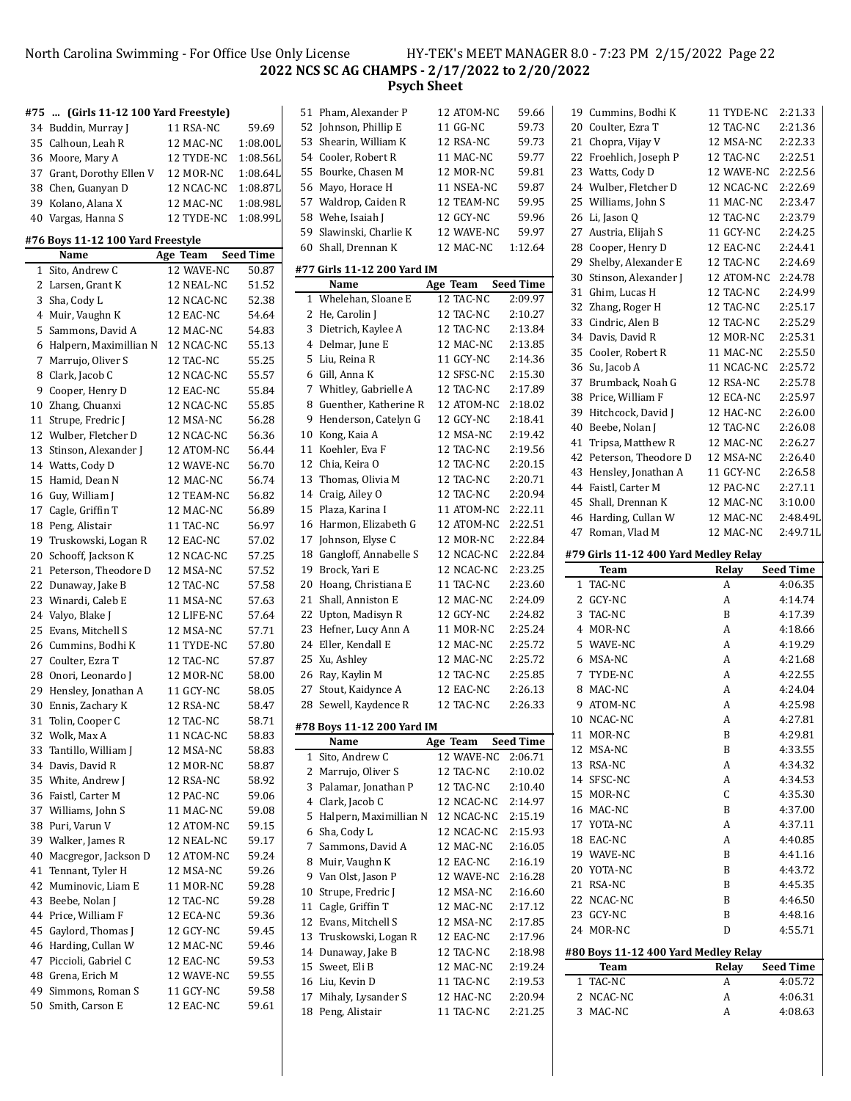# North Carolina Swimming - For Office Use Only License HY-TEK's MEET MANAGER 8.0 - 7:23 PM 2/15/2022 Page 22 **NCS SC AG CHAMPS - 2/17/2022 to 2/20/2022 Psych Sheet**

| #75      | (Girls 11-12 100 Yard Freestyle)           |                        |                  |
|----------|--------------------------------------------|------------------------|------------------|
| 34       | Buddin, Murray J                           | 11 RSA-NC              | 59.69            |
|          | 35 Calhoun, Leah R                         | 12 MAC-NC              | 1:08.00L         |
| 36       | Moore, Mary A                              | 12 TYDE-NC             | 1:08.56L         |
|          | 37 Grant, Dorothy Ellen V                  | 12 MOR-NC              | 1:08.64L         |
| 38       | Chen, Guanyan D                            | 12 NCAC-NC             | 1:08.87L         |
| 39       | Kolano, Alana X                            | 12 MAC-NC              | 1:08.98L         |
| 40       | Vargas, Hanna S                            | 12 TYDE-NC             | 1:08.99L         |
|          |                                            |                        |                  |
|          | #76 Boys 11-12 100 Yard Freestyle<br>Name  |                        | <b>Seed Time</b> |
| 1        | Sito, Andrew C                             | Age Team<br>12 WAVE-NC | 50.87            |
|          | 2 Larsen, Grant K                          | 12 NEAL-NC             | 51.52            |
| 3        | Sha, Cody L                                | 12 NCAC-NC             | 52.38            |
|          | 4 Muir, Vaughn K                           | 12 EAC-NC              | 54.64            |
| 5        | Sammons, David A                           | 12 MAC-NC              | 54.83            |
| 6        | Halpern, Maximillian N                     | 12 NCAC-NC             | 55.13            |
| 7        | Marrujo, Oliver S                          | 12 TAC-NC              | 55.25            |
| 8        | Clark, Jacob C                             | 12 NCAC-NC             | 55.57            |
|          |                                            | 12 EAC-NC              | 55.84            |
| 9        | Cooper, Henry D                            | 12 NCAC-NC             |                  |
| 10       | Zhang, Chuanxi                             |                        | 55.85            |
| 11       | Strupe, Fredric J                          | 12 MSA-NC              | 56.28            |
| 12       | Wulber, Fletcher D<br>Stinson, Alexander J | 12 NCAC-NC             | 56.36            |
| 13       |                                            | 12 ATOM-NC             | 56.44            |
| 14       | Watts, Cody D                              | 12 WAVE-NC             | 56.70            |
| 15       | Hamid, Dean N                              | 12 MAC-NC              | 56.74            |
| 16       | Guy, William J                             | 12 TEAM-NC             | 56.82            |
| 17       | Cagle, Griffin T                           | 12 MAC-NC              | 56.89            |
| 18       | Peng, Alistair                             | 11 TAC-NC              | 56.97            |
| 19       | Truskowski, Logan R                        | 12 EAC-NC              | 57.02            |
| 20       | Schooff, Jackson K                         | 12 NCAC-NC             | 57.25            |
| 21       | Peterson, Theodore D                       | 12 MSA-NC              | 57.52            |
| 22       | Dunaway, Jake B                            | 12 TAC-NC              | 57.58            |
| 23       | Winardi, Caleb E                           | 11 MSA-NC              | 57.63            |
| 24       | Valyo, Blake J                             | 12 LIFE-NC             | 57.64            |
| 25       | Evans, Mitchell S<br>Cummins, Bodhi K      | 12 MSA-NC              | 57.71            |
| 26       |                                            | 11 TYDE-NC             | 57.80            |
| 27<br>28 | Coulter, Ezra T<br>Onori, Leonardo J       | 12 TAC-NC<br>12 MOR-NC | 57.87<br>58.00   |
| 29       | Hensley, Jonathan A                        | 11 GCY-NC              | 58.05            |
| 30       | Ennis, Zachary K                           | 12 RSA-NC              | 58.47            |
| 31       | Tolin, Cooper C                            | 12 TAC-NC              | 58.71            |
|          | Wolk, Max A                                | 11 NCAC-NC             |                  |
| 32<br>33 | Tantillo, William J                        | 12 MSA-NC              | 58.83<br>58.83   |
| 34       | Davis, David R                             | 12 MOR-NC              | 58.87            |
| 35       | White, Andrew J                            | 12 RSA-NC              | 58.92            |
| 36       | Faistl, Carter M                           | 12 PAC-NC              | 59.06            |
| 37       | Williams, John S                           | 11 MAC-NC              | 59.08            |
| 38       | Puri, Varun V                              | 12 ATOM-NC             | 59.15            |
| 39       | Walker, James R                            | 12 NEAL-NC             | 59.17            |
| 40       | Macgregor, Jackson D                       | 12 ATOM-NC             | 59.24            |
| 41       | Tennant, Tyler H                           | 12 MSA-NC              | 59.26            |
| 42       | Muminovic, Liam E                          | 11 MOR-NC              | 59.28            |
| 43       | Beebe, Nolan J                             | 12 TAC-NC              | 59.28            |
| 44       | Price, William F                           | 12 ECA-NC              | 59.36            |
| 45       | Gaylord, Thomas J                          | 12 GCY-NC              | 59.45            |
| 46       | Harding, Cullan W                          | 12 MAC-NC              | 59.46            |
| 47       | Piccioli, Gabriel C                        | 12 EAC-NC              | 59.53            |
| 48       | Grena, Erich M                             | 12 WAVE-NC             | 59.55            |
| 49       | Simmons, Roman S                           | 11 GCY-NC              | 59.58            |
| 50       | Smith, Carson E                            | 12 EAC-NC              | 59.61            |
|          |                                            |                        |                  |

| 18         | Peng, Alistair              | 11 TAC-NC  | 2:21.25          |
|------------|-----------------------------|------------|------------------|
| 17         | Mihaly, Lysander S          | 12 HAC-NC  | 2:20.94          |
| 16         | Liu, Kevin D                | 11 TAC-NC  | 2:19.53          |
| 15         | Sweet, Eli B                | 12 MAC-NC  | 2:19.24          |
| 14         | Dunaway, Jake B             | 12 TAC-NC  | 2:18.98          |
| 13         | Truskowski, Logan R         | 12 EAC-NC  | 2:17.96          |
| 12         | Evans, Mitchell S           | 12 MSA-NC  | 2:17.85          |
| 11         | Cagle, Griffin T            | 12 MAC-NC  | 2:17.12          |
| 10         | Strupe, Fredric J           | 12 MSA-NC  | 2:16.60          |
| 9          | Van Olst, Jason P           | 12 WAVE-NC | 2:16.28          |
| 8          | Muir, Vaughn K              | 12 EAC-NC  | 2:16.19          |
| 7          | Sammons, David A            | 12 MAC-NC  | 2:16.05          |
| 6          | Sha, Cody L                 | 12 NCAC-NC | 2:15.93          |
| 5          | Halpern, Maximillian N      | 12 NCAC-NC | 2:15.19          |
| 4          | Clark, Jacob C              | 12 NCAC-NC | 2:14.97          |
| 3          | Palamar, Jonathan P         | 12 TAC-NC  | 2:10.40          |
| 2          | Marrujo, Oliver S           | 12 TAC-NC  | 2:10.02          |
| 1          | Sito, Andrew C              | 12 WAVE-NC | 2:06.71          |
|            | Name                        | Age Team   | <b>Seed Time</b> |
|            | #78 Boys 11-12 200 Yard IM  |            |                  |
|            |                             |            |                  |
| ${\bf 28}$ | Sewell, Kaydence R          | 12 TAC-NC  | 2:26.33          |
| 27         | Stout, Kaidynce A           | 12 EAC-NC  | 2:26.13          |
|            | 26 Ray, Kaylin M            | 12 TAC-NC  | 2:25.85          |
| 25         | Xu, Ashley                  | 12 MAC-NC  | 2:25.72          |
| 24         | Eller, Kendall E            | 12 MAC-NC  | 2:25.72          |
| 23         | Hefner, Lucy Ann A          | 11 MOR-NC  | 2:25.24          |
| 22         | Upton, Madisyn R            | 12 GCY-NC  | 2:24.82          |
| 21         | Shall, Anniston E           | 12 MAC-NC  | 2:24.09          |
| 20         | Hoang, Christiana E         | 11 TAC-NC  | 2:23.60          |
| 19         | Brock, Yari E               | 12 NCAC-NC | 2:23.25          |
| 18         | Gangloff, Annabelle S       | 12 NCAC-NC | 2:22.84          |
|            |                             |            |                  |
| 17         | Johnson, Elyse C            | 12 MOR-NC  | 2:22.84          |
|            | 16 Harmon, Elizabeth G      | 12 ATOM-NC | 2:22.51          |
| 15         | Plaza, Karina I             | 11 ATOM-NC | 2:22.11          |
| 14         | Craig, Ailey O              | 12 TAC-NC  | 2:20.94          |
| 13         | Thomas, Olivia M            | 12 TAC-NC  | 2:20.71          |
| 12         | Chia, Keira O               | 12 TAC-NC  | 2:20.15          |
| 11         | Koehler, Eva F              | 12 TAC-NC  | 2:19.56          |
| 10         | Kong, Kaia A                | 12 MSA-NC  | 2:19.42          |
| 9          | Henderson, Catelyn G        | 12 GCY-NC  | 2:18.41          |
| 8          | Guenther, Katherine R       | 12 ATOM-NC | 2:18.02          |
| 7          | Whitley, Gabrielle A        | 12 TAC-NC  | 2:17.89          |
| 6          | Gill, Anna K                | 12 SFSC-NC | 2:15.30          |
| 5          | Liu, Reina R                | 11 GCY-NC  | 2:14.36          |
| 4          | Delmar, June E              | 12 MAC-NC  | 2:13.85          |
| 3          | Dietrich, Kaylee A          | 12 TAC-NC  | 2:13.84          |
| 2          | He, Carolin J               | 12 TAC-NC  | 2:10.27          |
| 1          | Whelehan, Sloane E          | 12 TAC-NC  | 2:09.97          |
|            | Name                        | Age Team   | <b>Seed Time</b> |
|            | #77 Girls 11-12 200 Yard IM |            |                  |
| 60         | Shall, Drennan K            | 12 MAC-NC  | 1:12.64          |
| 59         | Slawinski, Charlie K        | 12 WAVE-NC | 59.97            |
| 58         | Wehe, Isaiah J              | 12 GCY-NC  | 59.96            |
| 57         | Waldrop, Caiden R           | 12 TEAM-NC | 59.95            |
| 56         | Mayo, Horace H              | 11 NSEA-NC | 59.87            |
| 55         | Bourke, Chasen M            | 12 MOR-NC  | 59.81            |
| 54         | Cooler, Robert R            | 11 MAC-NC  | 59.77            |
| 53         | Shearin, William K          | 12 RSA-NC  | 59.73            |
| 52         | Johnson, Phillip E          | 11 GG-NC   | 59.73            |
| 51         | Pham, Alexander P           | 12 ATOM-NC | 59.66            |
|            |                             |            |                  |

|        | 19 Cummins, Bodhi K                   | 11 TYDE-NC     | 2:21.33            |
|--------|---------------------------------------|----------------|--------------------|
|        | 20 Coulter, Ezra T                    | 12 TAC-NC      | 2:21.36            |
| 21     | Chopra, Vijay V                       | 12 MSA-NC      | 2:22.33            |
| 22     | Froehlich, Joseph P                   | 12 TAC-NC      | 2:22.51            |
| 23     | Watts, Cody D                         | 12 WAVE-NC     | 2:22.56            |
| 24     | Wulber, Fletcher D                    | 12 NCAC-NC     | 2:22.69            |
| 25     | Williams, John S                      | 11 MAC-NC      | 2:23.47            |
| 26     | Li, Jason Q                           | 12 TAC-NC      | 2:23.79            |
| 27     | Austria, Elijah S                     | 11 GCY-NC      | 2:24.25            |
| 28     | Cooper, Henry D                       | 12 EAC-NC      | 2:24.41            |
| 29     | Shelby, Alexander E                   | 12 TAC-NC      | 2:24.69            |
| 30     | Stinson, Alexander J                  | 12 ATOM-NC     | 2:24.78            |
| 31     | Ghim, Lucas H                         | 12 TAC-NC      | 2:24.99            |
| 32     | Zhang, Roger H                        | 12 TAC-NC      | 2:25.17            |
| 33     | Cindric, Alen B                       | 12 TAC-NC      | 2:25.29            |
| 34     | Davis, David R                        | 12 MOR-NC      | 2:25.31            |
| 35     | Cooler, Robert R                      | 11 MAC-NC      | 2:25.50            |
| 36     | Su, Jacob A                           | 11 NCAC-NC     | 2:25.72            |
| 37     | Brumback, Noah G                      | 12 RSA-NC      | 2:25.78            |
| 38     | Price, William F                      | 12 ECA-NC      | 2:25.97            |
| 39     | Hitchcock, David J                    | 12 HAC-NC      | 2:26.00            |
| 40     | Beebe, Nolan J                        | 12 TAC-NC      | 2:26.08            |
| 41     | Tripsa, Matthew R                     | 12 MAC-NC      | 2:26.27            |
|        |                                       | 12 MSA-NC      |                    |
| 42     | Peterson, Theodore D                  |                | 2:26.40            |
| 43     | Hensley, Jonathan A                   | 11 GCY-NC      | 2:26.58            |
|        | 44 Faistl, Carter M                   | 12 PAC-NC      | 2:27.11            |
| 45     | Shall, Drennan K                      | 12 MAC-NC      | 3:10.00            |
| 46     | Harding, Cullan W                     | 12 MAC-NC      | 2:48.49L           |
| 47     | Roman, Vlad M                         | 12 MAC-NC      | 2:49.71L           |
|        | #79 Girls 11-12 400 Yard Medley Relay |                |                    |
|        |                                       |                |                    |
|        |                                       |                |                    |
|        | Team                                  | Relay          | Seed Time          |
| 1      | TAC-NC                                | A              | 4:06.35            |
|        | 2 GCY-NC                              | A              | 4:14.74            |
| 3      | TAC-NC                                | B              | 4:17.39            |
|        | 4 MOR-NC                              | A              | 4:18.66            |
|        | 5 WAVE-NC                             | A              | 4:19.29            |
|        | 6 MSA-NC                              | A              | 4:21.68            |
|        | 7 TYDE-NC                             | A              | 4:22.55            |
| 8      | MAC-NC                                | A              | 4:24.04            |
| 9      | ATOM-NC                               | A              | 4:25.98            |
| 10     | NCAC-NC                               | A              | 4:27.81            |
| 11     | MOR-NC                                | B              | 4:29.81            |
| 12     | MSA-NC                                | B              | 4:33.55            |
| 13     | RSA-NC                                | A              | 4:34.32            |
|        | 14 SFSC-NC                            | A              | 4:34.53            |
| 15     | MOR-NC                                | $\overline{C}$ | 4:35.30            |
| 16     | MAC-NC                                | B              | 4:37.00            |
|        | 17 YOTA-NC                            | A              | 4:37.11            |
| 18     | EAC-NC                                | A              | 4:40.85            |
|        | 19 WAVE-NC                            | B              | 4:41.16            |
| 20     | YOTA-NC                               | B              | 4:43.72            |
| 21     | RSA-NC                                | B              | 4:45.35            |
|        | 22 NCAC-NC                            | B              | 4:46.50            |
|        | 23 GCY-NC                             | B              | 4:48.16            |
|        | 24 MOR-NC                             | D              | 4:55.71            |
|        |                                       |                |                    |
|        | #80 Boys 11-12 400 Yard Medley Relay  |                |                    |
|        | Team                                  | Relay          | Seed Time          |
| 1      | TAC-NC                                | A              | 4:05.72            |
| 2<br>3 | NCAC-NC<br>MAC-NC                     | A<br>A         | 4:06.31<br>4:08.63 |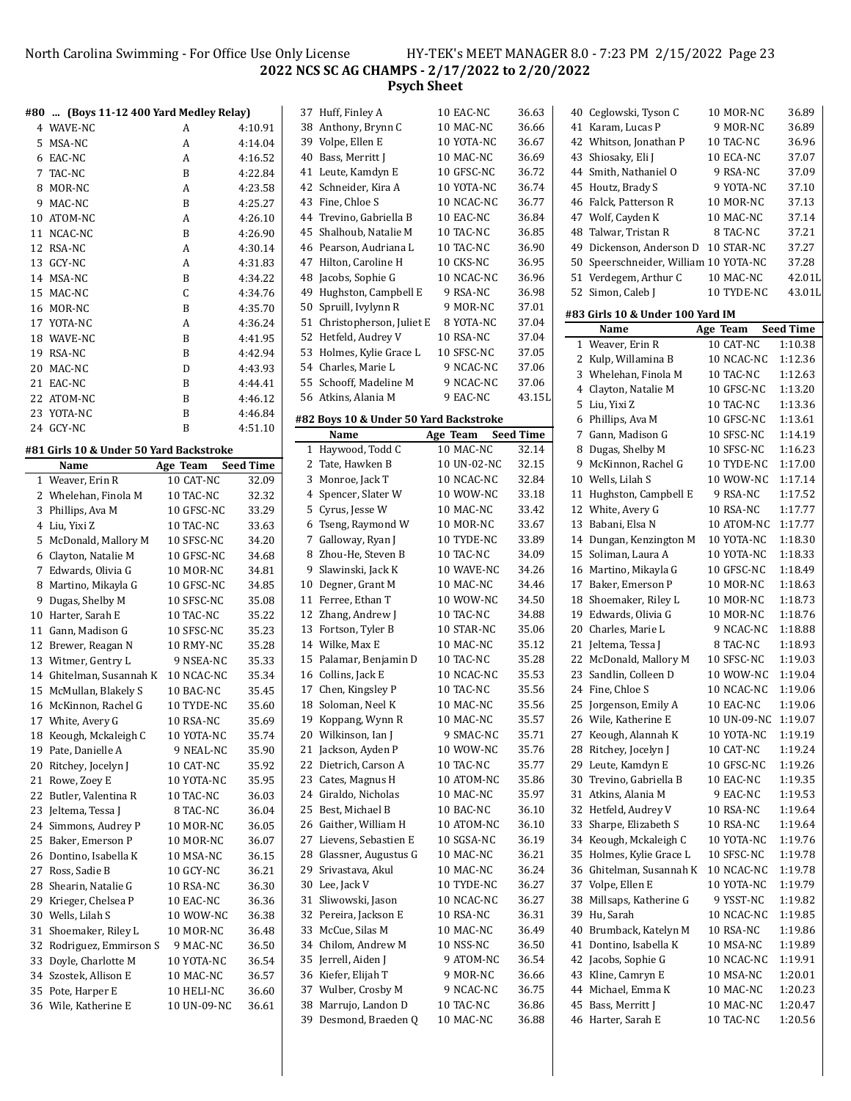North Carolina Swimming - For Office Use Only License HY-TEK's MEET MANAGER 8.0 - 7:23 PM 2/15/2022 Page 23 **NCS SC AG CHAMPS - 2/17/2022 to 2/20/2022**

**Psych Sheet**

|    | #80  (Boys 11-12 400 Yard Medley Relay) |                         |                    |    | 37 Huff, Finley A                             | 10 EAC-NC               | 36.63            |
|----|-----------------------------------------|-------------------------|--------------------|----|-----------------------------------------------|-------------------------|------------------|
|    | 4 WAVE-NC                               | A                       | 4:10.91            |    | 38 Anthony, Brynn C                           | 10 MAC-NC               | 36.66            |
|    | 5 MSA-NC                                | A                       | 4:14.04            |    | 39 Volpe, Ellen E                             | 10 YOTA-NC              | 36.67            |
|    | 6 EAC-NC                                | A                       | 4:16.52            |    | 40 Bass, Merritt J                            | 10 MAC-NC               | 36.69            |
|    | 7 TAC-NC                                | B                       | 4:22.84            |    | 41 Leute, Kamdyn E                            | 10 GFSC-NC              | 36.72            |
|    | 8 MOR-NC                                | A                       | 4:23.58            |    | 42 Schneider, Kira A                          | 10 YOTA-NC              | 36.74            |
| 9  | MAC-NC                                  | B                       | 4:25.27            |    | 43 Fine, Chloe S                              | 10 NCAC-NC              | 36.77            |
|    | 10 ATOM-NC                              | A                       | 4:26.10            |    | 44 Trevino, Gabriella B                       | 10 EAC-NC               | 36.84            |
|    | 11 NCAC-NC                              | B                       | 4:26.90            |    | 45 Shalhoub, Natalie M                        | 10 TAC-NC               | 36.85            |
|    | 12 RSA-NC                               | A                       | 4:30.14            |    | 46 Pearson, Audriana L                        | 10 TAC-NC               | 36.90            |
|    | 13 GCY-NC                               | A                       | 4:31.83            |    | 47 Hilton, Caroline H                         | 10 CKS-NC               | 36.95            |
|    | 14 MSA-NC                               | B                       | 4:34.22            | 48 | Jacobs, Sophie G                              | 10 NCAC-NC              | 36.96            |
|    | 15 MAC-NC                               | $\mathsf C$             | 4:34.76            | 49 | Hughston, Campbell E                          | 9 RSA-NC                | 36.98            |
|    | 16 MOR-NC                               | B                       | 4:35.70            |    | 50 Spruill, Ivylynn R                         | 9 MOR-NC                | 37.01            |
|    | 17 YOTA-NC                              | Α                       | 4:36.24            |    | 51 Christopherson, Juliet E                   | 8 YOTA-NC               | 37.04            |
|    | 18 WAVE-NC                              | B                       | 4:41.95            |    | 52 Hetfeld, Audrey V                          | 10 RSA-NC               | 37.04            |
|    | 19 RSA-NC                               | B                       | 4:42.94            |    | 53 Holmes, Kylie Grace L                      | 10 SFSC-NC<br>9 NCAC-NC | 37.05            |
|    | 20 MAC-NC                               | D                       | 4:43.93            |    | 54 Charles, Marie L<br>55 Schooff, Madeline M | 9 NCAC-NC               | 37.06<br>37.06   |
|    | 21 EAC-NC                               | B                       | 4:44.41            |    |                                               |                         | 43.151           |
|    | 22 ATOM-NC                              | B<br>B                  | 4:46.12            |    | 56 Atkins, Alania M                           | 9 EAC-NC                |                  |
|    | 23 YOTA-NC<br>24 GCY-NC                 | B                       | 4:46.84<br>4:51.10 |    | #82 Boys 10 & Under 50 Yard Backstroke        |                         |                  |
|    |                                         |                         |                    |    | Name                                          | Age Team                | <b>Seed Time</b> |
|    | #81 Girls 10 & Under 50 Yard Backstroke |                         |                    |    | 1 Haywood, Todd C                             | 10 MAC-NC               | 32.14            |
|    | Name                                    | Age Team                | <b>Seed Time</b>   |    | 2 Tate, Hawken B                              | 10 UN-02-NC             | 32.15            |
|    | 1 Weaver, Erin R                        | 10 CAT-NC               | 32.09              |    | 3 Monroe, Jack T<br>Spencer, Slater W         | 10 NCAC-NC              | 32.84<br>33.18   |
|    | 2 Whelehan, Finola M                    | 10 TAC-NC               | 32.32              | 4  |                                               | 10 WOW-NC               | 33.42            |
|    | 3 Phillips, Ava M                       | 10 GFSC-NC              | 33.29              |    | 5 Cyrus, Jesse W<br>6 Tseng, Raymond W        | 10 MAC-NC<br>10 MOR-NC  | 33.67            |
|    | 4 Liu, Yixi Z<br>5 McDonald, Mallory M  | 10 TAC-NC<br>10 SFSC-NC | 33.63<br>34.20     |    | 7 Galloway, Ryan J                            | 10 TYDE-NC              | 33.89            |
|    | 6 Clayton, Natalie M                    | 10 GFSC-NC              | 34.68              |    | 8 Zhou-He, Steven B                           | 10 TAC-NC               | 34.09            |
|    | 7 Edwards, Olivia G                     | 10 MOR-NC               | 34.81              | 9  | Slawinski, Jack K                             | 10 WAVE-NC              | 34.26            |
|    | 8 Martino, Mikayla G                    | 10 GFSC-NC              | 34.85              |    | 10 Degner, Grant M                            | 10 MAC-NC               | 34.46            |
|    | 9 Dugas, Shelby M                       | 10 SFSC-NC              | 35.08              |    | 11 Ferree, Ethan T                            | 10 WOW-NC               | 34.50            |
|    | 10 Harter, Sarah E                      | 10 TAC-NC               | 35.22              |    | 12 Zhang, Andrew J                            | 10 TAC-NC               | 34.88            |
|    | 11 Gann, Madison G                      | 10 SFSC-NC              | 35.23              |    | 13 Fortson, Tyler B                           | 10 STAR-NC              | 35.06            |
|    | 12 Brewer, Reagan N                     | 10 RMY-NC               | 35.28              |    | 14 Wilke, Max E                               | 10 MAC-NC               | 35.12            |
|    | 13 Witmer, Gentry L                     | 9 NSEA-NC               | 35.33              |    | 15 Palamar, Benjamin D                        | 10 TAC-NC               | 35.28            |
|    | 14 Ghitelman, Susannah K                | 10 NCAC-NC              | 35.34              |    | 16 Collins, Jack E                            | 10 NCAC-NC              | 35.53            |
|    | 15 McMullan, Blakely S                  | 10 BAC-NC               | 35.45              |    | 17 Chen, Kingsley P                           | 10 TAC-NC               | 35.56            |
|    | 16 McKinnon, Rachel G                   | 10 TYDE-NC              | 35.60              |    | 18 Soloman, Neel K                            | 10 MAC-NC               | 35.56            |
|    | 17 White, Avery G                       | 10 RSA-NC               | 35.69              |    | 19 Koppang, Wynn R                            | 10 MAC-NC               | 35.57            |
|    | 18 Keough, Mckaleigh C                  | 10 YOTA-NC              | 35.74              |    | 20 Wilkinson, Ian J                           | 9 SMAC-NC               | 35.71            |
|    | 19 Pate, Danielle A                     | 9 NEAL-NC               | 35.90              |    | 21 Jackson, Ayden P                           | 10 WOW-NC               | 35.76            |
| 20 | Ritchey, Jocelyn J                      | 10 CAT-NC               | 35.92              |    | 22 Dietrich, Carson A                         | 10 TAC-NC               | 35.77            |
| 21 | Rowe, Zoey E                            | 10 YOTA-NC              | 35.95              | 23 | Cates, Magnus H                               | 10 ATOM-NC              | 35.86            |
|    | 22 Butler, Valentina R                  | 10 TAC-NC               | 36.03              |    | 24 Giraldo, Nicholas                          | 10 MAC-NC               | 35.97            |
|    | 23 Jeltema, Tessa J                     | 8 TAC-NC                | 36.04              |    | 25 Best, Michael B                            | 10 BAC-NC               | 36.10            |
|    | 24 Simmons, Audrey P                    | 10 MOR-NC               | 36.05              |    | 26 Gaither, William H                         | 10 ATOM-NC              | 36.10            |
|    | 25 Baker, Emerson P                     | 10 MOR-NC               | 36.07              | 27 | Lievens, Sebastien E                          | 10 SGSA-NC              | 36.19            |
|    | 26 Dontino, Isabella K                  | 10 MSA-NC               | 36.15              | 28 | Glassner, Augustus G                          | 10 MAC-NC               | 36.21            |
| 27 | Ross, Sadie B                           | 10 GCY-NC               | 36.21              | 29 | Srivastava, Akul                              | 10 MAC-NC               | 36.24            |
| 28 | Shearin, Natalie G                      | 10 RSA-NC               | 36.30              |    | 30 Lee, Jack V                                | 10 TYDE-NC              | 36.27            |
| 29 | Krieger, Chelsea P                      | 10 EAC-NC               | 36.36              |    | 31 Sliwowski, Jason                           | 10 NCAC-NC              | 36.27            |
| 30 | Wells, Lilah S                          | 10 WOW-NC               | 36.38              |    | 32 Pereira, Jackson E                         | 10 RSA-NC               | 36.31            |
| 31 | Shoemaker, Riley L                      | 10 MOR-NC               | 36.48              |    | 33 McCue, Silas M                             | 10 MAC-NC               | 36.49            |
|    | 32 Rodriguez, Emmirson S                | 9 MAC-NC                | 36.50              |    | 34 Chilom, Andrew M                           | 10 NSS-NC               | 36.50            |
| 33 | Doyle, Charlotte M                      | 10 YOTA-NC              | 36.54              |    | 35 Jerrell, Aiden J                           | 9 ATOM-NC               | 36.54            |
|    | 34 Szostek, Allison E                   | 10 MAC-NC               | 36.57              |    | 36 Kiefer, Elijah T                           | 9 MOR-NC                | 36.66            |
|    | 35 Pote, Harper E                       | 10 HELI-NC              | 36.60              | 37 | Wulber, Crosby M<br>38 Marrujo, Landon D      | 9 NCAC-NC<br>10 TAC-NC  | 36.75<br>36.86   |
|    | 36 Wile, Katherine E                    | 10 UN-09-NC             | 36.61              |    | 39 Desmond, Braeden Q                         | 10 MAC-NC               | 36.88            |
|    |                                         |                         |                    |    |                                               |                         |                  |

| 37 Huff, Finley A                     | 10 EAC-NC   | 36.63            |   | 40 Ceglowski, Tyson C                       | 10 MOR-NC               | 36.89                       |
|---------------------------------------|-------------|------------------|---|---------------------------------------------|-------------------------|-----------------------------|
| 38 Anthony, Brynn C                   | 10 MAC-NC   | 36.66            |   | 41 Karam, Lucas P                           | 9 MOR-NC                | 36.89                       |
| 39 Volpe, Ellen E                     | 10 YOTA-NC  | 36.67            |   | 42 Whitson, Jonathan P                      | 10 TAC-NC               | 36.96                       |
| 40 Bass, Merritt J                    | 10 MAC-NC   | 36.69            |   | 43 Shiosaky, Eli J                          | 10 ECA-NC               | 37.07                       |
| 41 Leute, Kamdyn E                    | 10 GFSC-NC  | 36.72            |   | 44 Smith, Nathaniel O                       | 9 RSA-NC                | 37.09                       |
| 42 Schneider, Kira A                  | 10 YOTA-NC  | 36.74            |   | 45 Houtz, Brady S                           | 9 YOTA-NC               | 37.10                       |
| 43 Fine, Chloe S                      | 10 NCAC-NC  | 36.77            |   | 46 Falck, Patterson R                       | 10 MOR-NC               | 37.13                       |
| 44 Trevino, Gabriella B               | 10 EAC-NC   | 36.84            |   | 47 Wolf, Cayden K                           | 10 MAC-NC               | 37.14                       |
| 45 Shalhoub, Natalie M                | 10 TAC-NC   | 36.85            |   | 48 Talwar, Tristan R                        | 8 TAC-NC                | 37.21                       |
| 46 Pearson, Audriana L                | 10 TAC-NC   | 36.90            |   | 49 Dickenson, Anderson D                    | 10 STAR-NC              | 37.27                       |
| 47 Hilton, Caroline H                 | 10 CKS-NC   | 36.95            |   | 50 Speerschneider, William 10 YOTA-NC       |                         | 37.28                       |
| 48 Jacobs, Sophie G                   | 10 NCAC-NC  | 36.96            |   | 51 Verdegem, Arthur C                       | 10 MAC-NC               | 42.01                       |
| 49 Hughston, Campbell E               | 9 RSA-NC    | 36.98            |   | 52 Simon, Caleb J                           | 10 TYDE-NC              | 43.01                       |
| 50 Spruill, Ivylynn R                 | 9 MOR-NC    | 37.01            |   |                                             |                         |                             |
| 51 Christopherson, Juliet E           | 8 YOTA-NC   | 37.04            |   | #83 Girls 10 & Under 100 Yard IM            |                         |                             |
| 52 Hetfeld, Audrey V                  | 10 RSA-NC   | 37.04            |   | Name<br>1 Weaver, Erin R                    | Age Team<br>10 CAT-NC   | <b>Seed Time</b><br>1:10.38 |
| 53 Holmes, Kylie Grace L              | 10 SFSC-NC  | 37.05            |   |                                             |                         |                             |
| 54 Charles, Marie L                   | 9 NCAC-NC   | 37.06            |   | 2 Kulp, Willamina B<br>3 Whelehan, Finola M | 10 NCAC-NC<br>10 TAC-NC | 1:12.36<br>1:12.63          |
| 55 Schooff, Madeline M                | 9 NCAC-NC   | 37.06            | 4 | Clayton, Natalie M                          | 10 GFSC-NC              | 1:13.20                     |
| 56 Atkins, Alania M                   | 9 EAC-NC    | 43.15L           |   | 5 Liu, Yixi Z                               | 10 TAC-NC               | 1:13.36                     |
| 82 Boys 10 & Under 50 Yard Backstroke |             |                  |   | 6 Phillips, Ava M                           | 10 GFSC-NC              | 1:13.61                     |
| Name                                  | Age Team    | <b>Seed Time</b> |   | 7 Gann, Madison G                           | 10 SFSC-NC              | 1:14.19                     |
| 1 Haywood, Todd C                     | 10 MAC-NC   | 32.14            |   | 8 Dugas, Shelby M                           | 10 SFSC-NC              | 1:16.23                     |
| 2 Tate, Hawken B                      | 10 UN-02-NC | 32.15            |   | 9 McKinnon, Rachel G                        | 10 TYDE-NC              | 1:17.00                     |
| 3 Monroe, Jack T                      | 10 NCAC-NC  | 32.84            |   | 10 Wells, Lilah S                           | 10 WOW-NC               | 1:17.14                     |
| 4 Spencer, Slater W                   | 10 WOW-NC   | 33.18            |   | 11 Hughston, Campbell E                     | 9 RSA-NC                | 1:17.52                     |
| 5 Cyrus, Jesse W                      | 10 MAC-NC   | 33.42            |   | 12 White, Avery G                           | 10 RSA-NC               | 1:17.77                     |
| 6 Tseng, Raymond W                    | 10 MOR-NC   | 33.67            |   | 13 Babani, Elsa N                           | 10 ATOM-NC              | 1:17.77                     |
| 7 Galloway, Ryan J                    | 10 TYDE-NC  | 33.89            |   | 14 Dungan, Kenzington M                     | 10 YOTA-NC              | 1:18.30                     |
| 8 Zhou-He, Steven B                   | 10 TAC-NC   | 34.09            |   | 15 Soliman, Laura A                         | 10 YOTA-NC              | 1:18.33                     |
| 9 Slawinski, Jack K                   | 10 WAVE-NC  | 34.26            |   | 16 Martino, Mikayla G                       | 10 GFSC-NC              | 1:18.49                     |
| 10 Degner, Grant M                    | 10 MAC-NC   | 34.46            |   | 17 Baker, Emerson P                         | 10 MOR-NC               | 1:18.63                     |
| 11 Ferree, Ethan T                    | 10 WOW-NC   | 34.50            |   | 18 Shoemaker, Riley L                       | 10 MOR-NC               | 1:18.73                     |
| 12 Zhang, Andrew J                    | 10 TAC-NC   | 34.88            |   | 19 Edwards, Olivia G                        | 10 MOR-NC               | 1:18.76                     |
| 13 Fortson, Tyler B                   | 10 STAR-NC  | 35.06            |   | 20 Charles, Marie L                         | 9 NCAC-NC               | 1:18.88                     |
| 14 Wilke, Max E                       | 10 MAC-NC   | 35.12            |   | 21 Jeltema, Tessa J                         | 8 TAC-NC                | 1:18.93                     |
| 15 Palamar, Benjamin D                | 10 TAC-NC   | 35.28            |   | 22 McDonald, Mallory M                      | 10 SFSC-NC              | 1:19.03                     |
| 16 Collins, Jack E                    | 10 NCAC-NC  | 35.53            |   | 23 Sandlin, Colleen D                       | 10 WOW-NC               | 1:19.04                     |
| 17 Chen, Kingsley P                   | 10 TAC-NC   | 35.56            |   | 24 Fine, Chloe S                            | 10 NCAC-NC              | 1:19.06                     |
| 18 Soloman, Neel K                    | 10 MAC-NC   | 35.56            |   | 25 Jorgenson, Emily A                       | 10 EAC-NC               | 1:19.06                     |
| 19 Koppang, Wynn R                    | 10 MAC-NC   | 35.57            |   | 26 Wile, Katherine E                        | 10 UN-09-NC 1:19.07     |                             |
| 20  Wilkinson, Ian J                  | 9 SMAC-NC   | 35.71            |   | 27 Keough, Alannah K                        | 10 YOTA-NC              | 1:19.19                     |
| 21 Jackson, Ayden P                   | 10 WOW-NC   | 35.76            |   | 28 Ritchey, Jocelyn J                       | 10 CAT-NC               | 1:19.24                     |
| 22 Dietrich, Carson A                 | 10 TAC-NC   | 35.77            |   | 29 Leute, Kamdyn E                          | 10 GFSC-NC              | 1:19.26                     |
| 23 Cates, Magnus H                    | 10 ATOM-NC  | 35.86            |   | 30 Trevino, Gabriella B                     | 10 EAC-NC               | 1:19.35                     |
| 24 Giraldo, Nicholas                  | 10 MAC-NC   | 35.97            |   | 31 Atkins, Alania M                         | 9 EAC-NC                | 1:19.53                     |
| 25 Best, Michael B                    | 10 BAC-NC   | 36.10            |   | 32 Hetfeld, Audrey V                        | 10 RSA-NC               | 1:19.64                     |
| 26 Gaither, William H                 | 10 ATOM-NC  | 36.10            |   | 33 Sharpe, Elizabeth S                      | 10 RSA-NC               | 1:19.64                     |
| 27 Lievens, Sebastien E               | 10 SGSA-NC  | 36.19            |   | 34 Keough, Mckaleigh C                      | 10 YOTA-NC              | 1:19.76                     |
| 28 Glassner, Augustus G               | 10 MAC-NC   | 36.21            |   | 35 Holmes, Kylie Grace L                    | 10 SFSC-NC              | 1:19.78                     |
| 29 Srivastava, Akul                   | 10 MAC-NC   | 36.24            |   | 36 Ghitelman, Susannah K                    | 10 NCAC-NC              | 1:19.78                     |
| 30 Lee, Jack V                        | 10 TYDE-NC  | 36.27            |   | 37 Volpe, Ellen E                           | 10 YOTA-NC              | 1:19.79                     |
| 31 Sliwowski, Jason                   | 10 NCAC-NC  | 36.27            |   | 38 Millsaps, Katherine G                    | 9 YSST-NC               | 1:19.82                     |
| 32 Pereira, Jackson E                 | 10 RSA-NC   | 36.31            |   | 39 Hu, Sarah                                | 10 NCAC-NC              | 1:19.85                     |
| 33 McCue, Silas M                     | 10 MAC-NC   | 36.49            |   | 40 Brumback, Katelyn M                      | 10 RSA-NC               | 1:19.86                     |
| 34 Chilom, Andrew M                   | 10 NSS-NC   | 36.50            |   | 41 Dontino, Isabella K                      | 10 MSA-NC               | 1:19.89                     |
| 35 Jerrell, Aiden J                   | 9 ATOM-NC   | 36.54            |   | 42 Jacobs, Sophie G                         | 10 NCAC-NC              | 1:19.91                     |
| 36 Kiefer, Elijah T                   | 9 MOR-NC    | 36.66            |   | 43 Kline, Camryn E                          | 10 MSA-NC               | 1:20.01                     |
| 37 Wulber, Crosby M                   | 9 NCAC-NC   | 36.75            |   | 44 Michael, Emma K                          | 10 MAC-NC               | 1:20.23                     |
| 38 Marrujo, Landon D                  | 10 TAC-NC   | 36.86            |   | 45 Bass, Merritt J                          | 10 MAC-NC               | 1:20.47                     |

| 42 | Whitson, Jonathan P                | 10 TAC-NC   | 36.96            |
|----|------------------------------------|-------------|------------------|
| 43 | Shiosaky, Eli J                    | 10 ECA-NC   | 37.07            |
| 44 | Smith, Nathaniel O                 | 9 RSA-NC    | 37.09            |
| 45 | Houtz, Brady S                     | 9 YOTA-NC   | 37.10            |
| 46 | Falck, Patterson R                 | 10 MOR-NC   | 37.13            |
| 47 | Wolf, Cayden K                     | 10 MAC-NC   | 37.14            |
| 48 | Talwar, Tristan R                  | 8 TAC-NC    | 37.21            |
| 49 | Dickenson, Anderson D              | 10 STAR-NC  | 37.27            |
| 50 | Speerschneider, William 10 YOTA-NC |             | 37.28            |
| 51 |                                    | 10 MAC-NC   | 42.01L           |
|    | Verdegem, Arthur C                 |             |                  |
| 52 | Simon, Caleb J                     | 10 TYDE-NC  | 43.01L           |
|    | #83 Girls 10 & Under 100 Yard IM   |             |                  |
|    | Name                               | Age Team    | <b>Seed Time</b> |
| 1  | Weaver, Erin R                     | 10 CAT-NC   | 1:10.38          |
| 2  | Kulp, Willamina B                  | 10 NCAC-NC  | 1:12.36          |
| 3  | Whelehan, Finola M                 | 10 TAC-NC   | 1:12.63          |
| 4  | Clayton, Natalie M                 | 10 GFSC-NC  | 1:13.20          |
| 5  | Liu, Yixi Z                        | 10 TAC-NC   | 1:13.36          |
| 6  | Phillips, Ava M                    | 10 GFSC-NC  | 1:13.61          |
| 7  | Gann, Madison G                    | 10 SFSC-NC  | 1:14.19          |
|    |                                    | 10 SFSC-NC  | 1:16.23          |
| 8  | Dugas, Shelby M                    |             |                  |
| 9  | McKinnon, Rachel G                 | 10 TYDE-NC  | 1:17.00          |
| 10 | Wells, Lilah S                     | 10 WOW-NC   | 1:17.14          |
| 11 | Hughston, Campbell E               | 9 RSA-NC    | 1:17.52          |
| 12 | White, Avery G                     | 10 RSA-NC   | 1:17.77          |
| 13 | Babani, Elsa N                     | 10 ATOM-NC  | 1:17.77          |
| 14 | Dungan, Kenzington M               | 10 YOTA-NC  | 1:18.30          |
| 15 | Soliman, Laura A                   | 10 YOTA-NC  | 1:18.33          |
| 16 | Martino, Mikayla G                 | 10 GFSC-NC  | 1:18.49          |
| 17 | Baker, Emerson P                   | 10 MOR-NC   | 1:18.63          |
| 18 | Shoemaker, Riley L                 | 10 MOR-NC   | 1:18.73          |
| 19 | Edwards, Olivia G                  | 10 MOR-NC   | 1:18.76          |
| 20 | Charles, Marie L                   | 9 NCAC-NC   | 1:18.88          |
| 21 | Jeltema, Tessa J                   | 8 TAC-NC    | 1:18.93          |
|    |                                    |             |                  |
| 22 | McDonald, Mallory M                | 10 SFSC-NC  | 1:19.03          |
| 23 | Sandlin, Colleen D                 | 10 WOW-NC   | 1:19.04          |
| 24 | Fine, Chloe S                      | 10 NCAC-NC  | 1:19.06          |
| 25 | Jorgenson, Emily A                 | 10 EAC-NC   | 1:19.06          |
| 26 | Wile, Katherine E                  | 10 UN-09-NC | 1:19.07          |
| 27 | Keough, Alannah K                  | 10 YOTA-NC  | 1:19.19          |
| 28 | Ritchey, Jocelyn J                 | 10 CAT-NC   | 1:19.24          |
| 29 | Leute, Kamdyn E                    | 10 GFSC-NC  | 1:19.26          |
| 30 | Trevino, Gabriella B               | 10 EAC-NC   | 1:19.35          |
| 31 | Atkins, Alania M                   | 9 EAC-NC    | 1:19.53          |
| 32 | Hetfeld, Audrey V                  | 10 RSA-NC   | 1:19.64          |
| 33 | Sharpe, Elizabeth S                | 10 RSA-NC   | 1:19.64          |
| 34 | Keough, Mckaleigh C                | 10 YOTA-NC  | 1:19.76          |
| 35 | Holmes, Kylie Grace L              | 10 SFSC-NC  | 1:19.78          |
| 36 | Ghitelman, Susannah K              | 10 NCAC-NC  | 1:19.78          |
|    |                                    |             |                  |
| 37 | Volpe, Ellen E                     | 10 YOTA-NC  | 1:19.79          |
| 38 | Millsaps, Katherine G              | 9 YSST-NC   | 1:19.82          |
| 39 | Hu, Sarah                          | 10 NCAC-NC  | 1:19.85          |
| 40 | Brumback, Katelyn M                | 10 RSA-NC   | 1:19.86          |
| 41 | Dontino, Isabella K                | 10 MSA-NC   | 1:19.89          |
| 42 | Jacobs, Sophie G                   | 10 NCAC-NC  | 1:19.91          |
| 43 | Kline, Camryn E                    | 10 MSA-NC   | 1:20.01          |
| 44 | Michael, Emma K                    | 10 MAC-NC   | 1:20.23          |
| 45 | Bass, Merritt J                    | 10 MAC-NC   | 1:20.47          |
| 46 | Harter, Sarah E                    | 10 TAC-NC   | 1:20.56          |
|    |                                    |             |                  |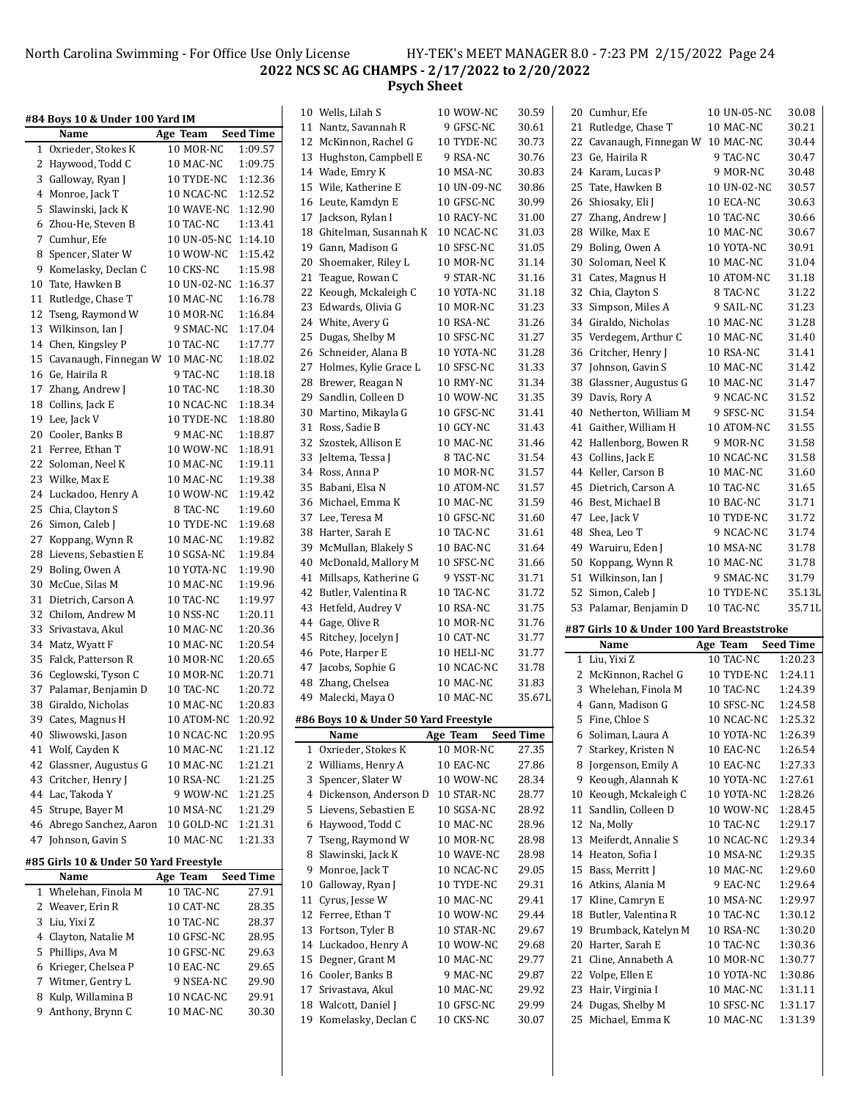#### North Carolina Swimming - For Office Use Only License HY-TEK's MEET MANAGER 8.0 - 7:23 PM 2/15/2022 Page 24 **NCS SC AG CHAMPS - 2/17/2022 to 2/20/2022 Psych Sheet**

|    | #84 Boys 10 & Under 100 Yard IM        |             |                  |
|----|----------------------------------------|-------------|------------------|
|    | Name                                   | Age Team    | <b>Seed Time</b> |
| 1  | Oxrieder, Stokes K                     | 10 MOR-NC   | 1:09.57          |
| 2  | Haywood, Todd C                        | 10 MAC-NC   | 1:09.75          |
| 3  | Galloway, Ryan J                       | 10 TYDE-NC  | 1:12.36          |
| 4  | Monroe, Jack T                         | 10 NCAC-NC  | 1:12.52          |
| 5  | Slawinski, Jack K                      | 10 WAVE-NC  | 1:12.90          |
| 6  | Zhou-He, Steven B                      | 10 TAC-NC   | 1:13.41          |
| 7  | Cumhur, Efe                            | 10 UN-05-NC | 1:14.10          |
| 8  | Spencer, Slater W                      | 10 WOW-NC   | 1:15.42          |
| 9  | Komelasky, Declan C                    | 10 CKS-NC   | 1:15.98          |
| 10 | Tate, Hawken B                         | 10 UN-02-NC | 1:16.37          |
| 11 | Rutledge, Chase T                      | 10 MAC-NC   | 1:16.78          |
| 12 | Tseng, Raymond W                       | 10 MOR-NC   | 1:16.84          |
| 13 | Wilkinson, Ian J                       | 9 SMAC-NC   | 1:17.04          |
| 14 | Chen, Kingsley P                       | 10 TAC-NC   | 1:17.77          |
| 15 | Cavanaugh, Finnegan W                  | 10 MAC-NC   | 1:18.02          |
| 16 | Ge, Hairila R                          | 9 TAC-NC    | 1:18.18          |
| 17 | Zhang, Andrew J                        | 10 TAC-NC   | 1:18.30          |
| 18 | Collins, Jack E                        | 10 NCAC-NC  | 1:18.34          |
| 19 | Lee, Jack V                            | 10 TYDE-NC  | 1:18.80          |
| 20 | Cooler, Banks B                        | 9 MAC-NC    | 1:18.87          |
| 21 | Ferree, Ethan T                        | 10 WOW-NC   | 1:18.91          |
| 22 | Soloman, Neel K                        | 10 MAC-NC   | 1:19.11          |
| 23 | Wilke, Max E                           | 10 MAC-NC   | 1:19.38          |
| 24 | Luckadoo, Henry A                      | 10 WOW-NC   | 1:19.42          |
| 25 | Chia, Clayton S                        | 8 TAC-NC    | 1:19.60          |
| 26 | Simon, Caleb J                         | 10 TYDE-NC  | 1:19.68          |
| 27 | Koppang, Wynn R                        | 10 MAC-NC   | 1:19.82          |
| 28 | Lievens, Sebastien E                   | 10 SGSA-NC  | 1:19.84          |
| 29 | Boling, Owen A                         | 10 YOTA-NC  | 1:19.90          |
| 30 | McCue, Silas M                         | 10 MAC-NC   | 1:19.96          |
| 31 | Dietrich, Carson A                     | 10 TAC-NC   | 1:19.97          |
| 32 | Chilom, Andrew M                       | 10 NSS-NC   | 1:20.11          |
| 33 | Srivastava, Akul                       | 10 MAC-NC   | 1:20.36          |
| 34 | Matz, Wyatt F                          | 10 MAC-NC   | 1:20.54          |
| 35 | Falck, Patterson R                     | 10 MOR-NC   | 1:20.65          |
| 36 | Ceglowski, Tyson C                     | 10 MOR-NC   | 1:20.71          |
| 37 | Palamar, Benjamin D                    | 10 TAC-NC   | 1:20.72          |
| 38 | Giraldo. Nicholas                      | 10 MAC-NC   | 1:20.83          |
| 39 | Cates, Magnus H                        | 10 ATOM-NC  | 1:20.92          |
| 40 | Sliwowski, Jason                       | 10 NCAC-NC  | 1:20.95          |
| 41 | Wolf, Cayden K                         | 10 MAC-NC   | 1:21.12          |
| 42 | Glassner, Augustus G                   | 10 MAC-NC   | 1:21.21          |
| 43 | Critcher, Henry J                      | 10 RSA-NC   | 1:21.25          |
| 44 | Lac, Takoda Y                          | 9 WOW-NC    | 1:21.25          |
| 45 | Strupe, Bayer M                        | 10 MSA-NC   | 1:21.29          |
| 46 | Abrego Sanchez, Aaron                  | 10 GOLD-NC  | 1:21.31          |
| 47 | Johnson, Gavin S                       | 10 MAC-NC   | 1:21.33          |
|    | #85 Girls 10 & Under 50 Yard Freestyle |             |                  |
|    | Name                                   | Age Team    | <b>Seed Time</b> |
| 1  | Whelehan, Finola M                     | 10 TAC-NC   | 27.91            |
|    |                                        |             |                  |

| Name                 | Age Team Seed Time |       |
|----------------------|--------------------|-------|
| 1 Whelehan, Finola M | 10 TAC-NC          | 27.91 |
| 2 Weaver, Erin R     | 10 CAT-NC          | 28.35 |
| 3 Liu, Yixi Z        | 10 TAC-NC          | 28.37 |
| 4 Clayton, Natalie M | 10 GFSC-NC         | 28.95 |
| 5 Phillips, Ava M    | 10 GFSC-NC         | 29.63 |
| 6 Krieger, Chelsea P | 10 EAC-NC          | 29.65 |
| 7 Witmer, Gentry L   | 9 NSEA-NC          | 29.90 |
| 8 Kulp, Willamina B  | 10 NCAC-NC         | 29.91 |
| 9 Anthony, Brynn C   | 10 MAC-NC          | 30.30 |
|                      |                    |       |

|    | 11 Nantz, Savannah R                  | 9 GFSC-NC   | 30.61            |
|----|---------------------------------------|-------------|------------------|
|    | 12 McKinnon, Rachel G                 | 10 TYDE-NC  | 30.73            |
| 13 | Hughston, Campbell E                  | 9 RSA-NC    | 30.76            |
|    | 14 Wade, Emry K                       | 10 MSA-NC   | 30.83            |
|    | 15 Wile, Katherine E                  | 10 UN-09-NC | 30.86            |
|    | 16 Leute, Kamdyn E                    | 10 GFSC-NC  | 30.99            |
| 17 | Jackson, Rylan I                      | 10 RACY-NC  | 31.00            |
| 18 | Ghitelman, Susannah K                 | 10 NCAC-NC  | 31.03            |
|    | 19 Gann, Madison G                    | 10 SFSC-NC  | 31.05            |
|    | 20 Shoemaker, Riley L                 | 10 MOR-NC   | 31.14            |
| 21 | Teague, Rowan C                       | 9 STAR-NC   | 31.16            |
| 22 | Keough, Mckaleigh C                   | 10 YOTA-NC  | 31.18            |
| 23 | Edwards, Olivia G                     | 10 MOR-NC   | 31.23            |
| 24 | White, Avery G                        | 10 RSA-NC   | 31.26            |
| 25 | Dugas, Shelby M                       | 10 SFSC-NC  | 31.27            |
| 26 | Schneider, Alana B                    | 10 YOTA-NC  | 31.28            |
|    |                                       |             |                  |
| 27 | Holmes, Kylie Grace L                 | 10 SFSC-NC  | 31.33            |
| 28 | Brewer, Reagan N                      | 10 RMY-NC   | 31.34            |
| 29 | Sandlin, Colleen D                    | 10 WOW-NC   | 31.35            |
| 30 | Martino, Mikayla G                    | 10 GFSC-NC  | 31.41            |
| 31 | Ross, Sadie B                         | 10 GCY-NC   | 31.43            |
| 32 | Szostek, Allison E                    | 10 MAC-NC   | 31.46            |
| 33 | Jeltema, Tessa J                      | 8 TAC-NC    | 31.54            |
| 34 | Ross, Anna P                          | 10 MOR-NC   | 31.57            |
| 35 | Babani, Elsa N                        | 10 ATOM-NC  | 31.57            |
|    | 36 Michael, Emma K                    | 10 MAC-NC   | 31.59            |
| 37 | Lee, Teresa M                         | 10 GFSC-NC  | 31.60            |
| 38 | Harter, Sarah E                       | 10 TAC-NC   | 31.61            |
| 39 | McMullan, Blakely S                   | 10 BAC-NC   | 31.64            |
| 40 | McDonald, Mallory M                   | 10 SFSC-NC  | 31.66            |
| 41 | Millsaps, Katherine G                 | 9 YSST-NC   | 31.71            |
| 42 | Butler, Valentina R                   | 10 TAC-NC   | 31.72            |
| 43 | Hetfeld, Audrey V                     | 10 RSA-NC   | 31.75            |
| 44 | Gage, Olive R                         | 10 MOR-NC   | 31.76            |
| 45 | Ritchey, Jocelyn J                    | 10 CAT-NC   | 31.77            |
|    | 46 Pote, Harper E                     | 10 HELI-NC  | 31.77            |
| 47 | Jacobs, Sophie G                      | 10 NCAC-NC  | 31.78            |
| 48 | Zhang, Chelsea                        | 10 MAC-NC   | 31.83            |
| 49 | Malecki, Maya O                       | 10 MAC-NC   | 35.67L           |
|    | #86 Boys 10 & Under 50 Yard Freestyle |             |                  |
|    | Name                                  | Age Team    | <b>Seed Time</b> |
| 1  | Oxrieder, Stokes K                    | 10 MOR-NC   | 27.35            |
| 2  | Williams, Henry A                     | 10 EAC-NC   | 27.86            |
| 3  | Spencer, Slater W                     | 10 WOW-NC   | 28.34            |
| 4  | Dickenson, Anderson D                 | 10 STAR-NC  | 28.77            |
| 5  | Lievens, Sebastien E                  | 10 SGSA-NC  | 28.92            |
| 6  | Haywood, Todd C                       | 10 MAC-NC   | 28.96            |
| 7  | Tseng, Raymond W                      | 10 MOR-NC   | 28.98            |
| 8  | Slawinski, Jack K                     | 10 WAVE-NC  | 28.98            |
| 9  | Monroe, Jack T                        | 10 NCAC-NC  | 29.05            |
| 10 | Galloway, Ryan J                      | 10 TYDE-NC  | 29.31            |
| 11 | Cyrus, Jesse W                        | 10 MAC-NC   | 29.41            |
| 12 | Ferree, Ethan T                       | 10 WOW-NC   | 29.44            |
| 13 | Fortson, Tyler B                      | 10 STAR-NC  | 29.67            |
| 14 | Luckadoo, Henry A                     | 10 WOW-NC   | 29.68            |
| 15 | Degner, Grant M                       | 10 MAC-NC   | 29.77            |
| 16 | Cooler, Banks B                       | 9 MAC-NC    | 29.87            |
| 17 | Srivastava, Akul                      | 10 MAC-NC   |                  |
| 18 | Walcott, Daniel J                     | 10 GFSC-NC  | 29.92<br>29.99   |
|    |                                       | 10 CKS-NC   |                  |
| 19 | Komelasky, Declan C                   |             | 30.07            |

|    | 10 Wells, Lilah S                           | 10 WOW-NC                | 30.59            | 20 Cumhur, Efe                             | 10 UN-05-NC             | 30.08              |
|----|---------------------------------------------|--------------------------|------------------|--------------------------------------------|-------------------------|--------------------|
|    | 11 Nantz, Savannah R                        | 9 GFSC-NC                | 30.61            | 21 Rutledge, Chase T                       | 10 MAC-NC               | 30.21              |
| 12 | McKinnon, Rachel G                          | 10 TYDE-NC               | 30.73            | 22 Cavanaugh, Finnegan W 10 MAC-NC         |                         | 30.44              |
| 13 | Hughston, Campbell E                        | 9 RSA-NC                 | 30.76            | 23 Ge, Hairila R                           | 9 TAC-NC                | 30.47              |
|    | 14 Wade, Emry K                             | 10 MSA-NC                | 30.83            | 24 Karam, Lucas P                          | 9 MOR-NC                | 30.48              |
| 15 | Wile, Katherine E                           | 10 UN-09-NC              | 30.86            | 25 Tate, Hawken B                          | 10 UN-02-NC             | 30.57              |
|    | 16 Leute, Kamdyn E                          | 10 GFSC-NC               | 30.99            | 26 Shiosaky, Eli J                         | 10 ECA-NC               | 30.63              |
| 17 | Jackson, Rylan I                            | 10 RACY-NC               | 31.00            | 27 Zhang, Andrew J                         | 10 TAC-NC               | 30.66              |
|    | 18 Ghitelman, Susannah K                    | 10 NCAC-NC               | 31.03            | 28 Wilke, Max E                            | 10 MAC-NC               | 30.67              |
| 19 | Gann, Madison G                             | 10 SFSC-NC               | 31.05            | 29 Boling, Owen A                          | 10 YOTA-NC              | 30.91              |
| 20 | Shoemaker, Riley L                          | 10 MOR-NC                | 31.14            | 30 Soloman, Neel K                         | 10 MAC-NC               | 31.04              |
| 21 | Teague, Rowan C                             | 9 STAR-NC                | 31.16            | 31 Cates, Magnus H                         | 10 ATOM-NC              | 31.18              |
| 22 | Keough, Mckaleigh C                         | 10 YOTA-NC               | 31.18            | 32 Chia, Clayton S                         | 8 TAC-NC                | 31.22              |
|    | 23 Edwards, Olivia G                        | 10 MOR-NC                | 31.23            | 33 Simpson, Miles A                        | 9 SAIL-NC               | 31.23              |
|    | 24 White, Avery G                           | 10 RSA-NC                | 31.26            | 34 Giraldo, Nicholas                       | 10 MAC-NC               | 31.28              |
|    | Dugas, Shelby M                             |                          | 31.27            | 35 Verdegem, Arthur C                      |                         | 31.40              |
| 25 | 26 Schneider, Alana B                       | 10 SFSC-NC<br>10 YOTA-NC | 31.28            | 36 Critcher, Henry J                       | 10 MAC-NC<br>10 RSA-NC  | 31.41              |
|    |                                             |                          |                  |                                            |                         |                    |
|    | 27 Holmes, Kylie Grace L                    | 10 SFSC-NC               | 31.33            | 37 Johnson, Gavin S                        | 10 MAC-NC               | 31.42              |
|    | 28 Brewer, Reagan N                         | 10 RMY-NC                | 31.34            | 38 Glassner, Augustus G                    | 10 MAC-NC               | 31.47              |
| 29 | Sandlin, Colleen D                          | 10 WOW-NC                | 31.35            | 39 Davis, Rory A                           | 9 NCAC-NC               | 31.52              |
| 30 | Martino, Mikayla G                          | 10 GFSC-NC               | 31.41            | 40 Netherton, William M                    | 9 SFSC-NC               | 31.54              |
| 31 | Ross, Sadie B                               | 10 GCY-NC                | 31.43            | 41 Gaither, William H                      | 10 ATOM-NC              | 31.55              |
| 32 | Szostek, Allison E                          | 10 MAC-NC                | 31.46            | 42 Hallenborg, Bowen R                     | 9 MOR-NC                | 31.58              |
|    | 33 Jeltema, Tessa J                         | 8 TAC-NC                 | 31.54            | 43 Collins, Jack E                         | 10 NCAC-NC              | 31.58              |
|    | 34 Ross, Anna P                             | 10 MOR-NC                | 31.57            | 44 Keller, Carson B                        | 10 MAC-NC               | 31.60              |
| 35 | Babani, Elsa N                              | 10 ATOM-NC               | 31.57            | 45 Dietrich, Carson A                      | 10 TAC-NC               | 31.65              |
|    | 36 Michael, Emma K                          | 10 MAC-NC                | 31.59            | 46 Best, Michael B                         | 10 BAC-NC               | 31.71              |
|    | 37 Lee, Teresa M                            | 10 GFSC-NC               | 31.60            | 47 Lee, Jack V                             | 10 TYDE-NC              | 31.72              |
|    | 38 Harter, Sarah E                          | 10 TAC-NC                | 31.61            | 48 Shea, Leo T                             | 9 NCAC-NC               | 31.74              |
| 39 | McMullan, Blakely S                         | 10 BAC-NC                | 31.64            | 49 Waruiru, Eden J                         | 10 MSA-NC               | 31.78              |
| 40 | McDonald, Mallory M                         | 10 SFSC-NC               | 31.66            | 50 Koppang, Wynn R                         | 10 MAC-NC               | 31.78              |
| 41 | Millsaps, Katherine G                       | 9 YSST-NC                | 31.71            | 51 Wilkinson, Ian J                        | 9 SMAC-NC               | 31.79              |
| 42 | Butler, Valentina R                         | 10 TAC-NC                | 31.72            | 52 Simon, Caleb J                          | 10 TYDE-NC              | 35.13L             |
|    | 43 Hetfeld, Audrey V                        | 10 RSA-NC                | 31.75            | 53 Palamar, Benjamin D                     | 10 TAC-NC               | 35.71L             |
| 44 | Gage, Olive R                               | 10 MOR-NC                | 31.76            |                                            |                         |                    |
| 45 | Ritchey, Jocelyn J                          | 10 CAT-NC                | 31.77            | #87 Girls 10 & Under 100 Yard Breaststroke |                         |                    |
| 46 | Pote, Harper E                              | 10 HELI-NC               | 31.77            | Name                                       | Age Team                | <b>Seed Time</b>   |
| 47 | Jacobs, Sophie G                            | 10 NCAC-NC               | 31.78            | 1 Liu, Yixi Z                              | 10 TAC-NC               | 1:20.23            |
|    |                                             |                          |                  | 2 McKinnon, Rachel G                       | 10 TYDE-NC              | 1:24.11            |
|    |                                             |                          |                  |                                            |                         |                    |
|    | 48 Zhang, Chelsea                           | 10 MAC-NC                | 31.83            | 3 Whelehan, Finola M                       | 10 TAC-NC               | 1:24.39            |
|    | 49 Malecki, Maya O                          | 10 MAC-NC                | 35.67L           | 4 Gann, Madison G                          | 10 SFSC-NC              | 1:24.58            |
|    | #86 Boys 10 & Under 50 Yard Freestyle       |                          |                  | 5 Fine, Chloe S                            | 10 NCAC-NC              | 1:25.32            |
|    | Name                                        | Age Team                 | <b>Seed Time</b> | 6 Soliman, Laura A                         | 10 YOTA-NC              | 1:26.39            |
|    | 1 Oxrieder, Stokes K                        | 10 MOR-NC                | 27.35            | 7 Starkey, Kristen N                       | 10 EAC-NC               | 1:26.54            |
|    | 2 Williams, Henry A                         | 10 EAC-NC                | 27.86            | 8 Jorgenson, Emily A                       | 10 EAC-NC               | 1:27.33            |
| 3  | Spencer, Slater W                           | 10 WOW-NC                | 28.34            | 9 Keough, Alannah K                        | 10 YOTA-NC              | 1:27.61            |
|    | 4 Dickenson, Anderson D                     | 10 STAR-NC               | 28.77            | 10 Keough, Mckaleigh C                     | 10 YOTA-NC              | 1:28.26            |
|    | 5 Lievens, Sebastien E                      | 10 SGSA-NC               | 28.92            | 11 Sandlin, Colleen D                      | 10 WOW-NC               | 1:28.45            |
|    | 6 Haywood, Todd C                           | 10 MAC-NC                | 28.96            | 12 Na, Molly                               | 10 TAC-NC               | 1:29.17            |
| 7  | Tseng, Raymond W                            | 10 MOR-NC                | 28.98            | 13 Meiferdt, Annalie S                     | 10 NCAC-NC              | 1:29.34            |
| 8  | Slawinski, Jack K                           | 10 WAVE-NC               | 28.98            | 14 Heaton, Sofia I                         | 10 MSA-NC               | 1:29.35            |
| 9  | Monroe, Jack T                              | 10 NCAC-NC               | 29.05            | 15 Bass, Merritt J                         | 10 MAC-NC               | 1:29.60            |
| 10 | Galloway, Ryan J                            | 10 TYDE-NC               | 29.31            | 16 Atkins, Alania M                        | 9 EAC-NC                | 1:29.64            |
| 11 | Cyrus, Jesse W                              | 10 MAC-NC                | 29.41            | 17 Kline, Camryn E                         | 10 MSA-NC               | 1:29.97            |
| 12 | Ferree, Ethan T                             | 10 WOW-NC                | 29.44            | 18 Butler, Valentina R                     | 10 TAC-NC               | 1:30.12            |
| 13 | Fortson, Tyler B                            | 10 STAR-NC               | 29.67            | 19 Brumback, Katelyn M                     | 10 RSA-NC               | 1:30.20            |
| 14 |                                             |                          |                  |                                            |                         |                    |
|    | Luckadoo, Henry A                           | 10 WOW-NC                | 29.68            | 20 Harter, Sarah E                         | 10 TAC-NC               | 1:30.36            |
| 15 | Degner, Grant M                             | 10 MAC-NC                | 29.77            | 21 Cline, Annabeth A                       | 10 MOR-NC               | 1:30.77            |
|    | 16 Cooler, Banks B                          | 9 MAC-NC                 | 29.87            | 22 Volpe, Ellen E                          | 10 YOTA-NC              | 1:30.86            |
| 17 | Srivastava, Akul                            | 10 MAC-NC                | 29.92            | 23 Hair, Virginia I                        | 10 MAC-NC               | 1:31.11            |
| 18 | Walcott, Daniel J<br>19 Komelasky, Declan C | 10 GFSC-NC<br>10 CKS-NC  | 29.99<br>30.07   | 24 Dugas, Shelby M<br>25 Michael, Emma K   | 10 SFSC-NC<br>10 MAC-NC | 1:31.17<br>1:31.39 |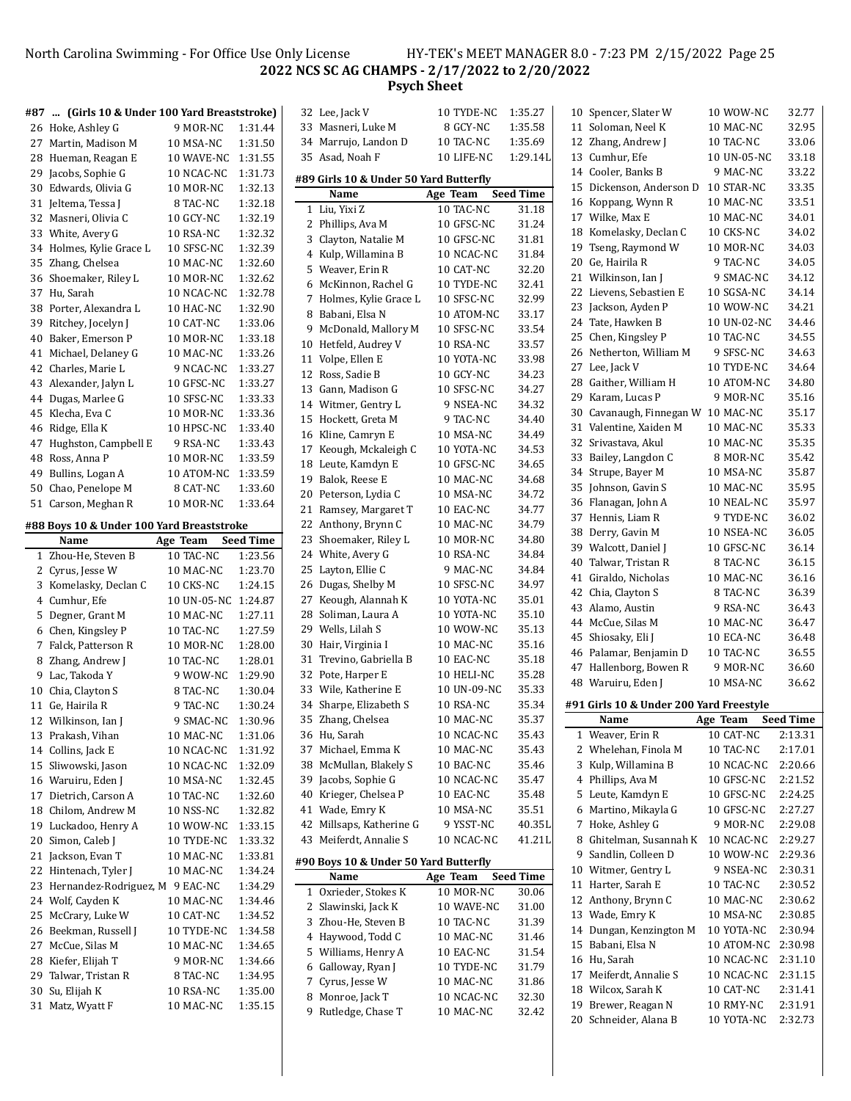### North Carolina Swimming - For Office Use Only License HY-TEK's MEET MANAGER 8.0 - 7:23 PM 2/15/2022 Page 25 **NCS SC AG CHAMPS - 2/17/2022 to 2/20/2022 Psych Sheet**

|    | #87  (Girls 10 & Under 100 Yard Breaststroke) |                     |                  |   | 32 Lee, Jack V                         | 10 TYDE-NC  | 1:35.27          | 10 Spencer, Slater W                     | 10 WOW-NC              | 32.77            |
|----|-----------------------------------------------|---------------------|------------------|---|----------------------------------------|-------------|------------------|------------------------------------------|------------------------|------------------|
|    | 26 Hoke, Ashley G                             | 9 MOR-NC            | 1:31.44          |   | 33 Masneri, Luke M                     | 8 GCY-NC    | 1:35.58          | 11 Soloman, Neel K                       | 10 MAC-NC              | 32.95            |
|    | 27 Martin, Madison M                          | 10 MSA-NC           | 1:31.50          |   | 34 Marrujo, Landon D                   | 10 TAC-NC   | 1:35.69          | 12 Zhang, Andrew J                       | 10 TAC-NC              | 33.06            |
|    | 28 Hueman, Reagan E                           | 10 WAVE-NC          | 1:31.55          |   | 35 Asad, Noah F                        | 10 LIFE-NC  | 1:29.14L         | 13 Cumhur, Efe                           | 10 UN-05-NC            | 33.18            |
| 29 | Jacobs, Sophie G                              | 10 NCAC-NC          | 1:31.73          |   |                                        |             |                  | 14 Cooler, Banks B                       | 9 MAC-NC               | 33.22            |
|    | 30 Edwards, Olivia G                          | 10 MOR-NC           | 1:32.13          |   | #89 Girls 10 & Under 50 Yard Butterfly |             |                  | 15 Dickenson, Anderson D                 | 10 STAR-NC             | 33.35            |
|    | 31 Jeltema, Tessa J                           | 8 TAC-NC            | 1:32.18          |   | Name                                   | Age Team    | <b>Seed Time</b> | 16 Koppang, Wynn R                       | 10 MAC-NC              | 33.51            |
|    | 32 Masneri, Olivia C                          | 10 GCY-NC           | 1:32.19          |   | 1 Liu, Yixi Z                          | 10 TAC-NC   | 31.18            | 17 Wilke, Max E                          | 10 MAC-NC              | 34.01            |
|    | 33 White, Avery G                             | 10 RSA-NC           | 1:32.32          |   | 2 Phillips, Ava M                      | 10 GFSC-NC  | 31.24            | 18 Komelasky, Declan C                   | 10 CKS-NC              | 34.02            |
|    | 34 Holmes, Kylie Grace L                      | 10 SFSC-NC          | 1:32.39          |   | 3 Clayton, Natalie M                   | 10 GFSC-NC  | 31.81            | 19 Tseng, Raymond W                      | 10 MOR-NC              | 34.03            |
|    | 35 Zhang, Chelsea                             | 10 MAC-NC           | 1:32.60          |   | 4 Kulp, Willamina B                    | 10 NCAC-NC  | 31.84            | 20 Ge, Hairila R                         | 9 TAC-NC               | 34.05            |
|    | 36 Shoemaker, Riley L                         | 10 MOR-NC           | 1:32.62          |   | 5 Weaver, Erin R                       | 10 CAT-NC   | 32.20            | 21 Wilkinson, Ian J                      | 9 SMAC-NC              | 34.12            |
|    | 37 Hu, Sarah                                  | 10 NCAC-NC          | 1:32.78          |   | 6 McKinnon, Rachel G                   | 10 TYDE-NC  | 32.41            | 22 Lievens, Sebastien E                  | 10 SGSA-NC             | 34.14            |
|    | 38 Porter, Alexandra L                        | 10 HAC-NC           | 1:32.90          |   | 7 Holmes, Kylie Grace L                | 10 SFSC-NC  | 32.99            | 23 Jackson, Ayden P                      | 10 WOW-NC              | 34.21            |
|    | 39 Ritchey, Jocelyn J                         | 10 CAT-NC           | 1:33.06          | 8 | Babani, Elsa N                         | 10 ATOM-NC  | 33.17            | 24 Tate, Hawken B                        | 10 UN-02-NC            | 34.46            |
| 40 | Baker, Emerson P                              | 10 MOR-NC           | 1:33.18          |   | 9 McDonald, Mallory M                  | 10 SFSC-NC  | 33.54            | 25 Chen, Kingsley P                      | 10 TAC-NC              | 34.55            |
|    | 41 Michael, Delaney G                         | 10 MAC-NC           | 1:33.26          |   | 10 Hetfeld, Audrey V                   | 10 RSA-NC   | 33.57            | 26 Netherton, William M                  | 9 SFSC-NC              | 34.63            |
|    | 42 Charles, Marie L                           | 9 NCAC-NC           | 1:33.27          |   | 11 Volpe, Ellen E                      | 10 YOTA-NC  | 33.98            | 27 Lee, Jack V                           | 10 TYDE-NC             | 34.64            |
|    | 43 Alexander, Jalyn L                         | 10 GFSC-NC          | 1:33.27          |   | 12 Ross, Sadie B                       | 10 GCY-NC   | 34.23            | 28 Gaither, William H                    | 10 ATOM-NC             | 34.80            |
|    | 44 Dugas, Marlee G                            | 10 SFSC-NC          | 1:33.33          |   | 13 Gann, Madison G                     | 10 SFSC-NC  | 34.27            | 29 Karam, Lucas P                        | 9 MOR-NC               | 35.16            |
| 45 | Klecha, Eva C                                 | 10 MOR-NC           | 1:33.36          |   | 14 Witmer, Gentry L                    | 9 NSEA-NC   | 34.32            | 30 Cavanaugh, Finnegan W 10 MAC-NC       |                        | 35.17            |
|    |                                               |                     |                  |   | 15 Hockett, Greta M                    | 9 TAC-NC    | 34.40            | 31 Valentine, Xaiden M                   | 10 MAC-NC              | 35.33            |
|    | 46 Ridge, Ella K                              | 10 HPSC-NC          | 1:33.40          |   | 16 Kline, Camryn E                     | 10 MSA-NC   | 34.49            | 32 Srivastava, Akul                      |                        | 35.35            |
|    | 47 Hughston, Campbell E                       | 9 RSA-NC            | 1:33.43          |   | 17 Keough, Mckaleigh C                 | 10 YOTA-NC  | 34.53            |                                          | 10 MAC-NC              |                  |
|    | 48 Ross, Anna P                               | 10 MOR-NC           | 1:33.59          |   | 18 Leute, Kamdyn E                     | 10 GFSC-NC  | 34.65            | 33 Bailey, Langdon C                     | 8 MOR-NC               | 35.42            |
| 49 | Bullins, Logan A                              | 10 ATOM-NC          | 1:33.59          |   | 19 Balok, Reese E                      | 10 MAC-NC   | 34.68            | 34 Strupe, Bayer M                       | 10 MSA-NC              | 35.87            |
| 50 | Chao, Penelope M                              | 8 CAT-NC            | 1:33.60          |   | 20 Peterson, Lydia C                   | 10 MSA-NC   | 34.72            | 35 Johnson, Gavin S                      | 10 MAC-NC              | 35.95            |
|    | 51 Carson, Meghan R                           | 10 MOR-NC           | 1:33.64          |   | 21 Ramsey, Margaret T                  | 10 EAC-NC   | 34.77            | 36 Flanagan, John A                      | 10 NEAL-NC             | 35.97            |
|    | #88 Boys 10 & Under 100 Yard Breaststroke     |                     |                  |   | 22 Anthony, Brynn C                    | 10 MAC-NC   | 34.79            | 37 Hennis, Liam R                        | 9 TYDE-NC              | 36.02            |
|    | Name                                          | Age Team            | <b>Seed Time</b> |   | 23 Shoemaker, Riley L                  | 10 MOR-NC   | 34.80            | 38 Derry, Gavin M                        | 10 NSEA-NC             | 36.05            |
|    | 1 Zhou-He, Steven B                           | 10 TAC-NC           | 1:23.56          |   | 24 White, Avery G                      | 10 RSA-NC   | 34.84            | 39 Walcott, Daniel J                     | 10 GFSC-NC             | 36.14            |
|    | 2 Cyrus, Jesse W                              | 10 MAC-NC           | 1:23.70          |   | 25 Layton, Ellie C                     | 9 MAC-NC    | 34.84            | 40 Talwar, Tristan R                     | 8 TAC-NC               | 36.15            |
|    | 3 Komelasky, Declan C                         | 10 CKS-NC           | 1:24.15          |   | 26 Dugas, Shelby M                     | 10 SFSC-NC  | 34.97            | 41 Giraldo, Nicholas                     | 10 MAC-NC              | 36.16            |
|    | 4 Cumhur, Efe                                 | 10 UN-05-NC 1:24.87 |                  |   | 27 Keough, Alannah K                   | 10 YOTA-NC  | 35.01            | 42 Chia, Clayton S                       | 8 TAC-NC               | 36.39            |
|    | 5 Degner, Grant M                             | 10 MAC-NC           | 1:27.11          |   | 28 Soliman, Laura A                    | 10 YOTA-NC  | 35.10            | 43 Alamo, Austin                         | 9 RSA-NC               | 36.43            |
|    | 6 Chen, Kingsley P                            | 10 TAC-NC           | 1:27.59          |   | 29 Wells, Lilah S                      | 10 WOW-NC   | 35.13            | 44 McCue, Silas M                        | 10 MAC-NC              | 36.47            |
|    | 7 Falck, Patterson R                          | 10 MOR-NC           | 1:28.00          |   | 30 Hair, Virginia I                    | 10 MAC-NC   | 35.16            | 45 Shiosaky, Eli J                       | 10 ECA-NC              | 36.48            |
|    | 8 Zhang, Andrew J                             | 10 TAC-NC           | 1:28.01          |   | 31 Trevino, Gabriella B                | 10 EAC-NC   | 35.18            | 46 Palamar, Benjamin D                   | 10 TAC-NC              | 36.55            |
|    | 9 Lac, Takoda Y                               | 9 WOW-NC            | 1:29.90          |   | 32 Pote, Harper E                      | 10 HELI-NC  | 35.28            | 47 Hallenborg, Bowen R                   | 9 MOR-NC               | 36.60            |
|    | 10 Chia, Clayton S                            | 8 TAC-NC            | 1:30.04          |   | 33 Wile, Katherine E                   | 10 UN-09-NC | 35.33            | 48 Waruiru, Eden J                       | 10 MSA-NC              | 36.62            |
|    | 11 Ge, Hairila R                              | 9 TAC-NC            | 1:30.24          |   | 34 Sharpe, Elizabeth S                 | 10 RSA-NC   | 35.34            | #91 Girls 10 & Under 200 Yard Freestyle  |                        |                  |
|    | 12 Wilkinson, Ian J                           | 9 SMAC-NC           | 1:30.96          |   | 35 Zhang, Chelsea                      | 10 MAC-NC   | 35.37            | Name                                     | Age Team               | <b>Seed Time</b> |
|    | 13 Prakash, Vihan                             | 10 MAC-NC           | 1:31.06          |   | 36 Hu, Sarah                           | 10 NCAC-NC  | 35.43            | 1 Weaver, Erin R                         | 10 CAT-NC              | 2:13.31          |
|    | 14 Collins, Jack E                            | 10 NCAC-NC          | 1:31.92          |   | 37 Michael, Emma K                     | 10 MAC-NC   | 35.43            | 2 Whelehan, Finola M                     | 10 TAC-NC              | 2:17.01          |
|    | 15 Sliwowski, Jason                           | 10 NCAC-NC          | 1:32.09          |   | 38 McMullan, Blakely S                 | 10 BAC-NC   | 35.46            | 3 Kulp, Willamina B                      | 10 NCAC-NC             | 2:20.66          |
|    | 16 Waruiru, Eden J                            | 10 MSA-NC           | 1:32.45          |   | 39 Jacobs, Sophie G                    | 10 NCAC-NC  | 35.47            | 4 Phillips, Ava M                        | 10 GFSC-NC             | 2:21.52          |
|    |                                               |                     |                  |   | 40 Krieger, Chelsea P                  | 10 EAC-NC   | 35.48            | 5 Leute, Kamdyn E                        | 10 GFSC-NC             | 2:24.25          |
|    | 17 Dietrich, Carson A                         | 10 TAC-NC           | 1:32.60          |   |                                        |             |                  |                                          |                        | 2:27.27          |
|    | 18 Chilom, Andrew M                           | 10 NSS-NC           | 1:32.82          |   | 41 Wade, Emry K                        | 10 MSA-NC   | 35.51            | 6 Martino, Mikayla G<br>7 Hoke, Ashley G | 10 GFSC-NC<br>9 MOR-NC | 2:29.08          |
|    | 19 Luckadoo, Henry A                          | 10 WOW-NC           | 1:33.15          |   | 42 Millsaps, Katherine G               | 9 YSST-NC   | 40.35L           |                                          |                        |                  |
| 20 | Simon, Caleb J                                | 10 TYDE-NC          | 1:33.32          |   | 43 Meiferdt, Annalie S                 | 10 NCAC-NC  | 41.21L           | 8 Ghitelman, Susannah K                  | 10 NCAC-NC             | 2:29.27          |
|    | 21 Jackson, Evan T                            | 10 MAC-NC           | 1:33.81          |   | #90 Boys 10 & Under 50 Yard Butterfly  |             |                  | 9 Sandlin, Colleen D                     | 10 WOW-NC              | 2:29.36          |
|    | 22 Hintenach, Tyler J                         | 10 MAC-NC           | 1:34.24          |   | Name                                   | Age Team    | <b>Seed Time</b> | 10 Witmer, Gentry L                      | 9 NSEA-NC              | 2:30.31          |
|    | 23 Hernandez-Rodriguez, M 9 EAC-NC            |                     | 1:34.29          |   | 1 Oxrieder, Stokes K                   | 10 MOR-NC   | 30.06            | 11 Harter, Sarah E                       | 10 TAC-NC              | 2:30.52          |
|    | 24 Wolf, Cayden K                             | 10 MAC-NC           | 1:34.46          |   | 2 Slawinski, Jack K                    | 10 WAVE-NC  | 31.00            | 12 Anthony, Brynn C                      | 10 MAC-NC              | 2:30.62          |
|    | 25 McCrary, Luke W                            | 10 CAT-NC           | 1:34.52          |   | 3 Zhou-He, Steven B                    | 10 TAC-NC   | 31.39            | 13 Wade, Emry K                          | 10 MSA-NC              | 2:30.85          |
|    | 26 Beekman, Russell J                         | 10 TYDE-NC          | 1:34.58          |   | 4 Haywood, Todd C                      | 10 MAC-NC   | 31.46            | 14 Dungan, Kenzington M                  | 10 YOTA-NC             | 2:30.94          |
|    | 27 McCue, Silas M                             | 10 MAC-NC           | 1:34.65          |   | 5 Williams, Henry A                    | 10 EAC-NC   | 31.54            | 15 Babani, Elsa N                        | 10 ATOM-NC 2:30.98     |                  |
|    | 28 Kiefer, Elijah T                           | 9 MOR-NC            | 1:34.66          | 6 | Galloway, Ryan J                       | 10 TYDE-NC  | 31.79            | 16 Hu, Sarah                             | 10 NCAC-NC             | 2:31.10          |
| 29 | Talwar, Tristan R                             | 8 TAC-NC            | 1:34.95          | 7 | Cyrus, Jesse W                         | 10 MAC-NC   | 31.86            | 17 Meiferdt, Annalie S                   | 10 NCAC-NC             | 2:31.15          |
|    | 30 Su, Elijah K                               | 10 RSA-NC           | 1:35.00          | 8 | Monroe, Jack T                         | 10 NCAC-NC  | 32.30            | 18 Wilcox, Sarah K                       | 10 CAT-NC              | 2:31.41          |
|    | 31 Matz, Wyatt F                              | 10 MAC-NC           | 1:35.15          |   | 9 Rutledge, Chase T                    | 10 MAC-NC   | 32.42            | 19 Brewer, Reagan N                      | 10 RMY-NC              | 2:31.91          |
|    |                                               |                     |                  |   |                                        |             |                  | 20 Schneider, Alana B                    | 10 YOTA-NC             | 2:32.73          |
|    |                                               |                     |                  |   |                                        |             |                  |                                          |                        |                  |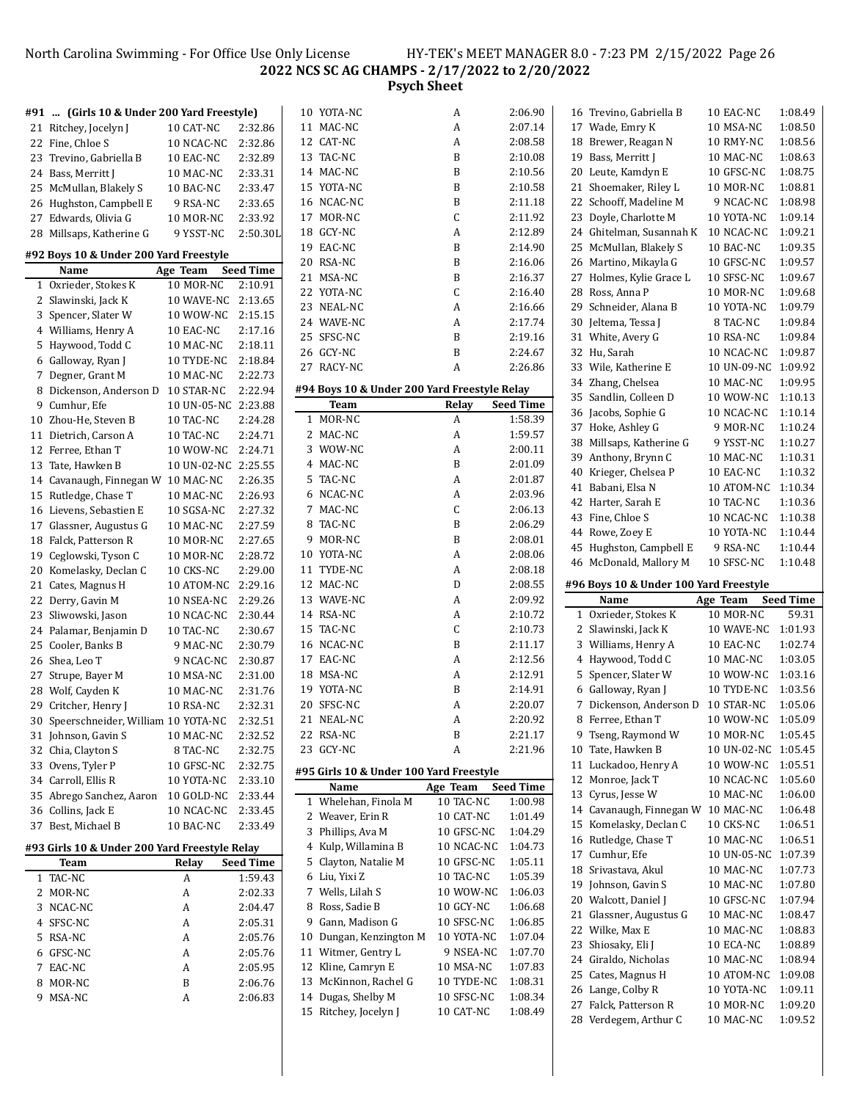# North Carolina Swimming - For Office Use Only License HY-TEK's MEET MANAGER 8.0 - 7:23 PM 2/15/2022 Page 26 **NCS SC AG CHAMPS - 2/17/2022 to 2/20/2022 Psych Sheet**

|   | #91  (Girls 10 & Under 200 Yard Freestyle)    |                     |                  |   | 10 YOTA-NC                                   | A               | 2:06.90          |
|---|-----------------------------------------------|---------------------|------------------|---|----------------------------------------------|-----------------|------------------|
|   | 21 Ritchey, Jocelyn J                         | 10 CAT-NC           | 2:32.86          |   | 11 MAC-NC                                    | A               | 2:07.14          |
|   | 22 Fine, Chloe S                              | 10 NCAC-NC          | 2:32.86          |   | 12 CAT-NC                                    | A               | 2:08.58          |
|   | 23 Trevino, Gabriella B                       | 10 EAC-NC           | 2:32.89          |   | 13 TAC-NC                                    | B               | 2:10.08          |
|   | 24 Bass, Merritt J                            | 10 MAC-NC           | 2:33.31          |   | 14 MAC-NC                                    | B               | 2:10.56          |
|   | 25 McMullan, Blakely S                        | 10 BAC-NC           | 2:33.47          |   | 15 YOTA-NC                                   | B               | 2:10.58          |
|   | 26 Hughston, Campbell E                       | 9 RSA-NC            | 2:33.65          |   | 16 NCAC-NC                                   | B               | 2:11.18          |
|   |                                               |                     | 2:33.92          |   | 17 MOR-NC                                    | С               | 2:11.92          |
|   | 27 Edwards, Olivia G                          | 10 MOR-NC           |                  |   | 18 GCY-NC                                    | A               | 2:12.89          |
|   | 28 Millsaps, Katherine G                      | 9 YSST-NC           | 2:50.30L         |   |                                              |                 |                  |
|   | #92 Boys 10 & Under 200 Yard Freestyle        |                     |                  |   | 19 EAC-NC                                    | B               | 2:14.90          |
|   | Name                                          | Age Team            | <b>Seed Time</b> |   | 20 RSA-NC                                    | B               | 2:16.06          |
|   | 1 Oxrieder, Stokes K                          | 10 MOR-NC           | 2:10.91          |   | 21 MSA-NC                                    | B               | 2:16.37          |
|   | 2 Slawinski, Jack K                           | 10 WAVE-NC          | 2:13.65          |   | 22 YOTA-NC                                   | С               | 2:16.40          |
|   | 3 Spencer, Slater W                           | 10 WOW-NC           | 2:15.15          |   | 23 NEAL-NC                                   | A               | 2:16.66          |
|   | 4 Williams, Henry A                           | 10 EAC-NC           | 2:17.16          |   | 24 WAVE-NC                                   | A               | 2:17.74          |
|   | 5 Haywood, Todd C                             | 10 MAC-NC           | 2:18.11          |   | 25 SFSC-NC                                   | B               | 2:19.16          |
|   | 6 Galloway, Ryan J                            |                     |                  |   | 26 GCY-NC                                    | B               | 2:24.67          |
|   |                                               | 10 TYDE-NC          | 2:18.84          |   | 27 RACY-NC                                   | A               | 2:26.86          |
|   | 7 Degner, Grant M                             | 10 MAC-NC           | 2:22.73          |   |                                              |                 |                  |
|   | 8 Dickenson, Anderson D                       | 10 STAR-NC          | 2:22.94          |   | #94 Boys 10 & Under 200 Yard Freestyle Relay |                 |                  |
| 9 | Cumhur, Efe                                   | 10 UN-05-NC 2:23.88 |                  |   | Team                                         | Relay           | Seed Time        |
|   | 10 Zhou-He, Steven B                          | 10 TAC-NC           | 2:24.28          |   | 1 MOR-NC                                     | A               | 1:58.39          |
|   | 11 Dietrich, Carson A                         | 10 TAC-NC           | 2:24.71          |   | 2 MAC-NC                                     | A               | 1:59.57          |
|   | 12 Ferree, Ethan T                            | 10 WOW-NC           | 2:24.71          |   | 3 WOW-NC                                     | A               | 2:00.11          |
|   | 13 Tate, Hawken B                             | 10 UN-02-NC 2:25.55 |                  |   | 4 MAC-NC                                     | B               | 2:01.09          |
|   | 14 Cavanaugh, Finnegan W 10 MAC-NC            |                     | 2:26.35          |   | 5 TAC-NC                                     | A               | 2:01.87          |
|   | 15 Rutledge, Chase T                          | 10 MAC-NC           | 2:26.93          |   | 6 NCAC-NC                                    | A               | 2:03.96          |
|   | 16 Lievens, Sebastien E                       | 10 SGSA-NC          | 2:27.32          |   | 7 MAC-NC                                     | C               | 2:06.13          |
|   | 17 Glassner, Augustus G                       | 10 MAC-NC           | 2:27.59          |   | 8 TAC-NC                                     | B               | 2:06.29          |
|   | 18 Falck, Patterson R                         | 10 MOR-NC           | 2:27.65          | 9 | MOR-NC                                       | B               | 2:08.01          |
|   | 19 Ceglowski, Tyson C                         | 10 MOR-NC           | 2:28.72          |   | 10 YOTA-NC                                   | A               | 2:08.06          |
|   | 20 Komelasky, Declan C                        | 10 CKS-NC           | 2:29.00          |   | 11 TYDE-NC                                   | A               | 2:08.18          |
|   | 21 Cates, Magnus H                            | 10 ATOM-NC          | 2:29.16          |   | 12 MAC-NC                                    | D               | 2:08.55          |
|   | 22 Derry, Gavin M                             | 10 NSEA-NC          | 2:29.26          |   | 13 WAVE-NC                                   | A               | 2:09.92          |
|   | 23 Sliwowski, Jason                           | 10 NCAC-NC          | 2:30.44          |   | 14 RSA-NC                                    | A               | 2:10.72          |
|   | 24 Palamar, Benjamin D                        | 10 TAC-NC           | 2:30.67          |   | 15 TAC-NC                                    | C               | 2:10.73          |
|   |                                               |                     | 2:30.79          |   | 16 NCAC-NC                                   | B               | 2:11.17          |
|   | 25 Cooler, Banks B                            | 9 MAC-NC            |                  |   | 17 EAC-NC                                    | A               |                  |
|   | 26 Shea, Leo T                                | 9 NCAC-NC           | 2:30.87          |   |                                              |                 | 2:12.56          |
|   | 27 Strupe, Bayer M                            | 10 MSA-NC           | 2:31.00          |   | 18 MSA-NC                                    | A               | 2:12.91          |
|   | 28 Wolf, Cayden K                             | 10 MAC-NC           | 2:31.76          |   | 19 YOTA-NC                                   | B               | 2:14.91          |
|   | 29 Critcher, Henry J                          | 10 RSA-NC           | 2:32.31          |   | 20 SFSC-NC                                   | A               | 2:20.07          |
|   | 30 Speerschneider, William 10 YOTA-NC         |                     | 2:32.51          |   | 21 NEAL-NC                                   | A               | 2:20.92          |
|   | 31 Johnson, Gavin S                           | 10 MAC-NC           | 2:32.52          |   | 22 RSA-NC                                    | B               | 2:21.17          |
|   | 32 Chia, Clayton S                            | 8 TAC-NC            | 2:32.75          |   | 23 GCY-NC                                    | A               | 2:21.96          |
|   | 33 Ovens, Tyler P                             | 10 GFSC-NC          | 2:32.75          |   | #95 Girls 10 & Under 100 Yard Freestyle      |                 |                  |
|   | 34 Carroll, Ellis R                           | 10 YOTA-NC          | 2:33.10          |   | Name                                         | Age Team        | <b>Seed Time</b> |
|   | 35 Abrego Sanchez, Aaron                      | 10 GOLD-NC          | 2:33.44          |   | 1 Whelehan, Finola M                         | 10 TAC-NC       | 1:00.98          |
|   | 36 Collins, Jack E                            | 10 NCAC-NC          | 2:33.45          |   | 2 Weaver, Erin R                             | 10 CAT-NC       | 1:01.49          |
|   | 37 Best, Michael B                            | 10 BAC-NC           | 2:33.49          |   |                                              |                 |                  |
|   |                                               |                     |                  |   | 3 Phillips, Ava M                            | 10 GFSC-NC      | 1:04.29          |
|   | #93 Girls 10 & Under 200 Yard Freestyle Relay |                     |                  |   | 4 Kulp, Willamina B                          | 10 NCAC-NC      | 1:04.73          |
|   | Team                                          | Relay               | <b>Seed Time</b> |   | 5 Clayton, Natalie M                         | 10 GFSC-NC      | 1:05.11          |
|   | 1 TAC-NC                                      | A                   | 1:59.43          |   | 6 Liu, Yixi Z                                | 10 TAC-NC       | 1:05.39          |
|   | 2 MOR-NC                                      | A                   | 2:02.33          |   | 7 Wells, Lilah S                             | 10 WOW-NC       | 1:06.03          |
|   | 3 NCAC-NC                                     | A                   | 2:04.47          |   | 8 Ross, Sadie B                              | 10 GCY-NC       | 1:06.68          |
|   | 4 SFSC-NC                                     | A                   | 2:05.31          |   | 9 Gann, Madison G                            | 10 SFSC-NC      | 1:06.85          |
|   | 5 RSA-NC                                      | Α                   | 2:05.76          |   | 10 Dungan, Kenzington M                      | 10 YOTA-NC      | 1:07.04          |
|   | 6 GFSC-NC                                     | A                   | 2:05.76          |   | 11 Witmer, Gentry L                          | 9 NSEA-NC       | 1:07.70          |
|   | 7 EAC-NC                                      | A                   | 2:05.95          |   | 12 Kline, Camryn E                           | 10 MSA-NC       | 1:07.83          |
|   | 8 MOR-NC                                      | B                   | 2:06.76          |   | 13 McKinnon, Rachel G                        | 10 TYDE-NC      | 1:08.31          |
|   | 9 MSA-NC                                      | A                   | 2:06.83          |   | 14 Dugas, Shelby M                           | 10 SFSC-NC      | 1:08.34          |
|   |                                               |                     |                  |   | 15 Ditchoy Jocolyn I                         | 10 $CAT$ -N $C$ | 1.09A0           |

| 11 | MAC-NC                                       | A            | 2:07.14          |
|----|----------------------------------------------|--------------|------------------|
| 12 | CAT-NC                                       | A            | 2:08.58          |
|    | 13 TAC-NC                                    | B            | 2:10.08          |
|    | 14 MAC-NC                                    | B            | 2:10.56          |
| 15 | YOTA-NC                                      | B            | 2:10.58          |
| 16 | NCAC-NC                                      | B            | 2:11.18          |
| 17 | MOR-NC                                       | $\mathsf{C}$ | 2:11.92          |
| 18 | GCY-NC                                       | A            | 2:12.89          |
| 19 | EAC-NC                                       | B            | 2:14.90          |
| 20 | RSA-NC                                       | B            | 2:16.06          |
| 21 | MSA-NC                                       | B            | 2:16.37          |
| 22 | YOTA-NC                                      | $\mathsf{C}$ | 2:16.40          |
|    | 23 NEAL-NC                                   | A            | 2:16.66          |
|    | 24 WAVE-NC                                   | A            | 2:17.74          |
| 25 | SFSC-NC                                      | B            | 2:19.16          |
| 26 | GCY-NC                                       | B            | 2:24.67          |
|    | 27 RACY-NC                                   | A            | 2:26.86          |
|    |                                              |              |                  |
|    | #94 Boys 10 & Under 200 Yard Freestyle Relay |              |                  |
|    | Team                                         | Relay        | <b>Seed Time</b> |
|    | 1 MOR-NC                                     | A            | 1:58.39          |
| 2  | MAC-NC                                       | A            | 1:59.57          |
|    | 3 WOW-NC                                     | A            | 2:00.11          |
|    | 4 MAC-NC                                     | B            | 2:01.09          |
| 5  | TAC-NC                                       | A            | 2:01.87          |
| 6  | NCAC-NC                                      | A            | 2:03.96          |
| 7  | MAC-NC                                       | $\mathsf{C}$ | 2:06.13          |
| 8  | TAC-NC                                       | B            | 2:06.29          |
| 9  | MOR-NC                                       | B            | 2:08.01          |
|    | 10 YOTA-NC                                   | A            | 2:08.06          |
|    | 11 TYDE-NC                                   | A            | 2:08.18          |
|    | 12 MAC-NC                                    | D            | 2:08.55          |
|    | 13 WAVE-NC                                   | A            | 2:09.92          |
|    | 14 RSA-NC                                    | A            | 2:10.72          |
| 15 | TAC-NC                                       | $\mathsf{C}$ | 2:10.73          |
| 16 | NCAC-NC                                      | B            | 2:11.17          |
|    | 17 EAC-NC                                    | A            | 2:12.56          |
|    | 18 MSA-NC                                    | A            | 2:12.91          |
|    | 19 YOTA-NC                                   | B            | 2:14.91          |
|    | 20 SFSC-NC                                   | A            | 2:20.07          |
| 21 | NEAL-NC                                      | A            | 2:20.92          |
| 22 | <b>RSA-NC</b>                                | B            | 2:21.17          |
|    | 23 GCY-NC                                    | A            | 2:21.96          |
|    | #95 Girls 10 & Under 100 Yard Freestyle      |              |                  |
|    | Name                                         | Age Team     | <b>Seed Time</b> |
| 1  | Whelehan, Finola M                           | 10 TAC-NC    | 1:00.98          |
| 2  | Weaver, Erin R                               | 10 CAT-NC    | 1:01.49          |
| 3  | Phillips, Ava M                              | 10 GFSC-NC   | 1:04.29          |
| 4  | Kulp, Willamina B                            | 10 NCAC-NC   | 1:04.73          |
| 5  | Clayton, Natalie M                           | 10 GFSC-NC   | 1:05.11          |
| 6  | Liu, Yixi Z                                  | 10 TAC-NC    | 1:05.39          |
| 7  | Wells, Lilah S                               | 10 WOW-NC    | 1:06.03          |
| 8  | Ross, Sadie B                                | 10 GCY-NC    | 1:06.68          |
| 9  | Gann, Madison G                              | 10 SFSC-NC   | 1:06.85          |
| 10 | Dungan, Kenzington M                         | 10 YOTA-NC   | 1:07.04          |
| 11 | Witmer, Gentry L                             | 9 NSEA-NC    | 1:07.70          |
| 12 | Kline, Camryn E                              | 10 MSA-NC    | 1:07.83          |
| 13 | McKinnon, Rachel G                           | 10 TYDE-NC   | 1:08.31          |
| 14 | Dugas, Shelby M                              | 10 SFSC-NC   | 1:08.34          |
| 15 | Ritchey, Jocelyn J                           | 10 CAT-NC    | 1:08.49          |
|    |                                              |              |                  |

|              | 16 Trevino, Gabriella B                  | 10 EAC-NC               | 1:08.49            |
|--------------|------------------------------------------|-------------------------|--------------------|
|              | 17 Wade, Emry K                          | 10 MSA-NC               | 1:08.50            |
|              | 18 Brewer, Reagan N                      | 10 RMY-NC               | 1:08.56            |
|              | 19 Bass, Merritt J                       | 10 MAC-NC               | 1:08.63            |
|              | 20 Leute, Kamdyn E                       | 10 GFSC-NC              | 1:08.75            |
| 21           | Shoemaker, Riley L                       | 10 MOR-NC               | 1:08.81            |
| 22           | Schooff, Madeline M                      | 9 NCAC-NC               | 1:08.98            |
| 23           | Doyle, Charlotte M                       | 10 YOTA-NC              | 1:09.14            |
| 24           | Ghitelman, Susannah K                    | 10 NCAC-NC              | 1:09.21            |
| 25           | McMullan, Blakely S                      | 10 BAC-NC               | 1:09.35            |
| 26           | Martino, Mikayla G                       | 10 GFSC-NC              | 1:09.57            |
| 27           | Holmes, Kylie Grace L                    | 10 SFSC-NC              | 1:09.67            |
|              | 28 Ross, Anna P                          | 10 MOR-NC               | 1:09.68            |
| 29           | Schneider, Alana B                       | 10 YOTA-NC              | 1:09.79            |
| 30           | Jeltema, Tessa J                         | 8 TAC-NC                | 1:09.84            |
| 31           | White, Avery G                           | 10 RSA-NC               | 1:09.84            |
| 32           | Hu, Sarah                                | 10 NCAC-NC              | 1:09.87            |
|              | 33 Wile, Katherine E                     | 10 UN-09-NC             | 1:09.92            |
| 34           | Zhang, Chelsea                           | 10 MAC-NC               | 1:09.95            |
| 35           | Sandlin, Colleen D                       | 10 WOW-NC               | 1:10.13            |
| 36           | Jacobs, Sophie G                         | 10 NCAC-NC              | 1:10.14            |
| 37           | Hoke, Ashley G                           | 9 MOR-NC                | 1:10.24            |
| 38           | Millsaps, Katherine G                    | 9 YSST-NC               | 1:10.27            |
| 39           | Anthony, Brynn C                         | 10 MAC-NC               | 1:10.31            |
| 40           | Krieger, Chelsea P                       |                         |                    |
|              |                                          | 10 EAC-NC<br>10 ATOM-NC | 1:10.32            |
| 41           | Babani, Elsa N                           |                         | 1:10.34            |
| 42           | Harter, Sarah E                          | 10 TAC-NC               | 1:10.36            |
| 43           | Fine, Chloe S                            | 10 NCAC-NC              | 1:10.38            |
| 44           | Rowe, Zoey E                             | 10 YOTA-NC              | 1:10.44            |
| 45           | Hughston, Campbell E                     | 9 RSA-NC                | 1:10.44            |
|              |                                          |                         |                    |
| 46           | McDonald, Mallory M                      | 10 SFSC-NC              | 1:10.48            |
|              | #96 Boys 10 & Under 100 Yard Freestyle   |                         |                    |
|              | Name                                     | Age Team                | <b>Seed Time</b>   |
| $\mathbf{1}$ | Oxrieder, Stokes K                       | 10 MOR-NC               | 59.31              |
| 2            | Slawinski, Jack K                        | 10 WAVE-NC              | 1:01.93            |
| 3            | Williams, Henry A                        | 10 EAC-NC               | 1:02.74            |
| 4            | Haywood, Todd C                          | 10 MAC-NC               | 1:03.05            |
| 5            | Spencer, Slater W                        | 10 WOW-NC               | 1:03.16            |
| 6            | Galloway, Ryan J                         | 10 TYDE-NC              | 1:03.56            |
| 7            | Dickenson, Anderson D                    | 10 STAR-NC              | 1:05.06            |
| 8            | Ferree, Ethan T                          | 10 WOW-NC               | 1:05.09            |
| 9            | Tseng, Raymond W                         | 10 MOR-NC               | 1:05.45            |
| 10           | Tate, Hawken B                           | 10 UN-02-NC             | 1:05.45            |
| 11           | Luckadoo, Henry A                        | 10 WOW-NC               | 1:05.51            |
| 12           |                                          | 10 NCAC-NC              | 1:05.60            |
| 13           | Monroe, Jack T                           |                         | 1:06.00            |
| 14           | Cyrus, Jesse W<br>Cavanaugh, Finnegan W  | 10 MAC-NC<br>10 MAC-NC  | 1:06.48            |
|              |                                          |                         |                    |
| 15           | Komelasky, Declan C                      | 10 CKS-NC<br>10 MAC-NC  | 1:06.51<br>1:06.51 |
| 16           | Rutledge, Chase T                        |                         |                    |
| 17           | Cumhur, Efe                              | 10 UN-05-NC             | 1:07.39            |
| 18           | Srivastava, Akul                         | 10 MAC-NC               | 1:07.73            |
| 19           | Johnson, Gavin S                         | 10 MAC-NC               | 1:07.80            |
| 20           | Walcott, Daniel J                        | 10 GFSC-NC              | 1:07.94            |
| 21           | Glassner, Augustus G                     | 10 MAC-NC               | 1:08.47            |
| 22           | Wilke, Max E                             | 10 MAC-NC               | 1:08.83            |
| 23           | Shiosaky, Eli J                          | 10 ECA-NC               | 1:08.89            |
| 24           | Giraldo, Nicholas                        | 10 MAC-NC               | 1:08.94            |
| 25           | Cates, Magnus H                          | 10 ATOM-NC              | 1:09.08            |
| 26           | Lange, Colby R                           | 10 YOTA-NC              | 1:09.11            |
| 27<br>28     | Falck, Patterson R<br>Verdegem, Arthur C | 10 MOR-NC<br>10 MAC-NC  | 1:09.20<br>1:09.52 |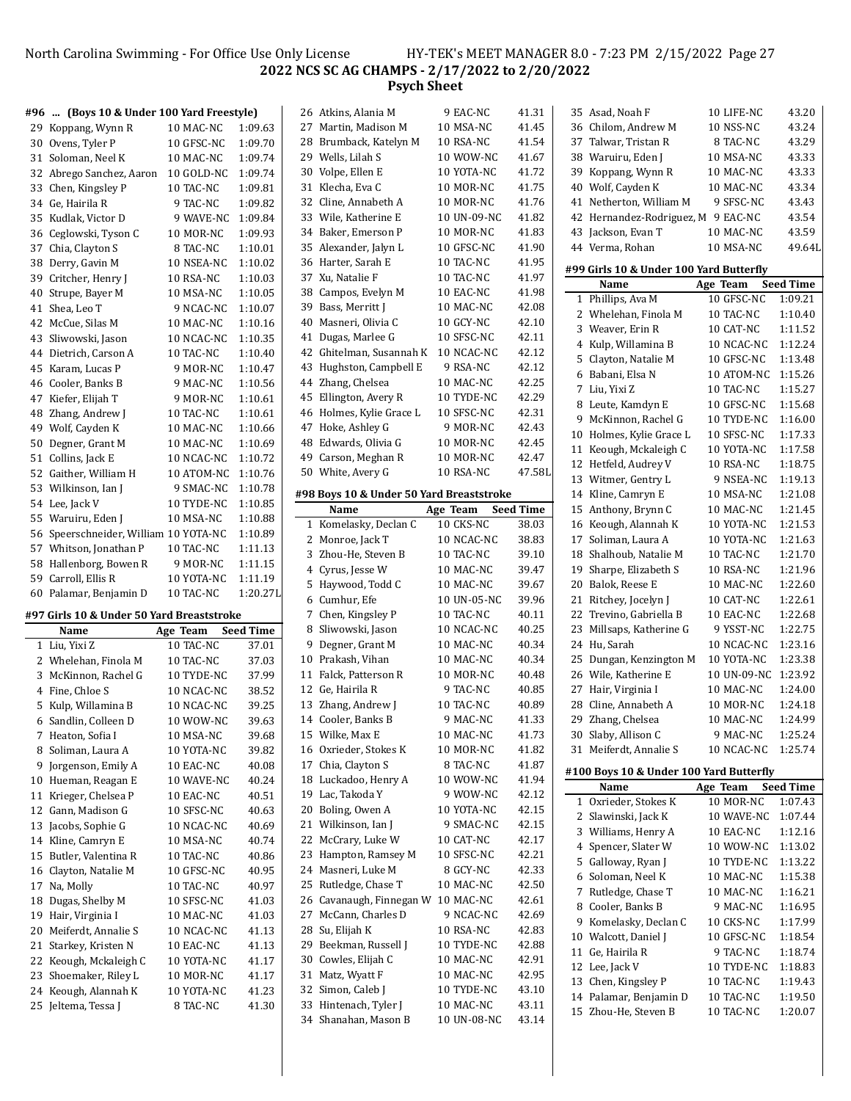#### North Carolina Swimming - For Office Use Only License HY-TEK's MEET MANAGER 8.0 - 7:23 PM 2/15/2022 Page 27 **NCS SC AG CHAMPS - 2/17/2022 to 2/20/2022 Psych Sheet**

#### **#96 ... (Boys 10 & Under 100 Yard Freestyle)** 29 Koppang, Wynn R 10 MAC-NC 1:09.63 Ovens, Tyler P 10 GFSC-NC 1:09.70 31 Soloman, Neel K 10 MAC-NC 1:09.74 Abrego Sanchez, Aaron 10 GOLD-NC 1:09.74 Chen, Kingsley P 10 TAC-NC 1:09.81 Ge, Hairila R 9 TAC-NC 1:09.82 35 Kudlak, Victor D 9 WAVE-NC 1:09.84 36 Ceglowski, Tyson C 10 MOR-NC 1:09.93 37 Chia, Clayton S 8 TAC-NC 1:10.01 Derry, Gavin M 10 NSEA-NC 1:10.02 39 Critcher, Henry J 10 RSA-NC 1:10.03 Strupe, Bayer M 10 MSA-NC 1:10.05 Shea, Leo T 9 NCAC-NC 1:10.07 McCue, Silas M 10 MAC-NC 1:10.16 Sliwowski, Jason 10 NCAC-NC 1:10.35 Dietrich, Carson A 10 TAC-NC 1:10.40 Karam, Lucas P 9 MOR-NC 1:10.47 Cooler, Banks B 9 MAC-NC 1:10.56 47 Kiefer, Elijah T 9 MOR-NC 1:10.61 48 Zhang, Andrew J 10 TAC-NC 1:10.61 49 Wolf, Cayden K 10 MAC-NC 1:10.66 Degner, Grant M 10 MAC-NC 1:10.69 51 Collins, Jack E 10 NCAC-NC 1:10.72 Gaither, William H 10 ATOM-NC 1:10.76 53 Wilkinson, Ian J 9 SMAC-NC 1:10.78 54 Lee, Jack V 10 TYDE-NC 1:10.85 55 Waruiru, Eden J 10 MSA-NC 1:10.88 Speerschneider, William10 YOTA-NC 1:10.89 57 Whitson, Jonathan P 10 TAC-NC 1:11.13 58 Hallenborg, Bowen R 9 MOR-NC 1:11.15 Carroll, Ellis R 10 YOTA-NC 1:11.19 Palamar, Benjamin D 10 TAC-NC 1:20.27L **#97 Girls 10 & Under 50 Yard Breaststroke Name Age Team Seed Time** Liu, Yixi Z 10 TAC-NC 37.01 2 Whelehan, Finola M 10 TAC-NC 37.03 McKinnon, Rachel G 10 TYDE-NC 37.99 Fine, Chloe S 10 NCAC-NC 38.52 Kulp, Willamina B 10 NCAC-NC 39.25 Sandlin, Colleen D 10 WOW-NC 39.63 7 Heaton, Sofia I 10 MSA-NC 39.68 8 Soliman, Laura A 10 YOTA-NC 39.82 9 Jorgenson, Emily A 10 EAC-NC 40.08 10 Hueman, Reagan E 10 WAVE-NC 40.24 11 Krieger, Chelsea P 10 EAC-NC 40.51 12 Gann, Madison G 10 SFSC-NC 40.63 13 Jacobs, Sophie G 10 NCAC-NC 40.69 Kline, Camryn E 10 MSA-NC 40.74 15 Butler, Valentina R 10 TAC-NC 40.86 16 Clayton, Natalie M 10 GFSC-NC 40.95 17 Na, Molly 10 TAC-NC 40.97 18 Dugas, Shelby M 10 SFSC-NC 41.03 19 Hair, Virginia I 10 MAC-NC 41.03 20 Meiferdt, Annalie S 10 NCAC-NC 41.13 21 Starkey, Kristen N 10 EAC-NC 41.13 Keough, Mckaleigh C 10 YOTA-NC 41.17

23 Shoemaker, Riley L 10 MOR-NC 41.17 24 Keough, Alannah K 10 YOTA-NC 41.23 25 Jeltema, Tessa J 8 TAC-NC 41.30

|          | 1 эусп энссс                             |                          |                  |
|----------|------------------------------------------|--------------------------|------------------|
| 26       | Atkins, Alania M                         | 9 EAC-NC                 | 41.31            |
| 27       | Martin, Madison M                        | 10 MSA-NC                | 41.45            |
| 28       | Brumback, Katelyn M                      | 10 RSA-NC                | 41.54            |
| 29       | Wells, Lilah S                           | 10 WOW-NC                | 41.67            |
| 30       | Volpe, Ellen E                           | 10 YOTA-NC               | 41.72            |
| 31       | Klecha, Eva C                            | <b>10 MOR-NC</b>         | 41.75            |
| 32       | Cline, Annabeth A                        | 10 MOR-NC                | 41.76            |
| 33       | Wile, Katherine E                        | 10 UN-09-NC              | 41.82            |
| 34       | Baker, Emerson P                         | 10 MOR-NC                | 41.83            |
| 35       | Alexander, Jalyn L                       | 10 GFSC-NC               | 41.90            |
| 36       | Harter, Sarah E                          | 10 TAC-NC                | 41.95            |
| 37       | Xu, Natalie F                            | 10 TAC-NC                | 41.97            |
| 38       | Campos, Evelyn M                         | 10 EAC-NC                | 41.98            |
| 39       | Bass, Merritt J                          | 10 MAC-NC                | 42.08            |
| 40       | Masneri, Olivia C                        | 10 GCY-NC                | 42.10            |
| 41       | Dugas, Marlee G                          | 10 SFSC-NC               | 42.11            |
| 42       | Ghitelman, Susannah K                    | 10 NCAC-NC               | 42.12            |
| 43       | Hughston, Campbell E                     | 9 RSA-NC                 | 42.12            |
| 44       | Zhang, Chelsea                           | 10 MAC-NC                | 42.25            |
| 45       | Ellington, Avery R                       | 10 TYDE-NC               | 42.29            |
| 46       | Holmes, Kylie Grace L                    | 10 SFSC-NC               | 42.31            |
| 47       | Hoke, Ashley G                           | 9 MOR-NC                 | 42.43            |
| 48       | Edwards, Olivia G                        | 10 MOR-NC                | 42.45            |
| 49       | Carson, Meghan R                         | 10 MOR-NC                | 42.47            |
| 50       | White, Avery G                           | 10 RSA-NC                | 47.58L           |
|          | #98 Boys 10 & Under 50 Yard Breaststroke |                          |                  |
|          | Name                                     | Age Team                 | <b>Seed Time</b> |
| 1        | Komelasky, Declan C                      | 10 CKS-NC                | 38.03            |
| 2        | Monroe, Jack T                           | 10 NCAC-NC               | 38.83            |
| 3        | Zhou-He, Steven B                        | 10 TAC-NC                | 39.10            |
| 4        | Cyrus, Jesse W                           | 10 MAC-NC                | 39.47            |
| 5        | Haywood, Todd C                          |                          |                  |
|          |                                          | 10 MAC-NC                | 39.67            |
| 6        | Cumhur, Efe                              | 10 UN-05-NC              | 39.96            |
| 7        | Chen, Kingsley P                         | 10 TAC-NC                | 40.11            |
| 8        | Sliwowski, Jason                         | 10 NCAC-NC               | 40.25            |
| 9        | Degner, Grant M                          | 10 MAC-NC                | 40.34            |
| 10       | Prakash, Vihan                           | 10 MAC-NC                | 40.34            |
| 11       | Falck, Patterson R                       | 10 MOR-NC                | 40.48            |
| 12       | Ge, Hairila R                            | 9 TAC-NC                 | 40.85            |
| 13       | Zhang, Andrew J                          | 10 TAC-NC                | 40.89            |
| 14       | Cooler, Banks B                          | 9 MAC-NC                 | 41.33            |
| 15       | Wilke, Max E                             | 10 MAC-NC                | 41.73            |
| 16       | Oxrieder, Stokes K                       | 10 MOR-NC                | 41.82            |
| 17       | Chia, Clayton S                          | 8 TAC-NC                 | 41.87            |
| 18       | Luckadoo, Henry A                        | 10 WOW-NC                | 41.94            |
| 19       | Lac, Takoda Y                            | 9 WOW-NC                 | 42.12            |
| 20<br>21 | Boling, Owen A                           | 10 YOTA-NC<br>9 SMAC-NC  | 42.15            |
| 22       | Wilkinson, Ian J                         | 10 CAT-NC                | 42.15<br>42.17   |
| 23       | McCrary, Luke W                          | 10 SFSC-NC               |                  |
| 24       | Hampton, Ramsey M<br>Masneri, Luke M     | 8 GCY-NC                 | 42.21<br>42.33   |
| 25       | Rutledge, Chase T                        | 10 MAC-NC                | 42.50            |
| 26       | Cavanaugh, Finnegan W                    | 10 MAC-NC                | 42.61            |
| 27       | McCann, Charles D                        | 9 NCAC-NC                | 42.69            |
| 28       | Su, Elijah K                             | 10 RSA-NC                | 42.83            |
| 29       | Beekman, Russell J                       | 10 TYDE-NC               | 42.88            |
| 30       | Cowles, Elijah C                         | 10 MAC-NC                | 42.91            |
| 31       | Matz, Wyatt F                            | 10 MAC-NC                | 42.95            |
| 32       | Simon, Caleb J                           | 10 TYDE-NC               | 43.10            |
| 33<br>34 | Hintenach, Tyler J<br>Shanahan, Mason B  | 10 MAC-NC<br>10 UN-08-NC | 43.11<br>43.14   |

|          | 35 Asad, Noah F                          | 10 LIFE-NC             | 43.20              |
|----------|------------------------------------------|------------------------|--------------------|
|          | 36 Chilom, Andrew M                      | 10 NSS-NC              | 43.24              |
|          | 37 Talwar, Tristan R                     | 8 TAC-NC               | 43.29              |
|          | 38 Waruiru, Eden J                       | 10 MSA-NC              | 43.33              |
|          | 39 Koppang, Wynn R                       | 10 MAC-NC              | 43.33              |
|          | 40 Wolf, Cayden K                        | 10 MAC-NC              | 43.34              |
| 41       | Netherton, William M                     | 9 SFSC-NC              | 43.43              |
|          | 42 Hernandez-Rodriguez, M                | 9 EAC-NC               | 43.54              |
|          | 43 Jackson, Evan T                       | 10 MAC-NC              | 43.59              |
|          | 44 Verma, Rohan                          | 10 MSA-NC              | 49.64L             |
|          |                                          |                        |                    |
|          | #99 Girls 10 & Under 100 Yard Butterfly  |                        |                    |
|          | Name                                     | Age Team               | Seed Time          |
|          | 1 Phillips, Ava M                        | 10 GFSC-NC             | 1:09.21            |
|          | 2 Whelehan, Finola M                     | 10 TAC-NC              | 1:10.40            |
| 3        | Weaver, Erin R                           | 10 CAT-NC              | 1:11.52            |
| 4        | Kulp, Willamina B                        | 10 NCAC-NC             | 1:12.24            |
| 5        | Clayton, Natalie M                       | 10 GFSC-NC             | 1:13.48            |
| 6        | Babani, Elsa N                           | 10 ATOM-NC             | 1:15.26            |
| 7        | Liu, Yixi Z                              | 10 TAC-NC              | 1:15.27            |
| 8        | Leute, Kamdyn E                          | 10 GFSC-NC             | 1:15.68            |
| 9        | McKinnon, Rachel G                       | 10 TYDE-NC             | 1:16.00            |
|          | 10 Holmes, Kylie Grace L                 | 10 SFSC-NC             | 1:17.33            |
| 11       | Keough, Mckaleigh C                      | 10 YOTA-NC             | 1:17.58            |
| 12       | Hetfeld, Audrey V                        | 10 RSA-NC              | 1:18.75            |
|          |                                          |                        |                    |
| 13       | Witmer, Gentry L                         | 9 NSEA-NC              | 1:19.13            |
|          | 14 Kline, Camryn E                       | 10 MSA-NC              | 1:21.08            |
|          | 15 Anthony, Brynn C                      | 10 MAC-NC              | 1:21.45            |
|          | 16 Keough, Alannah K                     | 10 YOTA-NC             | 1:21.53            |
| 17       | Soliman, Laura A                         | 10 YOTA-NC             | 1:21.63            |
| 18       | Shalhoub, Natalie M                      | 10 TAC-NC              | 1:21.70            |
| 19       | Sharpe, Elizabeth S                      | 10 RSA-NC              | 1:21.96            |
| 20       | Balok, Reese E                           | 10 MAC-NC              | 1:22.60            |
| 21       | Ritchey, Jocelyn J                       | 10 CAT-NC              | 1:22.61            |
| 22       | Trevino, Gabriella B                     | 10 EAC-NC              | 1:22.68            |
| 23       | Millsaps, Katherine G                    | 9 YSST-NC              | 1:22.75            |
|          | 24 Hu, Sarah                             | 10 NCAC-NC             | 1:23.16            |
|          | 25 Dungan, Kenzington M                  | 10 YOTA-NC             | 1:23.38            |
|          | 26 Wile, Katherine E                     | 10 UN-09-NC            | 1:23.92            |
| 27       | Hair, Virginia I                         | 10 MAC-NC              | 1:24.00            |
| 28       | Cline, Annabeth A                        | 10 MOR-NC              | 1:24.18            |
| 29       | Zhang, Chelsea                           | 10 MAC-NC              | 1:24.99            |
| 30       | Slaby, Allison C                         | 9 MAC-NC               | 1:25.24            |
| 31       | Meiferdt, Annalie S                      | 10 NCAC-NC             | 1:25.74            |
|          |                                          |                        |                    |
|          | #100 Boys 10 & Under 100 Yard Butterfly  |                        |                    |
|          | Name                                     | Age Team               | Seed Time          |
| 1        | Oxrieder, Stokes K                       | 10 MOR-NC              | 1:07.43            |
| 2        | Slawinski, Jack K                        | 10 WAVE-NC             | 1:07.44            |
|          | 3 Williams, Henry A                      | 10 EAC-NC              | 1:12.16            |
| 4        | Spencer, Slater W                        | 10 WOW-NC              | 1:13.02            |
| 5        | Galloway, Ryan J                         | 10 TYDE-NC             | 1:13.22            |
| 6        | Soloman, Neel K                          | 10 MAC-NC              | 1:15.38            |
| 7        | Rutledge, Chase T                        | 10 MAC-NC              | 1:16.21            |
|          | 8 Cooler, Banks B                        | 9 MAC-NC               | 1:16.95            |
| 9.       | Komelasky, Declan C                      | 10 CKS-NC              | 1:17.99            |
|          | 10 Walcott, Daniel J                     | 10 GFSC-NC             | 1:18.54            |
|          | 11 Ge, Hairila R                         | 9 TAC-NC               | 1:18.74            |
|          |                                          |                        |                    |
|          |                                          |                        |                    |
|          | 12 Lee, Jack V                           | 10 TYDE-NC             | 1:18.83            |
|          | 13 Chen, Kingsley P                      | 10 TAC-NC              | 1:19.43            |
| 14<br>15 | Palamar, Benjamin D<br>Zhou-He, Steven B | 10 TAC-NC<br>10 TAC-NC | 1:19.50<br>1:20.07 |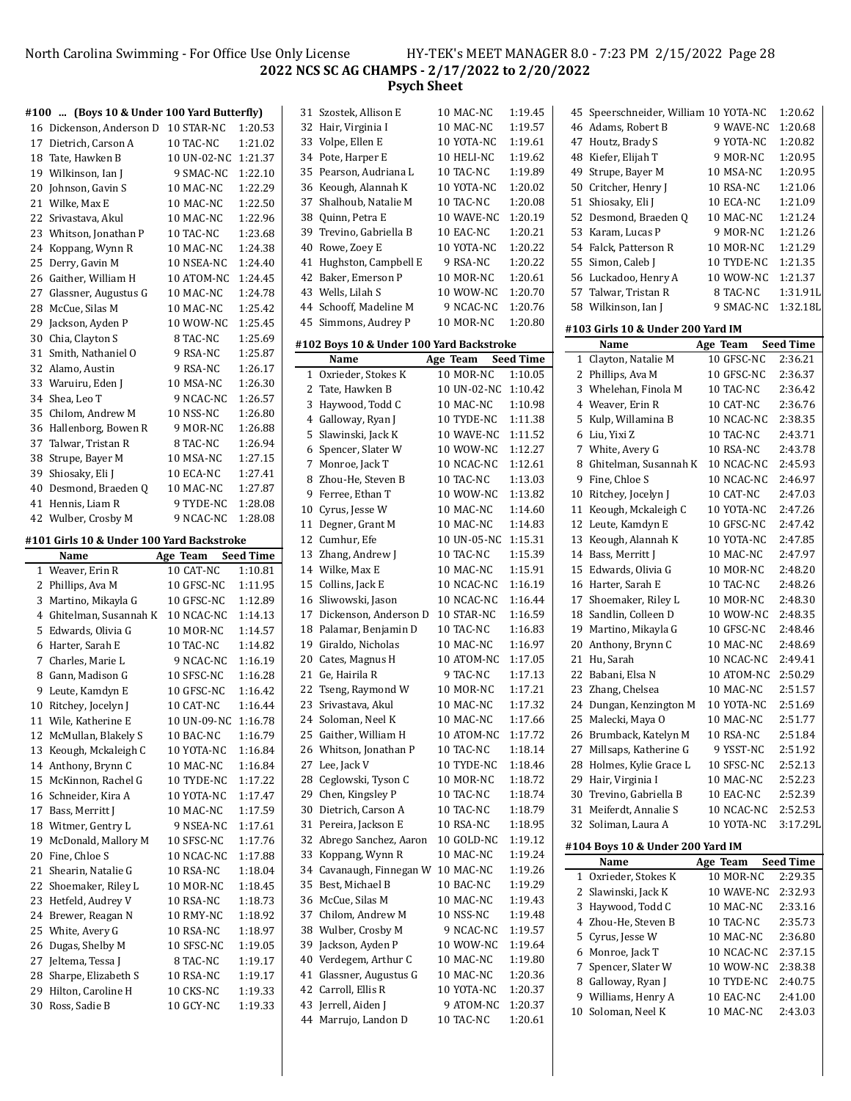North Carolina Swimming - For Office Use Only License HY-TEK's MEET MANAGER 8.0 - 7:23 PM 2/15/2022 Page 28 **NCS SC AG CHAMPS - 2/17/2022 to 2/20/2022 Psych Sheet**

|          | #100  (Boys 10 & Under 100 Yard Butterfly) |                       |                             | 3                       |
|----------|--------------------------------------------|-----------------------|-----------------------------|-------------------------|
|          | 16 Dickenson, Anderson D                   | 10 STAR-NC            | 1:20.53                     | 3                       |
|          | 17 Dietrich, Carson A                      | 10 TAC-NC             | 1:21.02                     | 3                       |
|          | 18 Tate, Hawken B                          | 10 UN-02-NC           | 1:21.37                     | 3                       |
|          | 19 Wilkinson, Ian J                        | 9 SMAC-NC             | 1:22.10                     | 3                       |
| 20       | Johnson, Gavin S                           | 10 MAC-NC             | 1:22.29                     | 3                       |
| 21       | Wilke, Max E                               | 10 MAC-NC             | 1:22.50                     | 3                       |
| 22       | Srivastava, Akul                           | 10 MAC-NC             | 1:22.96                     | 3                       |
|          | 23 Whitson, Jonathan P                     | 10 TAC-NC             | 1:23.68                     | 3                       |
| 24       | Koppang, Wynn R                            | 10 MAC-NC             | 1:24.38                     | 4                       |
| 25       | Derry, Gavin M                             | 10 NSEA-NC            | 1:24.40                     | 4                       |
| 26       | Gaither, William H                         | 10 ATOM-NC            | 1:24.45                     | 4                       |
|          | 27 Glassner, Augustus G                    | 10 MAC-NC             | 1:24.78                     | 4                       |
|          | 28 McCue, Silas M                          | 10 MAC-NC             | 1:25.42                     | 4                       |
| 29       | Jackson, Ayden P                           | 10 WOW-NC             | 1:25.45                     | 4                       |
| 30       | Chia, Clayton S                            | 8 TAC-NC              | 1:25.69                     |                         |
| 31       | Smith, Nathaniel O                         | 9 RSA-NC              | 1:25.87                     | #1                      |
|          | 32 Alamo, Austin                           | 9 RSA-NC              | 1:26.17                     |                         |
|          | 33 Waruiru, Eden J                         | 10 MSA-NC             | 1:26.30                     |                         |
|          | 34 Shea, Leo T                             | 9 NCAC-NC             | 1:26.57                     |                         |
| 35       | Chilom, Andrew M                           | 10 NSS-NC             | 1:26.80                     |                         |
| 36       | Hallenborg, Bowen R                        | 9 MOR-NC              | 1:26.88                     |                         |
|          | 37 Talwar, Tristan R                       | 8 TAC-NC              | 1:26.94                     |                         |
|          | 38 Strupe, Bayer M                         | 10 MSA-NC             | 1:27.15                     |                         |
| 39       | Shiosaky, Eli J                            | 10 ECA-NC             | 1:27.41                     |                         |
| 40       | Desmond, Braeden Q                         | 10 MAC-NC             | 1:27.87                     |                         |
| 41       | Hennis, Liam R                             | 9 TYDE-NC             | 1:28.08                     | 1                       |
|          | 42 Wulber, Crosby M                        | 9 NCAC-NC             | 1:28.08                     | 1                       |
|          | #101 Girls 10 & Under 100 Yard Backstroke  |                       |                             | 1                       |
|          |                                            |                       |                             |                         |
|          |                                            |                       |                             | 1                       |
| 1        | Name<br>Weaver, Erin R                     | Age Team<br>10 CAT-NC | <b>Seed Time</b><br>1:10.81 | 1                       |
| 2        |                                            | 10 GFSC-NC            | 1:11.95                     | 1                       |
| 3        | Phillips, Ava M<br>Martino, Mikayla G      | 10 GFSC-NC            | 1:12.89                     | 1                       |
| 4        | Ghitelman, Susannah K                      | 10 NCAC-NC            | 1:14.13                     | 1                       |
| 5        | Edwards, Olivia G                          | 10 MOR-NC             | 1:14.57                     | 1                       |
| 6        | Harter, Sarah E                            | 10 TAC-NC             | 1:14.82                     | 1                       |
| 7        | Charles, Marie L                           | 9 NCAC-NC             | 1:16.19                     | $\overline{c}$          |
| 8        | Gann, Madison G                            | 10 SFSC-NC            | 1:16.28                     | $\overline{\mathbf{c}}$ |
| 9        | Leute, Kamdyn E                            | 10 GFSC-NC            | 1:16.42                     | $\overline{c}$          |
| 10       | Ritchey, Jocelyn J                         | 10 CAT-NC             | 1:16.44                     | $\overline{\mathbf{c}}$ |
| 11       | Wile, Katherine E                          | 10 UN-09-NC           | 1:16.78                     | $\overline{2}$          |
| 12       | McMullan, Blakely S                        | 10 BAC-NC             | 1:16.79                     | 2                       |
| 13       | Keough, Mckaleigh C                        | 10 YOTA-NC            | 1:16.84                     | 2                       |
| 14       | Anthony, Brynn C                           | 10 MAC-NC             | 1:16.84                     | $\overline{c}$          |
| 15       | McKinnon, Rachel G                         | 10 TYDE-NC            | 1:17.22                     | $\overline{c}$          |
| 16       | Schneider, Kira A                          | 10 YOTA-NC            | 1:17.47                     | $\overline{c}$          |
| 17       | Bass, Merritt J                            | 10 MAC-NC             | 1:17.59                     | 3                       |
| 18       | Witmer, Gentry L                           | 9 NSEA-NC             | 1:17.61                     | 3                       |
| 19       | McDonald, Mallory M                        | 10 SFSC-NC            | 1:17.76                     | 3                       |
| 20       | Fine, Chloe S                              | 10 NCAC-NC            | 1:17.88                     | 3                       |
| 21       | Shearin, Natalie G                         | 10 RSA-NC             | 1:18.04                     | 3                       |
| 22       | Shoemaker, Riley L                         | 10 MOR-NC             | 1:18.45                     | 3                       |
| 23       | Hetfeld, Audrey V                          | 10 RSA-NC             | 1:18.73                     | 3                       |
| 24       | Brewer, Reagan N                           | 10 RMY-NC             | 1:18.92                     | 3                       |
| 25       | White, Avery G                             | 10 RSA-NC             | 1:18.97                     | 3                       |
| 26       | Dugas, Shelby M                            | 10 SFSC-NC            | 1:19.05                     | 3                       |
| 27<br>28 | Jeltema, Tessa J<br>Sharpe, Elizabeth S    | 8 TAC-NC<br>10 RSA-NC | 1:19.17<br>1:19.17          | 4<br>4                  |

29 Hilton, Caroline H 10 CKS-NC 1:19.33 Ross, Sadie B 10 GCY-NC 1:19.33

|          | rsycn sneet                              |                          |                    |
|----------|------------------------------------------|--------------------------|--------------------|
| 31       | Szostek, Allison E                       | 10 MAC-NC                | 1:19.45            |
| 32       | Hair, Virginia I                         | 10 MAC-NC                | 1:19.57            |
| 33       | Volpe, Ellen E                           | 10 YOTA-NC               | 1:19.61            |
| 34       | Pote, Harper E                           | 10 HELI-NC               | 1:19.62            |
| 35       | Pearson, Audriana L                      | 10 TAC-NC                | 1:19.89            |
| 36       | Keough, Alannah K                        | 10 YOTA-NC               | 1:20.02            |
| 37       | Shalhoub, Natalie M                      | 10 TAC-NC                | 1:20.08            |
| 38       | Quinn, Petra E                           | 10 WAVE-NC               | 1:20.19            |
| 39       | Trevino, Gabriella B                     | 10 EAC-NC                | 1:20.21            |
| 40       | Rowe, Zoey E                             | 10 YOTA-NC               | 1:20.22            |
| 41       | Hughston, Campbell E                     | 9 RSA-NC                 | 1:20.22            |
| 42       | Baker, Emerson P                         | 10 MOR-NC                | 1:20.61            |
| 43       | Wells, Lilah S                           | 10 WOW-NC                | 1:20.70            |
| 44       | Schooff, Madeline M                      | 9 NCAC-NC                | 1:20.76            |
| 45       | Simmons, Audrey P                        | 10 MOR-NC                | 1:20.80            |
|          | #102 Boys 10 & Under 100 Yard Backstroke |                          |                    |
|          | Name                                     | Age Team Seed Time       |                    |
| 1        | Oxrieder, Stokes K                       | 10 MOR-NC                | 1:10.05            |
| 2        | Tate, Hawken B                           | 10 UN-02-NC              | 1:10.42            |
| 3        | Haywood, Todd C                          | 10 MAC-NC                | 1:10.98            |
|          | 4 Galloway, Ryan J                       | 10 TYDE-NC               | 1:11.38            |
| 5        | Slawinski, Jack K                        | 10 WAVE-NC               | 1:11.52            |
| 6        | Spencer, Slater W                        | 10 WOW-NC                | 1:12.27            |
| 7        | Monroe, Jack T                           | 10 NCAC-NC               | 1:12.61            |
| 8        | Zhou-He, Steven B                        | 10 TAC-NC                | 1:13.03            |
| 9        | Ferree, Ethan T                          | 10 WOW-NC                | 1:13.82            |
| 10       | Cyrus, Jesse W                           | 10 MAC-NC                | 1:14.60            |
| 11       | Degner, Grant M                          | 10 MAC-NC                | 1:14.83            |
| 12       | Cumhur, Efe                              | 10 UN-05-NC              | 1:15.31            |
| 13       | Zhang, Andrew J                          | 10 TAC-NC                | 1:15.39            |
| 14       | Wilke, Max E                             | 10 MAC-NC                | 1:15.91            |
| 15<br>16 | Collins, Jack E<br>Sliwowski, Jason      | 10 NCAC-NC<br>10 NCAC-NC | 1:16.19<br>1:16.44 |
| 17       | Dickenson, Anderson D                    | 10 STAR-NC               | 1:16.59            |
| 18       | Palamar, Benjamin D                      | 10 TAC-NC                | 1:16.83            |
| 19       | Giraldo, Nicholas                        | 10 MAC-NC                | 1:16.97            |
| 20       | Cates, Magnus H                          | 10 ATOM-NC               | 1:17.05            |
| 21       | Ge, Hairila R                            | 9 TAC-NC                 | 1:17.13            |
| 22       | Tseng, Raymond W                         | 10 MOR-NC                | 1:17.21            |
| 23       | Srivastava, Akul                         | 10 MAC-NC                | 1:17.32            |
| 24       | Soloman, Neel K                          | 10 MAC-NC                | 1:17.66            |
| 25       | Gaither, William H                       | 10 ATOM-NC               | 1:17.72            |
| 26       | Whitson, Jonathan P                      | 10 TAC-NC                | 1:18.14            |
| 27       | Lee, Jack V                              | 10 TYDE-NC               | 1:18.46            |
| 28       | Ceglowski, Tyson C                       | 10 MOR-NC                | 1:18.72            |
| 29       | Chen, Kingsley P                         | 10 TAC-NC                | 1:18.74            |
| 30       | Dietrich, Carson A                       | 10 TAC-NC                | 1:18.79            |
| 31       | Pereira, Jackson E                       | 10 RSA-NC                | 1:18.95            |
| 32       | Abrego Sanchez, Aaron                    | 10 GOLD-NC               | 1:19.12            |
| 33       | Koppang, Wynn R                          | 10 MAC-NC                | 1:19.24            |
| 34       | Cavanaugh, Finnegan W                    | 10 MAC-NC                | 1:19.26            |
| 35       | Best, Michael B                          | 10 BAC-NC                | 1:19.29            |
| 36       | McCue, Silas M                           | 10 MAC-NC                | 1:19.43            |
| 37       | Chilom, Andrew M                         | 10 NSS-NC                | 1:19.48            |
| 38       | Wulber, Crosby M                         | 9 NCAC-NC                | 1:19.57            |
| 39       | Jackson, Ayden P                         | 10 WOW-NC                | 1:19.64            |
| 40       | Verdegem, Arthur C                       | 10 MAC-NC                | 1:19.80            |
| 41       | Glassner, Augustus G                     | 10 MAC-NC                | 1:20.36            |
| 42       | Carroll, Ellis R                         | 10 YOTA-NC               | 1:20.37            |
| 43       | Jerrell, Aiden J                         | 9 ATOM-NC                | 1:20.37            |
| 44       | Marrujo, Landon D                        | 10 TAC-NC                | 1:20.61            |

| 45     | Speerschneider, William 10 YOTA-NC    |            | 1:20.62            |
|--------|---------------------------------------|------------|--------------------|
|        | 46 Adams, Robert B                    | 9 WAVE-NC  | 1:20.68            |
| 47     | Houtz, Brady S                        | 9 YOTA-NC  | 1:20.82            |
|        |                                       |            |                    |
| 48     | Kiefer, Elijah T                      | 9 MOR-NC   | 1:20.95            |
| 49     | Strupe, Bayer M                       | 10 MSA-NC  | 1:20.95            |
| 50     | Critcher, Henry J                     | 10 RSA-NC  | 1:21.06            |
| 51     | Shiosaky, Eli J                       | 10 ECA-NC  | 1:21.09            |
| 52     | Desmond, Braeden Q                    | 10 MAC-NC  | 1:21.24            |
| 53     | Karam, Lucas P                        | 9 MOR-NC   | 1:21.26            |
|        | 54 Falck, Patterson R                 | 10 MOR-NC  | 1:21.29            |
| 55     | Simon, Caleb I                        | 10 TYDE-NC | 1:21.35            |
|        | 56 Luckadoo, Henry A                  | 10 WOW-NC  | 1:21.37            |
|        | 57 Talwar, Tristan R                  | 8 TAC-NC   | 1:31.91L           |
|        | 58 Wilkinson, Ian J                   | 9 SMAC-NC  | 1:32.18L           |
|        |                                       |            |                    |
|        | #103 Girls 10 & Under 200 Yard IM     |            |                    |
|        | Name                                  | Age Team   | <b>Seed Time</b>   |
| 1      | Clayton, Natalie M                    | 10 GFSC-NC | 2:36.21            |
| 2      | Phillips, Ava M                       | 10 GFSC-NC | 2:36.37            |
| 3      | Whelehan, Finola M                    | 10 TAC-NC  | 2:36.42            |
| 4      | Weaver, Erin R                        | 10 CAT-NC  | 2:36.76            |
| 5      | Kulp, Willamina B                     | 10 NCAC-NC | 2:38.35            |
| 6      | Liu, Yixi Z                           | 10 TAC-NC  | 2:43.71            |
| 7      | White, Avery G                        | 10 RSA-NC  | 2:43.78            |
| 8      | Ghitelman, Susannah K                 | 10 NCAC-NC | 2:45.93            |
| 9      | Fine, Chloe S                         | 10 NCAC-NC | 2:46.97            |
| 10     | Ritchey, Jocelyn J                    | 10 CAT-NC  | 2:47.03            |
|        |                                       |            | 2:47.26            |
| 11     | Keough, Mckaleigh C                   | 10 YOTA-NC |                    |
| 12     | Leute, Kamdyn E                       | 10 GFSC-NC | 2:47.42            |
| 13     | Keough, Alannah K                     | 10 YOTA-NC | 2:47.85            |
| 14     | Bass, Merritt J                       | 10 MAC-NC  | 2:47.97            |
| 15     | Edwards, Olivia G                     | 10 MOR-NC  | 2:48.20            |
| 16     | Harter, Sarah E                       | 10 TAC-NC  | 2:48.26            |
| 17     | Shoemaker, Riley L                    | 10 MOR-NC  | 2:48.30            |
| 18     | Sandlin, Colleen D                    | 10 WOW-NC  | 2:48.35            |
| 19     | Martino, Mikayla G                    | 10 GFSC-NC | 2:48.46            |
| 20     | Anthony, Brynn C                      | 10 MAC-NC  | 2:48.69            |
| 21     | Hu, Sarah                             | 10 NCAC-NC | 2:49.41            |
| 22     | Babani, Elsa N                        | 10 ATOM-NC | 2:50.29            |
| 23     | Zhang, Chelsea                        | 10 MAC-NC  | 2:51.57            |
| 24     | Dungan, Kenzington M                  | 10 YOTA-NC | 2:51.69            |
| 25     | Malecki, Maya O                       | 10 MAC-NC  | 2:51.77            |
| 26     | Brumback, Katelyn M                   | 10 RSA-NC  | 2:51.84            |
| 27     | Millsaps, Katherine G                 | 9 YSST-NC  | 2:51.92            |
| 28     | Holmes, Kylie Grace L                 | 10 SFSC-NC | 2:52.13            |
| 29     | Hair, Virginia I                      | 10 MAC-NC  | 2:52.23            |
|        | Trevino, Gabriella B                  | 10 EAC-NC  |                    |
| 30     |                                       |            | 2:52.39            |
| 31     | Meiferdt, Annalie S                   | 10 NCAC-NC | 2:52.53            |
| 32     | Soliman, Laura A                      | 10 YOTA-NC | 3:17.29L           |
|        | #104 Boys 10 & Under 200 Yard IM      |            |                    |
|        | Name                                  | Age Team   | <b>Seed Time</b>   |
| 1      | Oxrieder, Stokes K                    | 10 MOR-NC  | 2:29.35            |
| 2      | Slawinski, Jack K                     | 10 WAVE-NC | 2:32.93            |
| 3      | Haywood, Todd C                       | 10 MAC-NC  | 2:33.16            |
| 4      | Zhou-He, Steven B                     | 10 TAC-NC  | 2:35.73            |
| 5      | Cyrus, Jesse W                        | 10 MAC-NC  | 2:36.80            |
| 6      | Monroe, Jack T                        | 10 NCAC-NC | 2:37.15            |
| 7      | Spencer, Slater W                     | 10 WOW-NC  | 2:38.38            |
|        |                                       |            |                    |
| 8<br>9 | Galloway, Ryan J<br>Williams, Henry A | 10 TYDE-NC | 2:40.75<br>2:41.00 |
|        |                                       | 10 EAC-NC  |                    |

Soloman, Neel K 10 MAC-NC 2:43.03